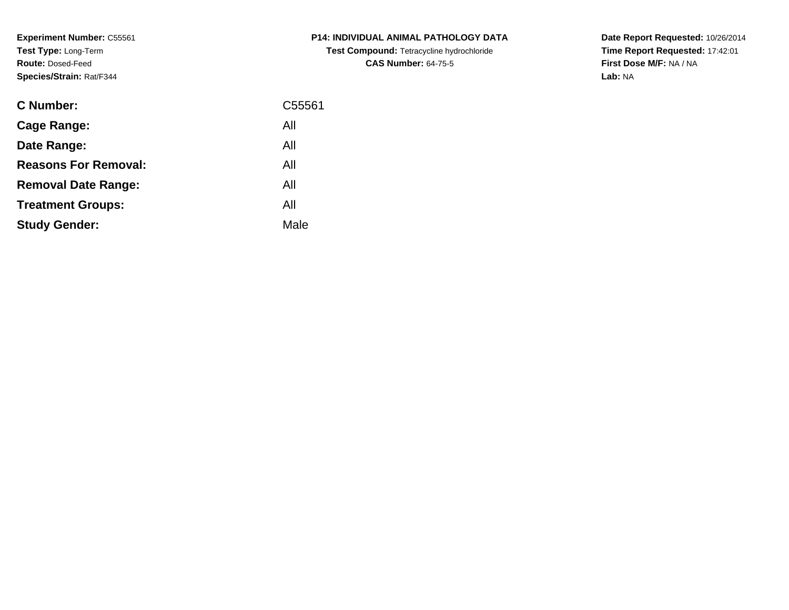**Experiment Number:** C55561**Test Type:** Long-Term**Route:** Dosed-Feed**Species/Strain:** Rat/F344

| <b>C Number:</b>            | C55561 |
|-----------------------------|--------|
| Cage Range:                 | All    |
| Date Range:                 | All    |
| <b>Reasons For Removal:</b> | All    |
| <b>Removal Date Range:</b>  | All    |
| <b>Treatment Groups:</b>    | All    |
| <b>Study Gender:</b>        | Male   |
|                             |        |

**P14: INDIVIDUAL ANIMAL PATHOLOGY DATATest Compound:** Tetracycline hydrochloride**CAS Number:** 64-75-5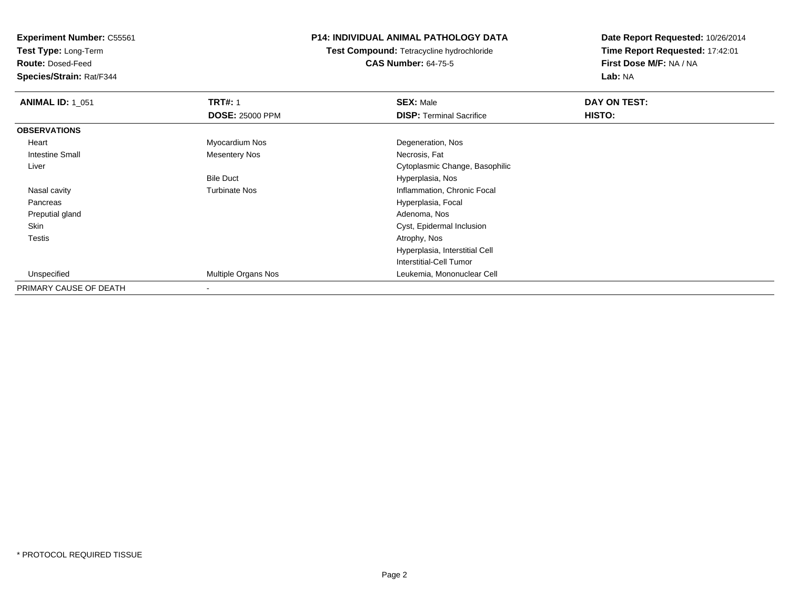**Test Type:** Long-Term

**Route:** Dosed-Feed

**Species/Strain:** Rat/F344

## **P14: INDIVIDUAL ANIMAL PATHOLOGY DATA**

**Test Compound:** Tetracycline hydrochloride**CAS Number:** 64-75-5

| <b>ANIMAL ID: 1 051</b> | <b>TRT#: 1</b>         | <b>SEX: Male</b>                | DAY ON TEST:  |  |
|-------------------------|------------------------|---------------------------------|---------------|--|
|                         | <b>DOSE: 25000 PPM</b> | <b>DISP: Terminal Sacrifice</b> | <b>HISTO:</b> |  |
| <b>OBSERVATIONS</b>     |                        |                                 |               |  |
| Heart                   | Myocardium Nos         | Degeneration, Nos               |               |  |
| <b>Intestine Small</b>  | <b>Mesentery Nos</b>   | Necrosis, Fat                   |               |  |
| Liver                   |                        | Cytoplasmic Change, Basophilic  |               |  |
|                         | <b>Bile Duct</b>       | Hyperplasia, Nos                |               |  |
| Nasal cavity            | <b>Turbinate Nos</b>   | Inflammation, Chronic Focal     |               |  |
| Pancreas                |                        | Hyperplasia, Focal              |               |  |
| Preputial gland         |                        | Adenoma, Nos                    |               |  |
| Skin                    |                        | Cyst, Epidermal Inclusion       |               |  |
| Testis                  |                        | Atrophy, Nos                    |               |  |
|                         |                        | Hyperplasia, Interstitial Cell  |               |  |
|                         |                        | Interstitial-Cell Tumor         |               |  |
| Unspecified             | Multiple Organs Nos    | Leukemia, Mononuclear Cell      |               |  |
| PRIMARY CAUSE OF DEATH  |                        |                                 |               |  |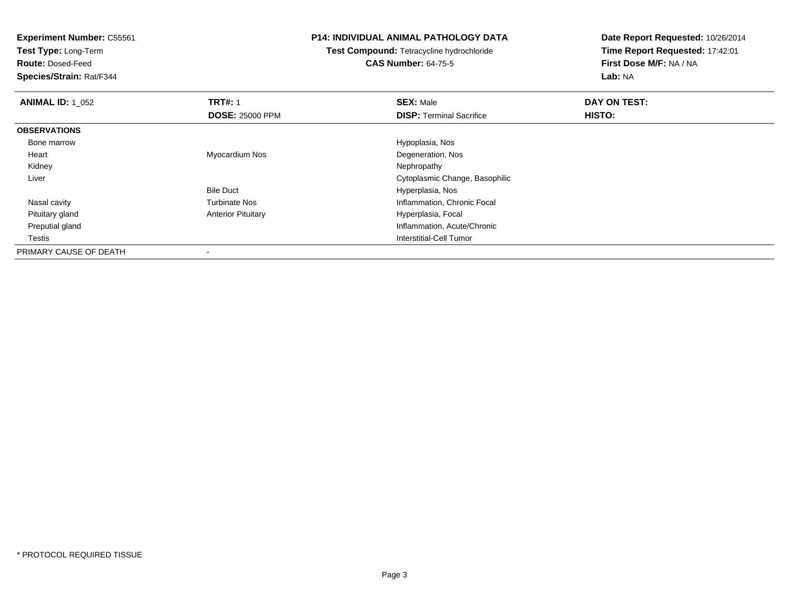**Test Type:** Long-Term

**Route:** Dosed-Feed

**Species/Strain:** Rat/F344

## **P14: INDIVIDUAL ANIMAL PATHOLOGY DATA**

**Test Compound:** Tetracycline hydrochloride**CAS Number:** 64-75-5

| <b>ANIMAL ID: 1 052</b> | <b>TRT#: 1</b>            | <b>SEX: Male</b>                | DAY ON TEST:  |  |
|-------------------------|---------------------------|---------------------------------|---------------|--|
|                         | <b>DOSE: 25000 PPM</b>    | <b>DISP: Terminal Sacrifice</b> | <b>HISTO:</b> |  |
| <b>OBSERVATIONS</b>     |                           |                                 |               |  |
| Bone marrow             |                           | Hypoplasia, Nos                 |               |  |
| Heart                   | Myocardium Nos            | Degeneration, Nos               |               |  |
| Kidney                  |                           | Nephropathy                     |               |  |
| Liver                   |                           | Cytoplasmic Change, Basophilic  |               |  |
|                         | <b>Bile Duct</b>          | Hyperplasia, Nos                |               |  |
| Nasal cavity            | <b>Turbinate Nos</b>      | Inflammation, Chronic Focal     |               |  |
| Pituitary gland         | <b>Anterior Pituitary</b> | Hyperplasia, Focal              |               |  |
| Preputial gland         |                           | Inflammation, Acute/Chronic     |               |  |
| <b>Testis</b>           |                           | Interstitial-Cell Tumor         |               |  |
| PRIMARY CAUSE OF DEATH  |                           |                                 |               |  |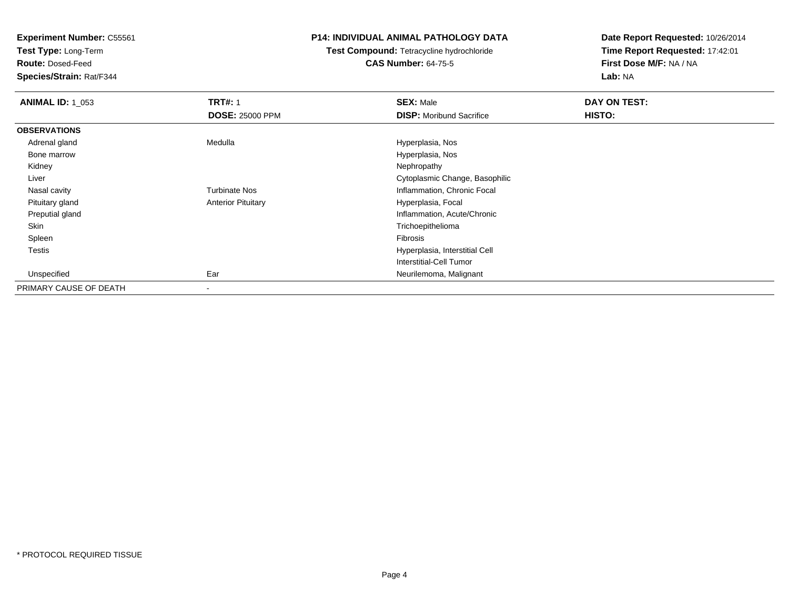**Test Type:** Long-Term

**Route:** Dosed-Feed

**Species/Strain:** Rat/F344

## **P14: INDIVIDUAL ANIMAL PATHOLOGY DATA**

# **Test Compound:** Tetracycline hydrochloride**CAS Number:** 64-75-5

| <b>ANIMAL ID: 1 053</b> | <b>TRT#: 1</b>            | <b>SEX: Male</b>                | DAY ON TEST: |
|-------------------------|---------------------------|---------------------------------|--------------|
|                         | <b>DOSE: 25000 PPM</b>    | <b>DISP:</b> Moribund Sacrifice | HISTO:       |
| <b>OBSERVATIONS</b>     |                           |                                 |              |
| Adrenal gland           | Medulla                   | Hyperplasia, Nos                |              |
| Bone marrow             |                           | Hyperplasia, Nos                |              |
| Kidney                  |                           | Nephropathy                     |              |
| Liver                   |                           | Cytoplasmic Change, Basophilic  |              |
| Nasal cavity            | <b>Turbinate Nos</b>      | Inflammation, Chronic Focal     |              |
| Pituitary gland         | <b>Anterior Pituitary</b> | Hyperplasia, Focal              |              |
| Preputial gland         |                           | Inflammation, Acute/Chronic     |              |
| Skin                    |                           | Trichoepithelioma               |              |
| Spleen                  |                           | Fibrosis                        |              |
| <b>Testis</b>           |                           | Hyperplasia, Interstitial Cell  |              |
|                         |                           | <b>Interstitial-Cell Tumor</b>  |              |
| Unspecified             | Ear                       | Neurilemoma, Malignant          |              |
| PRIMARY CAUSE OF DEATH  | $\,$                      |                                 |              |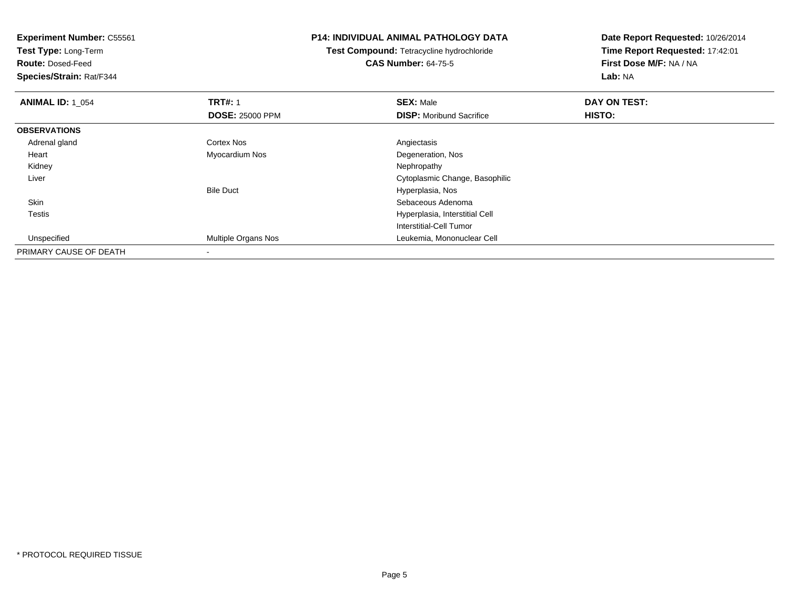**Experiment Number:** C55561**Test Type:** Long-Term**Route:** Dosed-Feed **Species/Strain:** Rat/F344**P14: INDIVIDUAL ANIMAL PATHOLOGY DATATest Compound:** Tetracycline hydrochloride**CAS Number:** 64-75-5**Date Report Requested:** 10/26/2014**Time Report Requested:** 17:42:01**First Dose M/F:** NA / NA**Lab:** NA**ANIMAL ID: 1\_054 1 TRT#:** 1 **SEX:** Male **DAY ON TEST: DOSE:** 25000 PPM**DISP:** Moribund Sacrifice **HISTO: OBSERVATIONS** Adrenal glandd and the Cortex Nos and the Cortex Nos and the Angiectasis Heart Myocardium Nos Degeneration, Nos Kidneyy the control of the control of the control of the control of the control of the control of the control of the control of the control of the control of the control of the control of the control of the control of the contro Liver Cytoplasmic Change, BasophilicBile Duct Hyperplasia, Nosn and the state of the state of the state of the state of the state of the Sebaceous Adenoma Skin Testis Hyperplasia, Interstitial Cell Interstitial-Cell Tumor Unspecified Multiple Organs Nos Leukemia, Mononuclear Cell PRIMARY CAUSE OF DEATH

-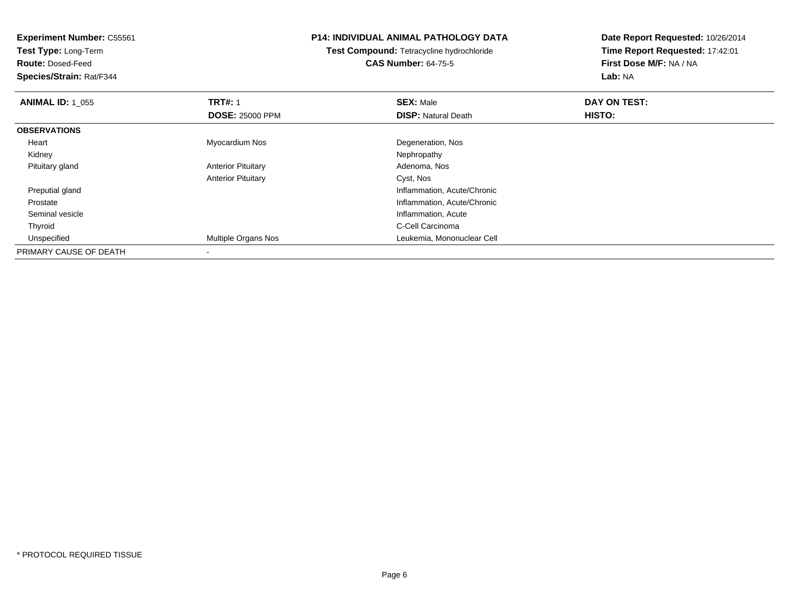**Test Type:** Long-Term

**Route:** Dosed-Feed

**Species/Strain:** Rat/F344

## **P14: INDIVIDUAL ANIMAL PATHOLOGY DATA**

**Test Compound:** Tetracycline hydrochloride**CAS Number:** 64-75-5

| <b>ANIMAL ID: 1_055</b> | <b>TRT#: 1</b>            | <b>SEX: Male</b>            | DAY ON TEST: |  |
|-------------------------|---------------------------|-----------------------------|--------------|--|
|                         | <b>DOSE: 25000 PPM</b>    | <b>DISP: Natural Death</b>  | HISTO:       |  |
| <b>OBSERVATIONS</b>     |                           |                             |              |  |
| Heart                   | Myocardium Nos            | Degeneration, Nos           |              |  |
| Kidney                  |                           | Nephropathy                 |              |  |
| Pituitary gland         | <b>Anterior Pituitary</b> | Adenoma, Nos                |              |  |
|                         | <b>Anterior Pituitary</b> | Cyst, Nos                   |              |  |
| Preputial gland         |                           | Inflammation, Acute/Chronic |              |  |
| Prostate                |                           | Inflammation, Acute/Chronic |              |  |
| Seminal vesicle         |                           | Inflammation, Acute         |              |  |
| Thyroid                 |                           | C-Cell Carcinoma            |              |  |
| Unspecified             | Multiple Organs Nos       | Leukemia, Mononuclear Cell  |              |  |
| PRIMARY CAUSE OF DEATH  | $\overline{\phantom{a}}$  |                             |              |  |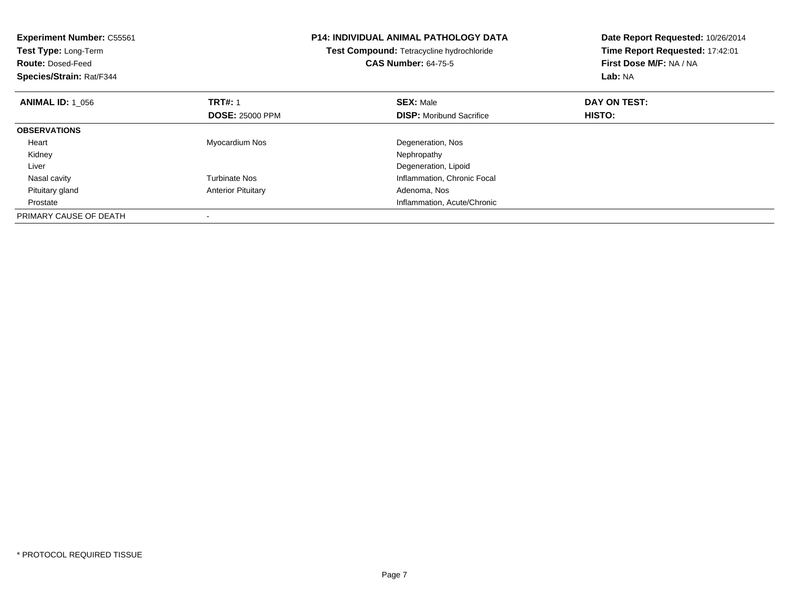| <b>Experiment Number: C55561</b><br>Test Type: Long-Term<br><b>Route: Dosed-Feed</b><br>Species/Strain: Rat/F344 |                           | <b>P14: INDIVIDUAL ANIMAL PATHOLOGY DATA</b><br>Test Compound: Tetracycline hydrochloride<br><b>CAS Number: 64-75-5</b> | Date Report Requested: 10/26/2014<br>Time Report Requested: 17:42:01<br>First Dose M/F: NA / NA<br>Lab: NA |
|------------------------------------------------------------------------------------------------------------------|---------------------------|-------------------------------------------------------------------------------------------------------------------------|------------------------------------------------------------------------------------------------------------|
| <b>ANIMAL ID: 1_056</b>                                                                                          | <b>TRT#: 1</b>            | <b>SEX: Male</b>                                                                                                        | DAY ON TEST:                                                                                               |
|                                                                                                                  | <b>DOSE: 25000 PPM</b>    | <b>DISP:</b> Moribund Sacrifice                                                                                         | HISTO:                                                                                                     |
| <b>OBSERVATIONS</b>                                                                                              |                           |                                                                                                                         |                                                                                                            |
| Heart                                                                                                            | Myocardium Nos            | Degeneration, Nos                                                                                                       |                                                                                                            |
| Kidney                                                                                                           |                           | Nephropathy                                                                                                             |                                                                                                            |
| Liver                                                                                                            |                           | Degeneration, Lipoid                                                                                                    |                                                                                                            |
| Nasal cavity                                                                                                     | <b>Turbinate Nos</b>      | Inflammation, Chronic Focal                                                                                             |                                                                                                            |
| Pituitary gland                                                                                                  | <b>Anterior Pituitary</b> | Adenoma, Nos                                                                                                            |                                                                                                            |
| Prostate                                                                                                         |                           | Inflammation, Acute/Chronic                                                                                             |                                                                                                            |
| PRIMARY CAUSE OF DEATH                                                                                           |                           |                                                                                                                         |                                                                                                            |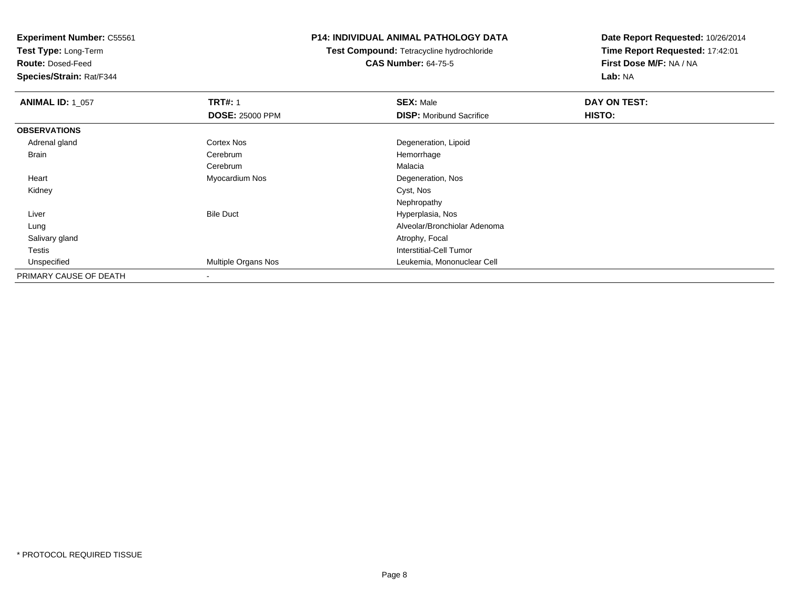**Test Type:** Long-Term

**Route:** Dosed-Feed

**Species/Strain:** Rat/F344

## **P14: INDIVIDUAL ANIMAL PATHOLOGY DATA**

**Test Compound:** Tetracycline hydrochloride**CAS Number:** 64-75-5

| <b>ANIMAL ID: 1_057</b> | <b>TRT#: 1</b>             | <b>SEX: Male</b>                | DAY ON TEST: |  |
|-------------------------|----------------------------|---------------------------------|--------------|--|
|                         | <b>DOSE: 25000 PPM</b>     | <b>DISP:</b> Moribund Sacrifice | HISTO:       |  |
| <b>OBSERVATIONS</b>     |                            |                                 |              |  |
| Adrenal gland           | <b>Cortex Nos</b>          | Degeneration, Lipoid            |              |  |
| Brain                   | Cerebrum                   | Hemorrhage                      |              |  |
|                         | Cerebrum                   | Malacia                         |              |  |
| Heart                   | Myocardium Nos             | Degeneration, Nos               |              |  |
| Kidney                  |                            | Cyst, Nos                       |              |  |
|                         |                            | Nephropathy                     |              |  |
| Liver                   | <b>Bile Duct</b>           | Hyperplasia, Nos                |              |  |
| Lung                    |                            | Alveolar/Bronchiolar Adenoma    |              |  |
| Salivary gland          |                            | Atrophy, Focal                  |              |  |
| <b>Testis</b>           |                            | Interstitial-Cell Tumor         |              |  |
| Unspecified             | <b>Multiple Organs Nos</b> | Leukemia, Mononuclear Cell      |              |  |
| PRIMARY CAUSE OF DEATH  |                            |                                 |              |  |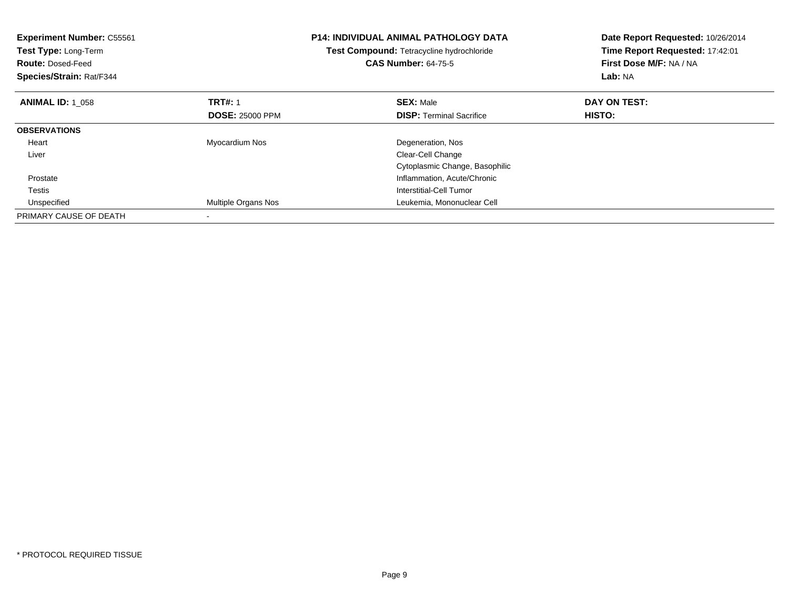| <b>Experiment Number: C55561</b><br>Test Type: Long-Term<br><b>Route: Dosed-Feed</b><br>Species/Strain: Rat/F344 |                        | <b>P14: INDIVIDUAL ANIMAL PATHOLOGY DATA</b><br>Test Compound: Tetracycline hydrochloride<br><b>CAS Number: 64-75-5</b> | Date Report Requested: 10/26/2014<br>Time Report Requested: 17:42:01<br>First Dose M/F: NA / NA<br>Lab: NA |
|------------------------------------------------------------------------------------------------------------------|------------------------|-------------------------------------------------------------------------------------------------------------------------|------------------------------------------------------------------------------------------------------------|
| <b>ANIMAL ID: 1 058</b>                                                                                          | <b>TRT#: 1</b>         | <b>SEX: Male</b>                                                                                                        | DAY ON TEST:                                                                                               |
|                                                                                                                  | <b>DOSE: 25000 PPM</b> | <b>DISP:</b> Terminal Sacrifice                                                                                         | HISTO:                                                                                                     |
| <b>OBSERVATIONS</b>                                                                                              |                        |                                                                                                                         |                                                                                                            |
| Heart                                                                                                            | Myocardium Nos         | Degeneration, Nos                                                                                                       |                                                                                                            |
| Liver                                                                                                            |                        | Clear-Cell Change                                                                                                       |                                                                                                            |
|                                                                                                                  |                        | Cytoplasmic Change, Basophilic                                                                                          |                                                                                                            |
| Prostate                                                                                                         |                        | Inflammation, Acute/Chronic                                                                                             |                                                                                                            |
| Testis                                                                                                           |                        | Interstitial-Cell Tumor                                                                                                 |                                                                                                            |
| Unspecified                                                                                                      | Multiple Organs Nos    | Leukemia, Mononuclear Cell                                                                                              |                                                                                                            |
| PRIMARY CAUSE OF DEATH                                                                                           |                        |                                                                                                                         |                                                                                                            |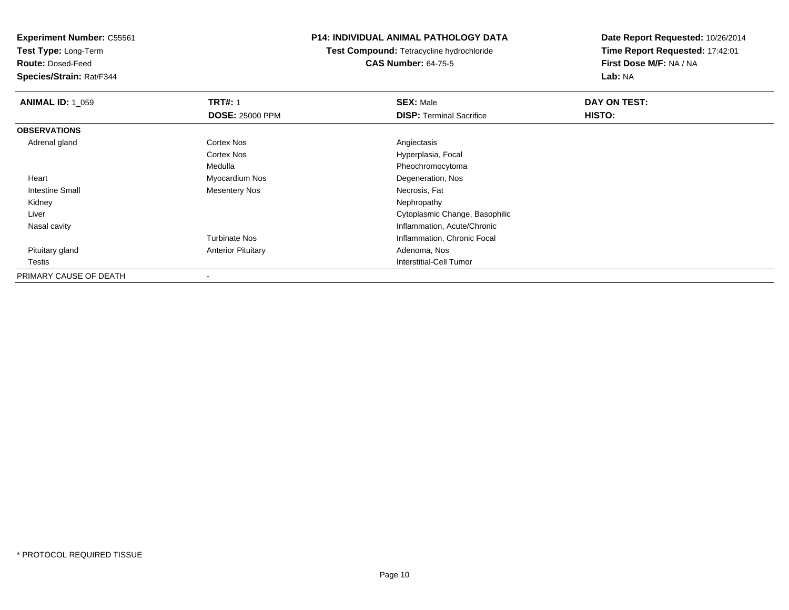**Test Type:** Long-Term

**Route:** Dosed-Feed

**Species/Strain:** Rat/F344

## **P14: INDIVIDUAL ANIMAL PATHOLOGY DATA**

**Test Compound:** Tetracycline hydrochloride**CAS Number:** 64-75-5

| <b>ANIMAL ID: 1_059</b> | <b>TRT#: 1</b>            | <b>SEX: Male</b>                | DAY ON TEST: |  |
|-------------------------|---------------------------|---------------------------------|--------------|--|
|                         | <b>DOSE: 25000 PPM</b>    | <b>DISP:</b> Terminal Sacrifice | HISTO:       |  |
| <b>OBSERVATIONS</b>     |                           |                                 |              |  |
| Adrenal gland           | Cortex Nos                | Angiectasis                     |              |  |
|                         | <b>Cortex Nos</b>         | Hyperplasia, Focal              |              |  |
|                         | Medulla                   | Pheochromocytoma                |              |  |
| Heart                   | Myocardium Nos            | Degeneration, Nos               |              |  |
| <b>Intestine Small</b>  | Mesentery Nos             | Necrosis, Fat                   |              |  |
| Kidney                  |                           | Nephropathy                     |              |  |
| Liver                   |                           | Cytoplasmic Change, Basophilic  |              |  |
| Nasal cavity            |                           | Inflammation, Acute/Chronic     |              |  |
|                         | <b>Turbinate Nos</b>      | Inflammation, Chronic Focal     |              |  |
| Pituitary gland         | <b>Anterior Pituitary</b> | Adenoma, Nos                    |              |  |
| Testis                  |                           | <b>Interstitial-Cell Tumor</b>  |              |  |
| PRIMARY CAUSE OF DEATH  |                           |                                 |              |  |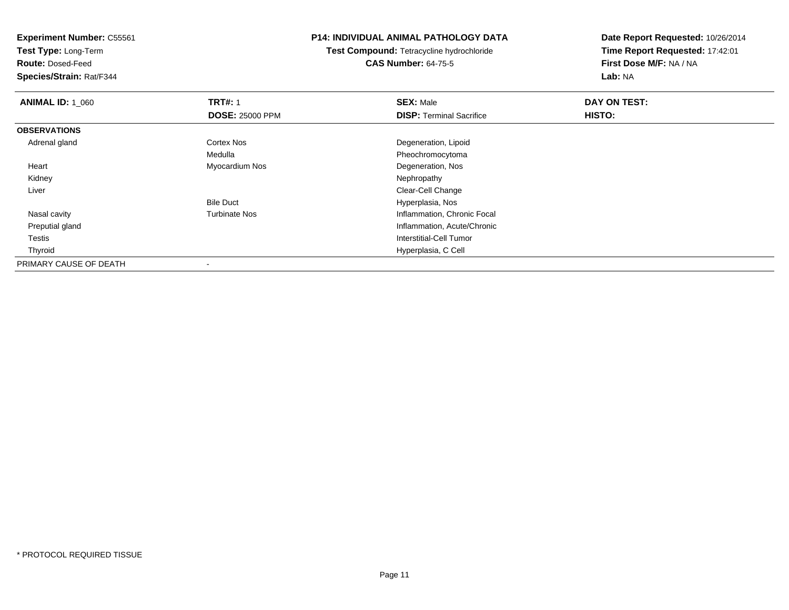**Test Type:** Long-Term

**Route:** Dosed-Feed

**Species/Strain:** Rat/F344

## **P14: INDIVIDUAL ANIMAL PATHOLOGY DATA**

**Test Compound:** Tetracycline hydrochloride**CAS Number:** 64-75-5

| <b>ANIMAL ID: 1 060</b> | <b>TRT#: 1</b>         | <b>SEX: Male</b>                | DAY ON TEST: |  |
|-------------------------|------------------------|---------------------------------|--------------|--|
|                         | <b>DOSE: 25000 PPM</b> | <b>DISP: Terminal Sacrifice</b> | HISTO:       |  |
| <b>OBSERVATIONS</b>     |                        |                                 |              |  |
| Adrenal gland           | <b>Cortex Nos</b>      | Degeneration, Lipoid            |              |  |
|                         | Medulla                | Pheochromocytoma                |              |  |
| Heart                   | Myocardium Nos         | Degeneration, Nos               |              |  |
| Kidney                  |                        | Nephropathy                     |              |  |
| Liver                   |                        | Clear-Cell Change               |              |  |
|                         | <b>Bile Duct</b>       | Hyperplasia, Nos                |              |  |
| Nasal cavity            | <b>Turbinate Nos</b>   | Inflammation, Chronic Focal     |              |  |
| Preputial gland         |                        | Inflammation, Acute/Chronic     |              |  |
| Testis                  |                        | <b>Interstitial-Cell Tumor</b>  |              |  |
| Thyroid                 |                        | Hyperplasia, C Cell             |              |  |
| PRIMARY CAUSE OF DEATH  |                        |                                 |              |  |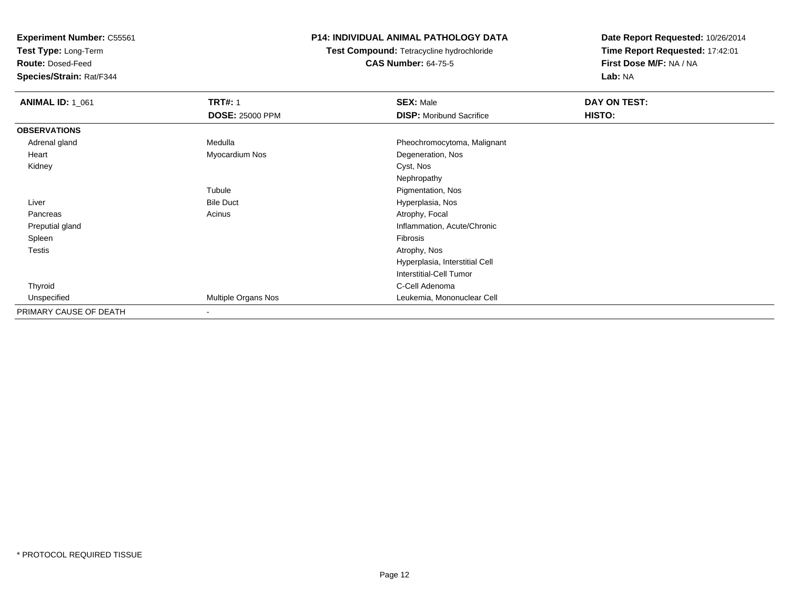**Test Type:** Long-Term

**Route:** Dosed-Feed

**Species/Strain:** Rat/F344

## **P14: INDIVIDUAL ANIMAL PATHOLOGY DATA**

**Test Compound:** Tetracycline hydrochloride**CAS Number:** 64-75-5

| <b>ANIMAL ID: 1_061</b> | <b>TRT#: 1</b>         | <b>SEX: Male</b>                | DAY ON TEST: |  |
|-------------------------|------------------------|---------------------------------|--------------|--|
|                         | <b>DOSE: 25000 PPM</b> | <b>DISP:</b> Moribund Sacrifice | HISTO:       |  |
| <b>OBSERVATIONS</b>     |                        |                                 |              |  |
| Adrenal gland           | Medulla                | Pheochromocytoma, Malignant     |              |  |
| Heart                   | Myocardium Nos         | Degeneration, Nos               |              |  |
| Kidney                  |                        | Cyst, Nos                       |              |  |
|                         |                        | Nephropathy                     |              |  |
|                         | Tubule                 | Pigmentation, Nos               |              |  |
| Liver                   | <b>Bile Duct</b>       | Hyperplasia, Nos                |              |  |
| Pancreas                | Acinus                 | Atrophy, Focal                  |              |  |
| Preputial gland         |                        | Inflammation, Acute/Chronic     |              |  |
| Spleen                  |                        | Fibrosis                        |              |  |
| <b>Testis</b>           |                        | Atrophy, Nos                    |              |  |
|                         |                        | Hyperplasia, Interstitial Cell  |              |  |
|                         |                        | Interstitial-Cell Tumor         |              |  |
| Thyroid                 |                        | C-Cell Adenoma                  |              |  |
| Unspecified             | Multiple Organs Nos    | Leukemia, Mononuclear Cell      |              |  |
| PRIMARY CAUSE OF DEATH  | ۰                      |                                 |              |  |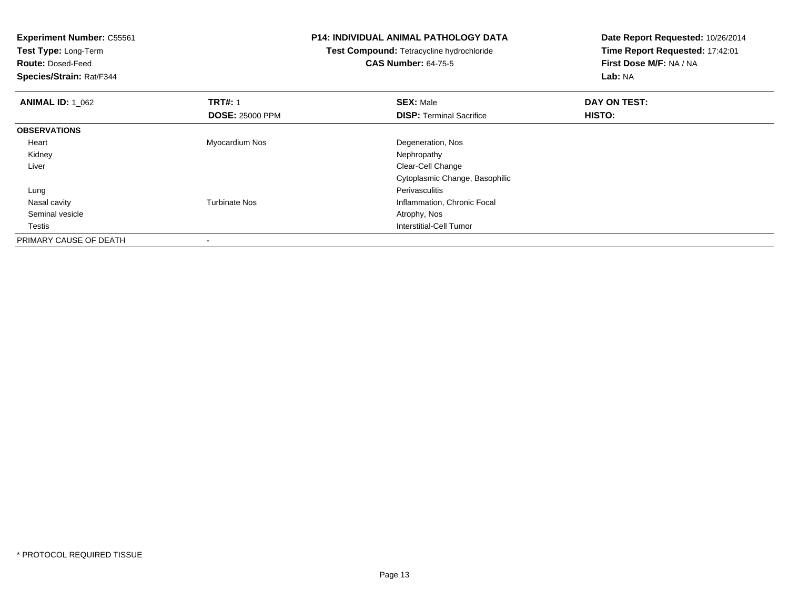| <b>Experiment Number: C55561</b> |                        | <b>P14: INDIVIDUAL ANIMAL PATHOLOGY DATA</b> | Date Report Requested: 10/26/2014 |  |
|----------------------------------|------------------------|----------------------------------------------|-----------------------------------|--|
| Test Type: Long-Term             |                        | Test Compound: Tetracycline hydrochloride    | Time Report Requested: 17:42:01   |  |
| <b>Route: Dosed-Feed</b>         |                        | <b>CAS Number: 64-75-5</b>                   | First Dose M/F: NA / NA           |  |
| Species/Strain: Rat/F344         |                        |                                              | Lab: NA                           |  |
| <b>ANIMAL ID: 1_062</b>          | <b>TRT#: 1</b>         | <b>SEX: Male</b>                             | DAY ON TEST:                      |  |
|                                  | <b>DOSE: 25000 PPM</b> | <b>DISP:</b> Terminal Sacrifice              | HISTO:                            |  |
| <b>OBSERVATIONS</b>              |                        |                                              |                                   |  |
| Heart                            | Myocardium Nos         | Degeneration, Nos                            |                                   |  |
| Kidney                           |                        | Nephropathy                                  |                                   |  |
| Liver                            |                        | Clear-Cell Change                            |                                   |  |
|                                  |                        | Cytoplasmic Change, Basophilic               |                                   |  |
| Lung                             |                        | <b>Perivasculitis</b>                        |                                   |  |
| Nasal cavity                     | <b>Turbinate Nos</b>   | Inflammation, Chronic Focal                  |                                   |  |
| Seminal vesicle                  |                        | Atrophy, Nos                                 |                                   |  |
| Testis                           |                        | Interstitial-Cell Tumor                      |                                   |  |
| PRIMARY CAUSE OF DEATH           |                        |                                              |                                   |  |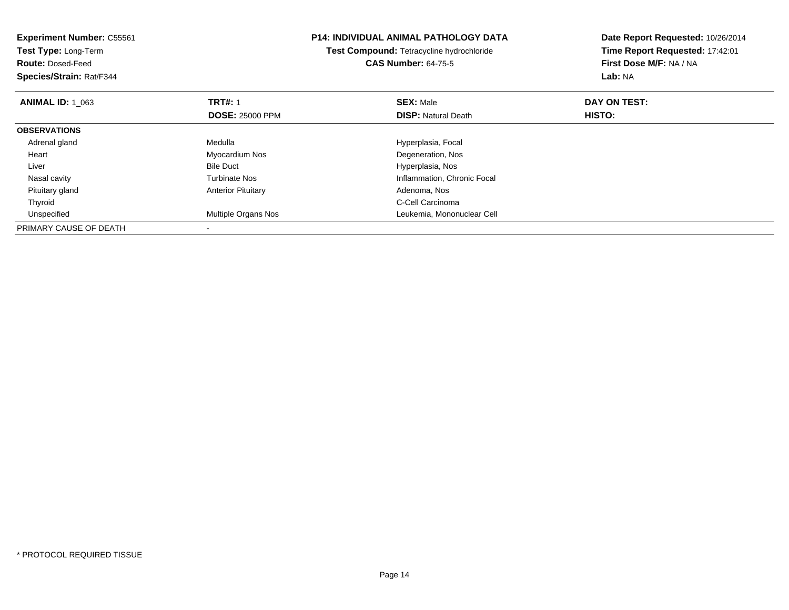| <b>Experiment Number: C55561</b><br>Test Type: Long-Term |                           | <b>P14: INDIVIDUAL ANIMAL PATHOLOGY DATA</b> | Date Report Requested: 10/26/2014 |
|----------------------------------------------------------|---------------------------|----------------------------------------------|-----------------------------------|
|                                                          |                           | Test Compound: Tetracycline hydrochloride    | Time Report Requested: 17:42:01   |
| <b>Route: Dosed-Feed</b>                                 |                           | <b>CAS Number: 64-75-5</b>                   | First Dose M/F: NA / NA           |
| Species/Strain: Rat/F344                                 |                           |                                              | Lab: NA                           |
| <b>ANIMAL ID: 1 063</b>                                  | <b>TRT#: 1</b>            | <b>SEX: Male</b>                             | DAY ON TEST:                      |
|                                                          | <b>DOSE: 25000 PPM</b>    | <b>DISP:</b> Natural Death                   | HISTO:                            |
| <b>OBSERVATIONS</b>                                      |                           |                                              |                                   |
| Adrenal gland                                            | Medulla                   | Hyperplasia, Focal                           |                                   |
| Heart                                                    | Myocardium Nos            | Degeneration, Nos                            |                                   |
| Liver                                                    | <b>Bile Duct</b>          | Hyperplasia, Nos                             |                                   |
| Nasal cavity                                             | <b>Turbinate Nos</b>      | Inflammation, Chronic Focal                  |                                   |
| Pituitary gland                                          | <b>Anterior Pituitary</b> | Adenoma, Nos                                 |                                   |
| Thyroid                                                  |                           | C-Cell Carcinoma                             |                                   |
| Unspecified                                              | Multiple Organs Nos       | Leukemia, Mononuclear Cell                   |                                   |
| PRIMARY CAUSE OF DEATH                                   |                           |                                              |                                   |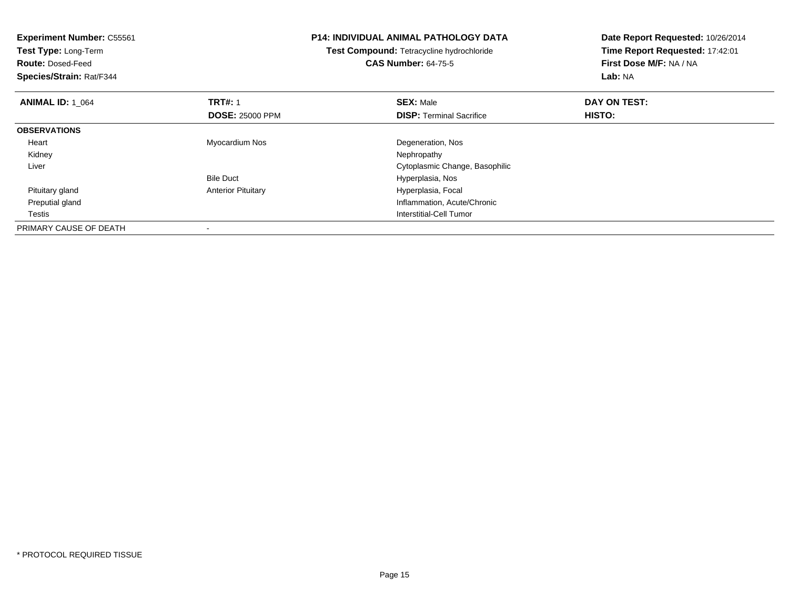| <b>Experiment Number: C55561</b><br>Test Type: Long-Term |                           | <b>P14: INDIVIDUAL ANIMAL PATHOLOGY DATA</b> | Date Report Requested: 10/26/2014 |
|----------------------------------------------------------|---------------------------|----------------------------------------------|-----------------------------------|
|                                                          |                           | Test Compound: Tetracycline hydrochloride    | Time Report Requested: 17:42:01   |
| <b>Route: Dosed-Feed</b>                                 |                           | <b>CAS Number: 64-75-5</b>                   | First Dose M/F: NA / NA           |
| Species/Strain: Rat/F344                                 |                           |                                              | Lab: NA                           |
| <b>ANIMAL ID: 1 064</b>                                  | <b>TRT#: 1</b>            | <b>SEX: Male</b>                             | DAY ON TEST:                      |
|                                                          | <b>DOSE: 25000 PPM</b>    | <b>DISP: Terminal Sacrifice</b>              | HISTO:                            |
| <b>OBSERVATIONS</b>                                      |                           |                                              |                                   |
| Heart                                                    | Myocardium Nos            | Degeneration, Nos                            |                                   |
| Kidney                                                   |                           | Nephropathy                                  |                                   |
| Liver                                                    |                           | Cytoplasmic Change, Basophilic               |                                   |
|                                                          | <b>Bile Duct</b>          | Hyperplasia, Nos                             |                                   |
| Pituitary gland                                          | <b>Anterior Pituitary</b> | Hyperplasia, Focal                           |                                   |
| Preputial gland                                          |                           | Inflammation, Acute/Chronic                  |                                   |
| Testis                                                   |                           | Interstitial-Cell Tumor                      |                                   |
| PRIMARY CAUSE OF DEATH                                   |                           |                                              |                                   |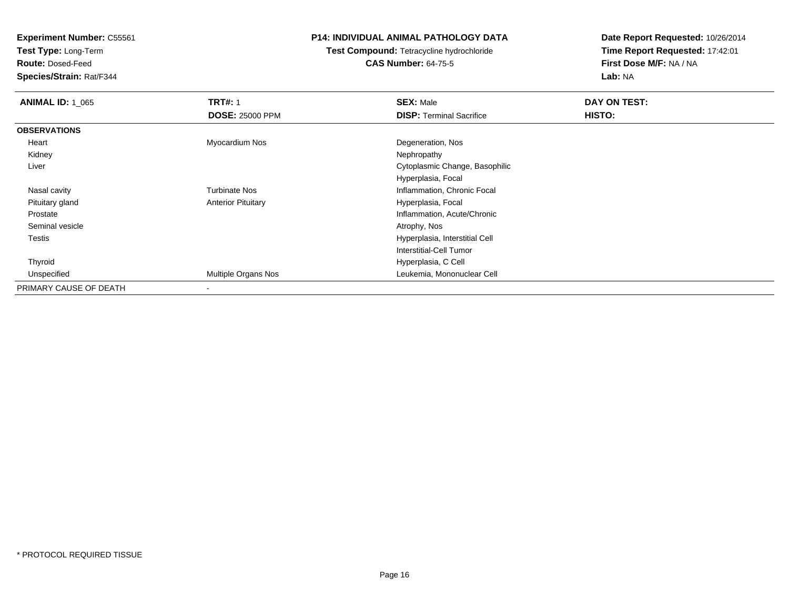**Test Type:** Long-Term

**Route:** Dosed-Feed

**Species/Strain:** Rat/F344

## **P14: INDIVIDUAL ANIMAL PATHOLOGY DATA**

# **Test Compound:** Tetracycline hydrochloride**CAS Number:** 64-75-5

| <b>ANIMAL ID: 1_065</b> | <b>TRT#: 1</b>            | <b>SEX: Male</b>                | DAY ON TEST: |  |
|-------------------------|---------------------------|---------------------------------|--------------|--|
|                         | <b>DOSE: 25000 PPM</b>    | <b>DISP: Terminal Sacrifice</b> | HISTO:       |  |
| <b>OBSERVATIONS</b>     |                           |                                 |              |  |
| Heart                   | Myocardium Nos            | Degeneration, Nos               |              |  |
| Kidney                  |                           | Nephropathy                     |              |  |
| Liver                   |                           | Cytoplasmic Change, Basophilic  |              |  |
|                         |                           | Hyperplasia, Focal              |              |  |
| Nasal cavity            | <b>Turbinate Nos</b>      | Inflammation, Chronic Focal     |              |  |
| Pituitary gland         | <b>Anterior Pituitary</b> | Hyperplasia, Focal              |              |  |
| Prostate                |                           | Inflammation, Acute/Chronic     |              |  |
| Seminal vesicle         |                           | Atrophy, Nos                    |              |  |
| Testis                  |                           | Hyperplasia, Interstitial Cell  |              |  |
|                         |                           | Interstitial-Cell Tumor         |              |  |
| Thyroid                 |                           | Hyperplasia, C Cell             |              |  |
| Unspecified             | Multiple Organs Nos       | Leukemia, Mononuclear Cell      |              |  |
| PRIMARY CAUSE OF DEATH  |                           |                                 |              |  |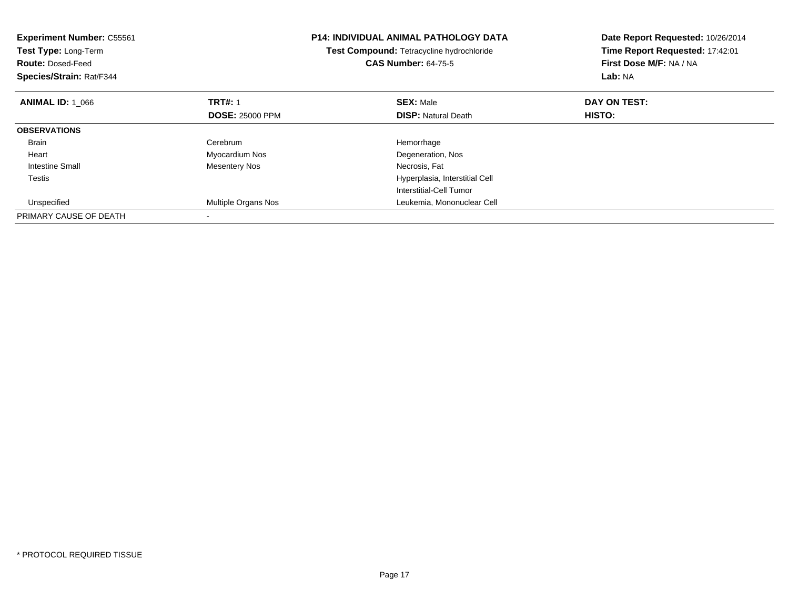| <b>Experiment Number: C55561</b><br>Test Type: Long-Term<br><b>Route: Dosed-Feed</b><br>Species/Strain: Rat/F344 |                        | <b>P14: INDIVIDUAL ANIMAL PATHOLOGY DATA</b><br>Test Compound: Tetracycline hydrochloride<br><b>CAS Number: 64-75-5</b> | Date Report Requested: 10/26/2014<br>Time Report Requested: 17:42:01<br>First Dose M/F: NA / NA<br>Lab: NA |
|------------------------------------------------------------------------------------------------------------------|------------------------|-------------------------------------------------------------------------------------------------------------------------|------------------------------------------------------------------------------------------------------------|
| <b>ANIMAL ID: 1 066</b>                                                                                          | <b>TRT#: 1</b>         | <b>SEX: Male</b>                                                                                                        | DAY ON TEST:                                                                                               |
|                                                                                                                  | <b>DOSE: 25000 PPM</b> | <b>DISP:</b> Natural Death                                                                                              | HISTO:                                                                                                     |
| <b>OBSERVATIONS</b>                                                                                              |                        |                                                                                                                         |                                                                                                            |
| <b>Brain</b>                                                                                                     | Cerebrum               | Hemorrhage                                                                                                              |                                                                                                            |
| Heart                                                                                                            | Myocardium Nos         | Degeneration, Nos                                                                                                       |                                                                                                            |
| Intestine Small                                                                                                  | <b>Mesentery Nos</b>   | Necrosis, Fat                                                                                                           |                                                                                                            |
| Testis                                                                                                           |                        | Hyperplasia, Interstitial Cell                                                                                          |                                                                                                            |
|                                                                                                                  |                        | Interstitial-Cell Tumor                                                                                                 |                                                                                                            |
| Unspecified                                                                                                      | Multiple Organs Nos    | Leukemia, Mononuclear Cell                                                                                              |                                                                                                            |
| PRIMARY CAUSE OF DEATH                                                                                           |                        |                                                                                                                         |                                                                                                            |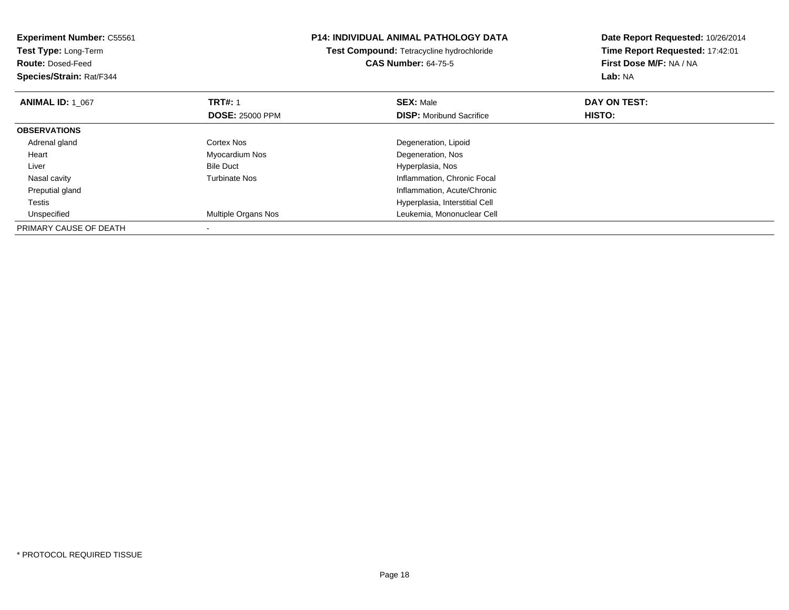| <b>Experiment Number: C55561</b><br>Test Type: Long-Term<br><b>Route: Dosed-Feed</b><br>Species/Strain: Rat/F344 |                        | <b>P14: INDIVIDUAL ANIMAL PATHOLOGY DATA</b><br>Test Compound: Tetracycline hydrochloride<br><b>CAS Number: 64-75-5</b> | Date Report Requested: 10/26/2014<br>Time Report Requested: 17:42:01<br>First Dose M/F: NA / NA<br>Lab: NA |
|------------------------------------------------------------------------------------------------------------------|------------------------|-------------------------------------------------------------------------------------------------------------------------|------------------------------------------------------------------------------------------------------------|
| <b>ANIMAL ID: 1 067</b>                                                                                          | <b>TRT#: 1</b>         | <b>SEX: Male</b>                                                                                                        | DAY ON TEST:                                                                                               |
|                                                                                                                  | <b>DOSE: 25000 PPM</b> | <b>DISP:</b> Moribund Sacrifice                                                                                         | <b>HISTO:</b>                                                                                              |
| <b>OBSERVATIONS</b>                                                                                              |                        |                                                                                                                         |                                                                                                            |
| Adrenal gland                                                                                                    | Cortex Nos             | Degeneration, Lipoid                                                                                                    |                                                                                                            |
| Heart                                                                                                            | Myocardium Nos         | Degeneration, Nos                                                                                                       |                                                                                                            |
| Liver                                                                                                            | <b>Bile Duct</b>       | Hyperplasia, Nos                                                                                                        |                                                                                                            |
| Nasal cavity                                                                                                     | <b>Turbinate Nos</b>   | Inflammation, Chronic Focal                                                                                             |                                                                                                            |
| Preputial gland                                                                                                  |                        | Inflammation, Acute/Chronic                                                                                             |                                                                                                            |
| Testis                                                                                                           |                        | Hyperplasia, Interstitial Cell                                                                                          |                                                                                                            |
| Unspecified                                                                                                      | Multiple Organs Nos    | Leukemia, Mononuclear Cell                                                                                              |                                                                                                            |
| PRIMARY CAUSE OF DEATH                                                                                           |                        |                                                                                                                         |                                                                                                            |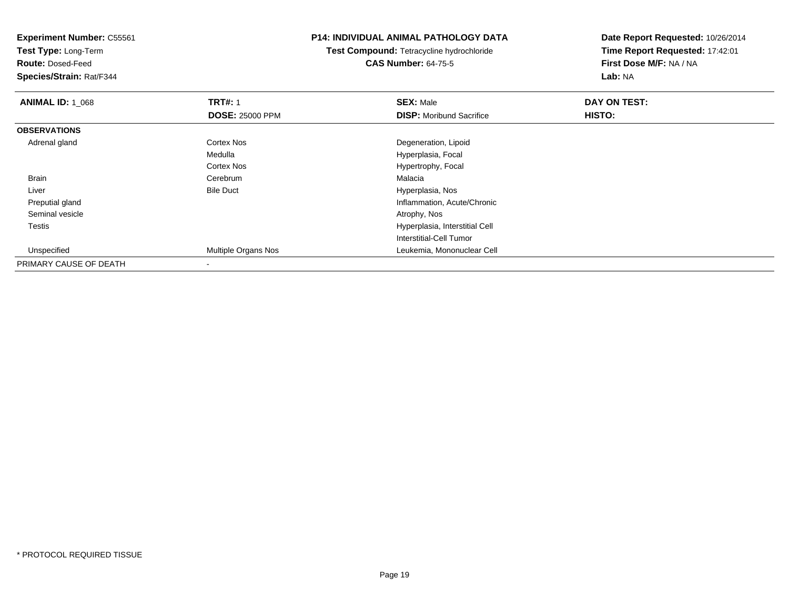**Experiment Number:** C55561**Test Type:** Long-Term**Route:** Dosed-Feed **Species/Strain:** Rat/F344**P14: INDIVIDUAL ANIMAL PATHOLOGY DATATest Compound:** Tetracycline hydrochloride**CAS Number:** 64-75-5**Date Report Requested:** 10/26/2014**Time Report Requested:** 17:42:01**First Dose M/F:** NA / NA**Lab:** NA**ANIMAL ID: 1\_068 REX:** Male **DAY ON TEST: TRT#:** 1 **SEX:** Male **SEX:** Male **DOSE:** 25000 PPM**DISP:** Moribund Sacrifice **HISTO: OBSERVATIONS** Adrenal glandCortex Nos **Cortex Nos** Degeneration, Lipoid Medulla Hyperplasia, Focal Cortex Nos Hypertrophy, Focal BrainCerebrum<br>Bile Duct m Malacia<br>External Malacia LiverHyperplasia, Nos d
and
the contract of the contract of the contract of the contract of the contract of the contract of the contract of the contract of the contract of the contract of the contract of the contract of the contract of the cont Preputial gland Seminal vesicle Atrophy, Nos Testis Hyperplasia, Interstitial Cell Interstitial-Cell Tumor UnspecifiedMultiple Organs Nos Leukemia, Mononuclear Cell

PRIMARY CAUSE OF DEATH-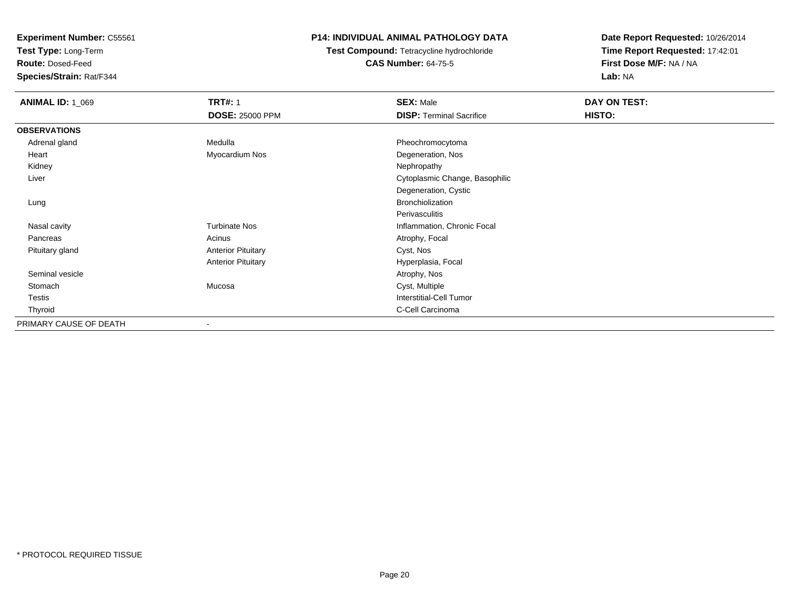**Test Type:** Long-Term

**Route:** Dosed-Feed

**Species/Strain:** Rat/F344

## **P14: INDIVIDUAL ANIMAL PATHOLOGY DATA**

**Test Compound:** Tetracycline hydrochloride**CAS Number:** 64-75-5

| <b>ANIMAL ID: 1_069</b> | <b>TRT#: 1</b>            | <b>SEX: Male</b>                | DAY ON TEST: |  |
|-------------------------|---------------------------|---------------------------------|--------------|--|
|                         | <b>DOSE: 25000 PPM</b>    | <b>DISP: Terminal Sacrifice</b> | HISTO:       |  |
| <b>OBSERVATIONS</b>     |                           |                                 |              |  |
| Adrenal gland           | Medulla                   | Pheochromocytoma                |              |  |
| Heart                   | Myocardium Nos            | Degeneration, Nos               |              |  |
| Kidney                  |                           | Nephropathy                     |              |  |
| Liver                   |                           | Cytoplasmic Change, Basophilic  |              |  |
|                         |                           | Degeneration, Cystic            |              |  |
| Lung                    |                           | Bronchiolization                |              |  |
|                         |                           | Perivasculitis                  |              |  |
| Nasal cavity            | <b>Turbinate Nos</b>      | Inflammation, Chronic Focal     |              |  |
| Pancreas                | Acinus                    | Atrophy, Focal                  |              |  |
| Pituitary gland         | <b>Anterior Pituitary</b> | Cyst, Nos                       |              |  |
|                         | <b>Anterior Pituitary</b> | Hyperplasia, Focal              |              |  |
| Seminal vesicle         |                           | Atrophy, Nos                    |              |  |
| Stomach                 | Mucosa                    | Cyst, Multiple                  |              |  |
| Testis                  |                           | <b>Interstitial-Cell Tumor</b>  |              |  |
| Thyroid                 |                           | C-Cell Carcinoma                |              |  |
| PRIMARY CAUSE OF DEATH  |                           |                                 |              |  |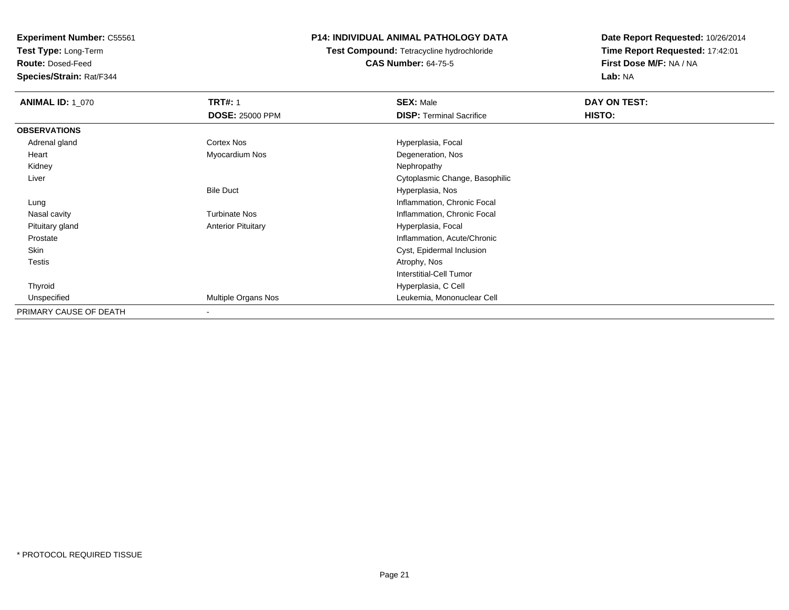**Test Type:** Long-Term

**Route:** Dosed-Feed

**Species/Strain:** Rat/F344

## **P14: INDIVIDUAL ANIMAL PATHOLOGY DATA**

**Test Compound:** Tetracycline hydrochloride**CAS Number:** 64-75-5

| <b>ANIMAL ID: 1_070</b> | <b>TRT#: 1</b>            | <b>SEX: Male</b>                | DAY ON TEST: |  |
|-------------------------|---------------------------|---------------------------------|--------------|--|
|                         | <b>DOSE: 25000 PPM</b>    | <b>DISP:</b> Terminal Sacrifice | HISTO:       |  |
| <b>OBSERVATIONS</b>     |                           |                                 |              |  |
| Adrenal gland           | Cortex Nos                | Hyperplasia, Focal              |              |  |
| Heart                   | Myocardium Nos            | Degeneration, Nos               |              |  |
| Kidney                  |                           | Nephropathy                     |              |  |
| Liver                   |                           | Cytoplasmic Change, Basophilic  |              |  |
|                         | <b>Bile Duct</b>          | Hyperplasia, Nos                |              |  |
| Lung                    |                           | Inflammation, Chronic Focal     |              |  |
| Nasal cavity            | <b>Turbinate Nos</b>      | Inflammation, Chronic Focal     |              |  |
| Pituitary gland         | <b>Anterior Pituitary</b> | Hyperplasia, Focal              |              |  |
| Prostate                |                           | Inflammation, Acute/Chronic     |              |  |
| Skin                    |                           | Cyst, Epidermal Inclusion       |              |  |
| Testis                  |                           | Atrophy, Nos                    |              |  |
|                         |                           | Interstitial-Cell Tumor         |              |  |
| Thyroid                 |                           | Hyperplasia, C Cell             |              |  |
| Unspecified             | Multiple Organs Nos       | Leukemia, Mononuclear Cell      |              |  |
| PRIMARY CAUSE OF DEATH  | -                         |                                 |              |  |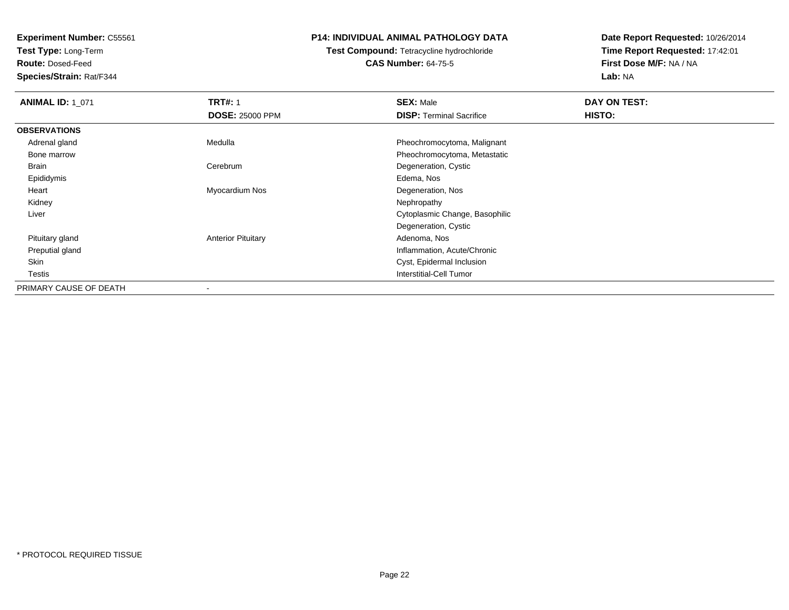**Test Type:** Long-Term

**Route:** Dosed-Feed

**Species/Strain:** Rat/F344

## **P14: INDIVIDUAL ANIMAL PATHOLOGY DATA**

**Test Compound:** Tetracycline hydrochloride**CAS Number:** 64-75-5

| <b>ANIMAL ID: 1_071</b> | <b>TRT#: 1</b>            | <b>SEX: Male</b>                | DAY ON TEST: |  |
|-------------------------|---------------------------|---------------------------------|--------------|--|
|                         | <b>DOSE: 25000 PPM</b>    | <b>DISP: Terminal Sacrifice</b> | HISTO:       |  |
| <b>OBSERVATIONS</b>     |                           |                                 |              |  |
| Adrenal gland           | Medulla                   | Pheochromocytoma, Malignant     |              |  |
| Bone marrow             |                           | Pheochromocytoma, Metastatic    |              |  |
| Brain                   | Cerebrum                  | Degeneration, Cystic            |              |  |
| Epididymis              |                           | Edema, Nos                      |              |  |
| Heart                   | Myocardium Nos            | Degeneration, Nos               |              |  |
| Kidney                  |                           | Nephropathy                     |              |  |
| Liver                   |                           | Cytoplasmic Change, Basophilic  |              |  |
|                         |                           | Degeneration, Cystic            |              |  |
| Pituitary gland         | <b>Anterior Pituitary</b> | Adenoma, Nos                    |              |  |
| Preputial gland         |                           | Inflammation, Acute/Chronic     |              |  |
| Skin                    |                           | Cyst, Epidermal Inclusion       |              |  |
| Testis                  |                           | Interstitial-Cell Tumor         |              |  |
| PRIMARY CAUSE OF DEATH  |                           |                                 |              |  |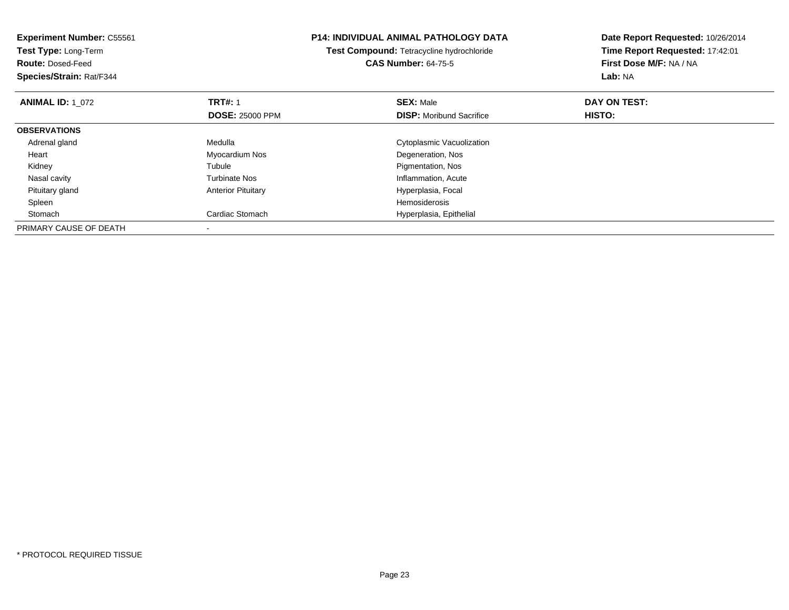| <b>Experiment Number: C55561</b><br>Test Type: Long-Term<br><b>Route: Dosed-Feed</b><br>Species/Strain: Rat/F344 |                           | <b>P14: INDIVIDUAL ANIMAL PATHOLOGY DATA</b><br>Test Compound: Tetracycline hydrochloride<br><b>CAS Number: 64-75-5</b> | Date Report Requested: 10/26/2014<br>Time Report Requested: 17:42:01<br>First Dose M/F: NA / NA<br>Lab: NA |
|------------------------------------------------------------------------------------------------------------------|---------------------------|-------------------------------------------------------------------------------------------------------------------------|------------------------------------------------------------------------------------------------------------|
| <b>ANIMAL ID: 1 072</b>                                                                                          | <b>TRT#: 1</b>            | <b>SEX: Male</b>                                                                                                        | DAY ON TEST:                                                                                               |
|                                                                                                                  | <b>DOSE: 25000 PPM</b>    | <b>DISP:</b> Moribund Sacrifice                                                                                         | HISTO:                                                                                                     |
| <b>OBSERVATIONS</b>                                                                                              |                           |                                                                                                                         |                                                                                                            |
| Adrenal gland                                                                                                    | Medulla                   | Cytoplasmic Vacuolization                                                                                               |                                                                                                            |
| Heart                                                                                                            | Myocardium Nos            | Degeneration, Nos                                                                                                       |                                                                                                            |
| Kidney                                                                                                           | Tubule                    | Pigmentation, Nos                                                                                                       |                                                                                                            |
| Nasal cavity                                                                                                     | <b>Turbinate Nos</b>      | Inflammation, Acute                                                                                                     |                                                                                                            |
| Pituitary gland                                                                                                  | <b>Anterior Pituitary</b> | Hyperplasia, Focal                                                                                                      |                                                                                                            |
| Spleen                                                                                                           |                           | Hemosiderosis                                                                                                           |                                                                                                            |
| Stomach                                                                                                          | Cardiac Stomach           | Hyperplasia, Epithelial                                                                                                 |                                                                                                            |
| PRIMARY CAUSE OF DEATH                                                                                           |                           |                                                                                                                         |                                                                                                            |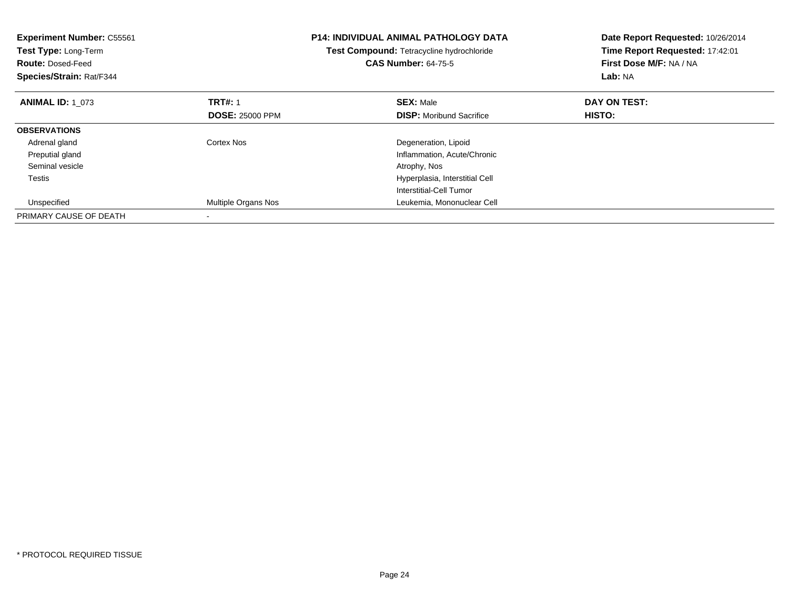| <b>Experiment Number: C55561</b><br>Test Type: Long-Term<br><b>Route: Dosed-Feed</b><br>Species/Strain: Rat/F344 |                        | <b>P14: INDIVIDUAL ANIMAL PATHOLOGY DATA</b><br>Test Compound: Tetracycline hydrochloride<br><b>CAS Number: 64-75-5</b> | Date Report Requested: 10/26/2014<br>Time Report Requested: 17:42:01<br>First Dose M/F: NA / NA<br>Lab: NA |
|------------------------------------------------------------------------------------------------------------------|------------------------|-------------------------------------------------------------------------------------------------------------------------|------------------------------------------------------------------------------------------------------------|
| <b>ANIMAL ID: 1 073</b>                                                                                          | <b>TRT#: 1</b>         | <b>SEX: Male</b>                                                                                                        | DAY ON TEST:                                                                                               |
|                                                                                                                  | <b>DOSE: 25000 PPM</b> | <b>DISP:</b> Moribund Sacrifice                                                                                         | HISTO:                                                                                                     |
| <b>OBSERVATIONS</b>                                                                                              |                        |                                                                                                                         |                                                                                                            |
| Adrenal gland                                                                                                    | Cortex Nos             | Degeneration, Lipoid                                                                                                    |                                                                                                            |
| Preputial gland                                                                                                  |                        | Inflammation, Acute/Chronic                                                                                             |                                                                                                            |
| Seminal vesicle                                                                                                  |                        | Atrophy, Nos                                                                                                            |                                                                                                            |
| Testis                                                                                                           |                        | Hyperplasia, Interstitial Cell                                                                                          |                                                                                                            |
|                                                                                                                  |                        | Interstitial-Cell Tumor                                                                                                 |                                                                                                            |
| Unspecified                                                                                                      | Multiple Organs Nos    | Leukemia, Mononuclear Cell                                                                                              |                                                                                                            |
| PRIMARY CAUSE OF DEATH                                                                                           |                        |                                                                                                                         |                                                                                                            |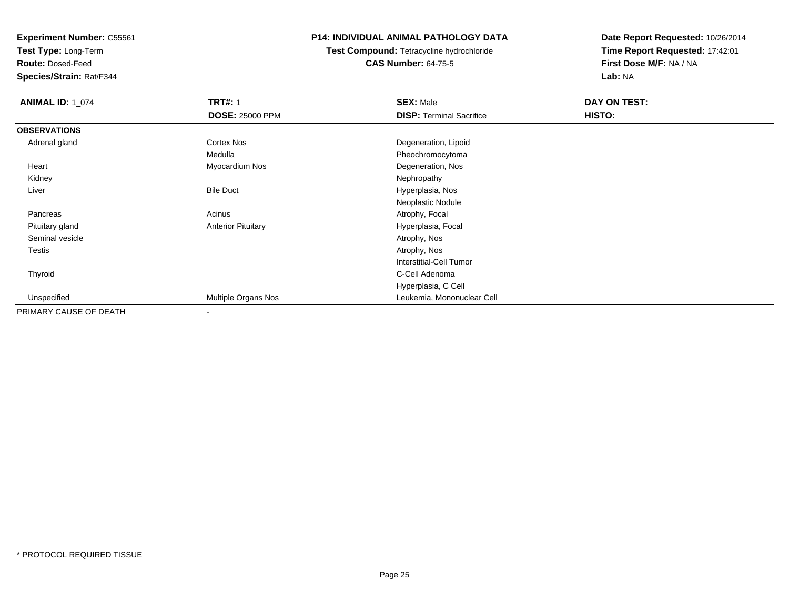**Test Type:** Long-Term

**Route:** Dosed-Feed

**Species/Strain:** Rat/F344

## **P14: INDIVIDUAL ANIMAL PATHOLOGY DATA**

# **Test Compound:** Tetracycline hydrochloride**CAS Number:** 64-75-5

| <b>ANIMAL ID: 1_074</b> | <b>TRT#: 1</b>            | <b>SEX: Male</b>                | DAY ON TEST: |  |
|-------------------------|---------------------------|---------------------------------|--------------|--|
|                         | <b>DOSE: 25000 PPM</b>    | <b>DISP: Terminal Sacrifice</b> | HISTO:       |  |
| <b>OBSERVATIONS</b>     |                           |                                 |              |  |
| Adrenal gland           | Cortex Nos                | Degeneration, Lipoid            |              |  |
|                         | Medulla                   | Pheochromocytoma                |              |  |
| Heart                   | Myocardium Nos            | Degeneration, Nos               |              |  |
| Kidney                  |                           | Nephropathy                     |              |  |
| Liver                   | <b>Bile Duct</b>          | Hyperplasia, Nos                |              |  |
|                         |                           | Neoplastic Nodule               |              |  |
| Pancreas                | Acinus                    | Atrophy, Focal                  |              |  |
| Pituitary gland         | <b>Anterior Pituitary</b> | Hyperplasia, Focal              |              |  |
| Seminal vesicle         |                           | Atrophy, Nos                    |              |  |
| Testis                  |                           | Atrophy, Nos                    |              |  |
|                         |                           | Interstitial-Cell Tumor         |              |  |
| Thyroid                 |                           | C-Cell Adenoma                  |              |  |
|                         |                           | Hyperplasia, C Cell             |              |  |
| Unspecified             | Multiple Organs Nos       | Leukemia, Mononuclear Cell      |              |  |
| PRIMARY CAUSE OF DEATH  | $\overline{\phantom{a}}$  |                                 |              |  |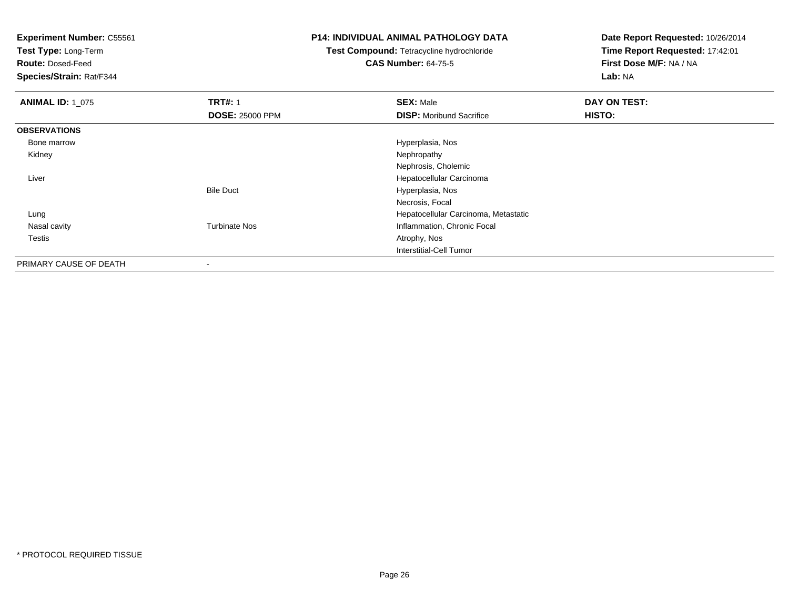**Test Type:** Long-Term

**Route:** Dosed-Feed

**Species/Strain:** Rat/F344

## **P14: INDIVIDUAL ANIMAL PATHOLOGY DATA**

**Test Compound:** Tetracycline hydrochloride**CAS Number:** 64-75-5

| <b>ANIMAL ID: 1 075</b> | <b>TRT#: 1</b>         | <b>SEX: Male</b>                     | DAY ON TEST: |  |
|-------------------------|------------------------|--------------------------------------|--------------|--|
|                         | <b>DOSE: 25000 PPM</b> | <b>DISP:</b> Moribund Sacrifice      | HISTO:       |  |
| <b>OBSERVATIONS</b>     |                        |                                      |              |  |
| Bone marrow             |                        | Hyperplasia, Nos                     |              |  |
| Kidney                  |                        | Nephropathy                          |              |  |
|                         |                        | Nephrosis, Cholemic                  |              |  |
| Liver                   |                        | Hepatocellular Carcinoma             |              |  |
|                         | <b>Bile Duct</b>       | Hyperplasia, Nos                     |              |  |
|                         |                        | Necrosis, Focal                      |              |  |
| Lung                    |                        | Hepatocellular Carcinoma, Metastatic |              |  |
| Nasal cavity            | <b>Turbinate Nos</b>   | Inflammation, Chronic Focal          |              |  |
| Testis                  |                        | Atrophy, Nos                         |              |  |
|                         |                        | Interstitial-Cell Tumor              |              |  |
| PRIMARY CAUSE OF DEATH  | ۰                      |                                      |              |  |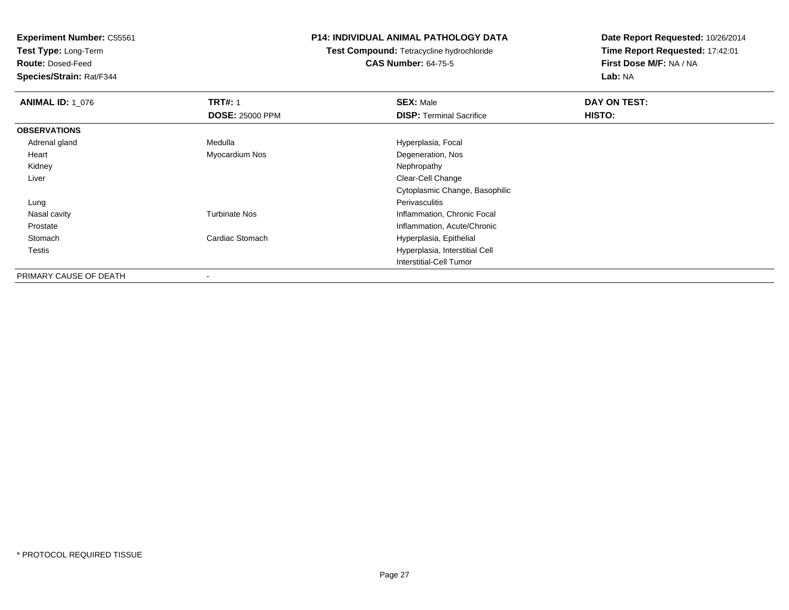**Test Type:** Long-Term

**Route:** Dosed-Feed

**Species/Strain:** Rat/F344

## **P14: INDIVIDUAL ANIMAL PATHOLOGY DATA**

**Test Compound:** Tetracycline hydrochloride**CAS Number:** 64-75-5

| <b>ANIMAL ID: 1 076</b> | <b>TRT#: 1</b>         | <b>SEX: Male</b>                | DAY ON TEST: |
|-------------------------|------------------------|---------------------------------|--------------|
|                         | <b>DOSE: 25000 PPM</b> | <b>DISP: Terminal Sacrifice</b> | HISTO:       |
| <b>OBSERVATIONS</b>     |                        |                                 |              |
| Adrenal gland           | Medulla                | Hyperplasia, Focal              |              |
| Heart                   | Myocardium Nos         | Degeneration, Nos               |              |
| Kidney                  |                        | Nephropathy                     |              |
| Liver                   |                        | Clear-Cell Change               |              |
|                         |                        | Cytoplasmic Change, Basophilic  |              |
| Lung                    |                        | Perivasculitis                  |              |
| Nasal cavity            | <b>Turbinate Nos</b>   | Inflammation, Chronic Focal     |              |
| Prostate                |                        | Inflammation, Acute/Chronic     |              |
| Stomach                 | Cardiac Stomach        | Hyperplasia, Epithelial         |              |
| Testis                  |                        | Hyperplasia, Interstitial Cell  |              |
|                         |                        | Interstitial-Cell Tumor         |              |
| PRIMARY CAUSE OF DEATH  | ۰                      |                                 |              |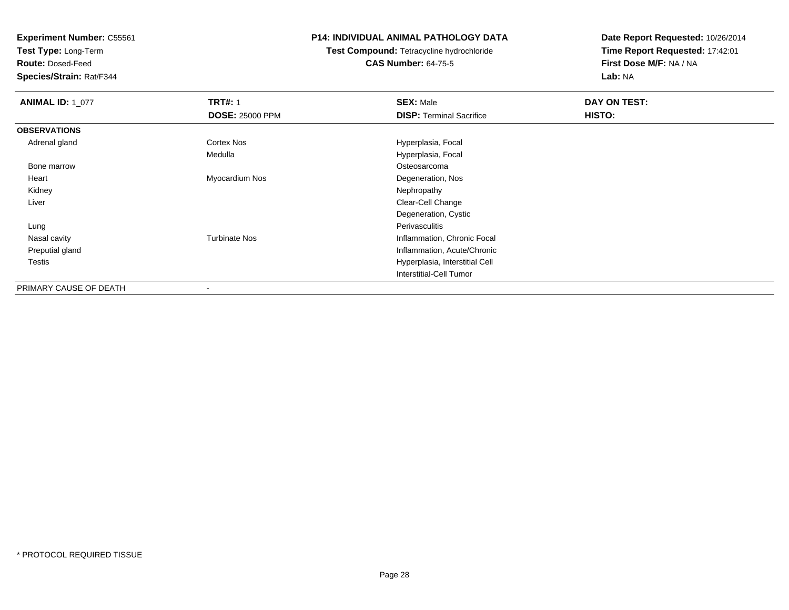**Test Type:** Long-Term

**Route:** Dosed-Feed

**Species/Strain:** Rat/F344

## **P14: INDIVIDUAL ANIMAL PATHOLOGY DATA**

# **Test Compound:** Tetracycline hydrochloride**CAS Number:** 64-75-5

| <b>ANIMAL ID: 1_077</b> | <b>TRT#: 1</b>         | <b>SEX: Male</b>                | DAY ON TEST: |  |
|-------------------------|------------------------|---------------------------------|--------------|--|
|                         | <b>DOSE: 25000 PPM</b> | <b>DISP: Terminal Sacrifice</b> | HISTO:       |  |
| <b>OBSERVATIONS</b>     |                        |                                 |              |  |
| Adrenal gland           | Cortex Nos             | Hyperplasia, Focal              |              |  |
|                         | Medulla                | Hyperplasia, Focal              |              |  |
| Bone marrow             |                        | Osteosarcoma                    |              |  |
| Heart                   | Myocardium Nos         | Degeneration, Nos               |              |  |
| Kidney                  |                        | Nephropathy                     |              |  |
| Liver                   |                        | Clear-Cell Change               |              |  |
|                         |                        | Degeneration, Cystic            |              |  |
| Lung                    |                        | Perivasculitis                  |              |  |
| Nasal cavity            | <b>Turbinate Nos</b>   | Inflammation, Chronic Focal     |              |  |
| Preputial gland         |                        | Inflammation, Acute/Chronic     |              |  |
| Testis                  |                        | Hyperplasia, Interstitial Cell  |              |  |
|                         |                        | <b>Interstitial-Cell Tumor</b>  |              |  |
| PRIMARY CAUSE OF DEATH  |                        |                                 |              |  |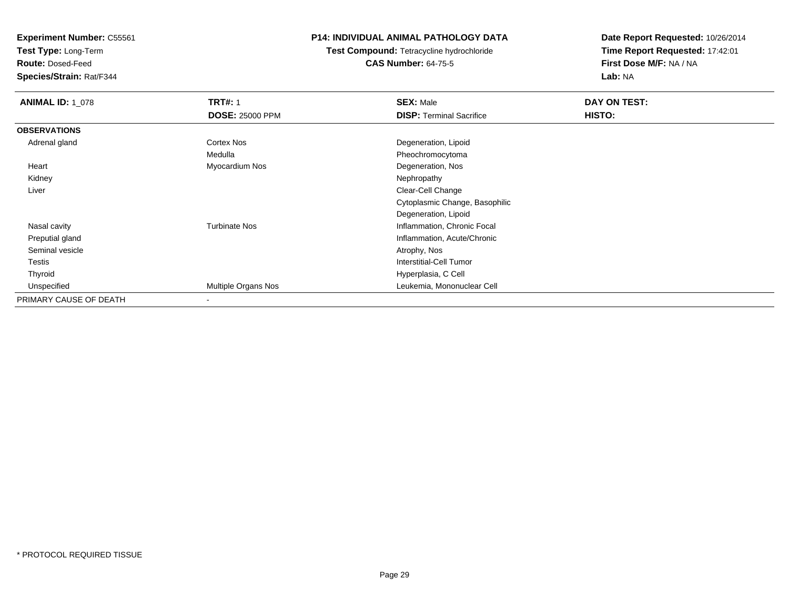**Test Type:** Long-Term

**Route:** Dosed-Feed

**Species/Strain:** Rat/F344

## **P14: INDIVIDUAL ANIMAL PATHOLOGY DATA**

# **Test Compound:** Tetracycline hydrochloride**CAS Number:** 64-75-5

| <b>ANIMAL ID: 1_078</b> | <b>TRT#: 1</b>         | <b>SEX: Male</b>                | DAY ON TEST: |  |
|-------------------------|------------------------|---------------------------------|--------------|--|
|                         | <b>DOSE: 25000 PPM</b> | <b>DISP: Terminal Sacrifice</b> | HISTO:       |  |
| <b>OBSERVATIONS</b>     |                        |                                 |              |  |
| Adrenal gland           | <b>Cortex Nos</b>      | Degeneration, Lipoid            |              |  |
|                         | Medulla                | Pheochromocytoma                |              |  |
| Heart                   | Myocardium Nos         | Degeneration, Nos               |              |  |
| Kidney                  |                        | Nephropathy                     |              |  |
| Liver                   |                        | Clear-Cell Change               |              |  |
|                         |                        | Cytoplasmic Change, Basophilic  |              |  |
|                         |                        | Degeneration, Lipoid            |              |  |
| Nasal cavity            | <b>Turbinate Nos</b>   | Inflammation, Chronic Focal     |              |  |
| Preputial gland         |                        | Inflammation, Acute/Chronic     |              |  |
| Seminal vesicle         |                        | Atrophy, Nos                    |              |  |
| Testis                  |                        | Interstitial-Cell Tumor         |              |  |
| Thyroid                 |                        | Hyperplasia, C Cell             |              |  |
| Unspecified             | Multiple Organs Nos    | Leukemia, Mononuclear Cell      |              |  |
| PRIMARY CAUSE OF DEATH  |                        |                                 |              |  |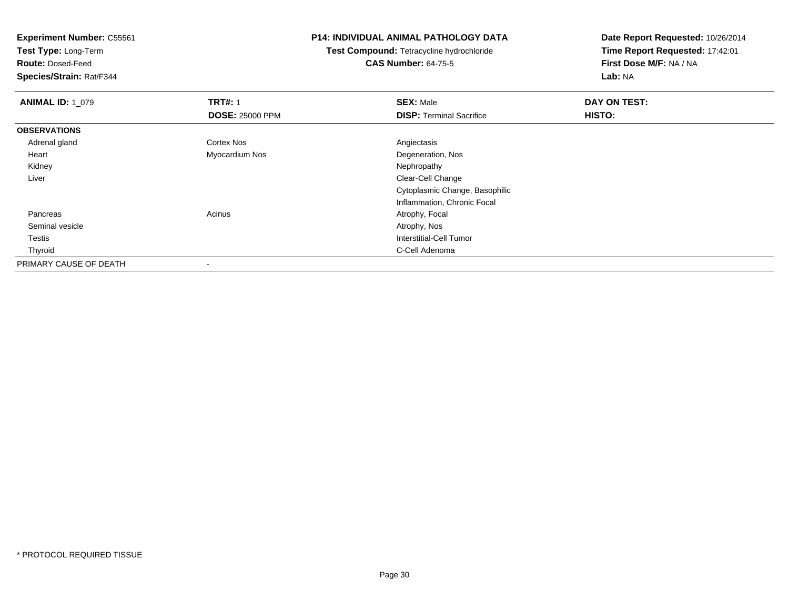**Test Type:** Long-Term

**Route:** Dosed-Feed

**Species/Strain:** Rat/F344

## **P14: INDIVIDUAL ANIMAL PATHOLOGY DATA**

**Test Compound:** Tetracycline hydrochloride**CAS Number:** 64-75-5

| <b>ANIMAL ID: 1 079</b> | <b>TRT#: 1</b>           | <b>SEX: Male</b>                | DAY ON TEST: |  |
|-------------------------|--------------------------|---------------------------------|--------------|--|
|                         | <b>DOSE: 25000 PPM</b>   | <b>DISP: Terminal Sacrifice</b> | HISTO:       |  |
| <b>OBSERVATIONS</b>     |                          |                                 |              |  |
| Adrenal gland           | <b>Cortex Nos</b>        | Angiectasis                     |              |  |
| Heart                   | Myocardium Nos           | Degeneration, Nos               |              |  |
| Kidney                  |                          | Nephropathy                     |              |  |
| Liver                   |                          | Clear-Cell Change               |              |  |
|                         |                          | Cytoplasmic Change, Basophilic  |              |  |
|                         |                          | Inflammation, Chronic Focal     |              |  |
| Pancreas                | Acinus                   | Atrophy, Focal                  |              |  |
| Seminal vesicle         |                          | Atrophy, Nos                    |              |  |
| Testis                  |                          | Interstitial-Cell Tumor         |              |  |
| Thyroid                 |                          | C-Cell Adenoma                  |              |  |
| PRIMARY CAUSE OF DEATH  | $\overline{\phantom{a}}$ |                                 |              |  |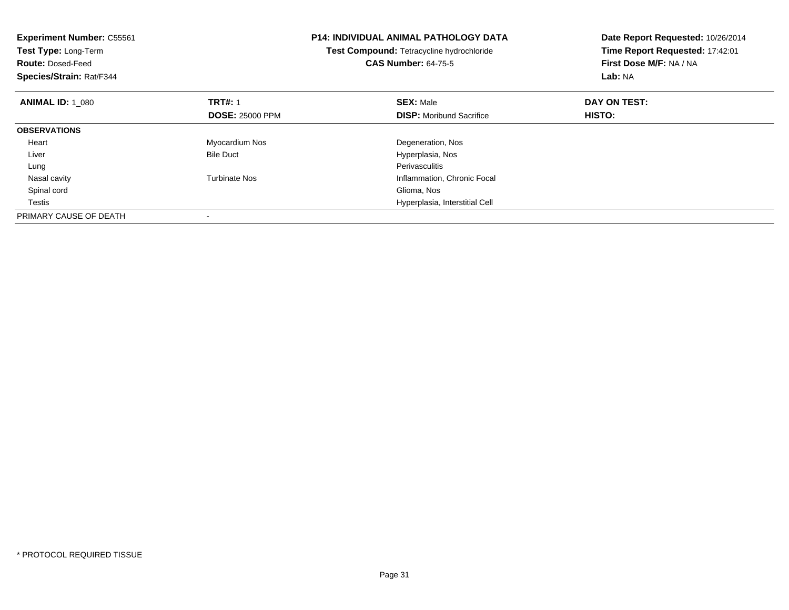| <b>Experiment Number: C55561</b><br>Test Type: Long-Term<br><b>Route: Dosed-Feed</b><br>Species/Strain: Rat/F344 |                        | <b>P14: INDIVIDUAL ANIMAL PATHOLOGY DATA</b><br>Test Compound: Tetracycline hydrochloride<br><b>CAS Number: 64-75-5</b> | Date Report Requested: 10/26/2014<br>Time Report Requested: 17:42:01<br>First Dose M/F: NA / NA<br>Lab: NA |
|------------------------------------------------------------------------------------------------------------------|------------------------|-------------------------------------------------------------------------------------------------------------------------|------------------------------------------------------------------------------------------------------------|
| <b>ANIMAL ID: 1 080</b>                                                                                          | <b>TRT#: 1</b>         | <b>SEX: Male</b>                                                                                                        | DAY ON TEST:                                                                                               |
|                                                                                                                  | <b>DOSE: 25000 PPM</b> | <b>DISP:</b> Moribund Sacrifice                                                                                         | HISTO:                                                                                                     |
| <b>OBSERVATIONS</b>                                                                                              |                        |                                                                                                                         |                                                                                                            |
| Heart                                                                                                            | Myocardium Nos         | Degeneration, Nos                                                                                                       |                                                                                                            |
| Liver                                                                                                            | <b>Bile Duct</b>       | Hyperplasia, Nos                                                                                                        |                                                                                                            |
| Lung                                                                                                             |                        | Perivasculitis                                                                                                          |                                                                                                            |
| Nasal cavity                                                                                                     | <b>Turbinate Nos</b>   | Inflammation, Chronic Focal                                                                                             |                                                                                                            |
| Spinal cord                                                                                                      |                        | Glioma, Nos                                                                                                             |                                                                                                            |
| Testis                                                                                                           |                        | Hyperplasia, Interstitial Cell                                                                                          |                                                                                                            |
| PRIMARY CAUSE OF DEATH                                                                                           |                        |                                                                                                                         |                                                                                                            |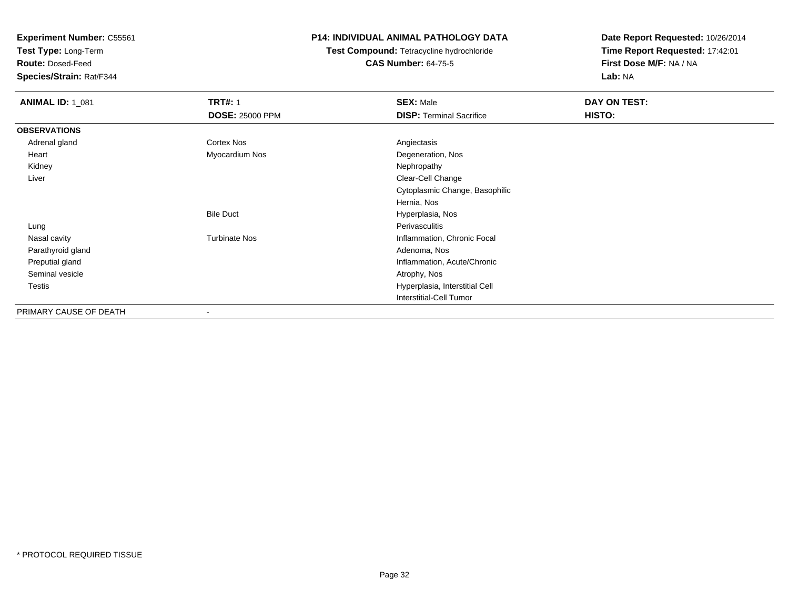**Test Type:** Long-Term

**Route:** Dosed-Feed

**Species/Strain:** Rat/F344

## **P14: INDIVIDUAL ANIMAL PATHOLOGY DATA**

**Test Compound:** Tetracycline hydrochloride**CAS Number:** 64-75-5

| <b>ANIMAL ID: 1_081</b> | <b>TRT#: 1</b>         | <b>SEX: Male</b>                | DAY ON TEST: |
|-------------------------|------------------------|---------------------------------|--------------|
|                         | <b>DOSE: 25000 PPM</b> | <b>DISP: Terminal Sacrifice</b> | HISTO:       |
| <b>OBSERVATIONS</b>     |                        |                                 |              |
| Adrenal gland           | Cortex Nos             | Angiectasis                     |              |
| Heart                   | Myocardium Nos         | Degeneration, Nos               |              |
| Kidney                  |                        | Nephropathy                     |              |
| Liver                   |                        | Clear-Cell Change               |              |
|                         |                        | Cytoplasmic Change, Basophilic  |              |
|                         |                        | Hernia, Nos                     |              |
|                         | <b>Bile Duct</b>       | Hyperplasia, Nos                |              |
| Lung                    |                        | Perivasculitis                  |              |
| Nasal cavity            | <b>Turbinate Nos</b>   | Inflammation, Chronic Focal     |              |
| Parathyroid gland       |                        | Adenoma, Nos                    |              |
| Preputial gland         |                        | Inflammation, Acute/Chronic     |              |
| Seminal vesicle         |                        | Atrophy, Nos                    |              |
| Testis                  |                        | Hyperplasia, Interstitial Cell  |              |
|                         |                        | <b>Interstitial-Cell Tumor</b>  |              |
| PRIMARY CAUSE OF DEATH  | $\blacksquare$         |                                 |              |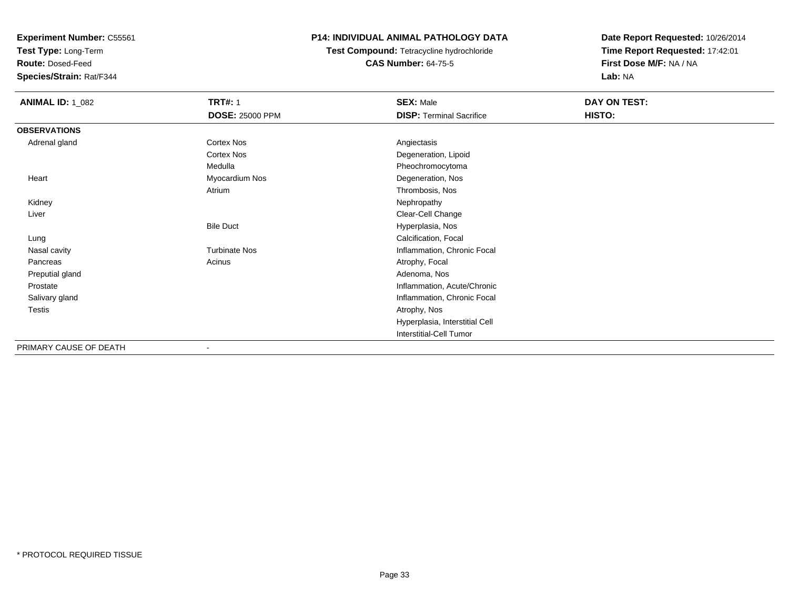**Test Type:** Long-Term

**Route:** Dosed-Feed

**Species/Strain:** Rat/F344

## **P14: INDIVIDUAL ANIMAL PATHOLOGY DATA**

**Test Compound:** Tetracycline hydrochloride**CAS Number:** 64-75-5

| <b>ANIMAL ID: 1_082</b> | <b>TRT#: 1</b>         | <b>SEX: Male</b>                | DAY ON TEST: |
|-------------------------|------------------------|---------------------------------|--------------|
|                         | <b>DOSE: 25000 PPM</b> | <b>DISP: Terminal Sacrifice</b> | HISTO:       |
| <b>OBSERVATIONS</b>     |                        |                                 |              |
| Adrenal gland           | Cortex Nos             | Angiectasis                     |              |
|                         | Cortex Nos             | Degeneration, Lipoid            |              |
|                         | Medulla                | Pheochromocytoma                |              |
| Heart                   | Myocardium Nos         | Degeneration, Nos               |              |
|                         | Atrium                 | Thrombosis, Nos                 |              |
| Kidney                  |                        | Nephropathy                     |              |
| Liver                   |                        | Clear-Cell Change               |              |
|                         | <b>Bile Duct</b>       | Hyperplasia, Nos                |              |
| Lung                    |                        | Calcification, Focal            |              |
| Nasal cavity            | <b>Turbinate Nos</b>   | Inflammation, Chronic Focal     |              |
| Pancreas                | Acinus                 | Atrophy, Focal                  |              |
| Preputial gland         |                        | Adenoma, Nos                    |              |
| Prostate                |                        | Inflammation, Acute/Chronic     |              |
| Salivary gland          |                        | Inflammation, Chronic Focal     |              |
| Testis                  |                        | Atrophy, Nos                    |              |
|                         |                        | Hyperplasia, Interstitial Cell  |              |
|                         |                        | Interstitial-Cell Tumor         |              |
| PRIMARY CAUSE OF DEATH  | $\blacksquare$         |                                 |              |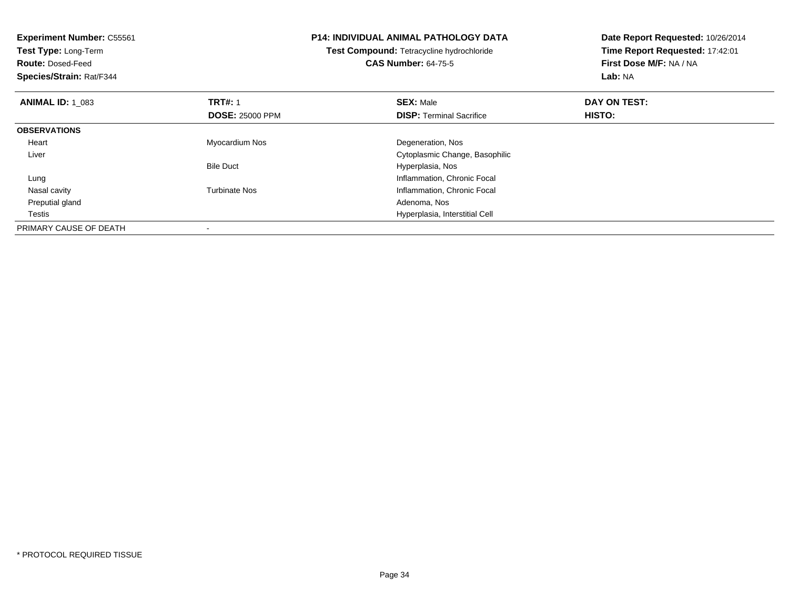| <b>Experiment Number: C55561</b><br>Test Type: Long-Term<br><b>Route: Dosed-Feed</b><br>Species/Strain: Rat/F344 |                        | <b>P14: INDIVIDUAL ANIMAL PATHOLOGY DATA</b><br>Test Compound: Tetracycline hydrochloride<br><b>CAS Number: 64-75-5</b> | Date Report Requested: 10/26/2014<br>Time Report Requested: 17:42:01<br>First Dose M/F: NA / NA<br>Lab: NA |  |
|------------------------------------------------------------------------------------------------------------------|------------------------|-------------------------------------------------------------------------------------------------------------------------|------------------------------------------------------------------------------------------------------------|--|
| <b>ANIMAL ID: 1 083</b>                                                                                          | <b>TRT#: 1</b>         | <b>SEX: Male</b>                                                                                                        | DAY ON TEST:                                                                                               |  |
|                                                                                                                  | <b>DOSE: 25000 PPM</b> | <b>DISP:</b> Terminal Sacrifice                                                                                         | HISTO:                                                                                                     |  |
| <b>OBSERVATIONS</b>                                                                                              |                        |                                                                                                                         |                                                                                                            |  |
| Heart                                                                                                            | Myocardium Nos         | Degeneration, Nos                                                                                                       |                                                                                                            |  |
| Liver                                                                                                            |                        | Cytoplasmic Change, Basophilic                                                                                          |                                                                                                            |  |
|                                                                                                                  | <b>Bile Duct</b>       | Hyperplasia, Nos                                                                                                        |                                                                                                            |  |
| Lung                                                                                                             |                        | Inflammation, Chronic Focal                                                                                             |                                                                                                            |  |
| Nasal cavity                                                                                                     | Turbinate Nos          | Inflammation, Chronic Focal                                                                                             |                                                                                                            |  |
| Preputial gland                                                                                                  |                        | Adenoma, Nos                                                                                                            |                                                                                                            |  |
| Testis                                                                                                           |                        | Hyperplasia, Interstitial Cell                                                                                          |                                                                                                            |  |
| PRIMARY CAUSE OF DEATH                                                                                           |                        |                                                                                                                         |                                                                                                            |  |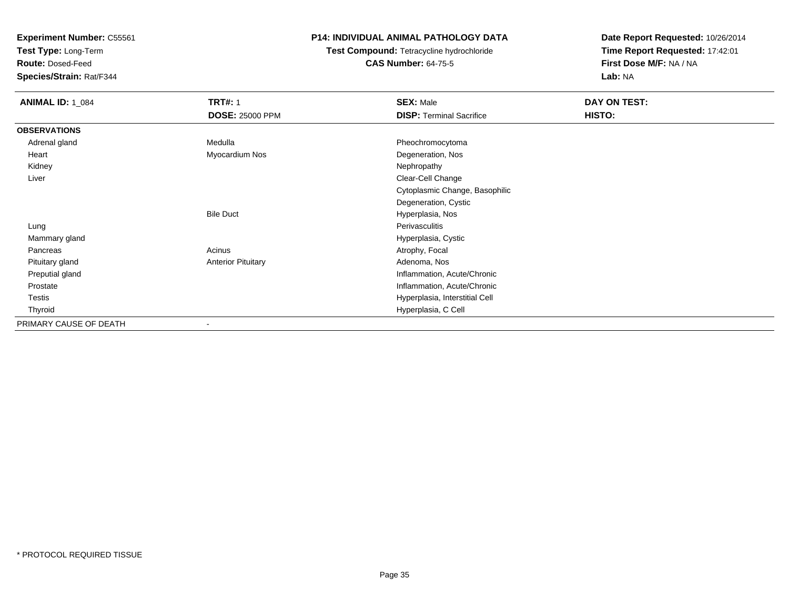**Test Type:** Long-Term

**Route:** Dosed-Feed

**Species/Strain:** Rat/F344

## **P14: INDIVIDUAL ANIMAL PATHOLOGY DATA**

# **Test Compound:** Tetracycline hydrochloride**CAS Number:** 64-75-5

| <b>ANIMAL ID: 1_084</b> | <b>TRT#: 1</b>            | <b>SEX: Male</b>                | DAY ON TEST: |  |
|-------------------------|---------------------------|---------------------------------|--------------|--|
|                         | <b>DOSE: 25000 PPM</b>    | <b>DISP: Terminal Sacrifice</b> | HISTO:       |  |
| <b>OBSERVATIONS</b>     |                           |                                 |              |  |
| Adrenal gland           | Medulla                   | Pheochromocytoma                |              |  |
| Heart                   | Myocardium Nos            | Degeneration, Nos               |              |  |
| Kidney                  |                           | Nephropathy                     |              |  |
| Liver                   |                           | Clear-Cell Change               |              |  |
|                         |                           | Cytoplasmic Change, Basophilic  |              |  |
|                         |                           | Degeneration, Cystic            |              |  |
|                         | <b>Bile Duct</b>          | Hyperplasia, Nos                |              |  |
| Lung                    |                           | Perivasculitis                  |              |  |
| Mammary gland           |                           | Hyperplasia, Cystic             |              |  |
| Pancreas                | Acinus                    | Atrophy, Focal                  |              |  |
| Pituitary gland         | <b>Anterior Pituitary</b> | Adenoma, Nos                    |              |  |
| Preputial gland         |                           | Inflammation, Acute/Chronic     |              |  |
| Prostate                |                           | Inflammation, Acute/Chronic     |              |  |
| Testis                  |                           | Hyperplasia, Interstitial Cell  |              |  |
| Thyroid                 |                           | Hyperplasia, C Cell             |              |  |
| PRIMARY CAUSE OF DEATH  |                           |                                 |              |  |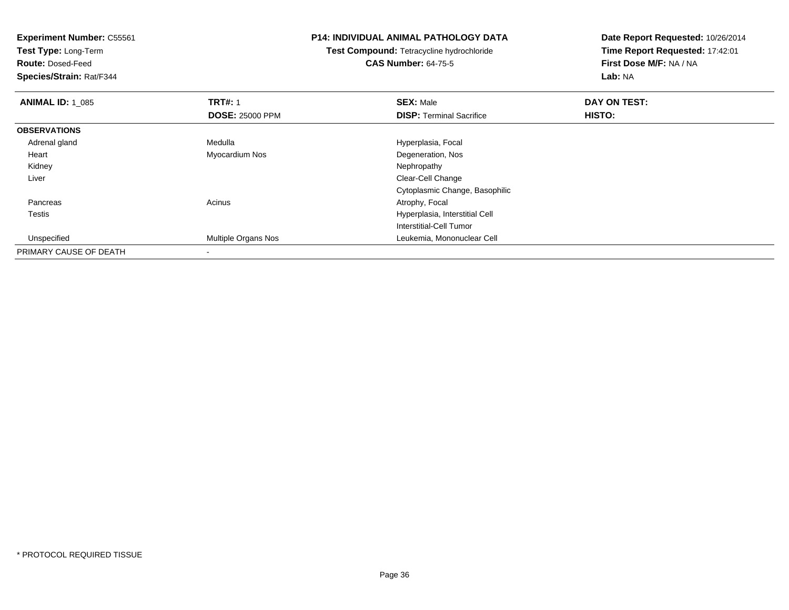**Experiment Number:** C55561**Test Type:** Long-Term**Route:** Dosed-Feed **Species/Strain:** Rat/F344**P14: INDIVIDUAL ANIMAL PATHOLOGY DATATest Compound:** Tetracycline hydrochloride**CAS Number:** 64-75-5**Date Report Requested:** 10/26/2014**Time Report Requested:** 17:42:01**First Dose M/F:** NA / NA**Lab:** NA**ANIMAL ID: 1\_085 TRT#:** <sup>1</sup> **SEX:** Male **DAY ON TEST: DOSE:** 25000 PPM**DISP:** Terminal Sacrifice **HISTO: OBSERVATIONS** Adrenal glandMedulla **Manuel Accord Medulla** Hyperplasia, Focal Heart Myocardium NosDegeneration, Nos<br>Nephropathy Kidneyy the control of the control of the control of the control of the control of the control of the control of the control of the control of the control of the control of the control of the control of the control of the contro Liver Clear-Cell Change Cytoplasmic Change, Basophilic PancreasAcinus **Acinus** Atrophy, Focal Testis Hyperplasia, Interstitial Cell Interstitial-Cell Tumor Unspecified Multiple Organs Nos Leukemia, Mononuclear Cell PRIMARY CAUSE OF DEATH

-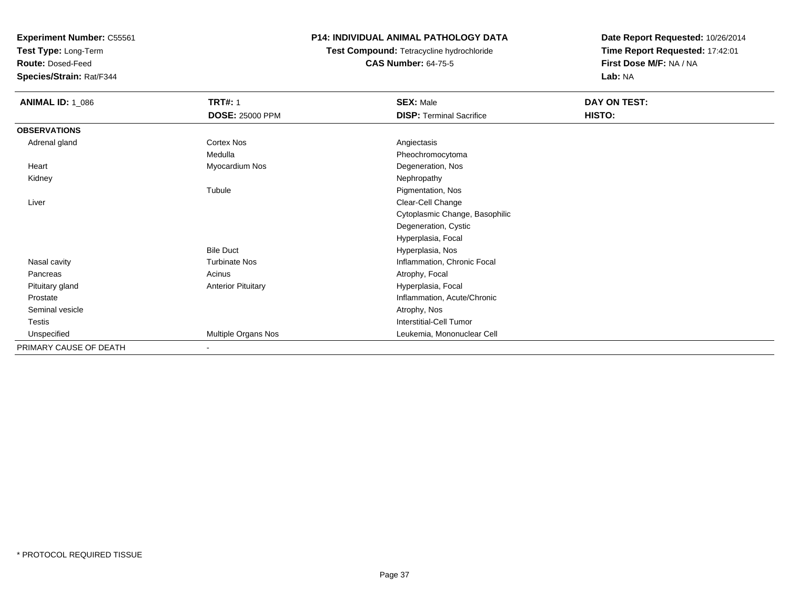**Test Type:** Long-Term

**Route:** Dosed-Feed

**Species/Strain:** Rat/F344

### **P14: INDIVIDUAL ANIMAL PATHOLOGY DATA**

# **Test Compound:** Tetracycline hydrochloride**CAS Number:** 64-75-5

| <b>ANIMAL ID: 1_086</b> | <b>TRT#: 1</b>            | <b>SEX: Male</b>                | DAY ON TEST: |  |
|-------------------------|---------------------------|---------------------------------|--------------|--|
|                         | <b>DOSE: 25000 PPM</b>    | <b>DISP: Terminal Sacrifice</b> | HISTO:       |  |
| <b>OBSERVATIONS</b>     |                           |                                 |              |  |
| Adrenal gland           | <b>Cortex Nos</b>         | Angiectasis                     |              |  |
|                         | Medulla                   | Pheochromocytoma                |              |  |
| Heart                   | Myocardium Nos            | Degeneration, Nos               |              |  |
| Kidney                  |                           | Nephropathy                     |              |  |
|                         | Tubule                    | Pigmentation, Nos               |              |  |
| Liver                   |                           | Clear-Cell Change               |              |  |
|                         |                           | Cytoplasmic Change, Basophilic  |              |  |
|                         |                           | Degeneration, Cystic            |              |  |
|                         |                           | Hyperplasia, Focal              |              |  |
|                         | <b>Bile Duct</b>          | Hyperplasia, Nos                |              |  |
| Nasal cavity            | <b>Turbinate Nos</b>      | Inflammation, Chronic Focal     |              |  |
| Pancreas                | Acinus                    | Atrophy, Focal                  |              |  |
| Pituitary gland         | <b>Anterior Pituitary</b> | Hyperplasia, Focal              |              |  |
| Prostate                |                           | Inflammation, Acute/Chronic     |              |  |
| Seminal vesicle         |                           | Atrophy, Nos                    |              |  |
| Testis                  |                           | <b>Interstitial-Cell Tumor</b>  |              |  |
| Unspecified             | Multiple Organs Nos       | Leukemia, Mononuclear Cell      |              |  |
| PRIMARY CAUSE OF DEATH  | $\overline{\phantom{a}}$  |                                 |              |  |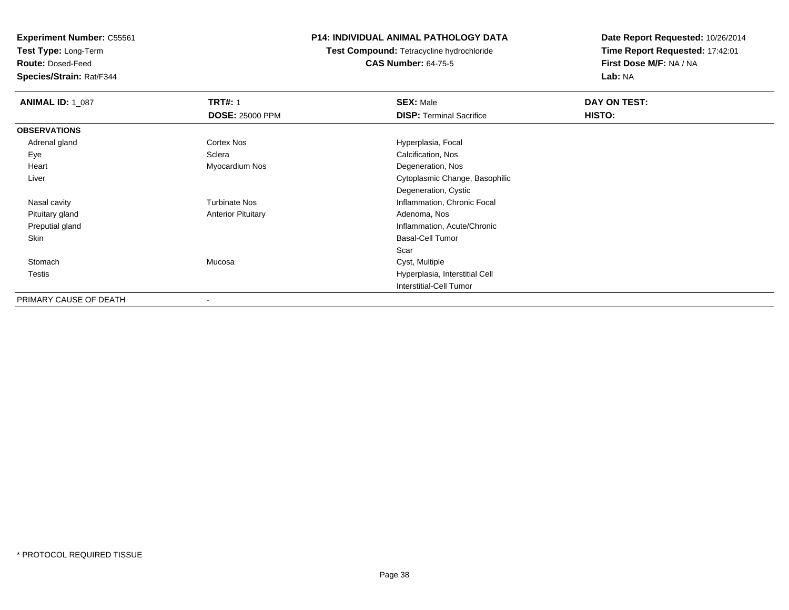**Test Type:** Long-Term

**Route:** Dosed-Feed

**Species/Strain:** Rat/F344

### **P14: INDIVIDUAL ANIMAL PATHOLOGY DATA**

**Test Compound:** Tetracycline hydrochloride**CAS Number:** 64-75-5

| <b>ANIMAL ID: 1_087</b> | <b>TRT#: 1</b><br><b>DOSE: 25000 PPM</b> | <b>SEX: Male</b><br><b>DISP: Terminal Sacrifice</b> | DAY ON TEST:<br><b>HISTO:</b> |
|-------------------------|------------------------------------------|-----------------------------------------------------|-------------------------------|
| <b>OBSERVATIONS</b>     |                                          |                                                     |                               |
| Adrenal gland           | Cortex Nos                               | Hyperplasia, Focal                                  |                               |
| Eye                     | Sclera                                   | Calcification, Nos                                  |                               |
| Heart                   | Myocardium Nos                           | Degeneration, Nos                                   |                               |
| Liver                   |                                          | Cytoplasmic Change, Basophilic                      |                               |
|                         |                                          | Degeneration, Cystic                                |                               |
| Nasal cavity            | <b>Turbinate Nos</b>                     | Inflammation, Chronic Focal                         |                               |
| Pituitary gland         | <b>Anterior Pituitary</b>                | Adenoma, Nos                                        |                               |
| Preputial gland         |                                          | Inflammation, Acute/Chronic                         |                               |
| Skin                    |                                          | <b>Basal-Cell Tumor</b>                             |                               |
|                         |                                          | Scar                                                |                               |
| Stomach                 | Mucosa                                   | Cyst, Multiple                                      |                               |
| Testis                  |                                          | Hyperplasia, Interstitial Cell                      |                               |
|                         |                                          | <b>Interstitial-Cell Tumor</b>                      |                               |
| PRIMARY CAUSE OF DEATH  | $\,$                                     |                                                     |                               |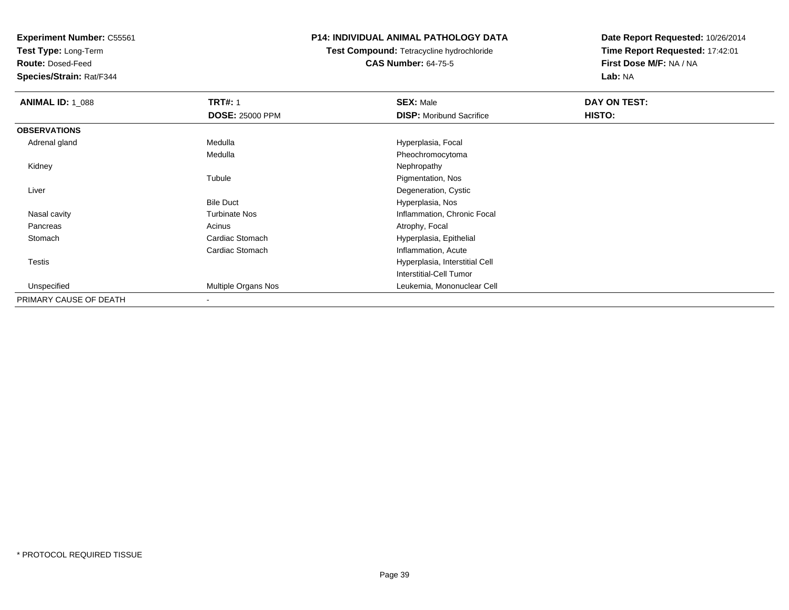**Test Type:** Long-Term

**Route:** Dosed-Feed

**Species/Strain:** Rat/F344

### **P14: INDIVIDUAL ANIMAL PATHOLOGY DATA**

**Test Compound:** Tetracycline hydrochloride**CAS Number:** 64-75-5

| <b>ANIMAL ID: 1_088</b> | <b>TRT#: 1</b>         | <b>SEX: Male</b>                | DAY ON TEST:  |  |
|-------------------------|------------------------|---------------------------------|---------------|--|
|                         | <b>DOSE: 25000 PPM</b> | <b>DISP:</b> Moribund Sacrifice | <b>HISTO:</b> |  |
| <b>OBSERVATIONS</b>     |                        |                                 |               |  |
| Adrenal gland           | Medulla                | Hyperplasia, Focal              |               |  |
|                         | Medulla                | Pheochromocytoma                |               |  |
| Kidney                  |                        | Nephropathy                     |               |  |
|                         | Tubule                 | Pigmentation, Nos               |               |  |
| Liver                   |                        | Degeneration, Cystic            |               |  |
|                         | <b>Bile Duct</b>       | Hyperplasia, Nos                |               |  |
| Nasal cavity            | <b>Turbinate Nos</b>   | Inflammation, Chronic Focal     |               |  |
| Pancreas                | Acinus                 | Atrophy, Focal                  |               |  |
| Stomach                 | Cardiac Stomach        | Hyperplasia, Epithelial         |               |  |
|                         | Cardiac Stomach        | Inflammation, Acute             |               |  |
| Testis                  |                        | Hyperplasia, Interstitial Cell  |               |  |
|                         |                        | Interstitial-Cell Tumor         |               |  |
| Unspecified             | Multiple Organs Nos    | Leukemia, Mononuclear Cell      |               |  |
| PRIMARY CAUSE OF DEATH  |                        |                                 |               |  |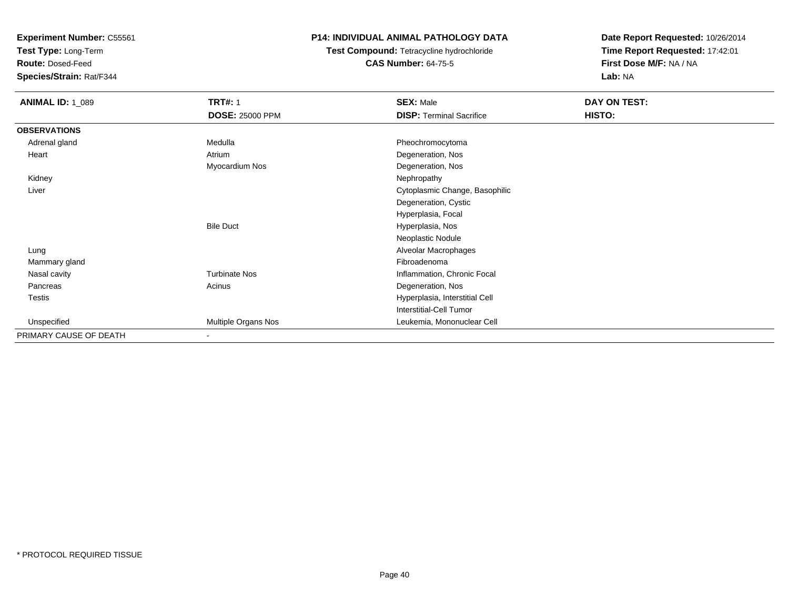**Test Type:** Long-Term

**Route:** Dosed-Feed

**Species/Strain:** Rat/F344

### **P14: INDIVIDUAL ANIMAL PATHOLOGY DATA**

**Test Compound:** Tetracycline hydrochloride**CAS Number:** 64-75-5

| <b>ANIMAL ID: 1_089</b> | <b>TRT#: 1</b>           | <b>SEX: Male</b>                | DAY ON TEST: |
|-------------------------|--------------------------|---------------------------------|--------------|
|                         | <b>DOSE: 25000 PPM</b>   | <b>DISP: Terminal Sacrifice</b> | HISTO:       |
| <b>OBSERVATIONS</b>     |                          |                                 |              |
| Adrenal gland           | Medulla                  | Pheochromocytoma                |              |
| Heart                   | Atrium                   | Degeneration, Nos               |              |
|                         | Myocardium Nos           | Degeneration, Nos               |              |
| Kidney                  |                          | Nephropathy                     |              |
| Liver                   |                          | Cytoplasmic Change, Basophilic  |              |
|                         |                          | Degeneration, Cystic            |              |
|                         |                          | Hyperplasia, Focal              |              |
|                         | <b>Bile Duct</b>         | Hyperplasia, Nos                |              |
|                         |                          | Neoplastic Nodule               |              |
| Lung                    |                          | Alveolar Macrophages            |              |
| Mammary gland           |                          | Fibroadenoma                    |              |
| Nasal cavity            | <b>Turbinate Nos</b>     | Inflammation, Chronic Focal     |              |
| Pancreas                | Acinus                   | Degeneration, Nos               |              |
| <b>Testis</b>           |                          | Hyperplasia, Interstitial Cell  |              |
|                         |                          | Interstitial-Cell Tumor         |              |
| Unspecified             | Multiple Organs Nos      | Leukemia, Mononuclear Cell      |              |
| PRIMARY CAUSE OF DEATH  | $\overline{\phantom{a}}$ |                                 |              |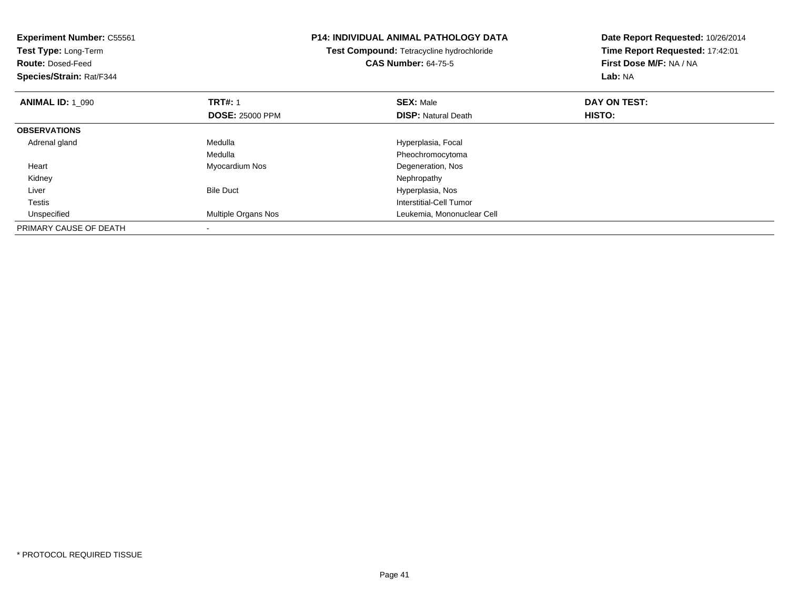| <b>Experiment Number: C55561</b><br>Test Type: Long-Term<br><b>Route: Dosed-Feed</b><br>Species/Strain: Rat/F344 |                            | <b>P14: INDIVIDUAL ANIMAL PATHOLOGY DATA</b><br>Test Compound: Tetracycline hydrochloride<br><b>CAS Number: 64-75-5</b> | Date Report Requested: 10/26/2014<br>Time Report Requested: 17:42:01<br>First Dose M/F: NA / NA<br><b>Lab: NA</b> |
|------------------------------------------------------------------------------------------------------------------|----------------------------|-------------------------------------------------------------------------------------------------------------------------|-------------------------------------------------------------------------------------------------------------------|
| <b>ANIMAL ID: 1 090</b>                                                                                          | <b>TRT#: 1</b>             | <b>SEX: Male</b>                                                                                                        | DAY ON TEST:                                                                                                      |
|                                                                                                                  | <b>DOSE: 25000 PPM</b>     | <b>DISP:</b> Natural Death                                                                                              | HISTO:                                                                                                            |
| <b>OBSERVATIONS</b>                                                                                              |                            |                                                                                                                         |                                                                                                                   |
| Adrenal gland                                                                                                    | Medulla                    | Hyperplasia, Focal                                                                                                      |                                                                                                                   |
|                                                                                                                  | Medulla                    | Pheochromocytoma                                                                                                        |                                                                                                                   |
| Heart                                                                                                            | Myocardium Nos             | Degeneration, Nos                                                                                                       |                                                                                                                   |
| Kidney                                                                                                           |                            | Nephropathy                                                                                                             |                                                                                                                   |
| Liver                                                                                                            | <b>Bile Duct</b>           | Hyperplasia, Nos                                                                                                        |                                                                                                                   |
| <b>Testis</b>                                                                                                    |                            | Interstitial-Cell Tumor                                                                                                 |                                                                                                                   |
| Unspecified                                                                                                      | <b>Multiple Organs Nos</b> | Leukemia, Mononuclear Cell                                                                                              |                                                                                                                   |
| PRIMARY CAUSE OF DEATH                                                                                           |                            |                                                                                                                         |                                                                                                                   |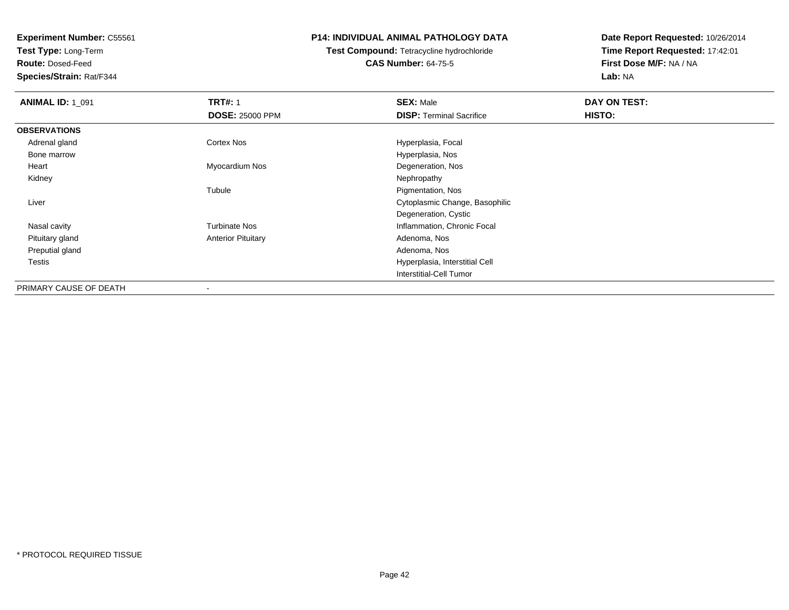**Test Type:** Long-Term

**Route:** Dosed-Feed

**Species/Strain:** Rat/F344

### **P14: INDIVIDUAL ANIMAL PATHOLOGY DATA**

# **Test Compound:** Tetracycline hydrochloride**CAS Number:** 64-75-5

| <b>ANIMAL ID: 1_091</b> | <b>TRT#: 1</b>            | <b>SEX: Male</b>                | DAY ON TEST: |  |
|-------------------------|---------------------------|---------------------------------|--------------|--|
|                         | <b>DOSE: 25000 PPM</b>    | <b>DISP: Terminal Sacrifice</b> | HISTO:       |  |
| <b>OBSERVATIONS</b>     |                           |                                 |              |  |
| Adrenal gland           | <b>Cortex Nos</b>         | Hyperplasia, Focal              |              |  |
| Bone marrow             |                           | Hyperplasia, Nos                |              |  |
| Heart                   | Myocardium Nos            | Degeneration, Nos               |              |  |
| Kidney                  |                           | Nephropathy                     |              |  |
|                         | Tubule                    | Pigmentation, Nos               |              |  |
| Liver                   |                           | Cytoplasmic Change, Basophilic  |              |  |
|                         |                           | Degeneration, Cystic            |              |  |
| Nasal cavity            | <b>Turbinate Nos</b>      | Inflammation, Chronic Focal     |              |  |
| Pituitary gland         | <b>Anterior Pituitary</b> | Adenoma, Nos                    |              |  |
| Preputial gland         |                           | Adenoma, Nos                    |              |  |
| <b>Testis</b>           |                           | Hyperplasia, Interstitial Cell  |              |  |
|                         |                           | <b>Interstitial-Cell Tumor</b>  |              |  |
| PRIMARY CAUSE OF DEATH  |                           |                                 |              |  |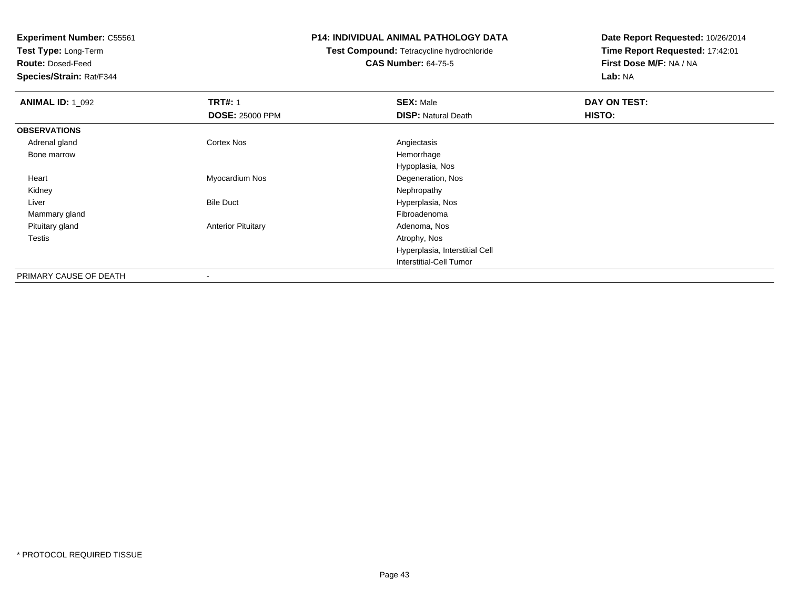**Test Type:** Long-Term

**Route:** Dosed-Feed

**Species/Strain:** Rat/F344

### **P14: INDIVIDUAL ANIMAL PATHOLOGY DATA**

# **Test Compound:** Tetracycline hydrochloride**CAS Number:** 64-75-5

| <b>ANIMAL ID: 1_092</b> | <b>TRT#: 1</b>            | <b>SEX: Male</b>               | DAY ON TEST: |
|-------------------------|---------------------------|--------------------------------|--------------|
|                         | <b>DOSE: 25000 PPM</b>    | <b>DISP: Natural Death</b>     | HISTO:       |
| <b>OBSERVATIONS</b>     |                           |                                |              |
| Adrenal gland           | Cortex Nos                | Angiectasis                    |              |
| Bone marrow             |                           | Hemorrhage                     |              |
|                         |                           | Hypoplasia, Nos                |              |
| Heart                   | Myocardium Nos            | Degeneration, Nos              |              |
| Kidney                  |                           | Nephropathy                    |              |
| Liver                   | <b>Bile Duct</b>          | Hyperplasia, Nos               |              |
| Mammary gland           |                           | Fibroadenoma                   |              |
| Pituitary gland         | <b>Anterior Pituitary</b> | Adenoma, Nos                   |              |
| Testis                  |                           | Atrophy, Nos                   |              |
|                         |                           | Hyperplasia, Interstitial Cell |              |
|                         |                           | Interstitial-Cell Tumor        |              |
| PRIMARY CAUSE OF DEATH  | ۰                         |                                |              |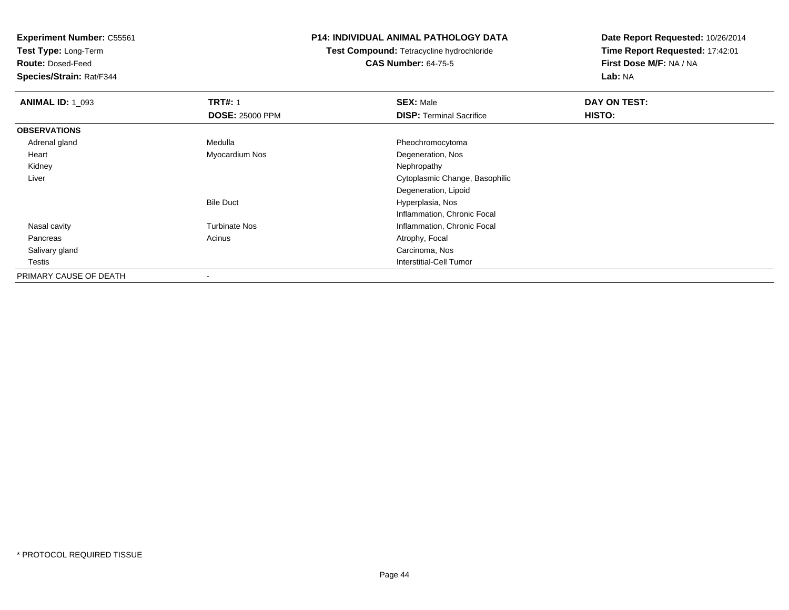**Test Type:** Long-Term

**Route:** Dosed-Feed

**Species/Strain:** Rat/F344

### **P14: INDIVIDUAL ANIMAL PATHOLOGY DATA**

**Test Compound:** Tetracycline hydrochloride**CAS Number:** 64-75-5

| <b>ANIMAL ID: 1_093</b> | <b>TRT#: 1</b>         | <b>SEX: Male</b>                | DAY ON TEST: |
|-------------------------|------------------------|---------------------------------|--------------|
|                         | <b>DOSE: 25000 PPM</b> | <b>DISP:</b> Terminal Sacrifice | HISTO:       |
| <b>OBSERVATIONS</b>     |                        |                                 |              |
| Adrenal gland           | Medulla                | Pheochromocytoma                |              |
| Heart                   | Myocardium Nos         | Degeneration, Nos               |              |
| Kidney                  |                        | Nephropathy                     |              |
| Liver                   |                        | Cytoplasmic Change, Basophilic  |              |
|                         |                        | Degeneration, Lipoid            |              |
|                         | <b>Bile Duct</b>       | Hyperplasia, Nos                |              |
|                         |                        | Inflammation, Chronic Focal     |              |
| Nasal cavity            | <b>Turbinate Nos</b>   | Inflammation, Chronic Focal     |              |
| Pancreas                | Acinus                 | Atrophy, Focal                  |              |
| Salivary gland          |                        | Carcinoma, Nos                  |              |
| Testis                  |                        | Interstitial-Cell Tumor         |              |
| PRIMARY CAUSE OF DEATH  |                        |                                 |              |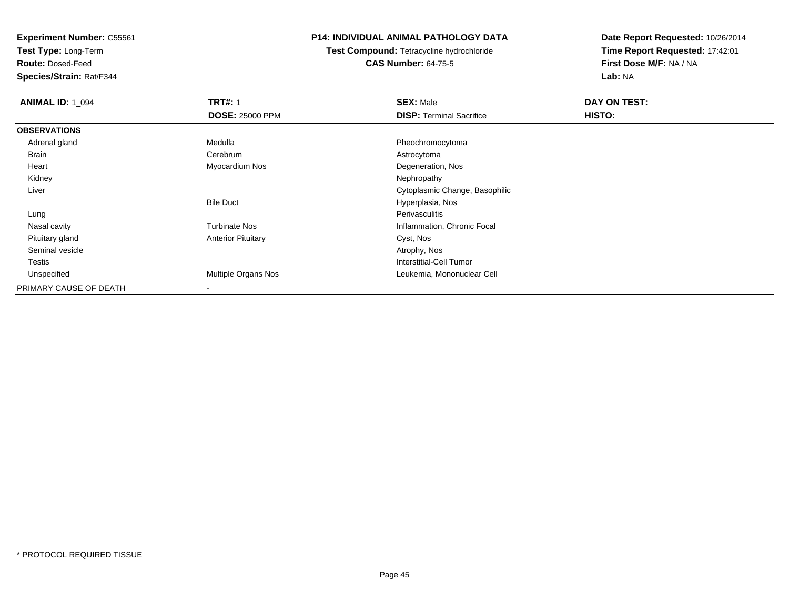**Test Type:** Long-Term

**Route:** Dosed-Feed

**Species/Strain:** Rat/F344

### **P14: INDIVIDUAL ANIMAL PATHOLOGY DATA**

**Test Compound:** Tetracycline hydrochloride**CAS Number:** 64-75-5

| <b>ANIMAL ID: 1_094</b> | <b>TRT#: 1</b>            | <b>SEX: Male</b>                | DAY ON TEST: |  |
|-------------------------|---------------------------|---------------------------------|--------------|--|
|                         | <b>DOSE: 25000 PPM</b>    | <b>DISP: Terminal Sacrifice</b> | HISTO:       |  |
| <b>OBSERVATIONS</b>     |                           |                                 |              |  |
| Adrenal gland           | Medulla                   | Pheochromocytoma                |              |  |
| Brain                   | Cerebrum                  | Astrocytoma                     |              |  |
| Heart                   | Myocardium Nos            | Degeneration, Nos               |              |  |
| Kidney                  |                           | Nephropathy                     |              |  |
| Liver                   |                           | Cytoplasmic Change, Basophilic  |              |  |
|                         | <b>Bile Duct</b>          | Hyperplasia, Nos                |              |  |
| Lung                    |                           | Perivasculitis                  |              |  |
| Nasal cavity            | <b>Turbinate Nos</b>      | Inflammation, Chronic Focal     |              |  |
| Pituitary gland         | <b>Anterior Pituitary</b> | Cyst, Nos                       |              |  |
| Seminal vesicle         |                           | Atrophy, Nos                    |              |  |
| Testis                  |                           | Interstitial-Cell Tumor         |              |  |
| Unspecified             | Multiple Organs Nos       | Leukemia, Mononuclear Cell      |              |  |
| PRIMARY CAUSE OF DEATH  | $\blacksquare$            |                                 |              |  |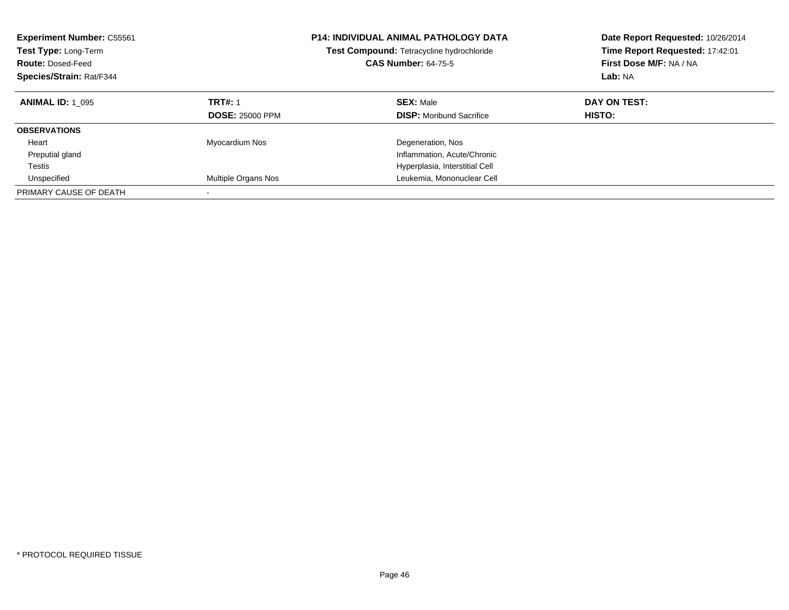| <b>Experiment Number: C55561</b><br>Test Type: Long-Term<br><b>Route: Dosed-Feed</b><br>Species/Strain: Rat/F344 |                        | <b>P14: INDIVIDUAL ANIMAL PATHOLOGY DATA</b><br>Test Compound: Tetracycline hydrochloride<br><b>CAS Number: 64-75-5</b> | Date Report Requested: 10/26/2014<br>Time Report Requested: 17:42:01<br>First Dose M/F: NA / NA<br>Lab: NA |
|------------------------------------------------------------------------------------------------------------------|------------------------|-------------------------------------------------------------------------------------------------------------------------|------------------------------------------------------------------------------------------------------------|
| <b>ANIMAL ID: 1 095</b>                                                                                          | <b>TRT#: 1</b>         | <b>SEX: Male</b>                                                                                                        | DAY ON TEST:                                                                                               |
|                                                                                                                  | <b>DOSE: 25000 PPM</b> | <b>DISP:</b> Moribund Sacrifice                                                                                         | HISTO:                                                                                                     |
| <b>OBSERVATIONS</b>                                                                                              |                        |                                                                                                                         |                                                                                                            |
| Heart                                                                                                            | Myocardium Nos         | Degeneration, Nos                                                                                                       |                                                                                                            |
| Preputial gland                                                                                                  |                        | Inflammation, Acute/Chronic                                                                                             |                                                                                                            |
| Testis                                                                                                           |                        | Hyperplasia, Interstitial Cell                                                                                          |                                                                                                            |
| Unspecified                                                                                                      | Multiple Organs Nos    | Leukemia, Mononuclear Cell                                                                                              |                                                                                                            |
| PRIMARY CAUSE OF DEATH                                                                                           |                        |                                                                                                                         |                                                                                                            |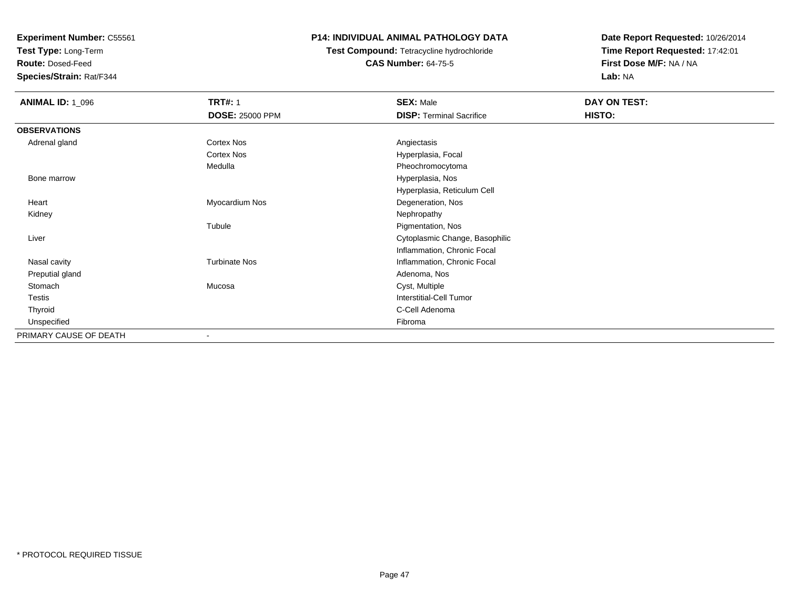**Test Type:** Long-Term

**Route:** Dosed-Feed

**Species/Strain:** Rat/F344

### **P14: INDIVIDUAL ANIMAL PATHOLOGY DATA**

# **Test Compound:** Tetracycline hydrochloride**CAS Number:** 64-75-5

| <b>ANIMAL ID: 1_096</b> | <b>TRT#: 1</b>           | <b>SEX: Male</b>                | <b>DAY ON TEST:</b> |
|-------------------------|--------------------------|---------------------------------|---------------------|
|                         | <b>DOSE: 25000 PPM</b>   | <b>DISP: Terminal Sacrifice</b> | HISTO:              |
| <b>OBSERVATIONS</b>     |                          |                                 |                     |
| Adrenal gland           | Cortex Nos               | Angiectasis                     |                     |
|                         | Cortex Nos               | Hyperplasia, Focal              |                     |
|                         | Medulla                  | Pheochromocytoma                |                     |
| Bone marrow             |                          | Hyperplasia, Nos                |                     |
|                         |                          | Hyperplasia, Reticulum Cell     |                     |
| Heart                   | Myocardium Nos           | Degeneration, Nos               |                     |
| Kidney                  |                          | Nephropathy                     |                     |
|                         | Tubule                   | Pigmentation, Nos               |                     |
| Liver                   |                          | Cytoplasmic Change, Basophilic  |                     |
|                         |                          | Inflammation, Chronic Focal     |                     |
| Nasal cavity            | <b>Turbinate Nos</b>     | Inflammation, Chronic Focal     |                     |
| Preputial gland         |                          | Adenoma, Nos                    |                     |
| Stomach                 | Mucosa                   | Cyst, Multiple                  |                     |
| Testis                  |                          | Interstitial-Cell Tumor         |                     |
| Thyroid                 |                          | C-Cell Adenoma                  |                     |
| Unspecified             |                          | Fibroma                         |                     |
| PRIMARY CAUSE OF DEATH  | $\overline{\phantom{a}}$ |                                 |                     |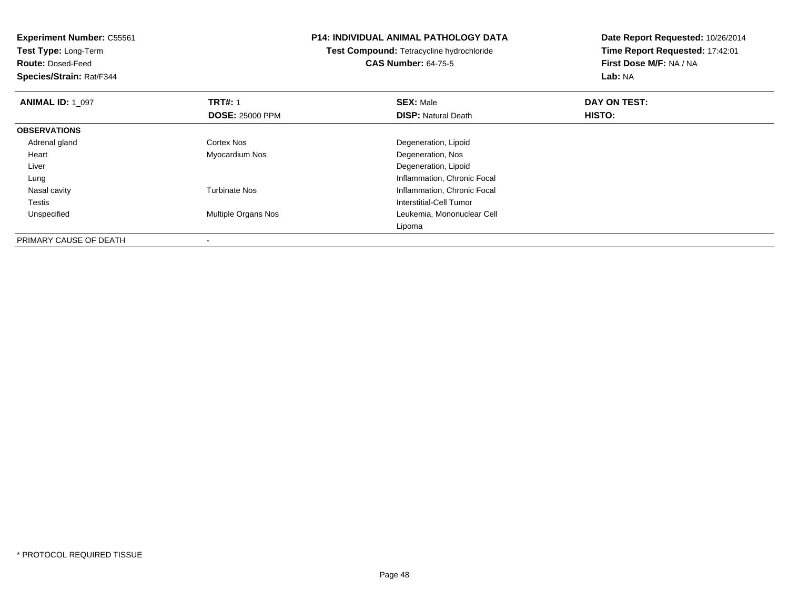**Experiment Number:** C55561**Test Type:** Long-Term**Route:** Dosed-Feed **Species/Strain:** Rat/F344**P14: INDIVIDUAL ANIMAL PATHOLOGY DATATest Compound:** Tetracycline hydrochloride**CAS Number:** 64-75-5**Date Report Requested:** 10/26/2014**Time Report Requested:** 17:42:01**First Dose M/F:** NA / NA**Lab:** NA**ANIMAL ID: 1\_097 TRT#:** <sup>1</sup> **SEX:** Male **DAY ON TEST: DOSE:** 25000 PPM**DISP:** Natural Death **HISTO: OBSERVATIONS** Adrenal glandCortex Nos **Cortex Nos** Degeneration, Lipoid Heart Myocardium Nos Degeneration, Nos Liver Degeneration, Lipoid**Inflammation, Chronic Focal**  Lung Nasal cavityTurbinate Nos **Inflammation**, Chronic Focal TestisInterstitial-Cell Tumor<br>Interstitial-Cell Tumor<br>Leukemia, Mononucle UnspecifiedLeukemia, Mononuclear Cell LipomaPRIMARY CAUSE OF DEATH

-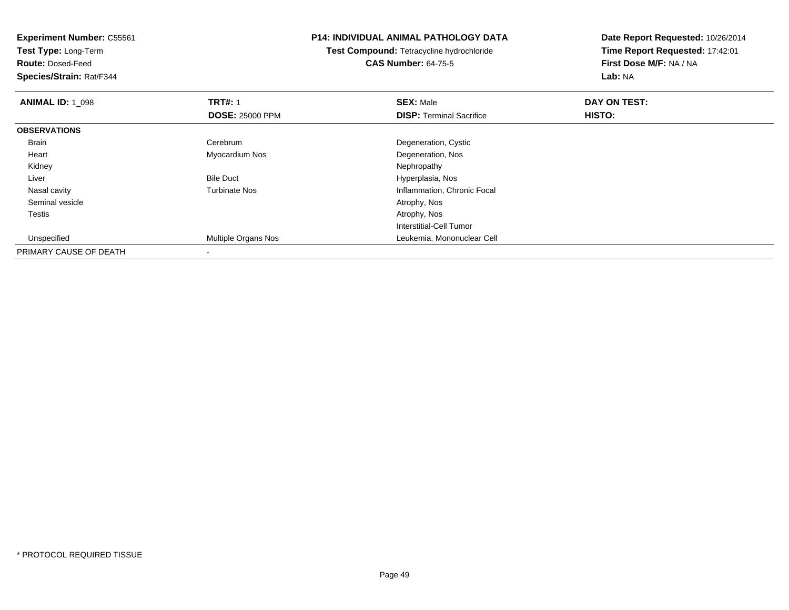**Experiment Number:** C55561**Test Type:** Long-Term**Route:** Dosed-Feed **Species/Strain:** Rat/F344**P14: INDIVIDUAL ANIMAL PATHOLOGY DATATest Compound:** Tetracycline hydrochloride**CAS Number:** 64-75-5**Date Report Requested:** 10/26/2014**Time Report Requested:** 17:42:01**First Dose M/F:** NA / NA**Lab:** NA**ANIMAL ID: 1\_098 REX:** Male **DAY ON TEST: TRT#:** 1 **SEX:** Male **SEX:** Male **DOSE:** 25000 PPM**DISP:** Terminal Sacrifice **HISTO: OBSERVATIONS** Brain Cerebrum Degeneration, Cystic Heart Myocardium NosDegeneration, Nos<br>Nephropathy Kidneyy the control of the control of the control of the control of the control of the control of the control of the control of the control of the control of the control of the control of the control of the control of the contro LiverBile Duct **Hyperplasia**, Nos y metal of the Turbinate Nos and the Turbinate Nos and the Inflammation, Chronic Focal Nasal cavity Seminal vesicle Atrophy, Nos Testiss and the contract of the contract of the contract of the contract of the contract of the contract of the contract of the contract of the contract of the contract of the contract of the contract of the contract of the cont Interstitial-Cell Tumor Unspecified Multiple Organs Nos Leukemia, Mononuclear Cell PRIMARY CAUSE OF DEATH-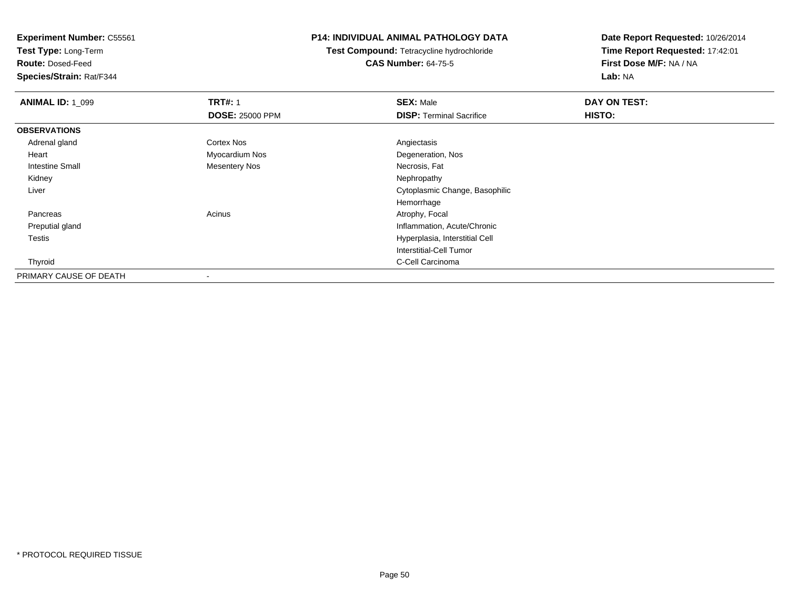**Test Type:** Long-Term

**Route:** Dosed-Feed

**Species/Strain:** Rat/F344

### **P14: INDIVIDUAL ANIMAL PATHOLOGY DATA**

**Test Compound:** Tetracycline hydrochloride**CAS Number:** 64-75-5

| <b>ANIMAL ID: 1 099</b> | <b>TRT#: 1</b>           | <b>SEX: Male</b>                | DAY ON TEST: |  |
|-------------------------|--------------------------|---------------------------------|--------------|--|
|                         | <b>DOSE: 25000 PPM</b>   | <b>DISP: Terminal Sacrifice</b> | HISTO:       |  |
| <b>OBSERVATIONS</b>     |                          |                                 |              |  |
| Adrenal gland           | Cortex Nos               | Angiectasis                     |              |  |
| Heart                   | Myocardium Nos           | Degeneration, Nos               |              |  |
| <b>Intestine Small</b>  | <b>Mesentery Nos</b>     | Necrosis, Fat                   |              |  |
| Kidney                  |                          | Nephropathy                     |              |  |
| Liver                   |                          | Cytoplasmic Change, Basophilic  |              |  |
|                         |                          | Hemorrhage                      |              |  |
| Pancreas                | Acinus                   | Atrophy, Focal                  |              |  |
| Preputial gland         |                          | Inflammation, Acute/Chronic     |              |  |
| <b>Testis</b>           |                          | Hyperplasia, Interstitial Cell  |              |  |
|                         |                          | Interstitial-Cell Tumor         |              |  |
| Thyroid                 |                          | C-Cell Carcinoma                |              |  |
| PRIMARY CAUSE OF DEATH  | $\overline{\phantom{a}}$ |                                 |              |  |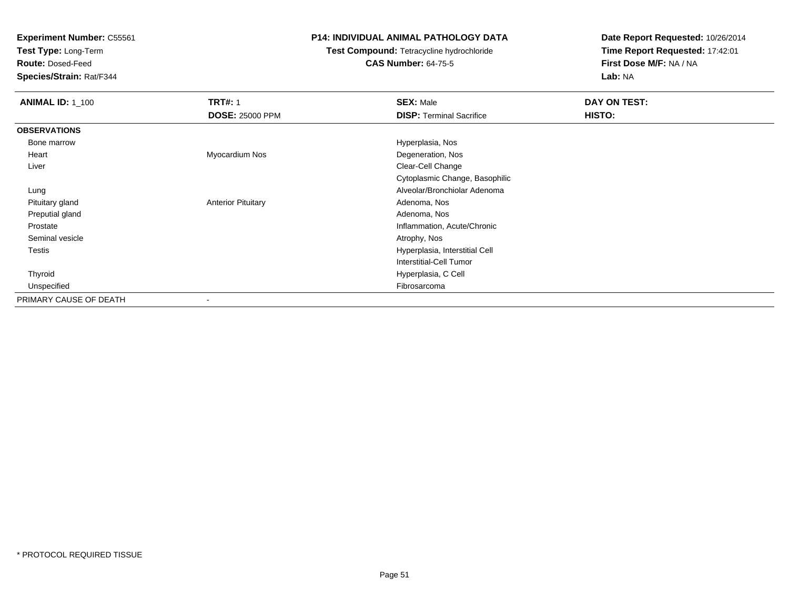**Test Type:** Long-Term

**Route:** Dosed-Feed

**Species/Strain:** Rat/F344

### **P14: INDIVIDUAL ANIMAL PATHOLOGY DATA**

# **Test Compound:** Tetracycline hydrochloride**CAS Number:** 64-75-5

| <b>ANIMAL ID: 1_100</b> | <b>TRT#: 1</b>            | <b>SEX: Male</b>                | DAY ON TEST: |
|-------------------------|---------------------------|---------------------------------|--------------|
|                         | <b>DOSE: 25000 PPM</b>    | <b>DISP: Terminal Sacrifice</b> | HISTO:       |
| <b>OBSERVATIONS</b>     |                           |                                 |              |
| Bone marrow             |                           | Hyperplasia, Nos                |              |
| Heart                   | Myocardium Nos            | Degeneration, Nos               |              |
| Liver                   |                           | Clear-Cell Change               |              |
|                         |                           | Cytoplasmic Change, Basophilic  |              |
| Lung                    |                           | Alveolar/Bronchiolar Adenoma    |              |
| Pituitary gland         | <b>Anterior Pituitary</b> | Adenoma, Nos                    |              |
| Preputial gland         |                           | Adenoma, Nos                    |              |
| Prostate                |                           | Inflammation, Acute/Chronic     |              |
| Seminal vesicle         |                           | Atrophy, Nos                    |              |
| Testis                  |                           | Hyperplasia, Interstitial Cell  |              |
|                         |                           | Interstitial-Cell Tumor         |              |
| Thyroid                 |                           | Hyperplasia, C Cell             |              |
| Unspecified             |                           | Fibrosarcoma                    |              |
| PRIMARY CAUSE OF DEATH  |                           |                                 |              |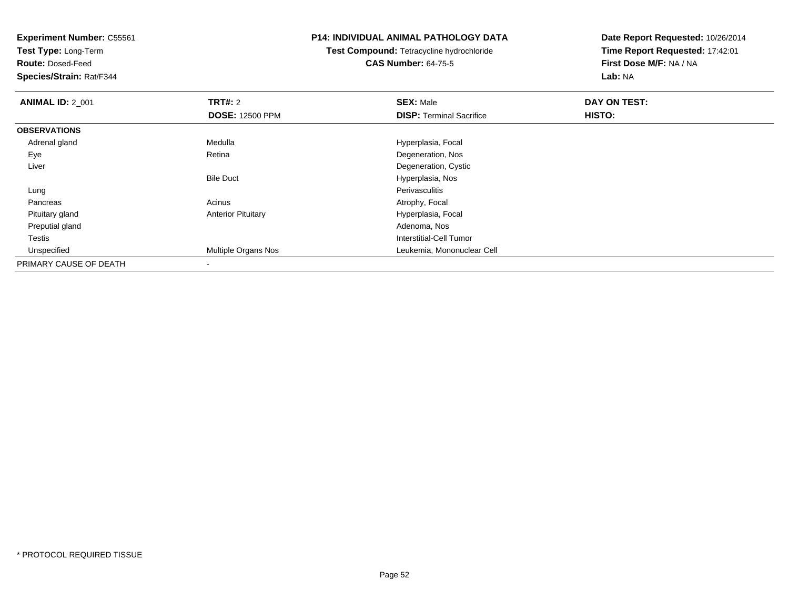**Test Type:** Long-Term

**Route:** Dosed-Feed

**Species/Strain:** Rat/F344

### **P14: INDIVIDUAL ANIMAL PATHOLOGY DATA**

# **Test Compound:** Tetracycline hydrochloride**CAS Number:** 64-75-5

| <b>ANIMAL ID: 2 001</b> | TRT#: 2                   | <b>SEX: Male</b>                | DAY ON TEST: |  |
|-------------------------|---------------------------|---------------------------------|--------------|--|
|                         | <b>DOSE: 12500 PPM</b>    | <b>DISP: Terminal Sacrifice</b> | HISTO:       |  |
| <b>OBSERVATIONS</b>     |                           |                                 |              |  |
| Adrenal gland           | Medulla                   | Hyperplasia, Focal              |              |  |
| Eye                     | Retina                    | Degeneration, Nos               |              |  |
| Liver                   |                           | Degeneration, Cystic            |              |  |
|                         | <b>Bile Duct</b>          | Hyperplasia, Nos                |              |  |
| Lung                    |                           | Perivasculitis                  |              |  |
| Pancreas                | Acinus                    | Atrophy, Focal                  |              |  |
| Pituitary gland         | <b>Anterior Pituitary</b> | Hyperplasia, Focal              |              |  |
| Preputial gland         |                           | Adenoma, Nos                    |              |  |
| Testis                  |                           | Interstitial-Cell Tumor         |              |  |
| Unspecified             | Multiple Organs Nos       | Leukemia, Mononuclear Cell      |              |  |
| PRIMARY CAUSE OF DEATH  | $\,$                      |                                 |              |  |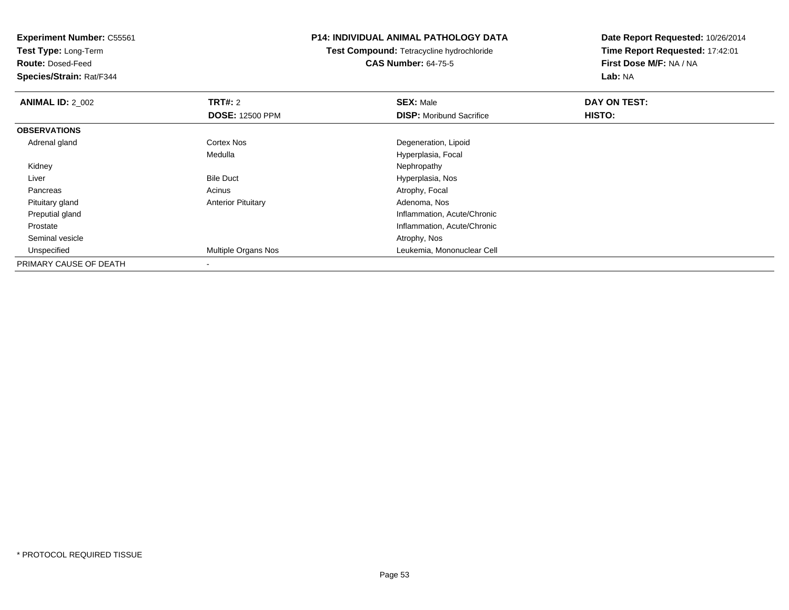**Test Type:** Long-Term

**Route:** Dosed-Feed

**Species/Strain:** Rat/F344

### **P14: INDIVIDUAL ANIMAL PATHOLOGY DATA**

**Test Compound:** Tetracycline hydrochloride**CAS Number:** 64-75-5

| <b>ANIMAL ID: 2_002</b> | <b>TRT#: 2</b>             | <b>SEX: Male</b>                | DAY ON TEST: |  |
|-------------------------|----------------------------|---------------------------------|--------------|--|
|                         | <b>DOSE: 12500 PPM</b>     | <b>DISP:</b> Moribund Sacrifice | HISTO:       |  |
| <b>OBSERVATIONS</b>     |                            |                                 |              |  |
| Adrenal gland           | <b>Cortex Nos</b>          | Degeneration, Lipoid            |              |  |
|                         | Medulla                    | Hyperplasia, Focal              |              |  |
| Kidney                  |                            | Nephropathy                     |              |  |
| Liver                   | <b>Bile Duct</b>           | Hyperplasia, Nos                |              |  |
| Pancreas                | Acinus                     | Atrophy, Focal                  |              |  |
| Pituitary gland         | <b>Anterior Pituitary</b>  | Adenoma, Nos                    |              |  |
| Preputial gland         |                            | Inflammation, Acute/Chronic     |              |  |
| Prostate                |                            | Inflammation, Acute/Chronic     |              |  |
| Seminal vesicle         |                            | Atrophy, Nos                    |              |  |
| Unspecified             | <b>Multiple Organs Nos</b> | Leukemia, Mononuclear Cell      |              |  |
| PRIMARY CAUSE OF DEATH  |                            |                                 |              |  |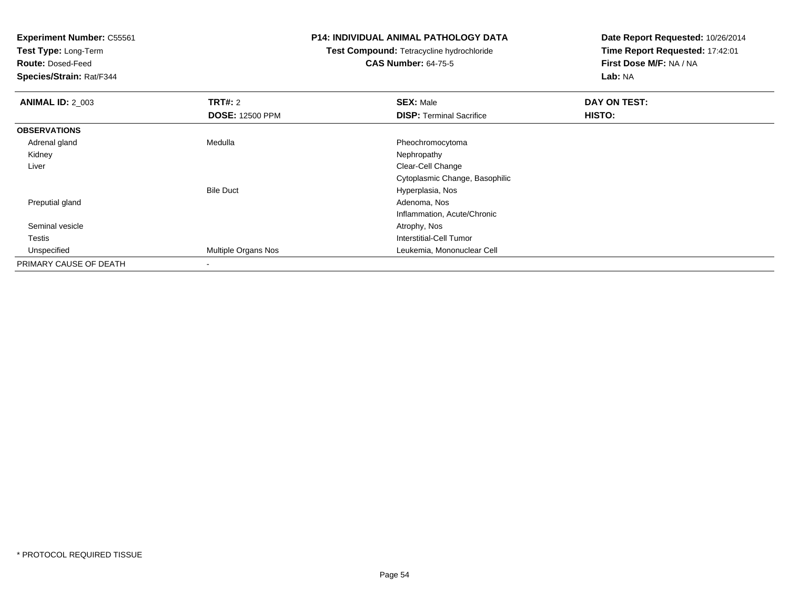**Test Type:** Long-Term

**Route:** Dosed-Feed

**Species/Strain:** Rat/F344

### **P14: INDIVIDUAL ANIMAL PATHOLOGY DATA**

# **Test Compound:** Tetracycline hydrochloride**CAS Number:** 64-75-5

| <b>ANIMAL ID: 2 003</b> | TRT#: 2                | <b>SEX: Male</b>                | DAY ON TEST: |  |
|-------------------------|------------------------|---------------------------------|--------------|--|
|                         | <b>DOSE: 12500 PPM</b> | <b>DISP: Terminal Sacrifice</b> | HISTO:       |  |
| <b>OBSERVATIONS</b>     |                        |                                 |              |  |
| Adrenal gland           | Medulla                | Pheochromocytoma                |              |  |
| Kidney                  |                        | Nephropathy                     |              |  |
| Liver                   |                        | Clear-Cell Change               |              |  |
|                         |                        | Cytoplasmic Change, Basophilic  |              |  |
|                         | <b>Bile Duct</b>       | Hyperplasia, Nos                |              |  |
| Preputial gland         |                        | Adenoma, Nos                    |              |  |
|                         |                        | Inflammation, Acute/Chronic     |              |  |
| Seminal vesicle         |                        | Atrophy, Nos                    |              |  |
| Testis                  |                        | Interstitial-Cell Tumor         |              |  |
| Unspecified             | Multiple Organs Nos    | Leukemia, Mononuclear Cell      |              |  |
| PRIMARY CAUSE OF DEATH  | $\,$                   |                                 |              |  |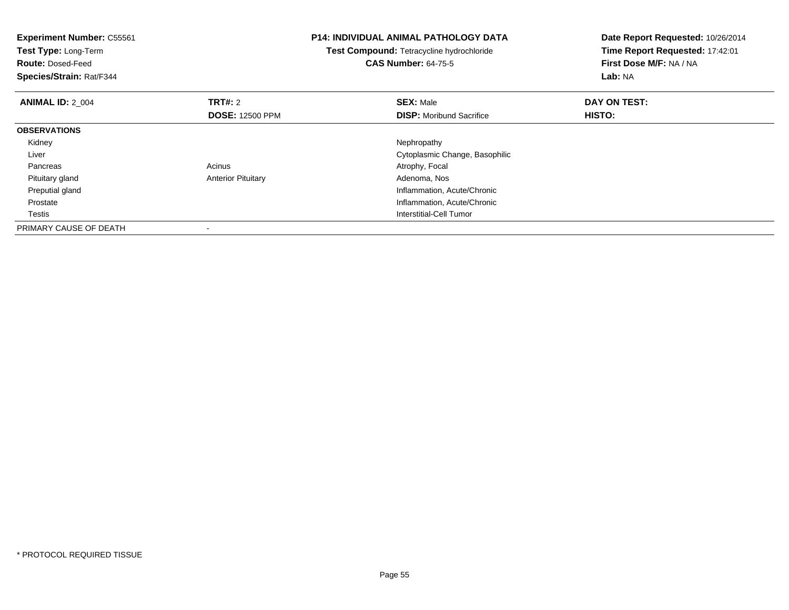| <b>Experiment Number: C55561</b><br><b>Test Type: Long-Term</b><br><b>Route: Dosed-Feed</b><br>Species/Strain: Rat/F344 |                                          | <b>P14: INDIVIDUAL ANIMAL PATHOLOGY DATA</b><br>Test Compound: Tetracycline hydrochloride<br><b>CAS Number: 64-75-5</b> | Date Report Requested: 10/26/2014<br>Time Report Requested: 17:42:01<br>First Dose M/F: NA / NA<br>Lab: NA |
|-------------------------------------------------------------------------------------------------------------------------|------------------------------------------|-------------------------------------------------------------------------------------------------------------------------|------------------------------------------------------------------------------------------------------------|
| <b>ANIMAL ID: 2 004</b>                                                                                                 | <b>TRT#: 2</b><br><b>DOSE: 12500 PPM</b> | <b>SEX: Male</b><br><b>DISP:</b> Moribund Sacrifice                                                                     | DAY ON TEST:<br>HISTO:                                                                                     |
| <b>OBSERVATIONS</b>                                                                                                     |                                          |                                                                                                                         |                                                                                                            |
| Kidney                                                                                                                  |                                          | Nephropathy                                                                                                             |                                                                                                            |
| Liver                                                                                                                   |                                          | Cytoplasmic Change, Basophilic                                                                                          |                                                                                                            |
| Pancreas                                                                                                                | Acinus                                   | Atrophy, Focal                                                                                                          |                                                                                                            |
| Pituitary gland                                                                                                         | <b>Anterior Pituitary</b>                | Adenoma, Nos                                                                                                            |                                                                                                            |
| Preputial gland                                                                                                         |                                          | Inflammation, Acute/Chronic                                                                                             |                                                                                                            |
| Prostate                                                                                                                |                                          | Inflammation, Acute/Chronic                                                                                             |                                                                                                            |
| Testis                                                                                                                  |                                          | <b>Interstitial-Cell Tumor</b>                                                                                          |                                                                                                            |
| PRIMARY CAUSE OF DEATH                                                                                                  |                                          |                                                                                                                         |                                                                                                            |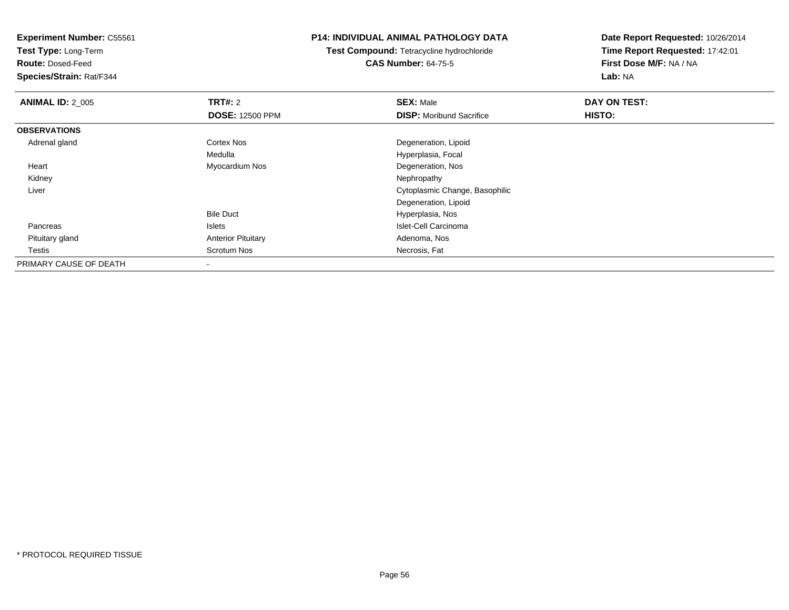**Test Type:** Long-Term

**Route:** Dosed-Feed

**Species/Strain:** Rat/F344

### **P14: INDIVIDUAL ANIMAL PATHOLOGY DATA**

**Test Compound:** Tetracycline hydrochloride**CAS Number:** 64-75-5

| <b>ANIMAL ID: 2_005</b> | <b>TRT#: 2</b>            | <b>SEX: Male</b>                | DAY ON TEST: |  |
|-------------------------|---------------------------|---------------------------------|--------------|--|
|                         | <b>DOSE: 12500 PPM</b>    | <b>DISP:</b> Moribund Sacrifice | HISTO:       |  |
| <b>OBSERVATIONS</b>     |                           |                                 |              |  |
| Adrenal gland           | <b>Cortex Nos</b>         | Degeneration, Lipoid            |              |  |
|                         | Medulla                   | Hyperplasia, Focal              |              |  |
| Heart                   | Myocardium Nos            | Degeneration, Nos               |              |  |
| Kidney                  |                           | Nephropathy                     |              |  |
| Liver                   |                           | Cytoplasmic Change, Basophilic  |              |  |
|                         |                           | Degeneration, Lipoid            |              |  |
|                         | <b>Bile Duct</b>          | Hyperplasia, Nos                |              |  |
| Pancreas                | Islets                    | Islet-Cell Carcinoma            |              |  |
| Pituitary gland         | <b>Anterior Pituitary</b> | Adenoma, Nos                    |              |  |
| Testis                  | Scrotum Nos               | Necrosis, Fat                   |              |  |
| PRIMARY CAUSE OF DEATH  | $\,$ $\,$                 |                                 |              |  |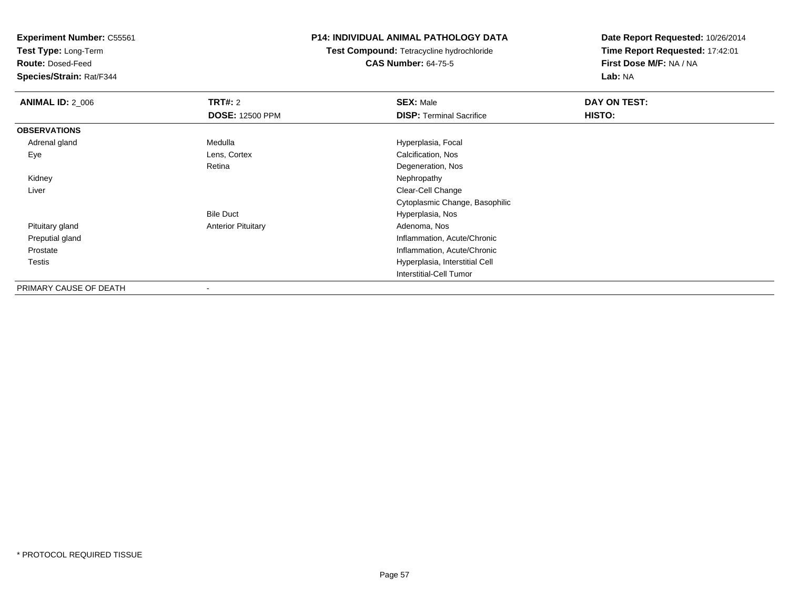**Test Type:** Long-Term

**Route:** Dosed-Feed

**Species/Strain:** Rat/F344

### **P14: INDIVIDUAL ANIMAL PATHOLOGY DATA**

**Test Compound:** Tetracycline hydrochloride**CAS Number:** 64-75-5

| <b>ANIMAL ID: 2_006</b> | TRT#: 2                   | <b>SEX: Male</b>                | DAY ON TEST: |  |
|-------------------------|---------------------------|---------------------------------|--------------|--|
|                         | <b>DOSE: 12500 PPM</b>    | <b>DISP: Terminal Sacrifice</b> | HISTO:       |  |
| <b>OBSERVATIONS</b>     |                           |                                 |              |  |
| Adrenal gland           | Medulla                   | Hyperplasia, Focal              |              |  |
| Eye                     | Lens, Cortex              | Calcification, Nos              |              |  |
|                         | Retina                    | Degeneration, Nos               |              |  |
| Kidney                  |                           | Nephropathy                     |              |  |
| Liver                   |                           | Clear-Cell Change               |              |  |
|                         |                           | Cytoplasmic Change, Basophilic  |              |  |
|                         | <b>Bile Duct</b>          | Hyperplasia, Nos                |              |  |
| Pituitary gland         | <b>Anterior Pituitary</b> | Adenoma, Nos                    |              |  |
| Preputial gland         |                           | Inflammation, Acute/Chronic     |              |  |
| Prostate                |                           | Inflammation, Acute/Chronic     |              |  |
| <b>Testis</b>           |                           | Hyperplasia, Interstitial Cell  |              |  |
|                         |                           | Interstitial-Cell Tumor         |              |  |
| PRIMARY CAUSE OF DEATH  | $\,$                      |                                 |              |  |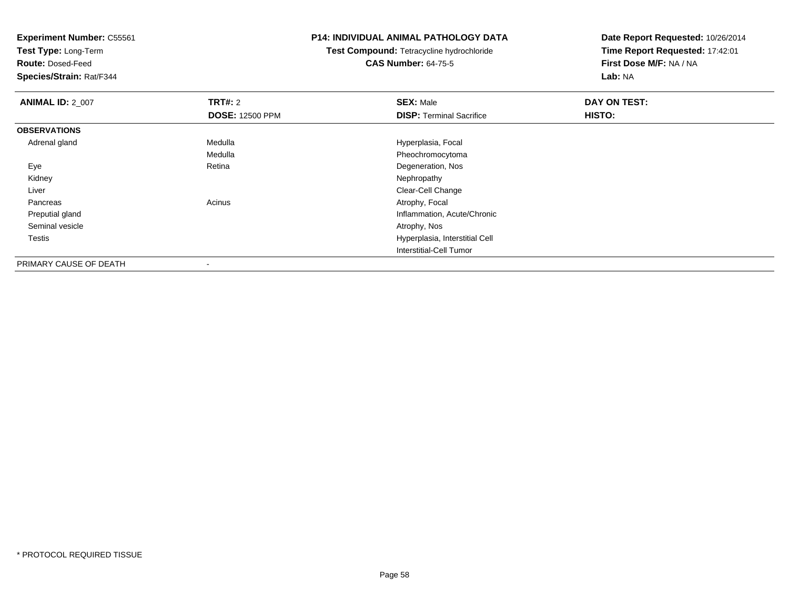**Test Type:** Long-Term

**Route:** Dosed-Feed

**Species/Strain:** Rat/F344

### **P14: INDIVIDUAL ANIMAL PATHOLOGY DATA**

**Test Compound:** Tetracycline hydrochloride**CAS Number:** 64-75-5

| <b>ANIMAL ID: 2 007</b> | TRT#: 2                | <b>SEX: Male</b>                | DAY ON TEST: |  |
|-------------------------|------------------------|---------------------------------|--------------|--|
|                         | <b>DOSE: 12500 PPM</b> | <b>DISP: Terminal Sacrifice</b> | HISTO:       |  |
| <b>OBSERVATIONS</b>     |                        |                                 |              |  |
| Adrenal gland           | Medulla                | Hyperplasia, Focal              |              |  |
|                         | Medulla                | Pheochromocytoma                |              |  |
| Eye                     | Retina                 | Degeneration, Nos               |              |  |
| Kidney                  |                        | Nephropathy                     |              |  |
| Liver                   |                        | Clear-Cell Change               |              |  |
| Pancreas                | Acinus                 | Atrophy, Focal                  |              |  |
| Preputial gland         |                        | Inflammation, Acute/Chronic     |              |  |
| Seminal vesicle         |                        | Atrophy, Nos                    |              |  |
| Testis                  |                        | Hyperplasia, Interstitial Cell  |              |  |
|                         |                        | Interstitial-Cell Tumor         |              |  |
| PRIMARY CAUSE OF DEATH  | -                      |                                 |              |  |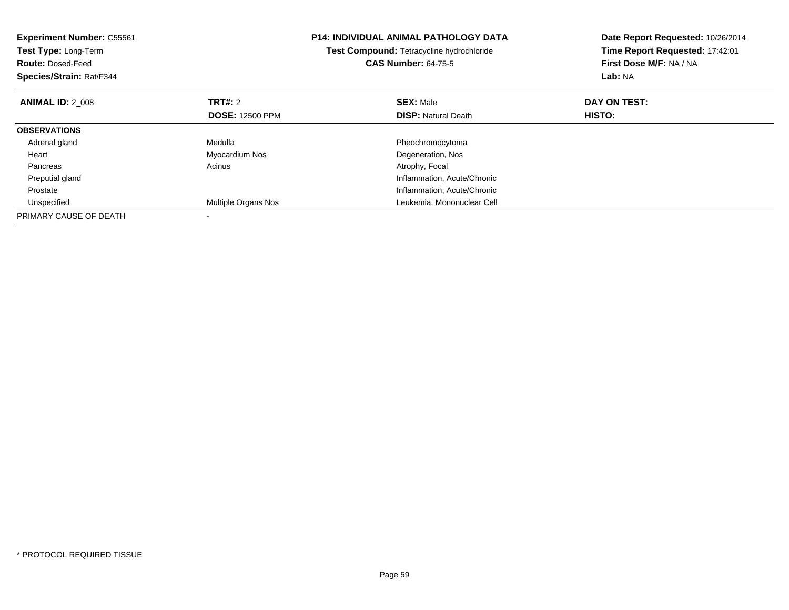| <b>Experiment Number: C55561</b><br>Test Type: Long-Term<br><b>Route: Dosed-Feed</b><br>Species/Strain: Rat/F344 |                        | <b>P14: INDIVIDUAL ANIMAL PATHOLOGY DATA</b><br>Test Compound: Tetracycline hydrochloride<br><b>CAS Number: 64-75-5</b> | Date Report Requested: 10/26/2014<br>Time Report Requested: 17:42:01<br>First Dose M/F: NA / NA<br>Lab: NA |
|------------------------------------------------------------------------------------------------------------------|------------------------|-------------------------------------------------------------------------------------------------------------------------|------------------------------------------------------------------------------------------------------------|
| <b>ANIMAL ID: 2 008</b>                                                                                          | <b>TRT#: 2</b>         | <b>SEX: Male</b>                                                                                                        | DAY ON TEST:                                                                                               |
|                                                                                                                  | <b>DOSE: 12500 PPM</b> | <b>DISP:</b> Natural Death                                                                                              | HISTO:                                                                                                     |
| <b>OBSERVATIONS</b>                                                                                              |                        |                                                                                                                         |                                                                                                            |
| Adrenal gland                                                                                                    | Medulla                | Pheochromocytoma                                                                                                        |                                                                                                            |
| Heart                                                                                                            | Myocardium Nos         | Degeneration, Nos                                                                                                       |                                                                                                            |
| Pancreas                                                                                                         | Acinus                 | Atrophy, Focal                                                                                                          |                                                                                                            |
| Preputial gland                                                                                                  |                        | Inflammation, Acute/Chronic                                                                                             |                                                                                                            |
| Prostate                                                                                                         |                        | Inflammation, Acute/Chronic                                                                                             |                                                                                                            |
| Unspecified                                                                                                      | Multiple Organs Nos    | Leukemia, Mononuclear Cell                                                                                              |                                                                                                            |
| PRIMARY CAUSE OF DEATH                                                                                           |                        |                                                                                                                         |                                                                                                            |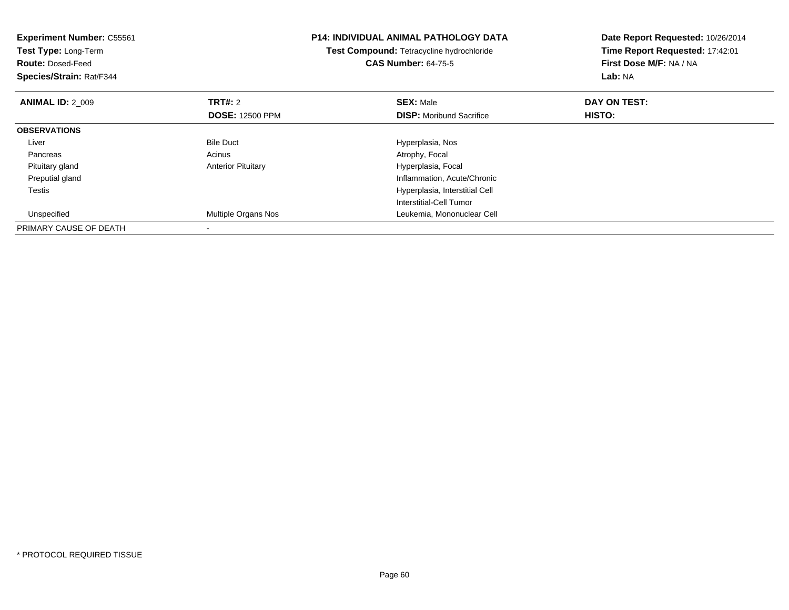| <b>Experiment Number: C55561</b><br>Test Type: Long-Term<br><b>Route: Dosed-Feed</b><br>Species/Strain: Rat/F344 |                                   | <b>P14: INDIVIDUAL ANIMAL PATHOLOGY DATA</b><br>Test Compound: Tetracycline hydrochloride<br><b>CAS Number: 64-75-5</b> | Date Report Requested: 10/26/2014<br>Time Report Requested: 17:42:01<br>First Dose M/F: NA / NA<br>Lab: NA |
|------------------------------------------------------------------------------------------------------------------|-----------------------------------|-------------------------------------------------------------------------------------------------------------------------|------------------------------------------------------------------------------------------------------------|
| <b>ANIMAL ID: 2 009</b>                                                                                          | TRT#: 2<br><b>DOSE: 12500 PPM</b> | <b>SEX: Male</b><br><b>DISP:</b> Moribund Sacrifice                                                                     | DAY ON TEST:<br><b>HISTO:</b>                                                                              |
| <b>OBSERVATIONS</b>                                                                                              |                                   |                                                                                                                         |                                                                                                            |
| Liver                                                                                                            | <b>Bile Duct</b>                  | Hyperplasia, Nos                                                                                                        |                                                                                                            |
| Pancreas                                                                                                         | Acinus                            | Atrophy, Focal                                                                                                          |                                                                                                            |
| Pituitary gland                                                                                                  | <b>Anterior Pituitary</b>         | Hyperplasia, Focal                                                                                                      |                                                                                                            |
| Preputial gland                                                                                                  |                                   | Inflammation, Acute/Chronic                                                                                             |                                                                                                            |
| Testis                                                                                                           |                                   | Hyperplasia, Interstitial Cell                                                                                          |                                                                                                            |
|                                                                                                                  |                                   | Interstitial-Cell Tumor                                                                                                 |                                                                                                            |
| Unspecified                                                                                                      | <b>Multiple Organs Nos</b>        | Leukemia, Mononuclear Cell                                                                                              |                                                                                                            |
| PRIMARY CAUSE OF DEATH                                                                                           |                                   |                                                                                                                         |                                                                                                            |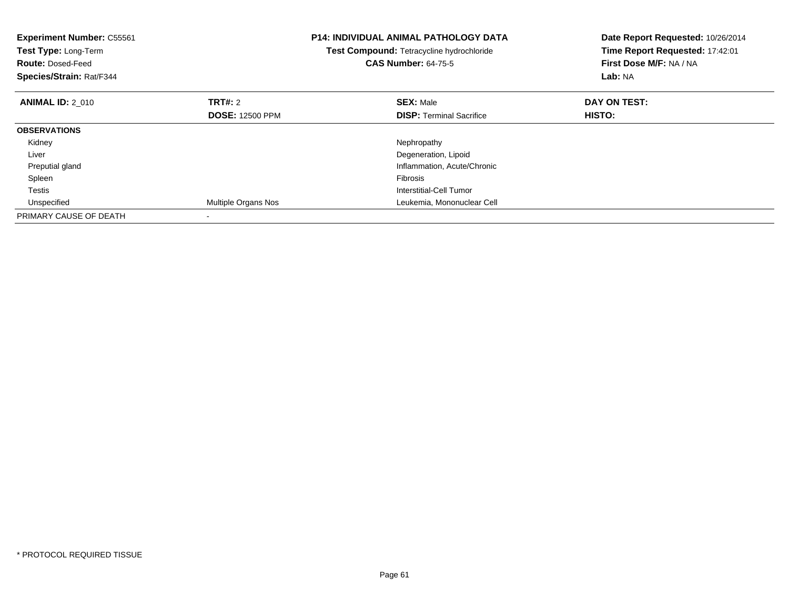| <b>Experiment Number: C55561</b><br>Test Type: Long-Term<br><b>Route: Dosed-Feed</b><br>Species/Strain: Rat/F344 |                        | <b>P14: INDIVIDUAL ANIMAL PATHOLOGY DATA</b><br>Test Compound: Tetracycline hydrochloride<br><b>CAS Number: 64-75-5</b> | Date Report Requested: 10/26/2014<br>Time Report Requested: 17:42:01<br>First Dose M/F: NA / NA<br>Lab: NA |
|------------------------------------------------------------------------------------------------------------------|------------------------|-------------------------------------------------------------------------------------------------------------------------|------------------------------------------------------------------------------------------------------------|
| <b>ANIMAL ID: 2 010</b>                                                                                          | <b>TRT#: 2</b>         | <b>SEX: Male</b>                                                                                                        | DAY ON TEST:                                                                                               |
|                                                                                                                  | <b>DOSE: 12500 PPM</b> | <b>DISP:</b> Terminal Sacrifice                                                                                         | HISTO:                                                                                                     |
| <b>OBSERVATIONS</b>                                                                                              |                        |                                                                                                                         |                                                                                                            |
| Kidney                                                                                                           |                        | Nephropathy                                                                                                             |                                                                                                            |
| Liver                                                                                                            |                        | Degeneration, Lipoid                                                                                                    |                                                                                                            |
| Preputial gland                                                                                                  |                        | Inflammation, Acute/Chronic                                                                                             |                                                                                                            |
| Spleen                                                                                                           |                        | <b>Fibrosis</b>                                                                                                         |                                                                                                            |
| Testis                                                                                                           |                        | Interstitial-Cell Tumor                                                                                                 |                                                                                                            |
| Unspecified                                                                                                      | Multiple Organs Nos    | Leukemia, Mononuclear Cell                                                                                              |                                                                                                            |
| PRIMARY CAUSE OF DEATH                                                                                           |                        |                                                                                                                         |                                                                                                            |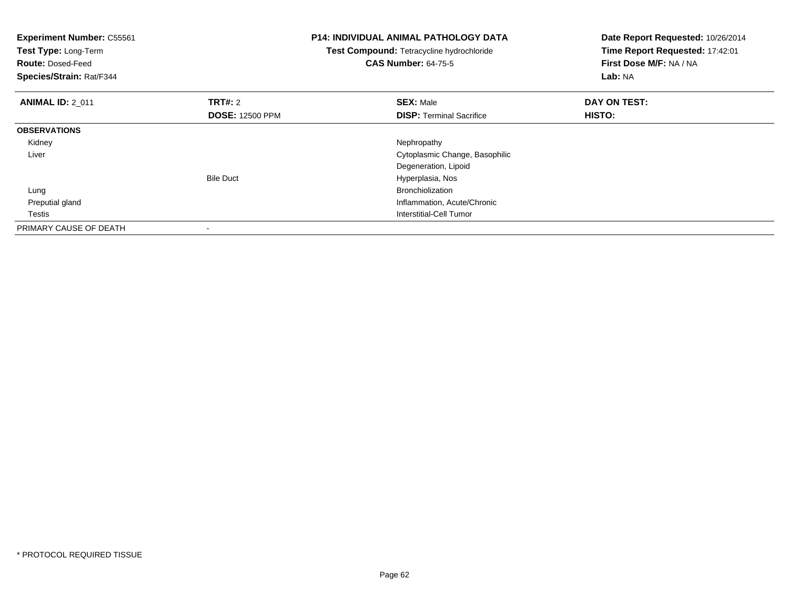| <b>Experiment Number: C55561</b><br>Test Type: Long-Term<br><b>Route: Dosed-Feed</b><br>Species/Strain: Rat/F344 |                          | <b>P14: INDIVIDUAL ANIMAL PATHOLOGY DATA</b><br>Test Compound: Tetracycline hydrochloride<br><b>CAS Number: 64-75-5</b> | Date Report Requested: 10/26/2014<br>Time Report Requested: 17:42:01<br>First Dose M/F: NA / NA<br>Lab: NA |
|------------------------------------------------------------------------------------------------------------------|--------------------------|-------------------------------------------------------------------------------------------------------------------------|------------------------------------------------------------------------------------------------------------|
| <b>ANIMAL ID: 2 011</b>                                                                                          | <b>TRT#: 2</b>           | <b>SEX: Male</b>                                                                                                        | DAY ON TEST:                                                                                               |
|                                                                                                                  | <b>DOSE: 12500 PPM</b>   | <b>DISP:</b> Terminal Sacrifice                                                                                         | <b>HISTO:</b>                                                                                              |
| <b>OBSERVATIONS</b>                                                                                              |                          |                                                                                                                         |                                                                                                            |
| Kidney                                                                                                           |                          | Nephropathy                                                                                                             |                                                                                                            |
| Liver                                                                                                            |                          | Cytoplasmic Change, Basophilic                                                                                          |                                                                                                            |
|                                                                                                                  |                          | Degeneration, Lipoid                                                                                                    |                                                                                                            |
|                                                                                                                  | <b>Bile Duct</b>         | Hyperplasia, Nos                                                                                                        |                                                                                                            |
| Lung                                                                                                             |                          | <b>Bronchiolization</b>                                                                                                 |                                                                                                            |
| Preputial gland                                                                                                  |                          | Inflammation, Acute/Chronic                                                                                             |                                                                                                            |
| Testis                                                                                                           |                          | Interstitial-Cell Tumor                                                                                                 |                                                                                                            |
| PRIMARY CAUSE OF DEATH                                                                                           | $\overline{\phantom{a}}$ |                                                                                                                         |                                                                                                            |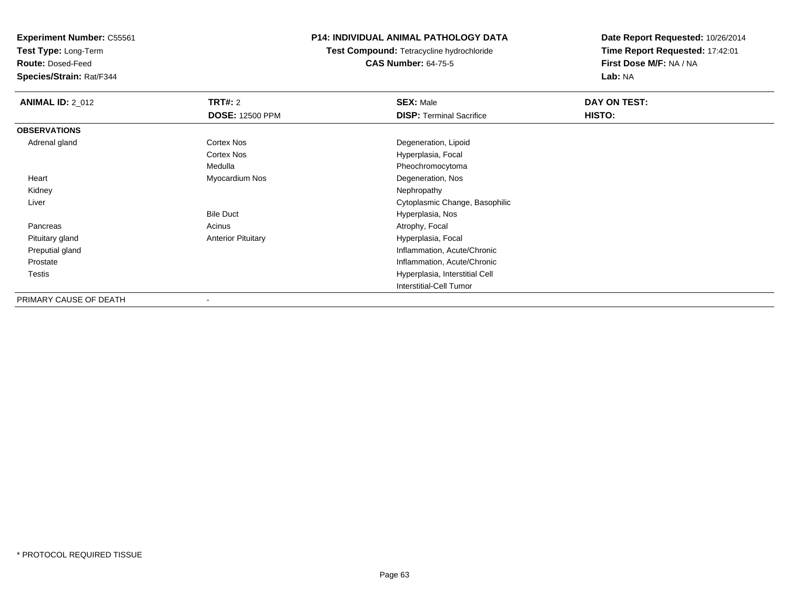**Test Type:** Long-Term

**Route:** Dosed-Feed

**Species/Strain:** Rat/F344

### **P14: INDIVIDUAL ANIMAL PATHOLOGY DATA**

**Test Compound:** Tetracycline hydrochloride**CAS Number:** 64-75-5

| <b>ANIMAL ID: 2_012</b> | <b>TRT#: 2</b>            | <b>SEX: Male</b>                | DAY ON TEST: |  |
|-------------------------|---------------------------|---------------------------------|--------------|--|
|                         | <b>DOSE: 12500 PPM</b>    | <b>DISP: Terminal Sacrifice</b> | HISTO:       |  |
| <b>OBSERVATIONS</b>     |                           |                                 |              |  |
| Adrenal gland           | Cortex Nos                | Degeneration, Lipoid            |              |  |
|                         | Cortex Nos                | Hyperplasia, Focal              |              |  |
|                         | Medulla                   | Pheochromocytoma                |              |  |
| Heart                   | Myocardium Nos            | Degeneration, Nos               |              |  |
| Kidney                  |                           | Nephropathy                     |              |  |
| Liver                   |                           | Cytoplasmic Change, Basophilic  |              |  |
|                         | <b>Bile Duct</b>          | Hyperplasia, Nos                |              |  |
| Pancreas                | Acinus                    | Atrophy, Focal                  |              |  |
| Pituitary gland         | <b>Anterior Pituitary</b> | Hyperplasia, Focal              |              |  |
| Preputial gland         |                           | Inflammation, Acute/Chronic     |              |  |
| Prostate                |                           | Inflammation, Acute/Chronic     |              |  |
| <b>Testis</b>           |                           | Hyperplasia, Interstitial Cell  |              |  |
|                         |                           | <b>Interstitial-Cell Tumor</b>  |              |  |
| PRIMARY CAUSE OF DEATH  |                           |                                 |              |  |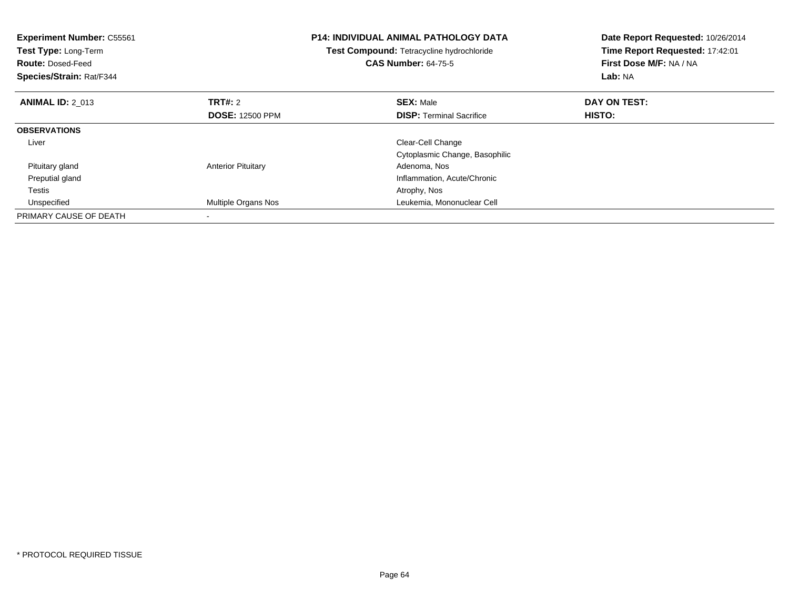| <b>Experiment Number: C55561</b><br>Test Type: Long-Term<br><b>Route: Dosed-Feed</b><br>Species/Strain: Rat/F344 |                           | <b>P14: INDIVIDUAL ANIMAL PATHOLOGY DATA</b><br>Test Compound: Tetracycline hydrochloride<br><b>CAS Number: 64-75-5</b> | Date Report Requested: 10/26/2014<br>Time Report Requested: 17:42:01<br>First Dose M/F: NA / NA<br>Lab: NA |
|------------------------------------------------------------------------------------------------------------------|---------------------------|-------------------------------------------------------------------------------------------------------------------------|------------------------------------------------------------------------------------------------------------|
| <b>ANIMAL ID: 2 013</b>                                                                                          | <b>TRT#: 2</b>            | <b>SEX: Male</b>                                                                                                        | DAY ON TEST:                                                                                               |
|                                                                                                                  | <b>DOSE: 12500 PPM</b>    | <b>DISP:</b> Terminal Sacrifice                                                                                         | <b>HISTO:</b>                                                                                              |
| <b>OBSERVATIONS</b>                                                                                              |                           |                                                                                                                         |                                                                                                            |
| Liver                                                                                                            |                           | Clear-Cell Change                                                                                                       |                                                                                                            |
|                                                                                                                  |                           | Cytoplasmic Change, Basophilic                                                                                          |                                                                                                            |
| Pituitary gland                                                                                                  | <b>Anterior Pituitary</b> | Adenoma, Nos                                                                                                            |                                                                                                            |
| Preputial gland                                                                                                  |                           | Inflammation, Acute/Chronic                                                                                             |                                                                                                            |
| Testis                                                                                                           |                           | Atrophy, Nos                                                                                                            |                                                                                                            |
| Unspecified                                                                                                      | Multiple Organs Nos       | Leukemia, Mononuclear Cell                                                                                              |                                                                                                            |
| PRIMARY CAUSE OF DEATH                                                                                           |                           |                                                                                                                         |                                                                                                            |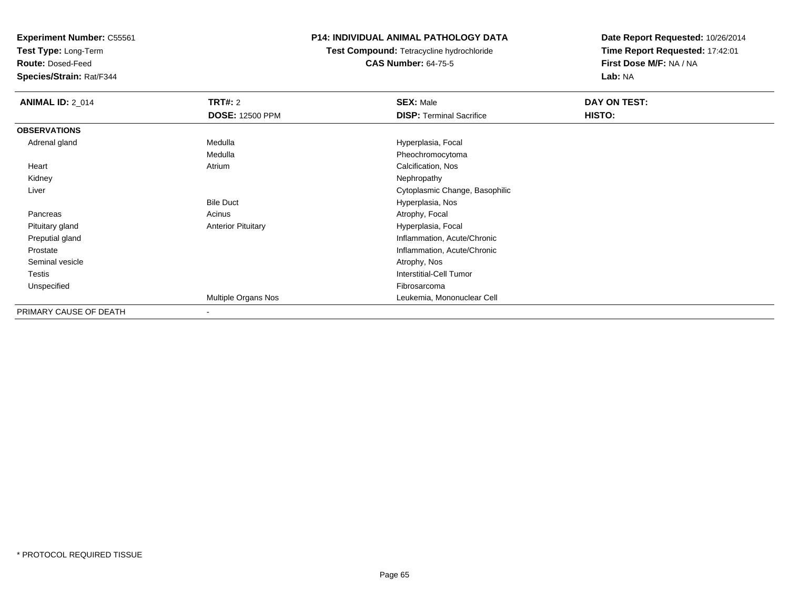**Test Type:** Long-Term

**Route:** Dosed-Feed

**Species/Strain:** Rat/F344

### **P14: INDIVIDUAL ANIMAL PATHOLOGY DATA**

**Test Compound:** Tetracycline hydrochloride**CAS Number:** 64-75-5

| <b>ANIMAL ID: 2_014</b> | <b>TRT#: 2</b>            | <b>SEX: Male</b>                | DAY ON TEST: |  |
|-------------------------|---------------------------|---------------------------------|--------------|--|
|                         | <b>DOSE: 12500 PPM</b>    | <b>DISP:</b> Terminal Sacrifice | HISTO:       |  |
| <b>OBSERVATIONS</b>     |                           |                                 |              |  |
| Adrenal gland           | Medulla                   | Hyperplasia, Focal              |              |  |
|                         | Medulla                   | Pheochromocytoma                |              |  |
| Heart                   | Atrium                    | Calcification, Nos              |              |  |
| Kidney                  |                           | Nephropathy                     |              |  |
| Liver                   |                           | Cytoplasmic Change, Basophilic  |              |  |
|                         | <b>Bile Duct</b>          | Hyperplasia, Nos                |              |  |
| Pancreas                | Acinus                    | Atrophy, Focal                  |              |  |
| Pituitary gland         | <b>Anterior Pituitary</b> | Hyperplasia, Focal              |              |  |
| Preputial gland         |                           | Inflammation, Acute/Chronic     |              |  |
| Prostate                |                           | Inflammation, Acute/Chronic     |              |  |
| Seminal vesicle         |                           | Atrophy, Nos                    |              |  |
| Testis                  |                           | <b>Interstitial-Cell Tumor</b>  |              |  |
| Unspecified             |                           | Fibrosarcoma                    |              |  |
|                         | Multiple Organs Nos       | Leukemia, Mononuclear Cell      |              |  |
| PRIMARY CAUSE OF DEATH  | $\,$ $\,$                 |                                 |              |  |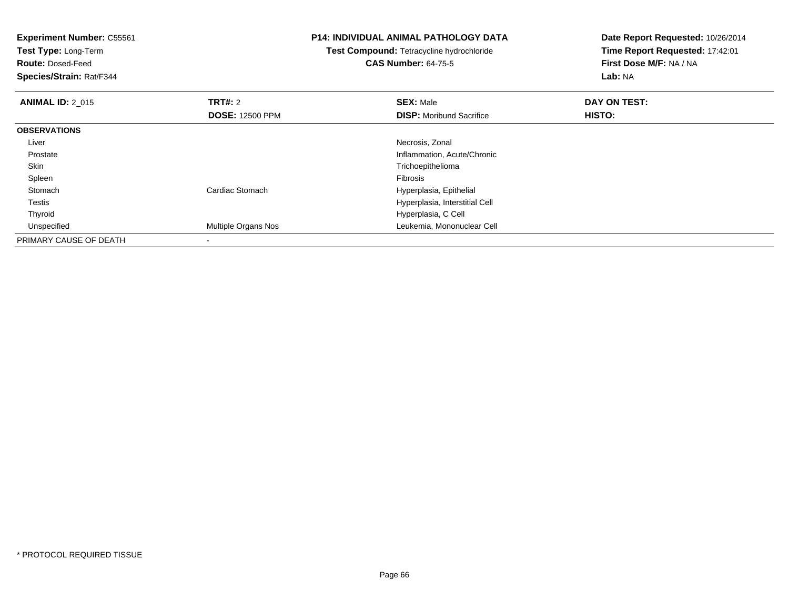**Experiment Number:** C55561**Test Type:** Long-Term**Route:** Dosed-Feed **Species/Strain:** Rat/F344**P14: INDIVIDUAL ANIMAL PATHOLOGY DATATest Compound:** Tetracycline hydrochloride**CAS Number:** 64-75-5**Date Report Requested:** 10/26/2014**Time Report Requested:** 17:42:01**First Dose M/F:** NA / NA**Lab:** NA**ANIMAL ID: 2 015 TRT#:** <sup>2</sup> **SEX:** Male **DAY ON TEST: DOSE:** 12500 PPM**DISP:** Moribund Sacrifice **HISTO: OBSERVATIONS** Liver Necrosis, Zonal Prostate Inflammation, Acute/Chronic Skin Trichoepithelioma Spleenn and the contract of the contract of the contract of the contract of the contract of the contract of the contract of the contract of the contract of the contract of the contract of the contract of the contract of the cont **Stomach** Cardiac Stomach **Exercise Stomach Exercise Stomach** Hyperplasia, Epithelial Testis Hyperplasia, Interstitial Cell ThyroidHyperplasia, C Cell<br>Multiple Organs Nos<br>Leukemia, Mononu UnspecifiedLeukemia, Mononuclear Cell PRIMARY CAUSE OF DEATH

-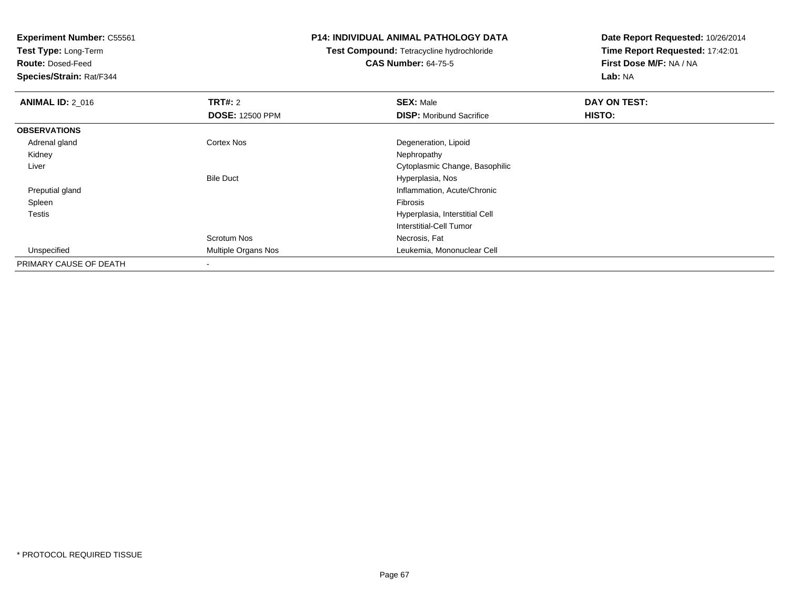**Test Type:** Long-Term

**Route:** Dosed-Feed

**Species/Strain:** Rat/F344

### **P14: INDIVIDUAL ANIMAL PATHOLOGY DATA**

**Test Compound:** Tetracycline hydrochloride**CAS Number:** 64-75-5

| <b>ANIMAL ID: 2_016</b> | <b>TRT#: 2</b>         | <b>SEX: Male</b>                | DAY ON TEST: |  |
|-------------------------|------------------------|---------------------------------|--------------|--|
|                         | <b>DOSE: 12500 PPM</b> | <b>DISP:</b> Moribund Sacrifice | HISTO:       |  |
| <b>OBSERVATIONS</b>     |                        |                                 |              |  |
| Adrenal gland           | <b>Cortex Nos</b>      | Degeneration, Lipoid            |              |  |
| Kidney                  |                        | Nephropathy                     |              |  |
| Liver                   |                        | Cytoplasmic Change, Basophilic  |              |  |
|                         | <b>Bile Duct</b>       | Hyperplasia, Nos                |              |  |
| Preputial gland         |                        | Inflammation, Acute/Chronic     |              |  |
| Spleen                  |                        | <b>Fibrosis</b>                 |              |  |
| Testis                  |                        | Hyperplasia, Interstitial Cell  |              |  |
|                         |                        | Interstitial-Cell Tumor         |              |  |
|                         | Scrotum Nos            | Necrosis, Fat                   |              |  |
| Unspecified             | Multiple Organs Nos    | Leukemia, Mononuclear Cell      |              |  |
| PRIMARY CAUSE OF DEATH  |                        |                                 |              |  |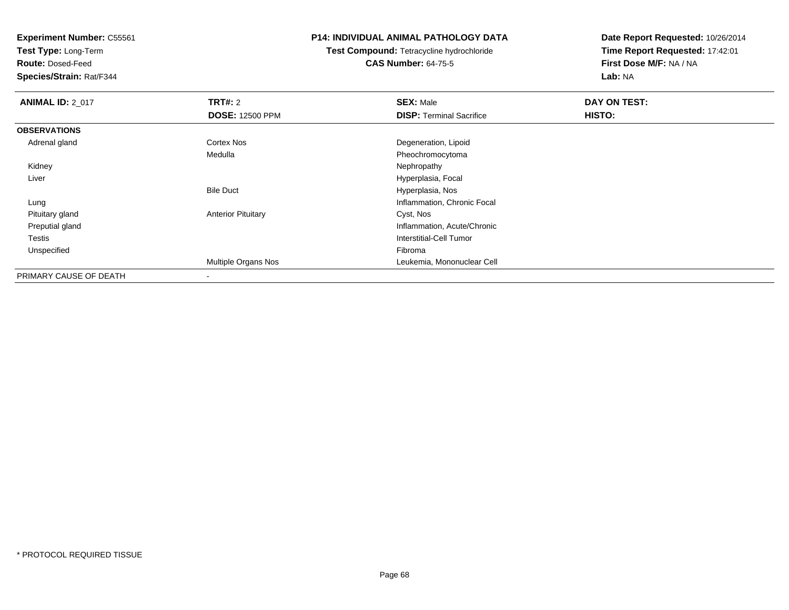**Test Type:** Long-Term

**Route:** Dosed-Feed

**Species/Strain:** Rat/F344

### **P14: INDIVIDUAL ANIMAL PATHOLOGY DATA**

**Test Compound:** Tetracycline hydrochloride**CAS Number:** 64-75-5

| <b>ANIMAL ID: 2_017</b> | <b>TRT#: 2</b>            | <b>SEX: Male</b>                | DAY ON TEST: |  |
|-------------------------|---------------------------|---------------------------------|--------------|--|
|                         | <b>DOSE: 12500 PPM</b>    | <b>DISP: Terminal Sacrifice</b> | HISTO:       |  |
| <b>OBSERVATIONS</b>     |                           |                                 |              |  |
| Adrenal gland           | Cortex Nos                | Degeneration, Lipoid            |              |  |
|                         | Medulla                   | Pheochromocytoma                |              |  |
| Kidney                  |                           | Nephropathy                     |              |  |
| Liver                   |                           | Hyperplasia, Focal              |              |  |
|                         | <b>Bile Duct</b>          | Hyperplasia, Nos                |              |  |
| Lung                    |                           | Inflammation, Chronic Focal     |              |  |
| Pituitary gland         | <b>Anterior Pituitary</b> | Cyst, Nos                       |              |  |
| Preputial gland         |                           | Inflammation, Acute/Chronic     |              |  |
| Testis                  |                           | Interstitial-Cell Tumor         |              |  |
| Unspecified             |                           | Fibroma                         |              |  |
|                         | Multiple Organs Nos       | Leukemia, Mononuclear Cell      |              |  |
| PRIMARY CAUSE OF DEATH  |                           |                                 |              |  |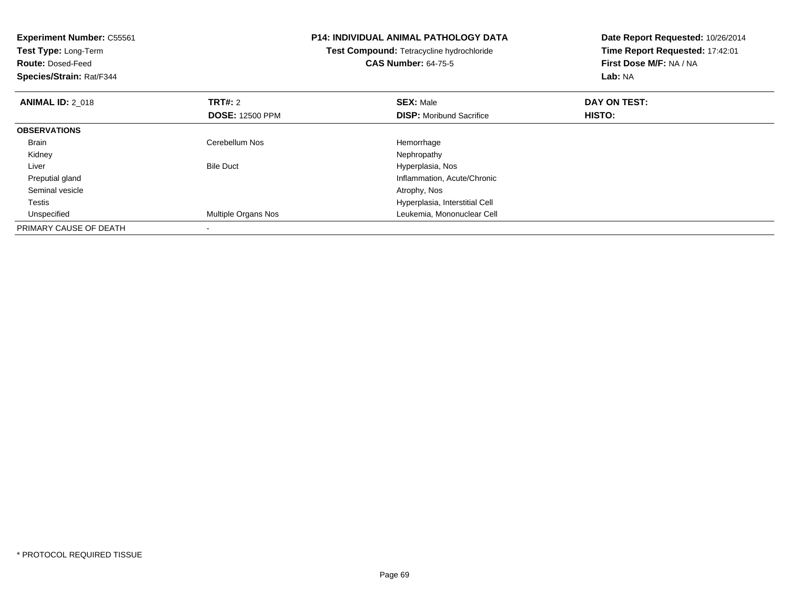| Experiment Number: C55561<br><b>Test Type: Long-Term</b><br><b>Route: Dosed-Feed</b><br>Species/Strain: Rat/F344 |                            | <b>P14: INDIVIDUAL ANIMAL PATHOLOGY DATA</b><br>Test Compound: Tetracycline hydrochloride<br><b>CAS Number: 64-75-5</b> | Date Report Requested: 10/26/2014<br>Time Report Requested: 17:42:01<br>First Dose M/F: NA / NA<br>Lab: NA |
|------------------------------------------------------------------------------------------------------------------|----------------------------|-------------------------------------------------------------------------------------------------------------------------|------------------------------------------------------------------------------------------------------------|
| <b>ANIMAL ID: 2 018</b>                                                                                          | TRT#: 2                    | <b>SEX: Male</b>                                                                                                        | DAY ON TEST:                                                                                               |
|                                                                                                                  | <b>DOSE: 12500 PPM</b>     | <b>DISP:</b> Moribund Sacrifice                                                                                         | HISTO:                                                                                                     |
| <b>OBSERVATIONS</b>                                                                                              |                            |                                                                                                                         |                                                                                                            |
| Brain                                                                                                            | Cerebellum Nos             | Hemorrhage                                                                                                              |                                                                                                            |
| Kidney                                                                                                           |                            | Nephropathy                                                                                                             |                                                                                                            |
| Liver                                                                                                            | <b>Bile Duct</b>           | Hyperplasia, Nos                                                                                                        |                                                                                                            |
| Preputial gland                                                                                                  |                            | Inflammation, Acute/Chronic                                                                                             |                                                                                                            |
| Seminal vesicle                                                                                                  |                            | Atrophy, Nos                                                                                                            |                                                                                                            |
| Testis                                                                                                           |                            | Hyperplasia, Interstitial Cell                                                                                          |                                                                                                            |
| Unspecified                                                                                                      | <b>Multiple Organs Nos</b> | Leukemia, Mononuclear Cell                                                                                              |                                                                                                            |
| PRIMARY CAUSE OF DEATH                                                                                           |                            |                                                                                                                         |                                                                                                            |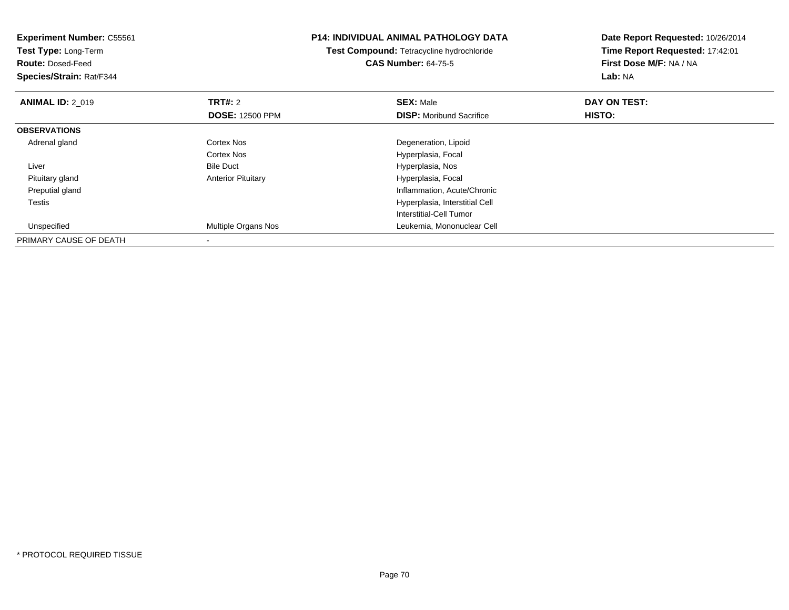| <b>Experiment Number: C55561</b><br>Test Type: Long-Term<br><b>Route: Dosed-Feed</b> |                           | <b>P14: INDIVIDUAL ANIMAL PATHOLOGY DATA</b><br>Test Compound: Tetracycline hydrochloride<br><b>CAS Number: 64-75-5</b> | Date Report Requested: 10/26/2014<br>Time Report Requested: 17:42:01<br>First Dose M/F: NA / NA |
|--------------------------------------------------------------------------------------|---------------------------|-------------------------------------------------------------------------------------------------------------------------|-------------------------------------------------------------------------------------------------|
| Species/Strain: Rat/F344                                                             |                           |                                                                                                                         | Lab: NA                                                                                         |
| <b>ANIMAL ID: 2 019</b>                                                              | <b>TRT#: 2</b>            | <b>SEX: Male</b>                                                                                                        | DAY ON TEST:                                                                                    |
|                                                                                      | <b>DOSE: 12500 PPM</b>    | <b>DISP:</b> Moribund Sacrifice                                                                                         | HISTO:                                                                                          |
| <b>OBSERVATIONS</b>                                                                  |                           |                                                                                                                         |                                                                                                 |
| Adrenal gland                                                                        | <b>Cortex Nos</b>         | Degeneration, Lipoid                                                                                                    |                                                                                                 |
|                                                                                      | Cortex Nos                | Hyperplasia, Focal                                                                                                      |                                                                                                 |
| Liver                                                                                | <b>Bile Duct</b>          | Hyperplasia, Nos                                                                                                        |                                                                                                 |
| Pituitary gland                                                                      | <b>Anterior Pituitary</b> | Hyperplasia, Focal                                                                                                      |                                                                                                 |
| Preputial gland                                                                      |                           | Inflammation, Acute/Chronic                                                                                             |                                                                                                 |
| <b>Testis</b>                                                                        |                           | Hyperplasia, Interstitial Cell                                                                                          |                                                                                                 |
|                                                                                      |                           | Interstitial-Cell Tumor                                                                                                 |                                                                                                 |
| Unspecified                                                                          | Multiple Organs Nos       | Leukemia, Mononuclear Cell                                                                                              |                                                                                                 |
| PRIMARY CAUSE OF DEATH                                                               |                           |                                                                                                                         |                                                                                                 |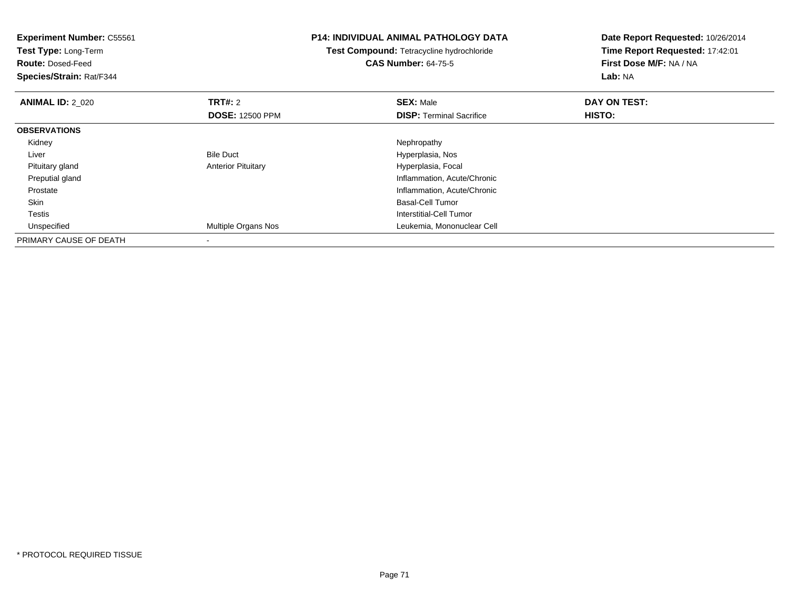| <b>Experiment Number: C55561</b><br>Test Type: Long-Term<br><b>Route: Dosed-Feed</b><br>Species/Strain: Rat/F344 |                           | <b>P14: INDIVIDUAL ANIMAL PATHOLOGY DATA</b><br>Test Compound: Tetracycline hydrochloride<br><b>CAS Number: 64-75-5</b> | Date Report Requested: 10/26/2014<br>Time Report Requested: 17:42:01<br>First Dose M/F: NA / NA<br>Lab: NA |  |
|------------------------------------------------------------------------------------------------------------------|---------------------------|-------------------------------------------------------------------------------------------------------------------------|------------------------------------------------------------------------------------------------------------|--|
| <b>ANIMAL ID: 2 020</b>                                                                                          | <b>TRT#: 2</b>            | <b>SEX: Male</b>                                                                                                        | DAY ON TEST:                                                                                               |  |
|                                                                                                                  | <b>DOSE: 12500 PPM</b>    | <b>DISP:</b> Terminal Sacrifice                                                                                         | HISTO:                                                                                                     |  |
| <b>OBSERVATIONS</b>                                                                                              |                           |                                                                                                                         |                                                                                                            |  |
| Kidney                                                                                                           |                           | Nephropathy                                                                                                             |                                                                                                            |  |
| Liver                                                                                                            | <b>Bile Duct</b>          | Hyperplasia, Nos                                                                                                        |                                                                                                            |  |
| Pituitary gland                                                                                                  | <b>Anterior Pituitary</b> | Hyperplasia, Focal                                                                                                      |                                                                                                            |  |
| Preputial gland                                                                                                  |                           | Inflammation, Acute/Chronic                                                                                             |                                                                                                            |  |
| Prostate                                                                                                         |                           | Inflammation, Acute/Chronic                                                                                             |                                                                                                            |  |
| Skin                                                                                                             |                           | <b>Basal-Cell Tumor</b>                                                                                                 |                                                                                                            |  |
| <b>Testis</b>                                                                                                    |                           | Interstitial-Cell Tumor                                                                                                 |                                                                                                            |  |
| Unspecified                                                                                                      | Multiple Organs Nos       | Leukemia, Mononuclear Cell                                                                                              |                                                                                                            |  |
| PRIMARY CAUSE OF DEATH                                                                                           |                           |                                                                                                                         |                                                                                                            |  |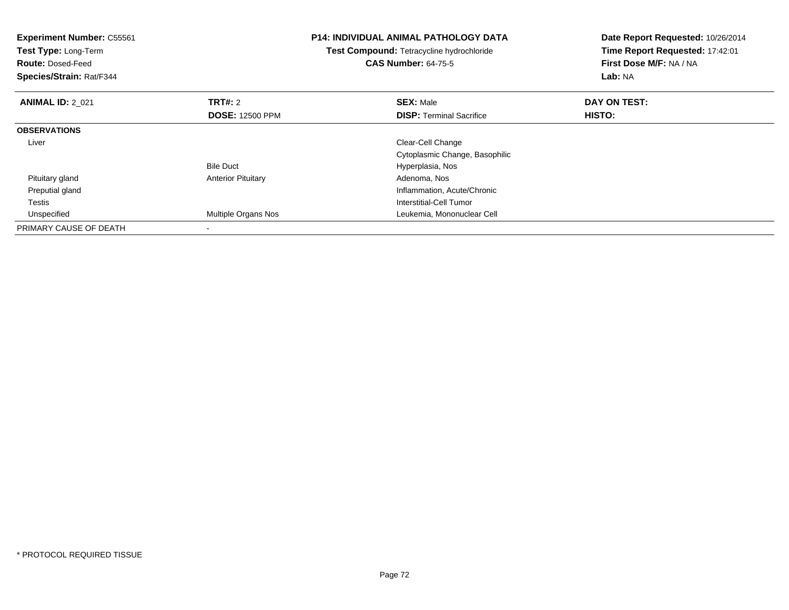| <b>Experiment Number: C55561</b><br><b>Test Type: Long-Term</b><br><b>Route: Dosed-Feed</b><br>Species/Strain: Rat/F344 |                           | <b>P14: INDIVIDUAL ANIMAL PATHOLOGY DATA</b><br>Test Compound: Tetracycline hydrochloride<br><b>CAS Number: 64-75-5</b> | Date Report Requested: 10/26/2014<br>Time Report Requested: 17:42:01<br>First Dose M/F: NA / NA<br>Lab: NA |
|-------------------------------------------------------------------------------------------------------------------------|---------------------------|-------------------------------------------------------------------------------------------------------------------------|------------------------------------------------------------------------------------------------------------|
| <b>ANIMAL ID: 2 021</b>                                                                                                 | TRT#: 2                   | <b>SEX: Male</b>                                                                                                        | DAY ON TEST:                                                                                               |
|                                                                                                                         | <b>DOSE: 12500 PPM</b>    | <b>DISP:</b> Terminal Sacrifice                                                                                         | HISTO:                                                                                                     |
| <b>OBSERVATIONS</b>                                                                                                     |                           |                                                                                                                         |                                                                                                            |
| Liver                                                                                                                   |                           | Clear-Cell Change                                                                                                       |                                                                                                            |
|                                                                                                                         |                           | Cytoplasmic Change, Basophilic                                                                                          |                                                                                                            |
|                                                                                                                         | <b>Bile Duct</b>          | Hyperplasia, Nos                                                                                                        |                                                                                                            |
| Pituitary gland                                                                                                         | <b>Anterior Pituitary</b> | Adenoma, Nos                                                                                                            |                                                                                                            |
| Preputial gland                                                                                                         |                           | Inflammation, Acute/Chronic                                                                                             |                                                                                                            |
| Testis                                                                                                                  |                           | Interstitial-Cell Tumor                                                                                                 |                                                                                                            |
| Unspecified                                                                                                             | Multiple Organs Nos       | Leukemia, Mononuclear Cell                                                                                              |                                                                                                            |
| PRIMARY CAUSE OF DEATH                                                                                                  |                           |                                                                                                                         |                                                                                                            |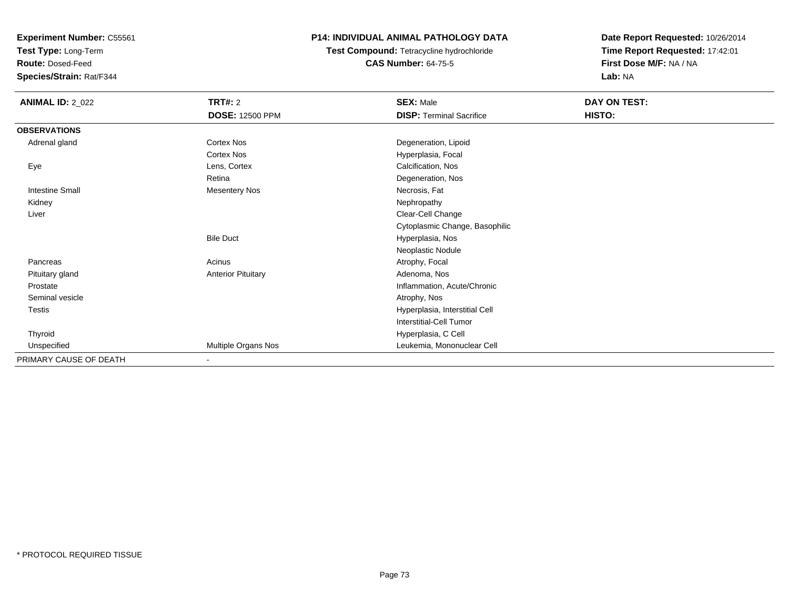**Test Type:** Long-Term

**Route:** Dosed-Feed

**Species/Strain:** Rat/F344

## **P14: INDIVIDUAL ANIMAL PATHOLOGY DATA**

**Test Compound:** Tetracycline hydrochloride**CAS Number:** 64-75-5

| <b>ANIMAL ID: 2_022</b> | <b>TRT#: 2</b><br><b>DOSE: 12500 PPM</b> | <b>SEX: Male</b><br><b>DISP: Terminal Sacrifice</b> | DAY ON TEST:<br>HISTO: |
|-------------------------|------------------------------------------|-----------------------------------------------------|------------------------|
|                         |                                          |                                                     |                        |
| <b>OBSERVATIONS</b>     |                                          |                                                     |                        |
| Adrenal gland           | Cortex Nos                               | Degeneration, Lipoid                                |                        |
|                         | Cortex Nos                               | Hyperplasia, Focal                                  |                        |
| Eye                     | Lens, Cortex                             | Calcification, Nos                                  |                        |
|                         | Retina                                   | Degeneration, Nos                                   |                        |
| <b>Intestine Small</b>  | Mesentery Nos                            | Necrosis, Fat                                       |                        |
| Kidney                  |                                          | Nephropathy                                         |                        |
| Liver                   |                                          | Clear-Cell Change                                   |                        |
|                         |                                          | Cytoplasmic Change, Basophilic                      |                        |
|                         | <b>Bile Duct</b>                         | Hyperplasia, Nos                                    |                        |
|                         |                                          | Neoplastic Nodule                                   |                        |
| Pancreas                | Acinus                                   | Atrophy, Focal                                      |                        |
| Pituitary gland         | <b>Anterior Pituitary</b>                | Adenoma, Nos                                        |                        |
| Prostate                |                                          | Inflammation, Acute/Chronic                         |                        |
| Seminal vesicle         |                                          | Atrophy, Nos                                        |                        |
| <b>Testis</b>           |                                          | Hyperplasia, Interstitial Cell                      |                        |
|                         |                                          | Interstitial-Cell Tumor                             |                        |
| Thyroid                 |                                          | Hyperplasia, C Cell                                 |                        |
| Unspecified             | Multiple Organs Nos                      | Leukemia, Mononuclear Cell                          |                        |
| PRIMARY CAUSE OF DEATH  | $\blacksquare$                           |                                                     |                        |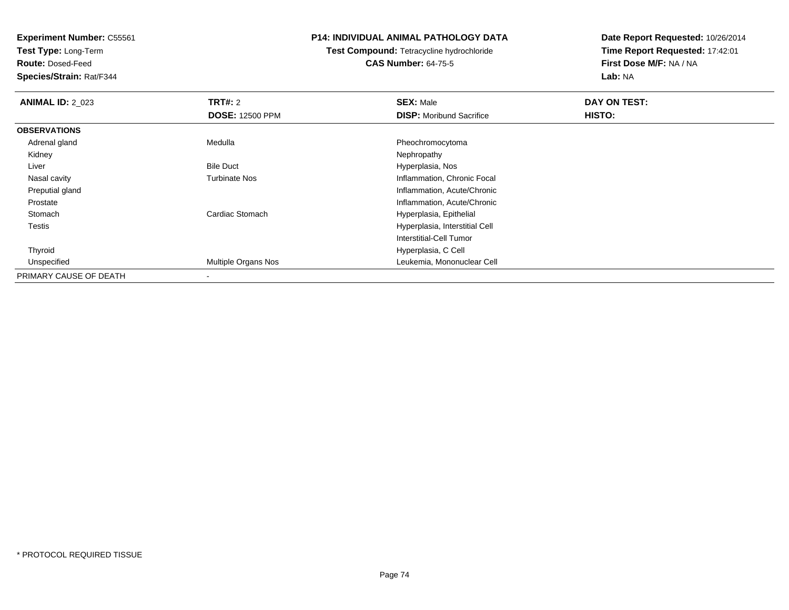**Test Type:** Long-Term

**Route:** Dosed-Feed

**Species/Strain:** Rat/F344

### **P14: INDIVIDUAL ANIMAL PATHOLOGY DATA**

# **Test Compound:** Tetracycline hydrochloride**CAS Number:** 64-75-5

| <b>ANIMAL ID: 2 023</b> | TRT#: 2                | <b>SEX: Male</b>                | DAY ON TEST: |  |
|-------------------------|------------------------|---------------------------------|--------------|--|
|                         | <b>DOSE: 12500 PPM</b> | <b>DISP:</b> Moribund Sacrifice | HISTO:       |  |
| <b>OBSERVATIONS</b>     |                        |                                 |              |  |
| Adrenal gland           | Medulla                | Pheochromocytoma                |              |  |
| Kidney                  |                        | Nephropathy                     |              |  |
| Liver                   | <b>Bile Duct</b>       | Hyperplasia, Nos                |              |  |
| Nasal cavity            | <b>Turbinate Nos</b>   | Inflammation, Chronic Focal     |              |  |
| Preputial gland         |                        | Inflammation, Acute/Chronic     |              |  |
| Prostate                |                        | Inflammation, Acute/Chronic     |              |  |
| Stomach                 | Cardiac Stomach        | Hyperplasia, Epithelial         |              |  |
| Testis                  |                        | Hyperplasia, Interstitial Cell  |              |  |
|                         |                        | Interstitial-Cell Tumor         |              |  |
| Thyroid                 |                        | Hyperplasia, C Cell             |              |  |
| Unspecified             | Multiple Organs Nos    | Leukemia, Mononuclear Cell      |              |  |
| PRIMARY CAUSE OF DEATH  |                        |                                 |              |  |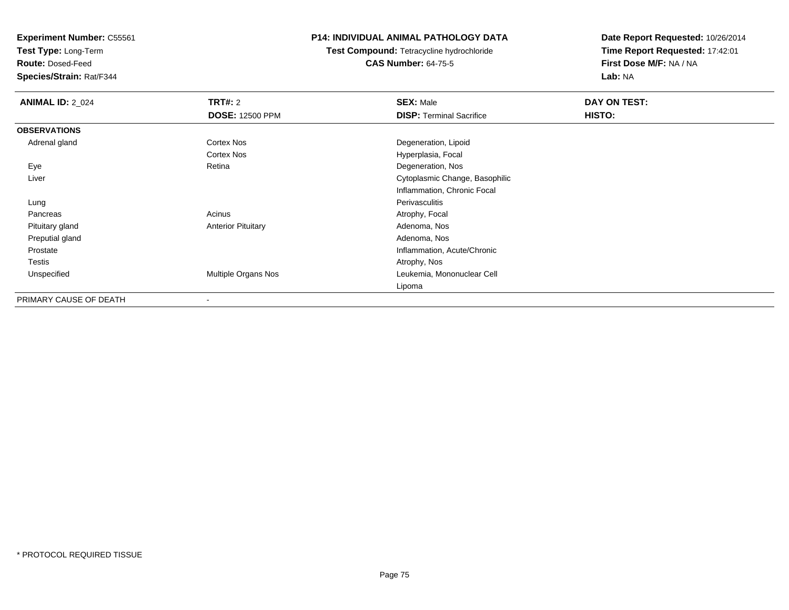**Test Type:** Long-Term

**Route:** Dosed-Feed

**Species/Strain:** Rat/F344

### **P14: INDIVIDUAL ANIMAL PATHOLOGY DATA**

**Test Compound:** Tetracycline hydrochloride**CAS Number:** 64-75-5

| <b>ANIMAL ID: 2_024</b> | <b>TRT#: 2</b>            | <b>SEX: Male</b>                | DAY ON TEST: |  |
|-------------------------|---------------------------|---------------------------------|--------------|--|
|                         | <b>DOSE: 12500 PPM</b>    | <b>DISP: Terminal Sacrifice</b> | HISTO:       |  |
| <b>OBSERVATIONS</b>     |                           |                                 |              |  |
| Adrenal gland           | Cortex Nos                | Degeneration, Lipoid            |              |  |
|                         | Cortex Nos                | Hyperplasia, Focal              |              |  |
| Eye                     | Retina                    | Degeneration, Nos               |              |  |
| Liver                   |                           | Cytoplasmic Change, Basophilic  |              |  |
|                         |                           | Inflammation, Chronic Focal     |              |  |
| Lung                    |                           | Perivasculitis                  |              |  |
| Pancreas                | Acinus                    | Atrophy, Focal                  |              |  |
| Pituitary gland         | <b>Anterior Pituitary</b> | Adenoma, Nos                    |              |  |
| Preputial gland         |                           | Adenoma, Nos                    |              |  |
| Prostate                |                           | Inflammation, Acute/Chronic     |              |  |
| Testis                  |                           | Atrophy, Nos                    |              |  |
| Unspecified             | Multiple Organs Nos       | Leukemia, Mononuclear Cell      |              |  |
|                         |                           | Lipoma                          |              |  |
| PRIMARY CAUSE OF DEATH  | -                         |                                 |              |  |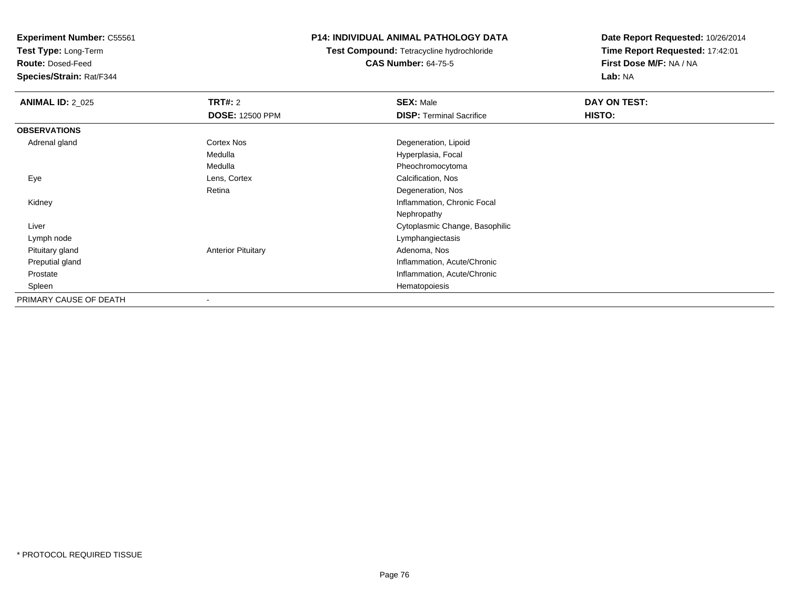**Test Type:** Long-Term

**Route:** Dosed-Feed

**Species/Strain:** Rat/F344

### **P14: INDIVIDUAL ANIMAL PATHOLOGY DATA**

**Test Compound:** Tetracycline hydrochloride**CAS Number:** 64-75-5

| <b>ANIMAL ID: 2_025</b> | <b>TRT#: 2</b>            | <b>SEX: Male</b>                | DAY ON TEST: |  |
|-------------------------|---------------------------|---------------------------------|--------------|--|
|                         | <b>DOSE: 12500 PPM</b>    | <b>DISP: Terminal Sacrifice</b> | HISTO:       |  |
| <b>OBSERVATIONS</b>     |                           |                                 |              |  |
| Adrenal gland           | Cortex Nos                | Degeneration, Lipoid            |              |  |
|                         | Medulla                   | Hyperplasia, Focal              |              |  |
|                         | Medulla                   | Pheochromocytoma                |              |  |
| Eye                     | Lens, Cortex              | Calcification, Nos              |              |  |
|                         | Retina                    | Degeneration, Nos               |              |  |
| Kidney                  |                           | Inflammation, Chronic Focal     |              |  |
|                         |                           | Nephropathy                     |              |  |
| Liver                   |                           | Cytoplasmic Change, Basophilic  |              |  |
| Lymph node              |                           | Lymphangiectasis                |              |  |
| Pituitary gland         | <b>Anterior Pituitary</b> | Adenoma, Nos                    |              |  |
| Preputial gland         |                           | Inflammation, Acute/Chronic     |              |  |
| Prostate                |                           | Inflammation, Acute/Chronic     |              |  |
| Spleen                  |                           | Hematopoiesis                   |              |  |
| PRIMARY CAUSE OF DEATH  |                           |                                 |              |  |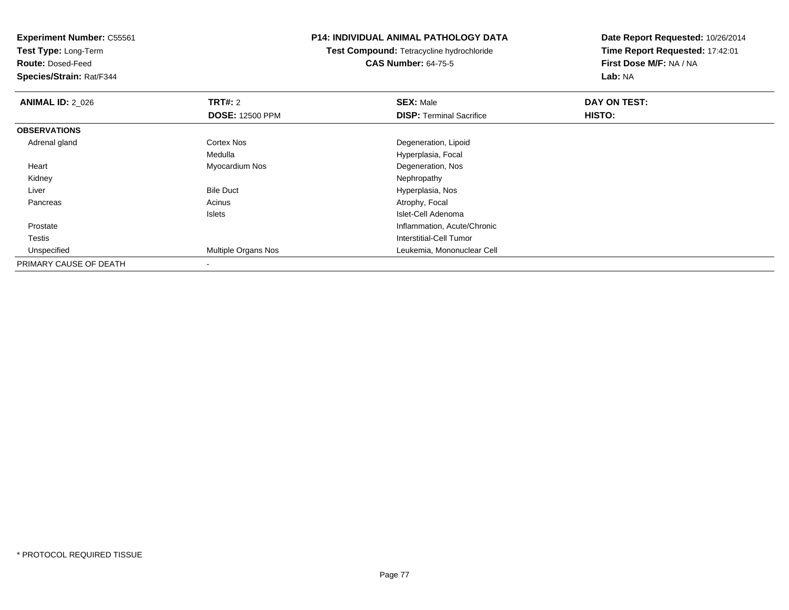**Test Type:** Long-Term

**Route:** Dosed-Feed

**Species/Strain:** Rat/F344

### **P14: INDIVIDUAL ANIMAL PATHOLOGY DATA**

**Test Compound:** Tetracycline hydrochloride**CAS Number:** 64-75-5

| <b>ANIMAL ID: 2_026</b> | TRT#: 2                    | <b>SEX: Male</b>                | DAY ON TEST: |  |
|-------------------------|----------------------------|---------------------------------|--------------|--|
|                         | <b>DOSE: 12500 PPM</b>     | <b>DISP: Terminal Sacrifice</b> | HISTO:       |  |
| <b>OBSERVATIONS</b>     |                            |                                 |              |  |
| Adrenal gland           | <b>Cortex Nos</b>          | Degeneration, Lipoid            |              |  |
|                         | Medulla                    | Hyperplasia, Focal              |              |  |
| Heart                   | Myocardium Nos             | Degeneration, Nos               |              |  |
| Kidney                  |                            | Nephropathy                     |              |  |
| Liver                   | <b>Bile Duct</b>           | Hyperplasia, Nos                |              |  |
| Pancreas                | Acinus                     | Atrophy, Focal                  |              |  |
|                         | Islets                     | Islet-Cell Adenoma              |              |  |
| Prostate                |                            | Inflammation, Acute/Chronic     |              |  |
| Testis                  |                            | Interstitial-Cell Tumor         |              |  |
| Unspecified             | <b>Multiple Organs Nos</b> | Leukemia, Mononuclear Cell      |              |  |
| PRIMARY CAUSE OF DEATH  |                            |                                 |              |  |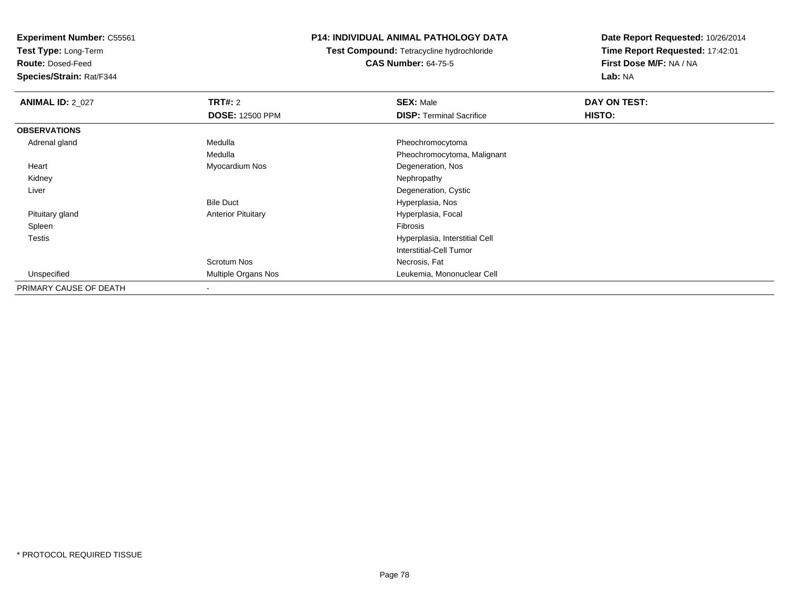**Test Type:** Long-Term

**Route:** Dosed-Feed

**Species/Strain:** Rat/F344

### **P14: INDIVIDUAL ANIMAL PATHOLOGY DATA**

**Test Compound:** Tetracycline hydrochloride**CAS Number:** 64-75-5

| <b>ANIMAL ID: 2_027</b> | <b>TRT#: 2</b>            | <b>SEX: Male</b>                | DAY ON TEST: |  |
|-------------------------|---------------------------|---------------------------------|--------------|--|
|                         | <b>DOSE: 12500 PPM</b>    | <b>DISP:</b> Terminal Sacrifice | HISTO:       |  |
| <b>OBSERVATIONS</b>     |                           |                                 |              |  |
| Adrenal gland           | Medulla                   | Pheochromocytoma                |              |  |
|                         | Medulla                   | Pheochromocytoma, Malignant     |              |  |
| Heart                   | Myocardium Nos            | Degeneration, Nos               |              |  |
| Kidney                  |                           | Nephropathy                     |              |  |
| Liver                   |                           | Degeneration, Cystic            |              |  |
|                         | <b>Bile Duct</b>          | Hyperplasia, Nos                |              |  |
| Pituitary gland         | <b>Anterior Pituitary</b> | Hyperplasia, Focal              |              |  |
| Spleen                  |                           | <b>Fibrosis</b>                 |              |  |
| Testis                  |                           | Hyperplasia, Interstitial Cell  |              |  |
|                         |                           | Interstitial-Cell Tumor         |              |  |
|                         | Scrotum Nos               | Necrosis, Fat                   |              |  |
| Unspecified             | Multiple Organs Nos       | Leukemia, Mononuclear Cell      |              |  |
| PRIMARY CAUSE OF DEATH  |                           |                                 |              |  |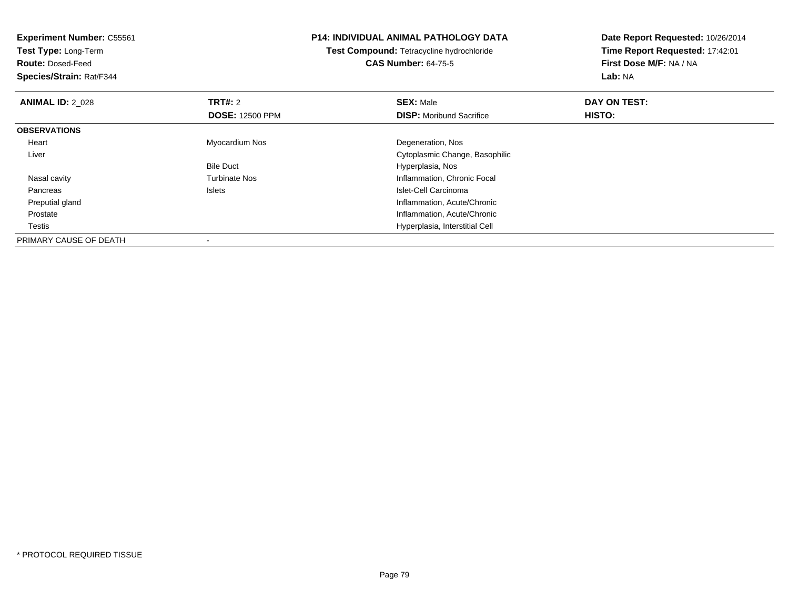**Experiment Number:** C55561**Test Type:** Long-Term**Route:** Dosed-Feed **Species/Strain:** Rat/F344**P14: INDIVIDUAL ANIMAL PATHOLOGY DATATest Compound:** Tetracycline hydrochloride**CAS Number:** 64-75-5**Date Report Requested:** 10/26/2014**Time Report Requested:** 17:42:01**First Dose M/F:** NA / NA**Lab:** NA**ANIMAL ID: 2 028 REX:** Male **DAY ON TEST: CONSIST: SEX:** Male **DOSE:** 12500 PPM**DISP:** Moribund Sacrifice **HISTO: OBSERVATIONS** Heart Myocardium Nos Degeneration, Nos Liver Cytoplasmic Change, BasophilicBile Duct Hyperplasia, Nosy metal of the Turbinate Nos and the Turbinate Nos and the Inflammation, Chronic Focal Nasal cavity Pancreas Islets Islet-Cell Carcinomad
and
the contract of the contract of the contract of the contract of the contract of the contract of the contract of the contract of the contract of the contract of the contract of the contract of the contract of the cont Preputial gland Prostate Inflammation, Acute/Chronic **Testis**  Hyperplasia, Interstitial Cell PRIMARY CAUSE OF DEATH

-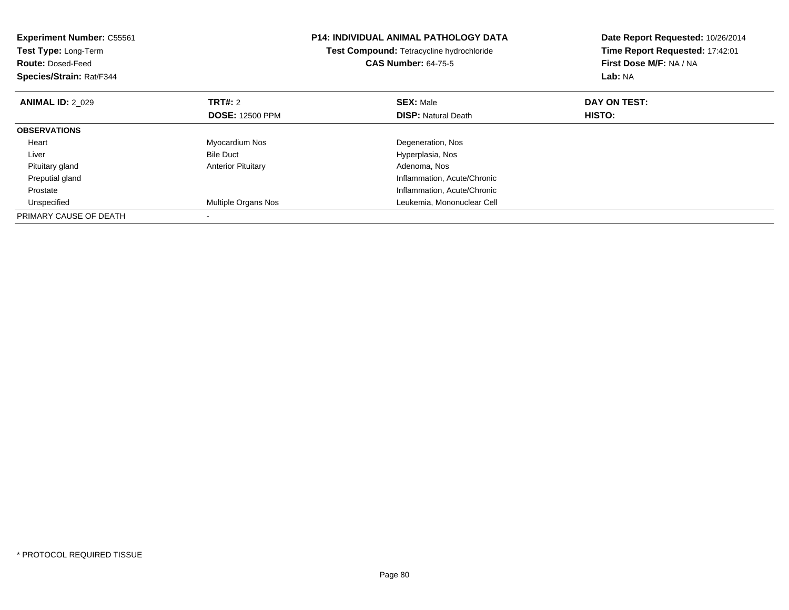| <b>Experiment Number: C55561</b><br>Test Type: Long-Term<br><b>Route: Dosed-Feed</b><br>Species/Strain: Rat/F344 |                           | <b>P14: INDIVIDUAL ANIMAL PATHOLOGY DATA</b><br>Test Compound: Tetracycline hydrochloride<br><b>CAS Number: 64-75-5</b> | Date Report Requested: 10/26/2014<br>Time Report Requested: 17:42:01<br>First Dose M/F: NA / NA<br>Lab: NA |
|------------------------------------------------------------------------------------------------------------------|---------------------------|-------------------------------------------------------------------------------------------------------------------------|------------------------------------------------------------------------------------------------------------|
| <b>ANIMAL ID: 2 029</b>                                                                                          | <b>TRT#: 2</b>            | <b>SEX: Male</b>                                                                                                        | DAY ON TEST:                                                                                               |
|                                                                                                                  | <b>DOSE: 12500 PPM</b>    | <b>DISP:</b> Natural Death                                                                                              | HISTO:                                                                                                     |
| <b>OBSERVATIONS</b>                                                                                              |                           |                                                                                                                         |                                                                                                            |
| Heart                                                                                                            | Myocardium Nos            | Degeneration, Nos                                                                                                       |                                                                                                            |
| Liver                                                                                                            | <b>Bile Duct</b>          | Hyperplasia, Nos                                                                                                        |                                                                                                            |
| Pituitary gland                                                                                                  | <b>Anterior Pituitary</b> | Adenoma, Nos                                                                                                            |                                                                                                            |
| Preputial gland                                                                                                  |                           | Inflammation, Acute/Chronic                                                                                             |                                                                                                            |
| Prostate                                                                                                         |                           | Inflammation, Acute/Chronic                                                                                             |                                                                                                            |
| Unspecified                                                                                                      | Multiple Organs Nos       | Leukemia, Mononuclear Cell                                                                                              |                                                                                                            |
| PRIMARY CAUSE OF DEATH                                                                                           |                           |                                                                                                                         |                                                                                                            |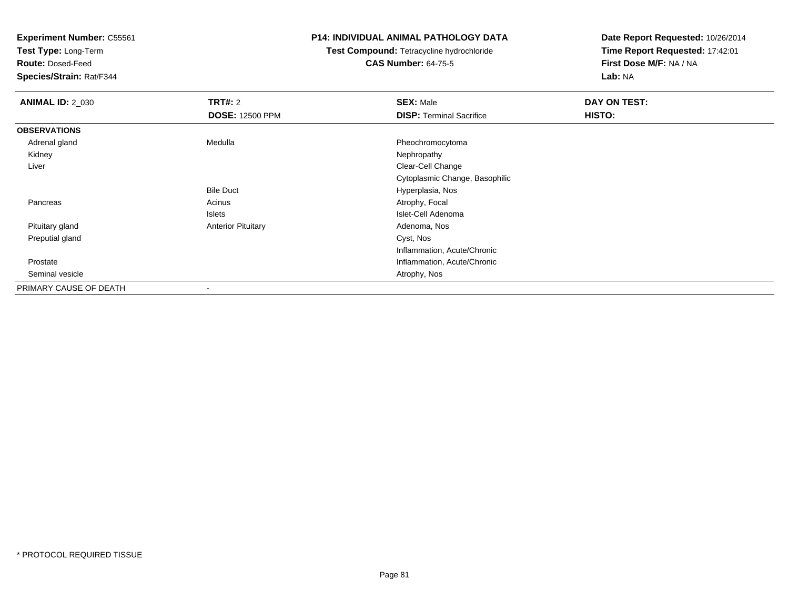**Test Type:** Long-Term

**Route:** Dosed-Feed

**Species/Strain:** Rat/F344

### **P14: INDIVIDUAL ANIMAL PATHOLOGY DATA**

# **Test Compound:** Tetracycline hydrochloride**CAS Number:** 64-75-5

| <b>ANIMAL ID: 2_030</b> | TRT#: 2                   | <b>SEX: Male</b>                | DAY ON TEST: |  |
|-------------------------|---------------------------|---------------------------------|--------------|--|
|                         | <b>DOSE: 12500 PPM</b>    | <b>DISP: Terminal Sacrifice</b> | HISTO:       |  |
| <b>OBSERVATIONS</b>     |                           |                                 |              |  |
| Adrenal gland           | Medulla                   | Pheochromocytoma                |              |  |
| Kidney                  |                           | Nephropathy                     |              |  |
| Liver                   |                           | Clear-Cell Change               |              |  |
|                         |                           | Cytoplasmic Change, Basophilic  |              |  |
|                         | <b>Bile Duct</b>          | Hyperplasia, Nos                |              |  |
| Pancreas                | Acinus                    | Atrophy, Focal                  |              |  |
|                         | Islets                    | Islet-Cell Adenoma              |              |  |
| Pituitary gland         | <b>Anterior Pituitary</b> | Adenoma, Nos                    |              |  |
| Preputial gland         |                           | Cyst, Nos                       |              |  |
|                         |                           | Inflammation, Acute/Chronic     |              |  |
| Prostate                |                           | Inflammation, Acute/Chronic     |              |  |
| Seminal vesicle         |                           | Atrophy, Nos                    |              |  |
| PRIMARY CAUSE OF DEATH  |                           |                                 |              |  |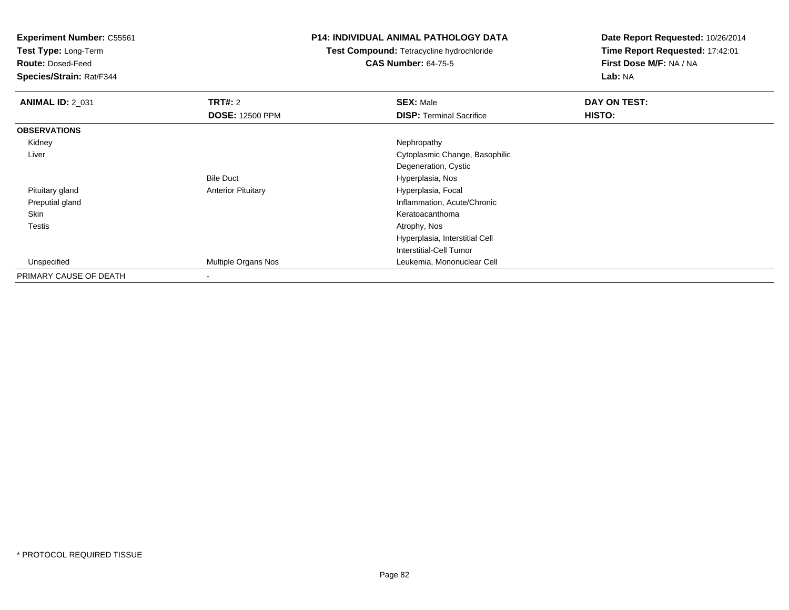**Test Type:** Long-Term

**Route:** Dosed-Feed

**Species/Strain:** Rat/F344

### **P14: INDIVIDUAL ANIMAL PATHOLOGY DATA**

**Test Compound:** Tetracycline hydrochloride**CAS Number:** 64-75-5

| <b>ANIMAL ID: 2 031</b> | TRT#: 2                   | <b>SEX: Male</b>                | DAY ON TEST: |
|-------------------------|---------------------------|---------------------------------|--------------|
|                         | <b>DOSE: 12500 PPM</b>    | <b>DISP: Terminal Sacrifice</b> | HISTO:       |
| <b>OBSERVATIONS</b>     |                           |                                 |              |
| Kidney                  |                           | Nephropathy                     |              |
| Liver                   |                           | Cytoplasmic Change, Basophilic  |              |
|                         |                           | Degeneration, Cystic            |              |
|                         | <b>Bile Duct</b>          | Hyperplasia, Nos                |              |
| Pituitary gland         | <b>Anterior Pituitary</b> | Hyperplasia, Focal              |              |
| Preputial gland         |                           | Inflammation, Acute/Chronic     |              |
| Skin                    |                           | Keratoacanthoma                 |              |
| <b>Testis</b>           |                           | Atrophy, Nos                    |              |
|                         |                           | Hyperplasia, Interstitial Cell  |              |
|                         |                           | Interstitial-Cell Tumor         |              |
| Unspecified             | Multiple Organs Nos       | Leukemia, Mononuclear Cell      |              |
| PRIMARY CAUSE OF DEATH  | ۰                         |                                 |              |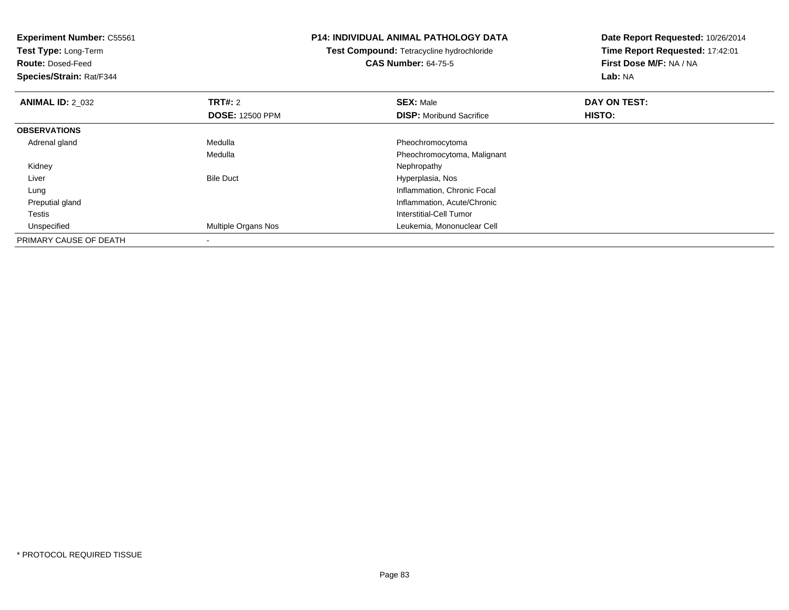| <b>Experiment Number: C55561</b><br>Test Type: Long-Term<br><b>Route: Dosed-Feed</b><br>Species/Strain: Rat/F344 |                        | <b>P14: INDIVIDUAL ANIMAL PATHOLOGY DATA</b><br><b>Test Compound: Tetracycline hydrochloride</b><br><b>CAS Number: 64-75-5</b> | Date Report Requested: 10/26/2014<br>Time Report Requested: 17:42:01<br>First Dose M/F: NA / NA<br>Lab: NA |
|------------------------------------------------------------------------------------------------------------------|------------------------|--------------------------------------------------------------------------------------------------------------------------------|------------------------------------------------------------------------------------------------------------|
| <b>ANIMAL ID: 2 032</b>                                                                                          | <b>TRT#: 2</b>         | <b>SEX: Male</b>                                                                                                               | DAY ON TEST:                                                                                               |
|                                                                                                                  | <b>DOSE: 12500 PPM</b> | <b>DISP:</b> Moribund Sacrifice                                                                                                | HISTO:                                                                                                     |
| <b>OBSERVATIONS</b>                                                                                              |                        |                                                                                                                                |                                                                                                            |
| Adrenal gland                                                                                                    | Medulla                | Pheochromocytoma                                                                                                               |                                                                                                            |
|                                                                                                                  | Medulla                | Pheochromocytoma, Malignant                                                                                                    |                                                                                                            |
| Kidney                                                                                                           |                        | Nephropathy                                                                                                                    |                                                                                                            |
| Liver                                                                                                            | <b>Bile Duct</b>       | Hyperplasia, Nos                                                                                                               |                                                                                                            |
| Lung                                                                                                             |                        | Inflammation, Chronic Focal                                                                                                    |                                                                                                            |
| Preputial gland                                                                                                  |                        | Inflammation, Acute/Chronic                                                                                                    |                                                                                                            |
| Testis                                                                                                           |                        | Interstitial-Cell Tumor                                                                                                        |                                                                                                            |
| Unspecified                                                                                                      | Multiple Organs Nos    | Leukemia, Mononuclear Cell                                                                                                     |                                                                                                            |
| PRIMARY CAUSE OF DEATH                                                                                           |                        |                                                                                                                                |                                                                                                            |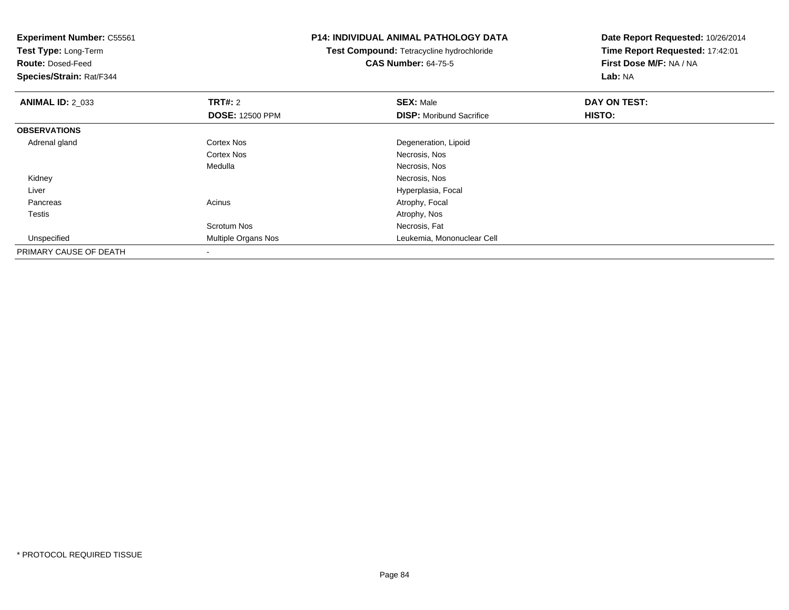| <b>Experiment Number: C55561</b><br>Test Type: Long-Term |                        | <b>P14: INDIVIDUAL ANIMAL PATHOLOGY DATA</b>     | Date Report Requested: 10/26/2014 |
|----------------------------------------------------------|------------------------|--------------------------------------------------|-----------------------------------|
|                                                          |                        | <b>Test Compound: Tetracycline hydrochloride</b> | Time Report Requested: 17:42:01   |
| <b>Route: Dosed-Feed</b>                                 |                        | <b>CAS Number: 64-75-5</b>                       | First Dose M/F: NA / NA           |
| <b>Species/Strain: Rat/F344</b>                          |                        |                                                  | Lab: NA                           |
| <b>ANIMAL ID: 2_033</b>                                  | <b>TRT#: 2</b>         | <b>SEX: Male</b>                                 | DAY ON TEST:                      |
|                                                          | <b>DOSE: 12500 PPM</b> | <b>DISP:</b> Moribund Sacrifice                  | HISTO:                            |
| <b>OBSERVATIONS</b>                                      |                        |                                                  |                                   |
| Adrenal gland                                            | Cortex Nos             | Degeneration, Lipoid                             |                                   |
|                                                          | Cortex Nos             | Necrosis, Nos                                    |                                   |
|                                                          | Medulla                | Necrosis, Nos                                    |                                   |
| Kidney                                                   |                        | Necrosis, Nos                                    |                                   |
| Liver                                                    |                        | Hyperplasia, Focal                               |                                   |
| Pancreas                                                 | Acinus                 | Atrophy, Focal                                   |                                   |
| Testis                                                   |                        | Atrophy, Nos                                     |                                   |
|                                                          | Scrotum Nos            | Necrosis, Fat                                    |                                   |
| Unspecified                                              | Multiple Organs Nos    | Leukemia, Mononuclear Cell                       |                                   |
| PRIMARY CAUSE OF DEATH                                   |                        |                                                  |                                   |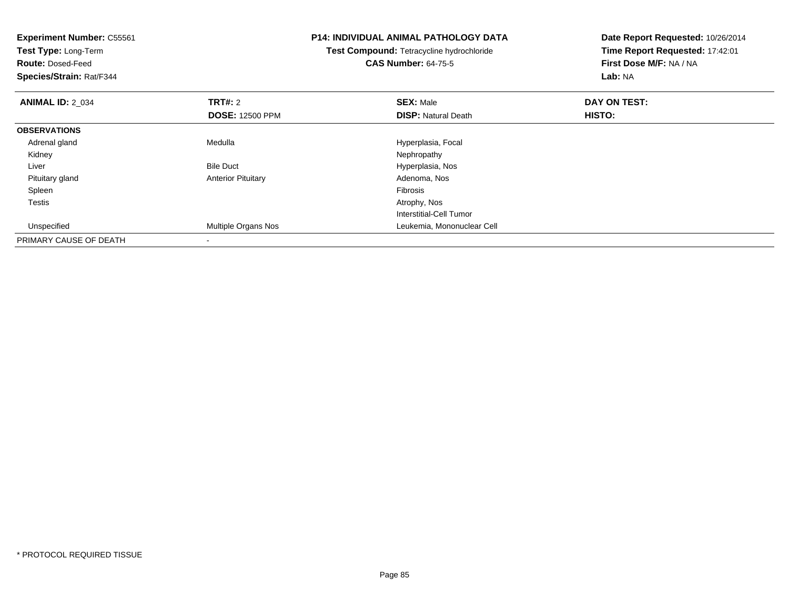| <b>Experiment Number: C55561</b><br>Test Type: Long-Term<br><b>Route: Dosed-Feed</b><br>Species/Strain: Rat/F344 |                           | <b>P14: INDIVIDUAL ANIMAL PATHOLOGY DATA</b><br><b>Test Compound: Tetracycline hydrochloride</b><br><b>CAS Number: 64-75-5</b> | Date Report Requested: 10/26/2014<br>Time Report Requested: 17:42:01<br>First Dose M/F: NA / NA<br>Lab: NA |
|------------------------------------------------------------------------------------------------------------------|---------------------------|--------------------------------------------------------------------------------------------------------------------------------|------------------------------------------------------------------------------------------------------------|
| <b>ANIMAL ID: 2 034</b>                                                                                          | <b>TRT#: 2</b>            | <b>SEX: Male</b>                                                                                                               | DAY ON TEST:                                                                                               |
|                                                                                                                  | <b>DOSE: 12500 PPM</b>    | <b>DISP: Natural Death</b>                                                                                                     | <b>HISTO:</b>                                                                                              |
| <b>OBSERVATIONS</b>                                                                                              |                           |                                                                                                                                |                                                                                                            |
| Adrenal gland                                                                                                    | Medulla                   | Hyperplasia, Focal                                                                                                             |                                                                                                            |
| Kidney                                                                                                           |                           | Nephropathy                                                                                                                    |                                                                                                            |
| Liver                                                                                                            | <b>Bile Duct</b>          | Hyperplasia, Nos                                                                                                               |                                                                                                            |
| Pituitary gland                                                                                                  | <b>Anterior Pituitary</b> | Adenoma, Nos                                                                                                                   |                                                                                                            |
| Spleen                                                                                                           |                           | <b>Fibrosis</b>                                                                                                                |                                                                                                            |
| Testis                                                                                                           |                           | Atrophy, Nos                                                                                                                   |                                                                                                            |
|                                                                                                                  |                           | Interstitial-Cell Tumor                                                                                                        |                                                                                                            |
| Unspecified                                                                                                      | Multiple Organs Nos       | Leukemia, Mononuclear Cell                                                                                                     |                                                                                                            |
| PRIMARY CAUSE OF DEATH                                                                                           |                           |                                                                                                                                |                                                                                                            |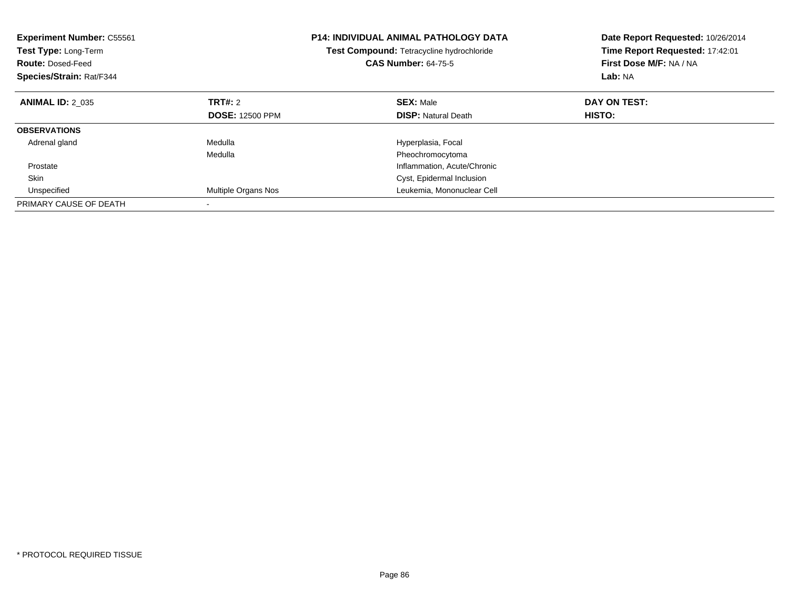| <b>Experiment Number: C55561</b><br>Test Type: Long-Term<br><b>Route: Dosed-Feed</b><br>Species/Strain: Rat/F344 |                        | <b>P14: INDIVIDUAL ANIMAL PATHOLOGY DATA</b><br>Test Compound: Tetracycline hydrochloride<br><b>CAS Number: 64-75-5</b> | Date Report Requested: 10/26/2014<br>Time Report Requested: 17:42:01<br>First Dose M/F: NA / NA<br>Lab: NA |
|------------------------------------------------------------------------------------------------------------------|------------------------|-------------------------------------------------------------------------------------------------------------------------|------------------------------------------------------------------------------------------------------------|
| <b>ANIMAL ID: 2 035</b>                                                                                          | TRT#: 2                | <b>SEX: Male</b>                                                                                                        | DAY ON TEST:                                                                                               |
|                                                                                                                  | <b>DOSE: 12500 PPM</b> | <b>DISP: Natural Death</b>                                                                                              | HISTO:                                                                                                     |
| <b>OBSERVATIONS</b>                                                                                              |                        |                                                                                                                         |                                                                                                            |
| Adrenal gland                                                                                                    | Medulla                | Hyperplasia, Focal                                                                                                      |                                                                                                            |
|                                                                                                                  | Medulla                | Pheochromocytoma                                                                                                        |                                                                                                            |
| Prostate                                                                                                         |                        | Inflammation, Acute/Chronic                                                                                             |                                                                                                            |
| <b>Skin</b>                                                                                                      |                        | Cyst, Epidermal Inclusion                                                                                               |                                                                                                            |
| Unspecified                                                                                                      | Multiple Organs Nos    | Leukemia, Mononuclear Cell                                                                                              |                                                                                                            |
| PRIMARY CAUSE OF DEATH                                                                                           |                        |                                                                                                                         |                                                                                                            |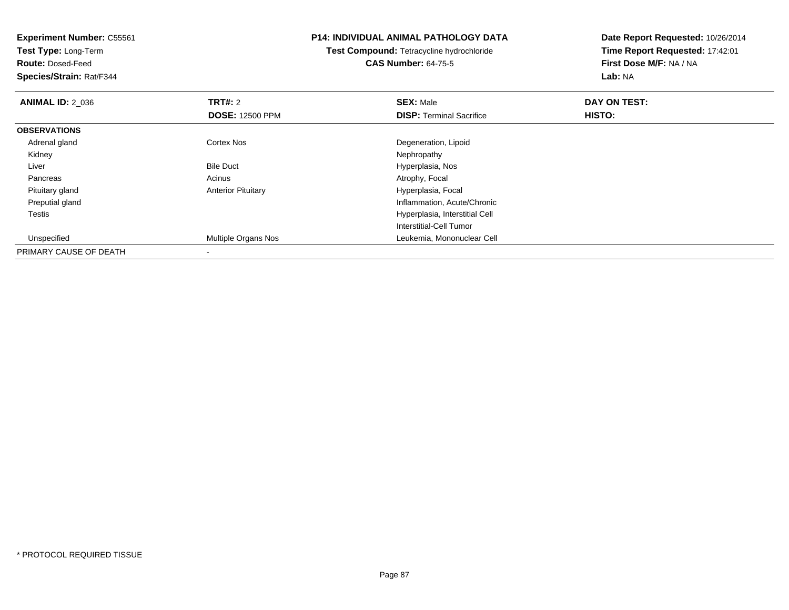**Experiment Number:** C55561**Test Type:** Long-Term**Route:** Dosed-Feed **Species/Strain:** Rat/F344**P14: INDIVIDUAL ANIMAL PATHOLOGY DATATest Compound:** Tetracycline hydrochloride**CAS Number:** 64-75-5**Date Report Requested:** 10/26/2014**Time Report Requested:** 17:42:01**First Dose M/F:** NA / NA**Lab:** NA**ANIMAL ID: 2 036 6 DAY ON TEST: TRT#:** 2 **SEX:** Male **SEX:** Male **DOSE:** 12500 PPM**DISP:** Terminal Sacrifice **HISTO: OBSERVATIONS** Adrenal glandCortex Nos Degeneration, Lipoid<br>
Nephropathy Kidneyy the control of the control of the control of the control of the control of the control of the control of the control of the control of the control of the control of the control of the control of the control of the contro LiverBile Duct **Hyperplasia**, Nos PancreasAcinus **Acinus** Atrophy, Focal Pituitary glandAnterior Pituitary **Matteriary Englisher Pituitary** Hyperplasia, Focal Preputial gland Inflammation, Acute/Chronic Testis Hyperplasia, Interstitial Cell Interstitial-Cell Tumor Unspecified Multiple Organs Nos Leukemia, Mononuclear Cell PRIMARY CAUSE OF DEATH-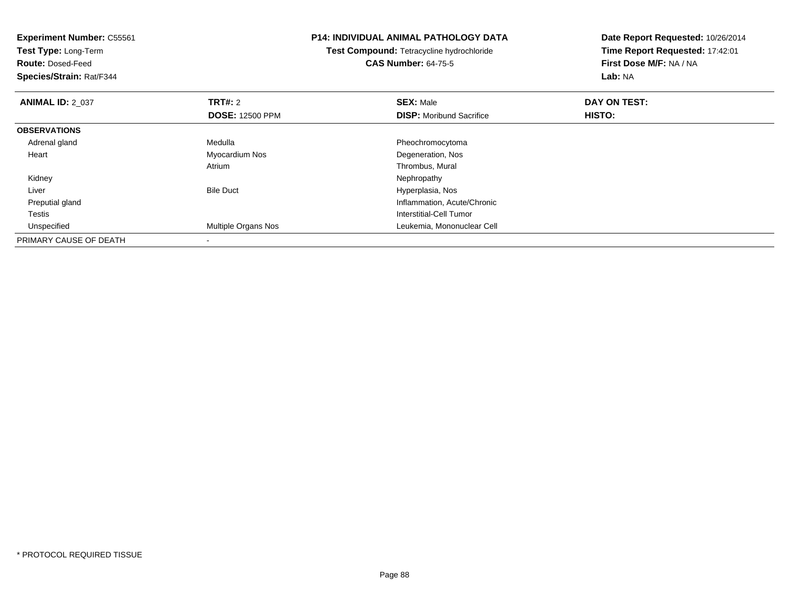| <b>Experiment Number: C55561</b><br>Test Type: Long-Term |                        | <b>P14: INDIVIDUAL ANIMAL PATHOLOGY DATA</b> | Date Report Requested: 10/26/2014 |
|----------------------------------------------------------|------------------------|----------------------------------------------|-----------------------------------|
|                                                          |                        | Test Compound: Tetracycline hydrochloride    | Time Report Requested: 17:42:01   |
| <b>Route: Dosed-Feed</b>                                 |                        | <b>CAS Number: 64-75-5</b>                   | First Dose M/F: NA / NA           |
| Species/Strain: Rat/F344                                 |                        |                                              | Lab: NA                           |
| <b>ANIMAL ID: 2 037</b>                                  | <b>TRT#: 2</b>         | <b>SEX: Male</b>                             | DAY ON TEST:                      |
|                                                          | <b>DOSE: 12500 PPM</b> | <b>DISP:</b> Moribund Sacrifice              | HISTO:                            |
| <b>OBSERVATIONS</b>                                      |                        |                                              |                                   |
| Adrenal gland                                            | Medulla                | Pheochromocytoma                             |                                   |
| Heart                                                    | Myocardium Nos         | Degeneration, Nos                            |                                   |
|                                                          | Atrium                 | Thrombus, Mural                              |                                   |
| Kidney                                                   |                        | Nephropathy                                  |                                   |
| Liver                                                    | <b>Bile Duct</b>       | Hyperplasia, Nos                             |                                   |
| Preputial gland                                          |                        | Inflammation, Acute/Chronic                  |                                   |
| Testis                                                   |                        | Interstitial-Cell Tumor                      |                                   |
| Unspecified                                              | Multiple Organs Nos    | Leukemia, Mononuclear Cell                   |                                   |
| PRIMARY CAUSE OF DEATH                                   |                        |                                              |                                   |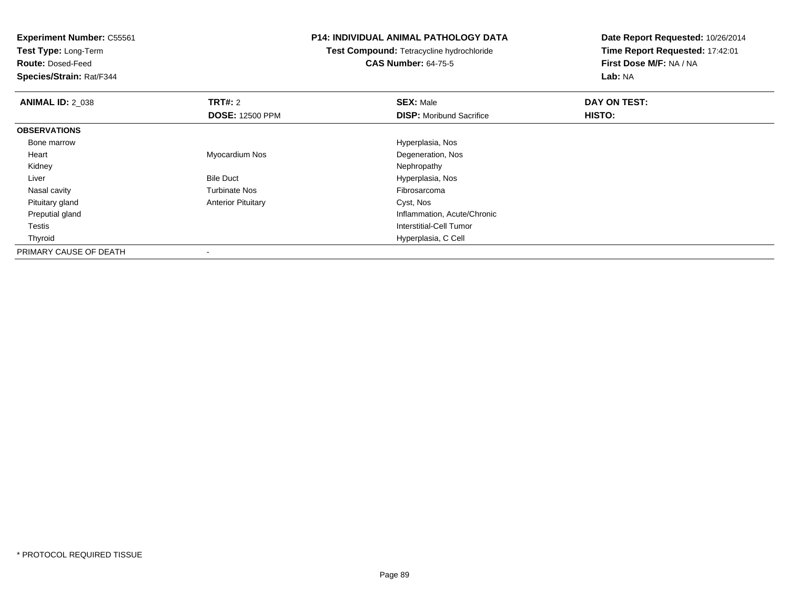**Test Type:** Long-Term

**Route:** Dosed-Feed

**Species/Strain:** Rat/F344

### **P14: INDIVIDUAL ANIMAL PATHOLOGY DATA**

**Test Compound:** Tetracycline hydrochloride**CAS Number:** 64-75-5

| <b>ANIMAL ID: 2_038</b> | TRT#: 2                   | <b>SEX: Male</b>                | DAY ON TEST: |  |
|-------------------------|---------------------------|---------------------------------|--------------|--|
|                         | <b>DOSE: 12500 PPM</b>    | <b>DISP:</b> Moribund Sacrifice | HISTO:       |  |
| <b>OBSERVATIONS</b>     |                           |                                 |              |  |
| Bone marrow             |                           | Hyperplasia, Nos                |              |  |
| Heart                   | Myocardium Nos            | Degeneration, Nos               |              |  |
| Kidney                  |                           | Nephropathy                     |              |  |
| Liver                   | <b>Bile Duct</b>          | Hyperplasia, Nos                |              |  |
| Nasal cavity            | <b>Turbinate Nos</b>      | Fibrosarcoma                    |              |  |
| Pituitary gland         | <b>Anterior Pituitary</b> | Cyst, Nos                       |              |  |
| Preputial gland         |                           | Inflammation, Acute/Chronic     |              |  |
| Testis                  |                           | Interstitial-Cell Tumor         |              |  |
| Thyroid                 |                           | Hyperplasia, C Cell             |              |  |
| PRIMARY CAUSE OF DEATH  |                           |                                 |              |  |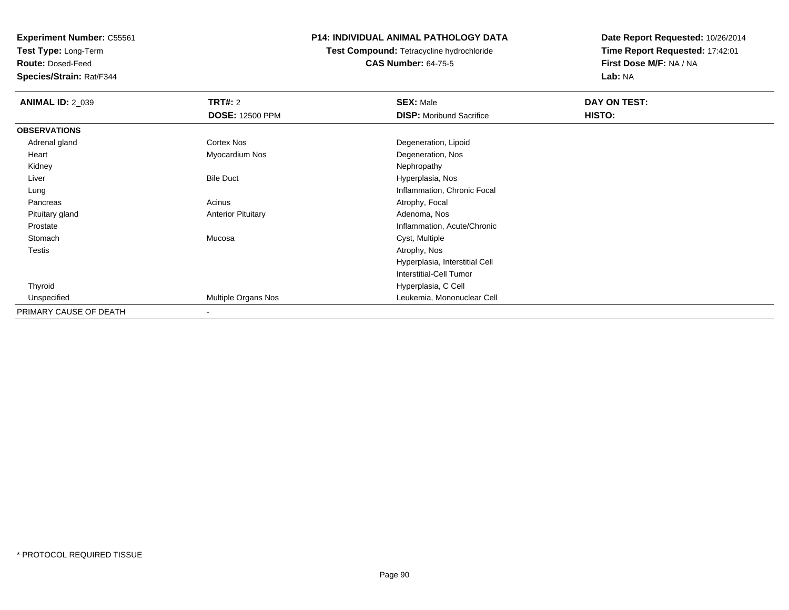**Test Type:** Long-Term

**Route:** Dosed-Feed

**Species/Strain:** Rat/F344

## **P14: INDIVIDUAL ANIMAL PATHOLOGY DATA**

**Test Compound:** Tetracycline hydrochloride**CAS Number:** 64-75-5

| <b>ANIMAL ID: 2_039</b> | <b>TRT#: 2</b>            | <b>SEX: Male</b>                | DAY ON TEST: |  |
|-------------------------|---------------------------|---------------------------------|--------------|--|
|                         | <b>DOSE: 12500 PPM</b>    | <b>DISP:</b> Moribund Sacrifice | HISTO:       |  |
| <b>OBSERVATIONS</b>     |                           |                                 |              |  |
| Adrenal gland           | Cortex Nos                | Degeneration, Lipoid            |              |  |
| Heart                   | Myocardium Nos            | Degeneration, Nos               |              |  |
| Kidney                  |                           | Nephropathy                     |              |  |
| Liver                   | <b>Bile Duct</b>          | Hyperplasia, Nos                |              |  |
| Lung                    |                           | Inflammation, Chronic Focal     |              |  |
| Pancreas                | Acinus                    | Atrophy, Focal                  |              |  |
| Pituitary gland         | <b>Anterior Pituitary</b> | Adenoma, Nos                    |              |  |
| Prostate                |                           | Inflammation, Acute/Chronic     |              |  |
| Stomach                 | Mucosa                    | Cyst, Multiple                  |              |  |
| Testis                  |                           | Atrophy, Nos                    |              |  |
|                         |                           | Hyperplasia, Interstitial Cell  |              |  |
|                         |                           | <b>Interstitial-Cell Tumor</b>  |              |  |
| Thyroid                 |                           | Hyperplasia, C Cell             |              |  |
| Unspecified             | Multiple Organs Nos       | Leukemia, Mononuclear Cell      |              |  |
| PRIMARY CAUSE OF DEATH  | $\overline{\phantom{a}}$  |                                 |              |  |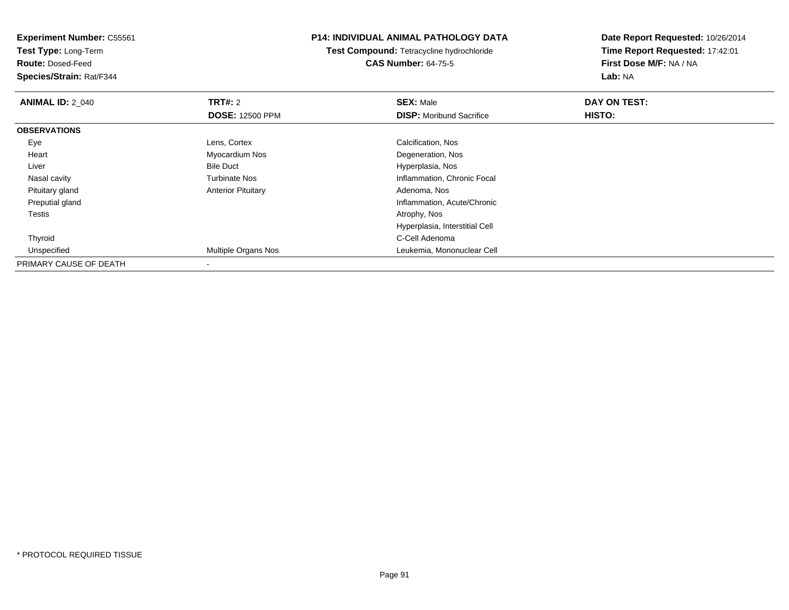**Test Type:** Long-Term

**Route:** Dosed-Feed

**Species/Strain:** Rat/F344

## **P14: INDIVIDUAL ANIMAL PATHOLOGY DATA**

**Test Compound:** Tetracycline hydrochloride**CAS Number:** 64-75-5

| <b>ANIMAL ID: 2 040</b> | TRT#: 2                   | <b>SEX: Male</b>                | DAY ON TEST: |  |
|-------------------------|---------------------------|---------------------------------|--------------|--|
|                         | <b>DOSE: 12500 PPM</b>    | <b>DISP: Moribund Sacrifice</b> | HISTO:       |  |
| <b>OBSERVATIONS</b>     |                           |                                 |              |  |
| Eye                     | Lens, Cortex              | Calcification, Nos              |              |  |
| Heart                   | Myocardium Nos            | Degeneration, Nos               |              |  |
| Liver                   | <b>Bile Duct</b>          | Hyperplasia, Nos                |              |  |
| Nasal cavity            | <b>Turbinate Nos</b>      | Inflammation, Chronic Focal     |              |  |
| Pituitary gland         | <b>Anterior Pituitary</b> | Adenoma, Nos                    |              |  |
| Preputial gland         |                           | Inflammation, Acute/Chronic     |              |  |
| <b>Testis</b>           |                           | Atrophy, Nos                    |              |  |
|                         |                           | Hyperplasia, Interstitial Cell  |              |  |
| Thyroid                 |                           | C-Cell Adenoma                  |              |  |
| Unspecified             | Multiple Organs Nos       | Leukemia, Mononuclear Cell      |              |  |
| PRIMARY CAUSE OF DEATH  |                           |                                 |              |  |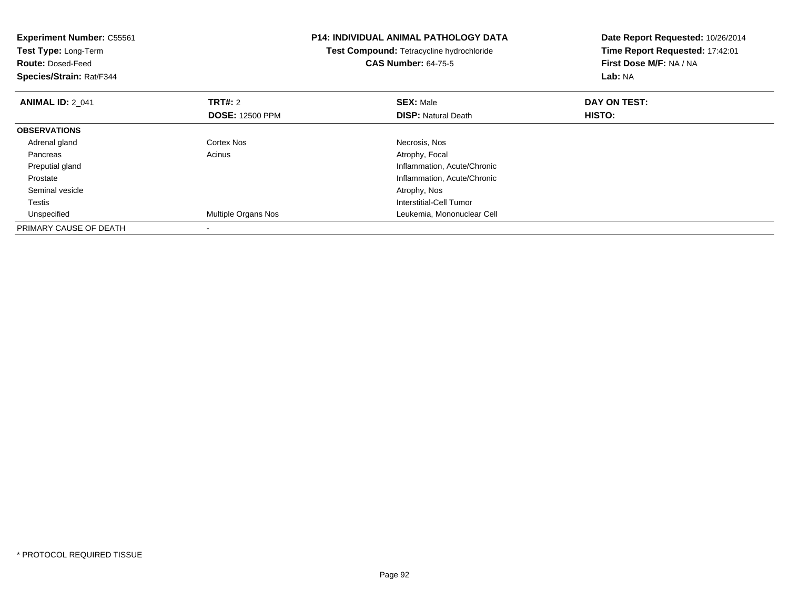| <b>Experiment Number: C55561</b><br><b>Test Type: Long-Term</b> |                            | <b>P14: INDIVIDUAL ANIMAL PATHOLOGY DATA</b><br>Test Compound: Tetracycline hydrochloride | Date Report Requested: 10/26/2014<br>Time Report Requested: 17:42:01 |
|-----------------------------------------------------------------|----------------------------|-------------------------------------------------------------------------------------------|----------------------------------------------------------------------|
| <b>Route: Dosed-Feed</b>                                        |                            | <b>CAS Number: 64-75-5</b>                                                                | First Dose M/F: NA / NA                                              |
| Species/Strain: Rat/F344                                        |                            |                                                                                           | <b>Lab: NA</b>                                                       |
| <b>ANIMAL ID: 2 041</b>                                         | <b>TRT#: 2</b>             | <b>SEX: Male</b>                                                                          | DAY ON TEST:                                                         |
|                                                                 | <b>DOSE: 12500 PPM</b>     | <b>DISP:</b> Natural Death                                                                | HISTO:                                                               |
| <b>OBSERVATIONS</b>                                             |                            |                                                                                           |                                                                      |
| Adrenal gland                                                   | Cortex Nos                 | Necrosis, Nos                                                                             |                                                                      |
| Pancreas                                                        | Acinus                     | Atrophy, Focal                                                                            |                                                                      |
| Preputial gland                                                 |                            | Inflammation, Acute/Chronic                                                               |                                                                      |
| Prostate                                                        |                            | Inflammation, Acute/Chronic                                                               |                                                                      |
| Seminal vesicle                                                 |                            | Atrophy, Nos                                                                              |                                                                      |
| Testis                                                          |                            | Interstitial-Cell Tumor                                                                   |                                                                      |
| Unspecified                                                     | <b>Multiple Organs Nos</b> | Leukemia, Mononuclear Cell                                                                |                                                                      |
| PRIMARY CAUSE OF DEATH                                          |                            |                                                                                           |                                                                      |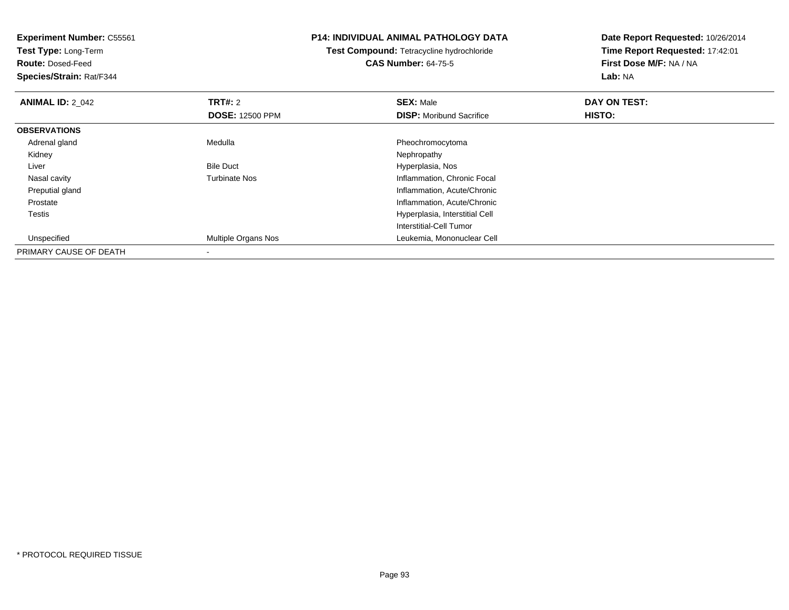| <b>Experiment Number: C55561</b><br>Test Type: Long-Term<br><b>Route: Dosed-Feed</b><br>Species/Strain: Rat/F344 |                        | P14: INDIVIDUAL ANIMAL PATHOLOGY DATA<br><b>Test Compound: Tetracycline hydrochloride</b><br><b>CAS Number: 64-75-5</b> | Date Report Requested: 10/26/2014<br>Time Report Requested: 17:42:01<br>First Dose M/F: NA / NA<br>Lab: NA |  |
|------------------------------------------------------------------------------------------------------------------|------------------------|-------------------------------------------------------------------------------------------------------------------------|------------------------------------------------------------------------------------------------------------|--|
| <b>ANIMAL ID: 2_042</b>                                                                                          | <b>TRT#: 2</b>         | <b>SEX: Male</b>                                                                                                        | DAY ON TEST:                                                                                               |  |
|                                                                                                                  | <b>DOSE: 12500 PPM</b> | <b>DISP:</b> Moribund Sacrifice                                                                                         | <b>HISTO:</b>                                                                                              |  |
| <b>OBSERVATIONS</b>                                                                                              |                        |                                                                                                                         |                                                                                                            |  |
| Adrenal gland                                                                                                    | Medulla                | Pheochromocytoma                                                                                                        |                                                                                                            |  |
| Kidney                                                                                                           |                        | Nephropathy                                                                                                             |                                                                                                            |  |
| Liver                                                                                                            | <b>Bile Duct</b>       | Hyperplasia, Nos                                                                                                        |                                                                                                            |  |
| Nasal cavity                                                                                                     | <b>Turbinate Nos</b>   | Inflammation, Chronic Focal                                                                                             |                                                                                                            |  |
| Preputial gland                                                                                                  |                        | Inflammation, Acute/Chronic                                                                                             |                                                                                                            |  |
| Prostate                                                                                                         |                        | Inflammation, Acute/Chronic                                                                                             |                                                                                                            |  |
| Testis                                                                                                           |                        | Hyperplasia, Interstitial Cell                                                                                          |                                                                                                            |  |
|                                                                                                                  |                        | Interstitial-Cell Tumor                                                                                                 |                                                                                                            |  |
| Unspecified                                                                                                      | Multiple Organs Nos    | Leukemia, Mononuclear Cell                                                                                              |                                                                                                            |  |
| PRIMARY CAUSE OF DEATH                                                                                           |                        |                                                                                                                         |                                                                                                            |  |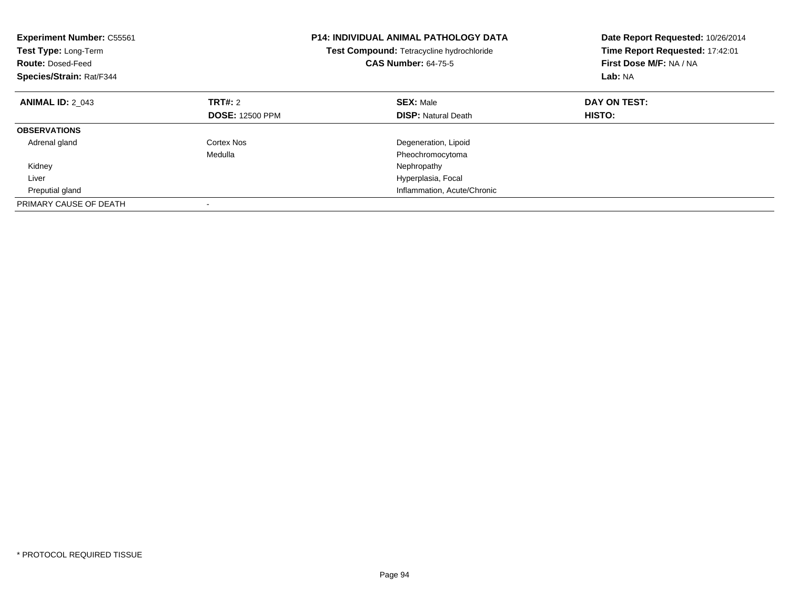| <b>Experiment Number: C55561</b><br>Test Type: Long-Term<br><b>Route: Dosed-Feed</b><br>Species/Strain: Rat/F344 |                        | <b>P14: INDIVIDUAL ANIMAL PATHOLOGY DATA</b><br>Test Compound: Tetracycline hydrochloride<br><b>CAS Number: 64-75-5</b> | Date Report Requested: 10/26/2014<br>Time Report Requested: 17:42:01<br>First Dose M/F: NA / NA<br>Lab: NA |
|------------------------------------------------------------------------------------------------------------------|------------------------|-------------------------------------------------------------------------------------------------------------------------|------------------------------------------------------------------------------------------------------------|
| <b>ANIMAL ID: 2 043</b>                                                                                          | TRT#: 2                | <b>SEX: Male</b>                                                                                                        | DAY ON TEST:                                                                                               |
|                                                                                                                  | <b>DOSE: 12500 PPM</b> | <b>DISP:</b> Natural Death                                                                                              | HISTO:                                                                                                     |
| <b>OBSERVATIONS</b>                                                                                              |                        |                                                                                                                         |                                                                                                            |
| Adrenal gland                                                                                                    | Cortex Nos             | Degeneration, Lipoid                                                                                                    |                                                                                                            |
|                                                                                                                  | Medulla                | Pheochromocytoma                                                                                                        |                                                                                                            |
| Kidney                                                                                                           |                        | Nephropathy                                                                                                             |                                                                                                            |
| Liver                                                                                                            |                        | Hyperplasia, Focal                                                                                                      |                                                                                                            |
| Preputial gland                                                                                                  |                        | Inflammation, Acute/Chronic                                                                                             |                                                                                                            |
| PRIMARY CAUSE OF DEATH                                                                                           |                        |                                                                                                                         |                                                                                                            |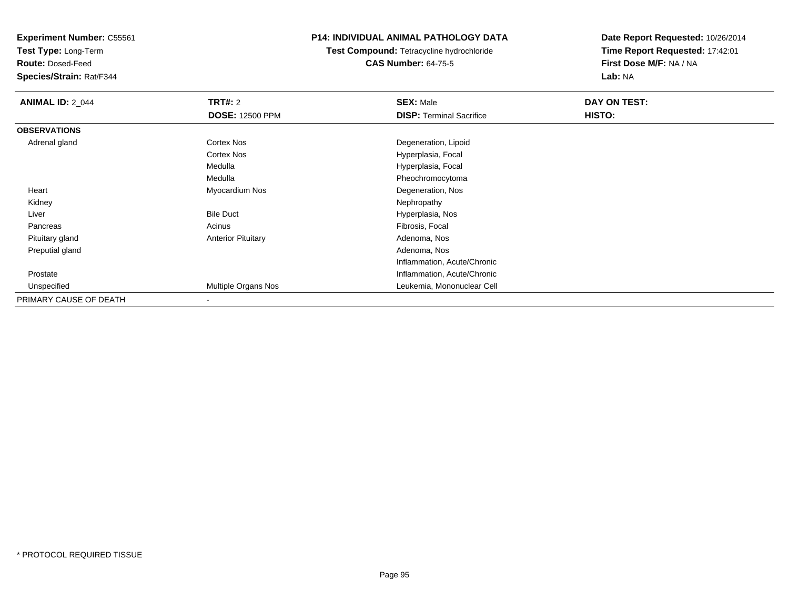**Test Type:** Long-Term

**Route:** Dosed-Feed

**Species/Strain:** Rat/F344

### **P14: INDIVIDUAL ANIMAL PATHOLOGY DATA**

**Test Compound:** Tetracycline hydrochloride**CAS Number:** 64-75-5

| <b>ANIMAL ID: 2_044</b> | <b>TRT#: 2</b>            | <b>SEX: Male</b>                | DAY ON TEST: |  |
|-------------------------|---------------------------|---------------------------------|--------------|--|
|                         | <b>DOSE: 12500 PPM</b>    | <b>DISP: Terminal Sacrifice</b> | HISTO:       |  |
| <b>OBSERVATIONS</b>     |                           |                                 |              |  |
| Adrenal gland           | Cortex Nos                | Degeneration, Lipoid            |              |  |
|                         | Cortex Nos                | Hyperplasia, Focal              |              |  |
|                         | Medulla                   | Hyperplasia, Focal              |              |  |
|                         | Medulla                   | Pheochromocytoma                |              |  |
| Heart                   | Myocardium Nos            | Degeneration, Nos               |              |  |
| Kidney                  |                           | Nephropathy                     |              |  |
| Liver                   | <b>Bile Duct</b>          | Hyperplasia, Nos                |              |  |
| Pancreas                | Acinus                    | Fibrosis, Focal                 |              |  |
| Pituitary gland         | <b>Anterior Pituitary</b> | Adenoma, Nos                    |              |  |
| Preputial gland         |                           | Adenoma, Nos                    |              |  |
|                         |                           | Inflammation, Acute/Chronic     |              |  |
| Prostate                |                           | Inflammation, Acute/Chronic     |              |  |
| Unspecified             | Multiple Organs Nos       | Leukemia, Mononuclear Cell      |              |  |
| PRIMARY CAUSE OF DEATH  |                           |                                 |              |  |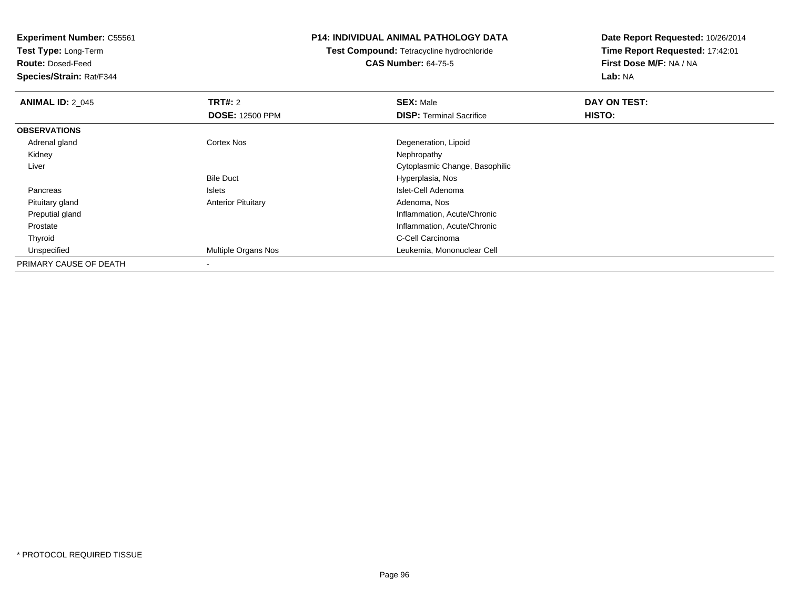**Test Type:** Long-Term

**Route:** Dosed-Feed

**Species/Strain:** Rat/F344

### **P14: INDIVIDUAL ANIMAL PATHOLOGY DATA**

**Test Compound:** Tetracycline hydrochloride**CAS Number:** 64-75-5

| <b>ANIMAL ID: 2 045</b> | <b>TRT#: 2</b>            | <b>SEX: Male</b>                | DAY ON TEST: |  |
|-------------------------|---------------------------|---------------------------------|--------------|--|
|                         | <b>DOSE: 12500 PPM</b>    | <b>DISP: Terminal Sacrifice</b> | HISTO:       |  |
| <b>OBSERVATIONS</b>     |                           |                                 |              |  |
| Adrenal gland           | <b>Cortex Nos</b>         | Degeneration, Lipoid            |              |  |
| Kidney                  |                           | Nephropathy                     |              |  |
| Liver                   |                           | Cytoplasmic Change, Basophilic  |              |  |
|                         | <b>Bile Duct</b>          | Hyperplasia, Nos                |              |  |
| Pancreas                | Islets                    | Islet-Cell Adenoma              |              |  |
| Pituitary gland         | <b>Anterior Pituitary</b> | Adenoma, Nos                    |              |  |
| Preputial gland         |                           | Inflammation, Acute/Chronic     |              |  |
| Prostate                |                           | Inflammation, Acute/Chronic     |              |  |
| Thyroid                 |                           | C-Cell Carcinoma                |              |  |
| Unspecified             | Multiple Organs Nos       | Leukemia, Mononuclear Cell      |              |  |
| PRIMARY CAUSE OF DEATH  |                           |                                 |              |  |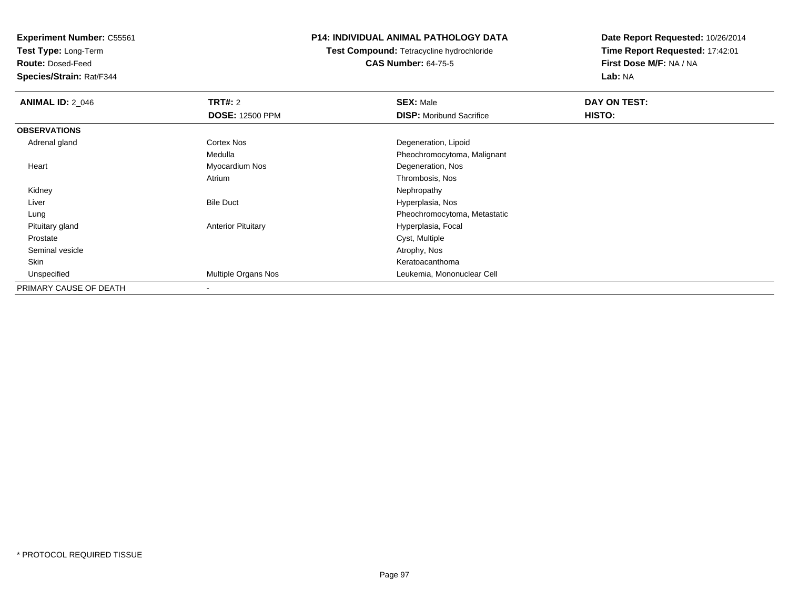**Test Type:** Long-Term

**Route:** Dosed-Feed

**Species/Strain:** Rat/F344

### **P14: INDIVIDUAL ANIMAL PATHOLOGY DATA**

**Test Compound:** Tetracycline hydrochloride**CAS Number:** 64-75-5

| <b>ANIMAL ID: 2_046</b> | TRT#: 2                   | <b>SEX: Male</b>                | DAY ON TEST: |  |
|-------------------------|---------------------------|---------------------------------|--------------|--|
|                         | <b>DOSE: 12500 PPM</b>    | <b>DISP:</b> Moribund Sacrifice | HISTO:       |  |
| <b>OBSERVATIONS</b>     |                           |                                 |              |  |
| Adrenal gland           | <b>Cortex Nos</b>         | Degeneration, Lipoid            |              |  |
|                         | Medulla                   | Pheochromocytoma, Malignant     |              |  |
| Heart                   | Myocardium Nos            | Degeneration, Nos               |              |  |
|                         | Atrium                    | Thrombosis, Nos                 |              |  |
| Kidney                  |                           | Nephropathy                     |              |  |
| Liver                   | <b>Bile Duct</b>          | Hyperplasia, Nos                |              |  |
| Lung                    |                           | Pheochromocytoma, Metastatic    |              |  |
| Pituitary gland         | <b>Anterior Pituitary</b> | Hyperplasia, Focal              |              |  |
| Prostate                |                           | Cyst, Multiple                  |              |  |
| Seminal vesicle         |                           | Atrophy, Nos                    |              |  |
| Skin                    |                           | Keratoacanthoma                 |              |  |
| Unspecified             | Multiple Organs Nos       | Leukemia, Mononuclear Cell      |              |  |
| PRIMARY CAUSE OF DEATH  |                           |                                 |              |  |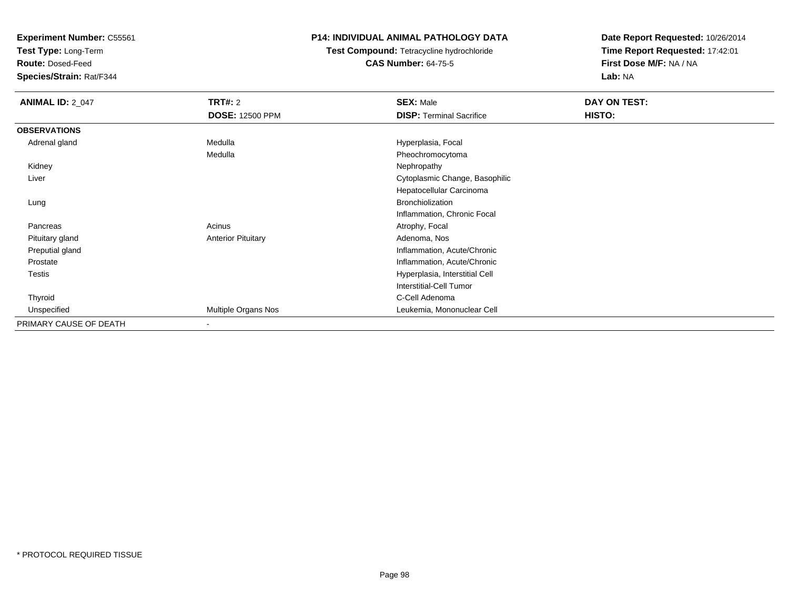**Test Type:** Long-Term

**Route:** Dosed-Feed

**Species/Strain:** Rat/F344

### **P14: INDIVIDUAL ANIMAL PATHOLOGY DATA**

**Test Compound:** Tetracycline hydrochloride**CAS Number:** 64-75-5

| <b>ANIMAL ID: 2_047</b> | <b>TRT#:</b> 2            | <b>SEX: Male</b>                | DAY ON TEST:  |  |
|-------------------------|---------------------------|---------------------------------|---------------|--|
|                         | <b>DOSE: 12500 PPM</b>    | <b>DISP: Terminal Sacrifice</b> | <b>HISTO:</b> |  |
| <b>OBSERVATIONS</b>     |                           |                                 |               |  |
| Adrenal gland           | Medulla                   | Hyperplasia, Focal              |               |  |
|                         | Medulla                   | Pheochromocytoma                |               |  |
| Kidney                  |                           | Nephropathy                     |               |  |
| Liver                   |                           | Cytoplasmic Change, Basophilic  |               |  |
|                         |                           | Hepatocellular Carcinoma        |               |  |
| Lung                    |                           | <b>Bronchiolization</b>         |               |  |
|                         |                           | Inflammation, Chronic Focal     |               |  |
| Pancreas                | Acinus                    | Atrophy, Focal                  |               |  |
| Pituitary gland         | <b>Anterior Pituitary</b> | Adenoma, Nos                    |               |  |
| Preputial gland         |                           | Inflammation, Acute/Chronic     |               |  |
| Prostate                |                           | Inflammation, Acute/Chronic     |               |  |
| Testis                  |                           | Hyperplasia, Interstitial Cell  |               |  |
|                         |                           | <b>Interstitial-Cell Tumor</b>  |               |  |
| Thyroid                 |                           | C-Cell Adenoma                  |               |  |
| Unspecified             | Multiple Organs Nos       | Leukemia, Mononuclear Cell      |               |  |
| PRIMARY CAUSE OF DEATH  |                           |                                 |               |  |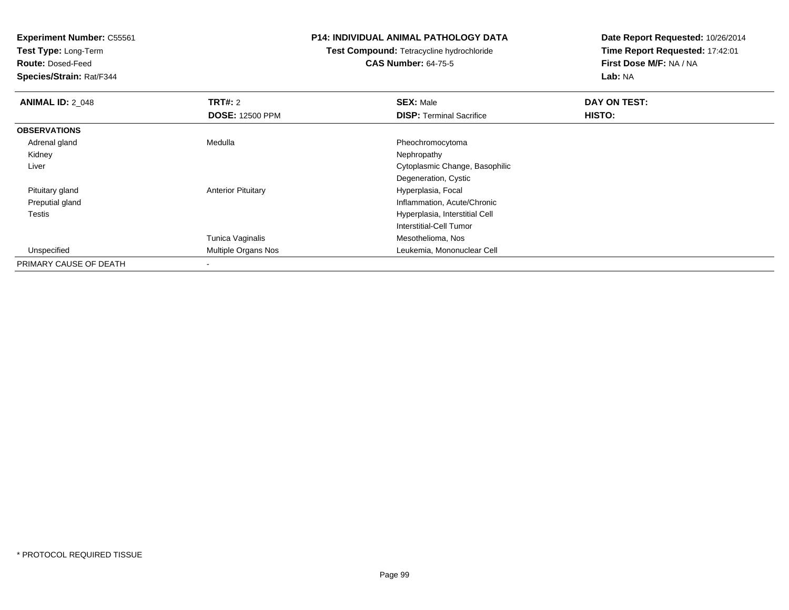**Test Type:** Long-Term

**Route:** Dosed-Feed

**Species/Strain:** Rat/F344

### **P14: INDIVIDUAL ANIMAL PATHOLOGY DATA**

**Test Compound:** Tetracycline hydrochloride**CAS Number:** 64-75-5

| <b>ANIMAL ID: 2 048</b> | TRT#: 2                   | <b>SEX: Male</b>                | DAY ON TEST: |  |
|-------------------------|---------------------------|---------------------------------|--------------|--|
|                         | <b>DOSE: 12500 PPM</b>    | <b>DISP: Terminal Sacrifice</b> | HISTO:       |  |
| <b>OBSERVATIONS</b>     |                           |                                 |              |  |
| Adrenal gland           | Medulla                   | Pheochromocytoma                |              |  |
| Kidney                  |                           | Nephropathy                     |              |  |
| Liver                   |                           | Cytoplasmic Change, Basophilic  |              |  |
|                         |                           | Degeneration, Cystic            |              |  |
| Pituitary gland         | <b>Anterior Pituitary</b> | Hyperplasia, Focal              |              |  |
| Preputial gland         |                           | Inflammation, Acute/Chronic     |              |  |
| <b>Testis</b>           |                           | Hyperplasia, Interstitial Cell  |              |  |
|                         |                           | Interstitial-Cell Tumor         |              |  |
|                         | Tunica Vaginalis          | Mesothelioma, Nos               |              |  |
| Unspecified             | Multiple Organs Nos       | Leukemia, Mononuclear Cell      |              |  |
| PRIMARY CAUSE OF DEATH  |                           |                                 |              |  |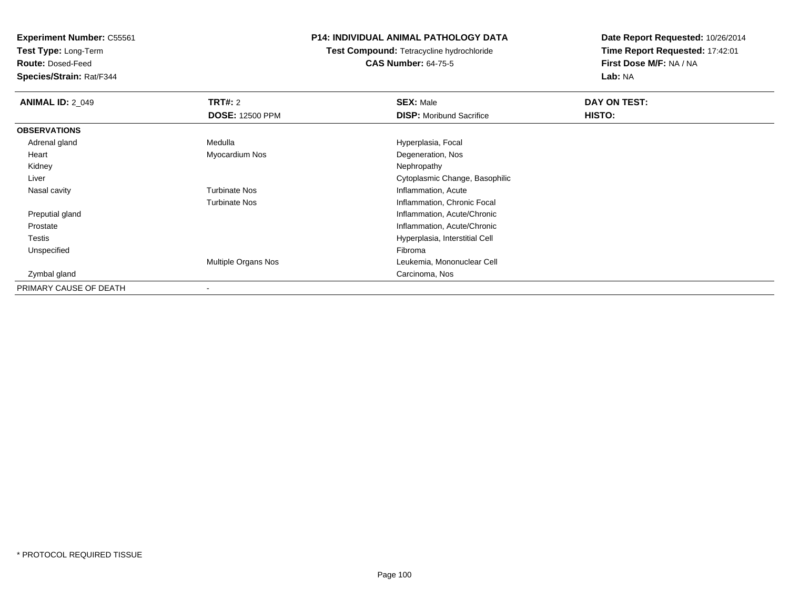**Test Type:** Long-Term

**Route:** Dosed-Feed

**Species/Strain:** Rat/F344

### **P14: INDIVIDUAL ANIMAL PATHOLOGY DATA**

**Test Compound:** Tetracycline hydrochloride**CAS Number:** 64-75-5

| <b>ANIMAL ID: 2_049</b> | <b>TRT#: 2</b>         | <b>SEX: Male</b>                | DAY ON TEST: |  |
|-------------------------|------------------------|---------------------------------|--------------|--|
|                         | <b>DOSE: 12500 PPM</b> | <b>DISP:</b> Moribund Sacrifice | HISTO:       |  |
| <b>OBSERVATIONS</b>     |                        |                                 |              |  |
| Adrenal gland           | Medulla                | Hyperplasia, Focal              |              |  |
| Heart                   | Myocardium Nos         | Degeneration, Nos               |              |  |
| Kidney                  |                        | Nephropathy                     |              |  |
| Liver                   |                        | Cytoplasmic Change, Basophilic  |              |  |
| Nasal cavity            | <b>Turbinate Nos</b>   | Inflammation, Acute             |              |  |
|                         | <b>Turbinate Nos</b>   | Inflammation, Chronic Focal     |              |  |
| Preputial gland         |                        | Inflammation, Acute/Chronic     |              |  |
| Prostate                |                        | Inflammation, Acute/Chronic     |              |  |
| <b>Testis</b>           |                        | Hyperplasia, Interstitial Cell  |              |  |
| Unspecified             |                        | Fibroma                         |              |  |
|                         | Multiple Organs Nos    | Leukemia, Mononuclear Cell      |              |  |
| Zymbal gland            |                        | Carcinoma, Nos                  |              |  |
| PRIMARY CAUSE OF DEATH  |                        |                                 |              |  |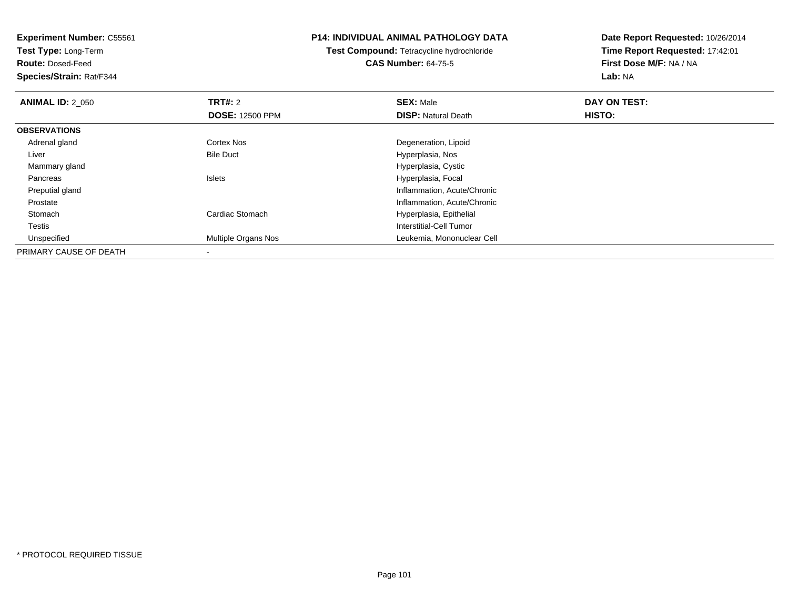**Test Type:** Long-Term

**Route:** Dosed-Feed

**Species/Strain:** Rat/F344

### **P14: INDIVIDUAL ANIMAL PATHOLOGY DATA**

**Test Compound:** Tetracycline hydrochloride**CAS Number:** 64-75-5

| <b>ANIMAL ID: 2 050</b> | <b>TRT#: 2</b>         | <b>SEX: Male</b>            | DAY ON TEST: |  |
|-------------------------|------------------------|-----------------------------|--------------|--|
|                         | <b>DOSE: 12500 PPM</b> | <b>DISP: Natural Death</b>  | HISTO:       |  |
| <b>OBSERVATIONS</b>     |                        |                             |              |  |
| Adrenal gland           | Cortex Nos             | Degeneration, Lipoid        |              |  |
| Liver                   | <b>Bile Duct</b>       | Hyperplasia, Nos            |              |  |
| Mammary gland           |                        | Hyperplasia, Cystic         |              |  |
| Pancreas                | <b>Islets</b>          | Hyperplasia, Focal          |              |  |
| Preputial gland         |                        | Inflammation, Acute/Chronic |              |  |
| Prostate                |                        | Inflammation, Acute/Chronic |              |  |
| Stomach                 | Cardiac Stomach        | Hyperplasia, Epithelial     |              |  |
| Testis                  |                        | Interstitial-Cell Tumor     |              |  |
| Unspecified             | Multiple Organs Nos    | Leukemia, Mononuclear Cell  |              |  |
| PRIMARY CAUSE OF DEATH  |                        |                             |              |  |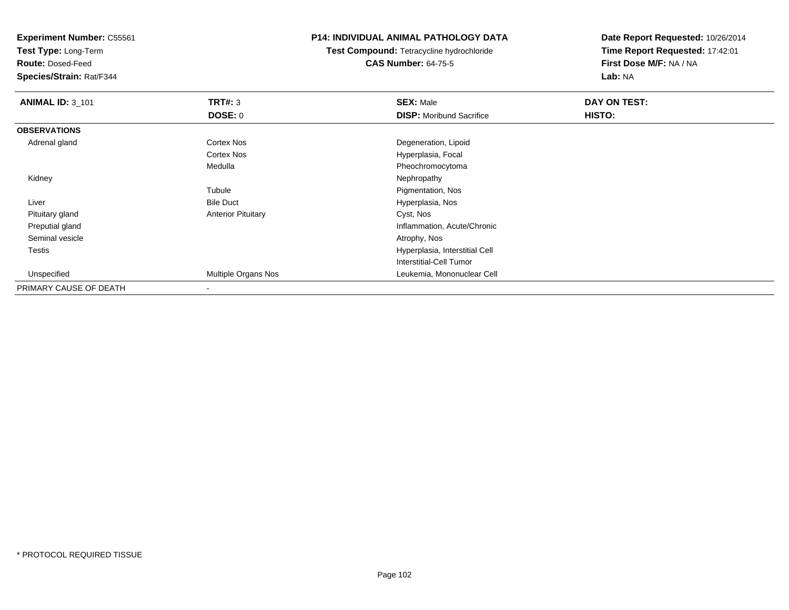**Test Type:** Long-Term

**Route:** Dosed-Feed

**Species/Strain:** Rat/F344

### **P14: INDIVIDUAL ANIMAL PATHOLOGY DATA**

**Test Compound:** Tetracycline hydrochloride**CAS Number:** 64-75-5

| <b>ANIMAL ID: 3_101</b> | TRT#: 3                   | <b>SEX: Male</b>                | DAY ON TEST: |  |
|-------------------------|---------------------------|---------------------------------|--------------|--|
|                         | <b>DOSE: 0</b>            | <b>DISP:</b> Moribund Sacrifice | HISTO:       |  |
| <b>OBSERVATIONS</b>     |                           |                                 |              |  |
| Adrenal gland           | Cortex Nos                | Degeneration, Lipoid            |              |  |
|                         | Cortex Nos                | Hyperplasia, Focal              |              |  |
|                         | Medulla                   | Pheochromocytoma                |              |  |
| Kidney                  |                           | Nephropathy                     |              |  |
|                         | Tubule                    | Pigmentation, Nos               |              |  |
| Liver                   | <b>Bile Duct</b>          | Hyperplasia, Nos                |              |  |
| Pituitary gland         | <b>Anterior Pituitary</b> | Cyst, Nos                       |              |  |
| Preputial gland         |                           | Inflammation, Acute/Chronic     |              |  |
| Seminal vesicle         |                           | Atrophy, Nos                    |              |  |
| Testis                  |                           | Hyperplasia, Interstitial Cell  |              |  |
|                         |                           | Interstitial-Cell Tumor         |              |  |
| Unspecified             | Multiple Organs Nos       | Leukemia, Mononuclear Cell      |              |  |
| PRIMARY CAUSE OF DEATH  |                           |                                 |              |  |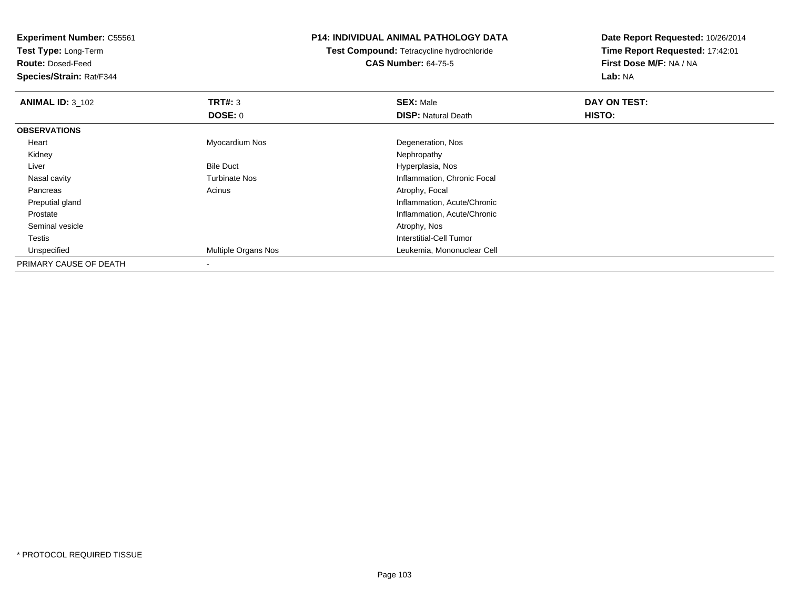**Test Type:** Long-Term

**Route:** Dosed-Feed

**Species/Strain:** Rat/F344

### **P14: INDIVIDUAL ANIMAL PATHOLOGY DATA**

**Test Compound:** Tetracycline hydrochloride**CAS Number:** 64-75-5

| <b>ANIMAL ID: 3_102</b> | TRT#: 3                    | <b>SEX: Male</b>            | DAY ON TEST: |  |
|-------------------------|----------------------------|-----------------------------|--------------|--|
|                         | <b>DOSE: 0</b>             | <b>DISP: Natural Death</b>  | HISTO:       |  |
| <b>OBSERVATIONS</b>     |                            |                             |              |  |
| Heart                   | Myocardium Nos             | Degeneration, Nos           |              |  |
| Kidney                  |                            | Nephropathy                 |              |  |
| Liver                   | <b>Bile Duct</b>           | Hyperplasia, Nos            |              |  |
| Nasal cavity            | <b>Turbinate Nos</b>       | Inflammation, Chronic Focal |              |  |
| Pancreas                | Acinus                     | Atrophy, Focal              |              |  |
| Preputial gland         |                            | Inflammation, Acute/Chronic |              |  |
| Prostate                |                            | Inflammation, Acute/Chronic |              |  |
| Seminal vesicle         |                            | Atrophy, Nos                |              |  |
| Testis                  |                            | Interstitial-Cell Tumor     |              |  |
| Unspecified             | <b>Multiple Organs Nos</b> | Leukemia, Mononuclear Cell  |              |  |
| PRIMARY CAUSE OF DEATH  |                            |                             |              |  |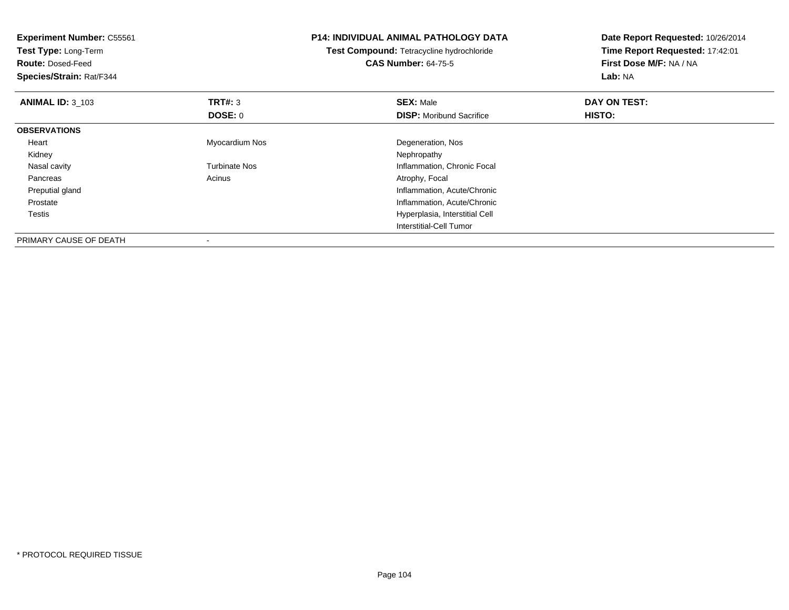| <b>Experiment Number: C55561</b><br>Test Type: Long-Term |                      | <b>P14: INDIVIDUAL ANIMAL PATHOLOGY DATA</b> | Date Report Requested: 10/26/2014<br>Time Report Requested: 17:42:01 |  |
|----------------------------------------------------------|----------------------|----------------------------------------------|----------------------------------------------------------------------|--|
|                                                          |                      | Test Compound: Tetracycline hydrochloride    |                                                                      |  |
| <b>Route: Dosed-Feed</b>                                 |                      | <b>CAS Number: 64-75-5</b>                   | First Dose M/F: NA / NA                                              |  |
| Species/Strain: Rat/F344                                 |                      |                                              | Lab: NA                                                              |  |
| <b>ANIMAL ID: 3_103</b>                                  | <b>TRT#: 3</b>       | <b>SEX: Male</b>                             | DAY ON TEST:                                                         |  |
|                                                          | DOSE: 0              | <b>DISP:</b> Moribund Sacrifice              | HISTO:                                                               |  |
| <b>OBSERVATIONS</b>                                      |                      |                                              |                                                                      |  |
| Heart                                                    | Myocardium Nos       | Degeneration, Nos                            |                                                                      |  |
| Kidney                                                   |                      | Nephropathy                                  |                                                                      |  |
| Nasal cavity                                             | <b>Turbinate Nos</b> | Inflammation, Chronic Focal                  |                                                                      |  |
| Pancreas                                                 | Acinus               | Atrophy, Focal                               |                                                                      |  |
| Preputial gland                                          |                      | Inflammation, Acute/Chronic                  |                                                                      |  |
| Prostate                                                 |                      | Inflammation, Acute/Chronic                  |                                                                      |  |
| Testis                                                   |                      | Hyperplasia, Interstitial Cell               |                                                                      |  |
|                                                          |                      | Interstitial-Cell Tumor                      |                                                                      |  |
| PRIMARY CAUSE OF DEATH                                   |                      |                                              |                                                                      |  |

-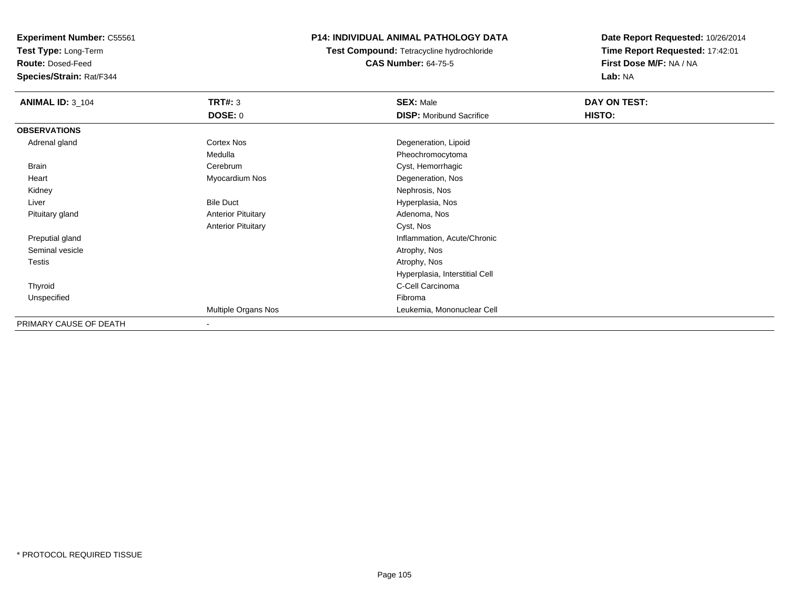**Test Type:** Long-Term

**Route:** Dosed-Feed

**Species/Strain:** Rat/F344

## **P14: INDIVIDUAL ANIMAL PATHOLOGY DATA**

**Test Compound:** Tetracycline hydrochloride**CAS Number:** 64-75-5

| <b>ANIMAL ID: 3_104</b> | <b>TRT#: 3</b>            | <b>SEX: Male</b>                | DAY ON TEST:  |  |
|-------------------------|---------------------------|---------------------------------|---------------|--|
|                         | <b>DOSE: 0</b>            | <b>DISP:</b> Moribund Sacrifice | <b>HISTO:</b> |  |
| <b>OBSERVATIONS</b>     |                           |                                 |               |  |
| Adrenal gland           | <b>Cortex Nos</b>         | Degeneration, Lipoid            |               |  |
|                         | Medulla                   | Pheochromocytoma                |               |  |
| Brain                   | Cerebrum                  | Cyst, Hemorrhagic               |               |  |
| Heart                   | Myocardium Nos            | Degeneration, Nos               |               |  |
| Kidney                  |                           | Nephrosis, Nos                  |               |  |
| Liver                   | <b>Bile Duct</b>          | Hyperplasia, Nos                |               |  |
| Pituitary gland         | <b>Anterior Pituitary</b> | Adenoma, Nos                    |               |  |
|                         | <b>Anterior Pituitary</b> | Cyst, Nos                       |               |  |
| Preputial gland         |                           | Inflammation, Acute/Chronic     |               |  |
| Seminal vesicle         |                           | Atrophy, Nos                    |               |  |
| <b>Testis</b>           |                           | Atrophy, Nos                    |               |  |
|                         |                           | Hyperplasia, Interstitial Cell  |               |  |
| Thyroid                 |                           | C-Cell Carcinoma                |               |  |
| Unspecified             |                           | Fibroma                         |               |  |
|                         | Multiple Organs Nos       | Leukemia, Mononuclear Cell      |               |  |
| PRIMARY CAUSE OF DEATH  | $\overline{\phantom{a}}$  |                                 |               |  |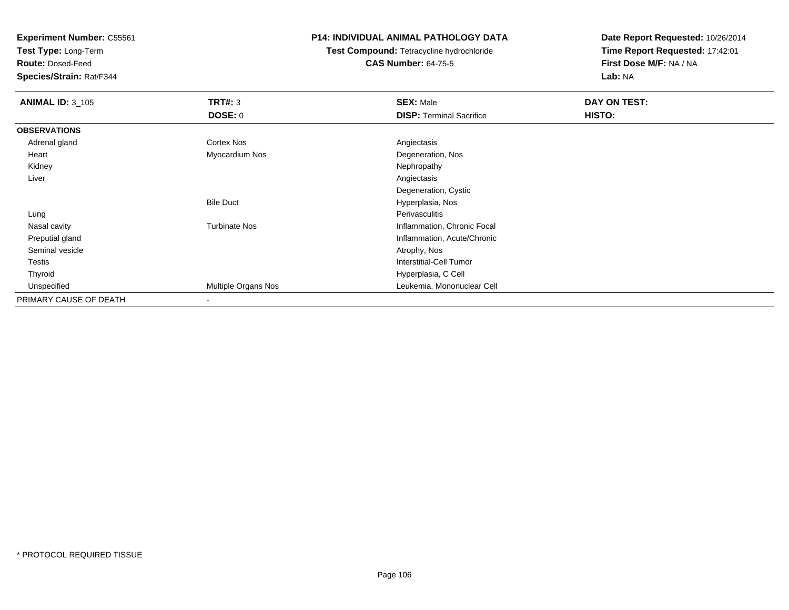**Test Type:** Long-Term

**Route:** Dosed-Feed

**Species/Strain:** Rat/F344

## **P14: INDIVIDUAL ANIMAL PATHOLOGY DATA**

**Test Compound:** Tetracycline hydrochloride**CAS Number:** 64-75-5

| <b>ANIMAL ID: 3_105</b> | TRT#: 3<br><b>DOSE: 0</b> | <b>SEX: Male</b><br><b>DISP: Terminal Sacrifice</b> | DAY ON TEST:<br>HISTO: |
|-------------------------|---------------------------|-----------------------------------------------------|------------------------|
|                         |                           |                                                     |                        |
| <b>OBSERVATIONS</b>     |                           |                                                     |                        |
| Adrenal gland           | Cortex Nos                | Angiectasis                                         |                        |
| Heart                   | Myocardium Nos            | Degeneration, Nos                                   |                        |
| Kidney                  |                           | Nephropathy                                         |                        |
| Liver                   |                           | Angiectasis                                         |                        |
|                         |                           | Degeneration, Cystic                                |                        |
|                         | <b>Bile Duct</b>          | Hyperplasia, Nos                                    |                        |
| Lung                    |                           | Perivasculitis                                      |                        |
| Nasal cavity            | <b>Turbinate Nos</b>      | Inflammation, Chronic Focal                         |                        |
| Preputial gland         |                           | Inflammation, Acute/Chronic                         |                        |
| Seminal vesicle         |                           | Atrophy, Nos                                        |                        |
| <b>Testis</b>           |                           | Interstitial-Cell Tumor                             |                        |
| Thyroid                 |                           | Hyperplasia, C Cell                                 |                        |
| Unspecified             | Multiple Organs Nos       | Leukemia, Mononuclear Cell                          |                        |
| PRIMARY CAUSE OF DEATH  |                           |                                                     |                        |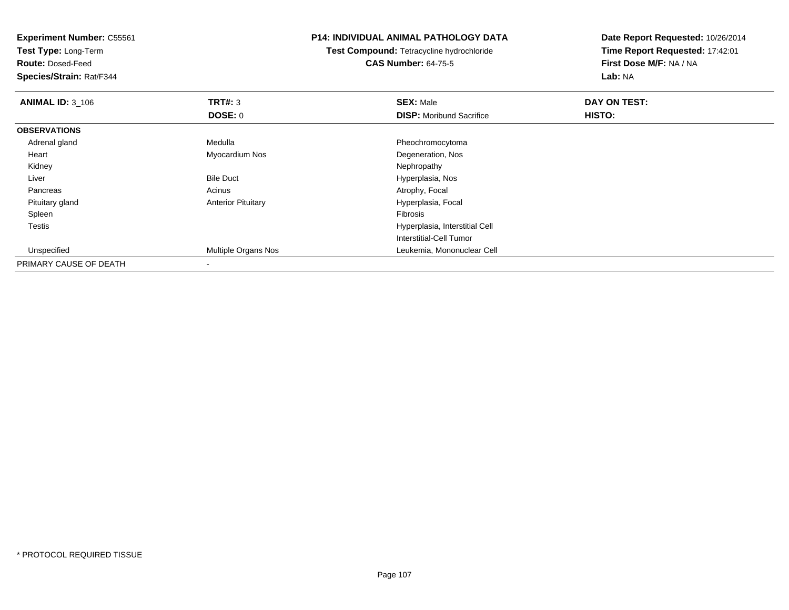**Experiment Number:** C55561**Test Type:** Long-Term**Route:** Dosed-Feed **Species/Strain:** Rat/F344**P14: INDIVIDUAL ANIMAL PATHOLOGY DATATest Compound:** Tetracycline hydrochloride**CAS Number:** 64-75-5**Date Report Requested:** 10/26/2014**Time Report Requested:** 17:42:01**First Dose M/F:** NA / NA**Lab:** NA**ANIMAL ID:** 3\_106 **TRT#:** <sup>3</sup> **SEX:** Male **DAY ON TEST: DOSE:** 0**DISP:** Moribund Sacrifice **HISTO: OBSERVATIONS** Adrenal glandMedulla **Pheochromocytoma**  Heart Myocardium NosDegeneration, Nos<br>Nephropathy Kidneyy the control of the control of the control of the control of the control of the control of the control of the control of the control of the control of the control of the control of the control of the control of the contro LiverBile Duct **Hyperplasia**, Nos PancreasAcinus **Acinus** Atrophy, Focal Pituitary glandAnterior Pituitary **Hyperplasia, Focal**<br>Fibrosis Spleenn and the contract of the contract of the contract of the contract of the contract of the contract of the contract of the contract of the contract of the contract of the contract of the contract of the contract of the cont Testis Hyperplasia, Interstitial Cell Interstitial-Cell Tumor UnspecifiedMultiple Organs Nos Leukemia, Mononuclear Cell

PRIMARY CAUSE OF DEATH-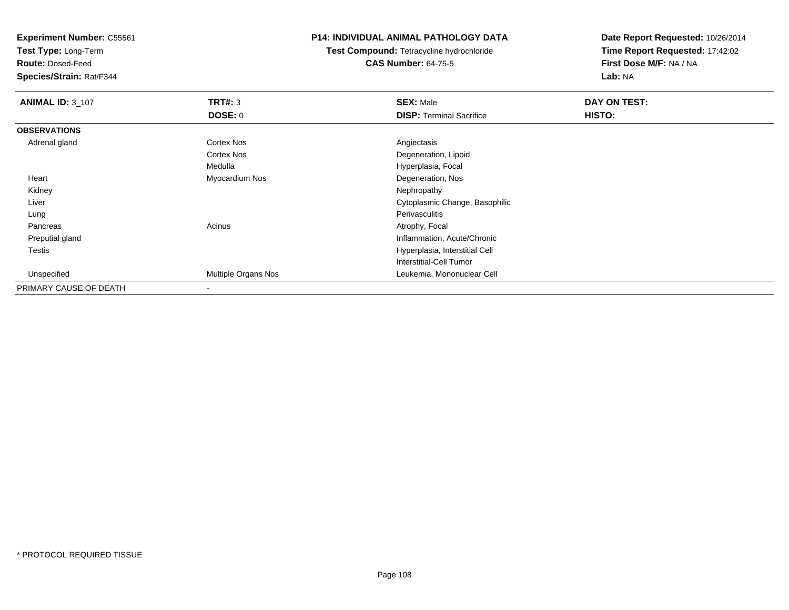**Test Type:** Long-Term

**Route:** Dosed-Feed

**Species/Strain:** Rat/F344

### **P14: INDIVIDUAL ANIMAL PATHOLOGY DATA**

**Test Compound:** Tetracycline hydrochloride**CAS Number:** 64-75-5

| <b>ANIMAL ID: 3 107</b> | TRT#: 3                  | <b>SEX: Male</b>                | DAY ON TEST: |
|-------------------------|--------------------------|---------------------------------|--------------|
|                         | DOSE: 0                  | <b>DISP: Terminal Sacrifice</b> | HISTO:       |
| <b>OBSERVATIONS</b>     |                          |                                 |              |
| Adrenal gland           | <b>Cortex Nos</b>        | Angiectasis                     |              |
|                         | <b>Cortex Nos</b>        | Degeneration, Lipoid            |              |
|                         | Medulla                  | Hyperplasia, Focal              |              |
| Heart                   | Myocardium Nos           | Degeneration, Nos               |              |
| Kidney                  |                          | Nephropathy                     |              |
| Liver                   |                          | Cytoplasmic Change, Basophilic  |              |
| Lung                    |                          | Perivasculitis                  |              |
| Pancreas                | Acinus                   | Atrophy, Focal                  |              |
| Preputial gland         |                          | Inflammation, Acute/Chronic     |              |
| Testis                  |                          | Hyperplasia, Interstitial Cell  |              |
|                         |                          | Interstitial-Cell Tumor         |              |
| Unspecified             | Multiple Organs Nos      | Leukemia, Mononuclear Cell      |              |
| PRIMARY CAUSE OF DEATH  | $\overline{\phantom{a}}$ |                                 |              |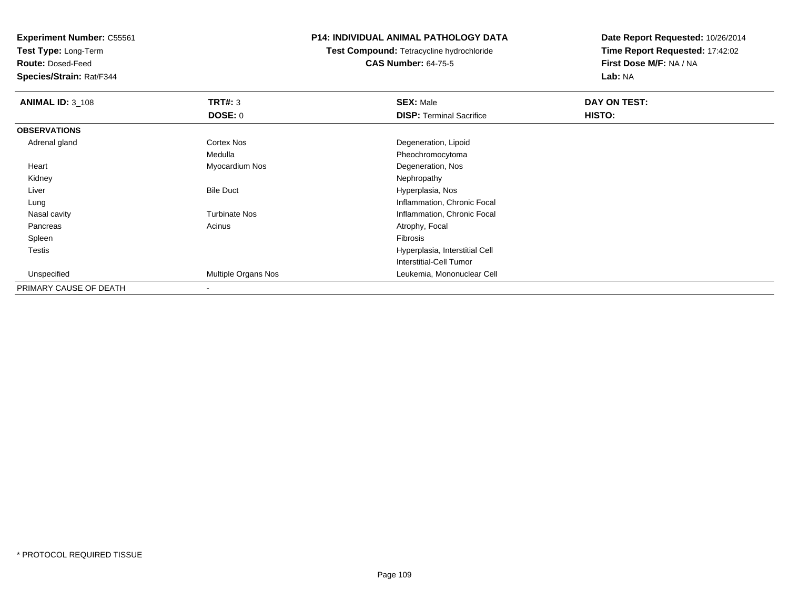**Test Type:** Long-Term

**Route:** Dosed-Feed

**Species/Strain:** Rat/F344

# **P14: INDIVIDUAL ANIMAL PATHOLOGY DATA**

**Test Compound:** Tetracycline hydrochloride**CAS Number:** 64-75-5

| <b>ANIMAL ID: 3_108</b> | TRT#: 3                    | <b>SEX: Male</b>                | DAY ON TEST: |  |
|-------------------------|----------------------------|---------------------------------|--------------|--|
|                         | <b>DOSE: 0</b>             | <b>DISP: Terminal Sacrifice</b> | HISTO:       |  |
| <b>OBSERVATIONS</b>     |                            |                                 |              |  |
| Adrenal gland           | Cortex Nos                 | Degeneration, Lipoid            |              |  |
|                         | Medulla                    | Pheochromocytoma                |              |  |
| Heart                   | Myocardium Nos             | Degeneration, Nos               |              |  |
| Kidney                  |                            | Nephropathy                     |              |  |
| Liver                   | <b>Bile Duct</b>           | Hyperplasia, Nos                |              |  |
| Lung                    |                            | Inflammation, Chronic Focal     |              |  |
| Nasal cavity            | <b>Turbinate Nos</b>       | Inflammation, Chronic Focal     |              |  |
| Pancreas                | Acinus                     | Atrophy, Focal                  |              |  |
| Spleen                  |                            | Fibrosis                        |              |  |
| Testis                  |                            | Hyperplasia, Interstitial Cell  |              |  |
|                         |                            | Interstitial-Cell Tumor         |              |  |
| Unspecified             | <b>Multiple Organs Nos</b> | Leukemia, Mononuclear Cell      |              |  |
| PRIMARY CAUSE OF DEATH  |                            |                                 |              |  |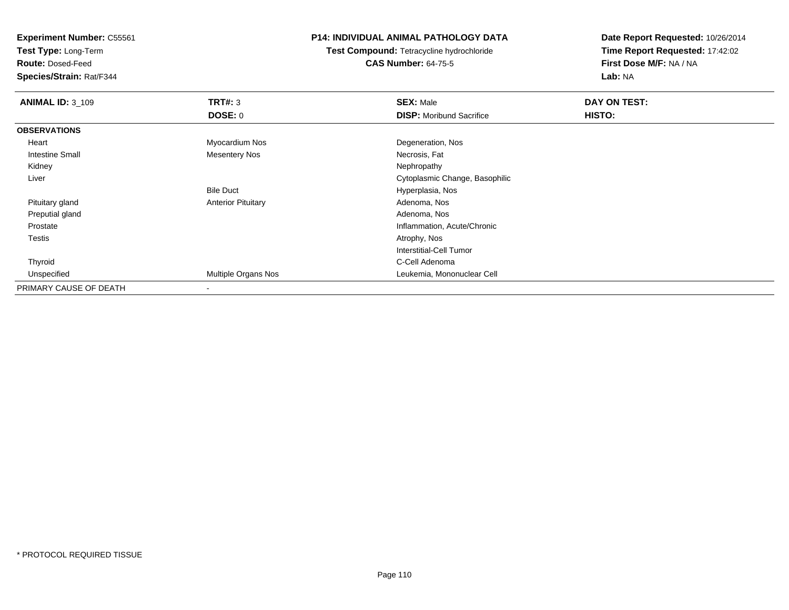**Test Type:** Long-Term

**Route:** Dosed-Feed

**Species/Strain:** Rat/F344

# **P14: INDIVIDUAL ANIMAL PATHOLOGY DATA**

**Test Compound:** Tetracycline hydrochloride**CAS Number:** 64-75-5

| <b>ANIMAL ID: 3 109</b> | TRT#: 3                   | <b>SEX: Male</b>                | DAY ON TEST: |
|-------------------------|---------------------------|---------------------------------|--------------|
|                         | DOSE: 0                   | <b>DISP:</b> Moribund Sacrifice | HISTO:       |
| <b>OBSERVATIONS</b>     |                           |                                 |              |
| Heart                   | Myocardium Nos            | Degeneration, Nos               |              |
| Intestine Small         | <b>Mesentery Nos</b>      | Necrosis, Fat                   |              |
| Kidney                  |                           | Nephropathy                     |              |
| Liver                   |                           | Cytoplasmic Change, Basophilic  |              |
|                         | <b>Bile Duct</b>          | Hyperplasia, Nos                |              |
| Pituitary gland         | <b>Anterior Pituitary</b> | Adenoma, Nos                    |              |
| Preputial gland         |                           | Adenoma, Nos                    |              |
| Prostate                |                           | Inflammation, Acute/Chronic     |              |
| Testis                  |                           | Atrophy, Nos                    |              |
|                         |                           | Interstitial-Cell Tumor         |              |
| Thyroid                 |                           | C-Cell Adenoma                  |              |
| Unspecified             | Multiple Organs Nos       | Leukemia, Mononuclear Cell      |              |
| PRIMARY CAUSE OF DEATH  | $\overline{\phantom{a}}$  |                                 |              |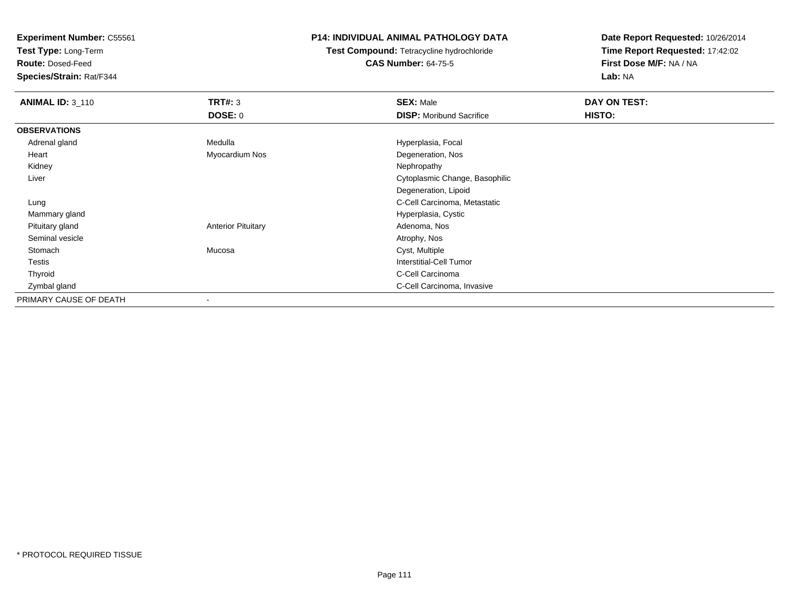**Test Type:** Long-Term

**Route:** Dosed-Feed

**Species/Strain:** Rat/F344

# **P14: INDIVIDUAL ANIMAL PATHOLOGY DATA**

**Test Compound:** Tetracycline hydrochloride**CAS Number:** 64-75-5

| <b>ANIMAL ID: 3_110</b> | TRT#: 3                   | <b>SEX: Male</b>                | DAY ON TEST: |  |
|-------------------------|---------------------------|---------------------------------|--------------|--|
|                         | <b>DOSE: 0</b>            | <b>DISP:</b> Moribund Sacrifice | HISTO:       |  |
| <b>OBSERVATIONS</b>     |                           |                                 |              |  |
| Adrenal gland           | Medulla                   | Hyperplasia, Focal              |              |  |
| Heart                   | Myocardium Nos            | Degeneration, Nos               |              |  |
| Kidney                  |                           | Nephropathy                     |              |  |
| Liver                   |                           | Cytoplasmic Change, Basophilic  |              |  |
|                         |                           | Degeneration, Lipoid            |              |  |
| Lung                    |                           | C-Cell Carcinoma, Metastatic    |              |  |
| Mammary gland           |                           | Hyperplasia, Cystic             |              |  |
| Pituitary gland         | <b>Anterior Pituitary</b> | Adenoma, Nos                    |              |  |
| Seminal vesicle         |                           | Atrophy, Nos                    |              |  |
| Stomach                 | Mucosa                    | Cyst, Multiple                  |              |  |
| Testis                  |                           | <b>Interstitial-Cell Tumor</b>  |              |  |
| Thyroid                 |                           | C-Cell Carcinoma                |              |  |
| Zymbal gland            |                           | C-Cell Carcinoma, Invasive      |              |  |
| PRIMARY CAUSE OF DEATH  |                           |                                 |              |  |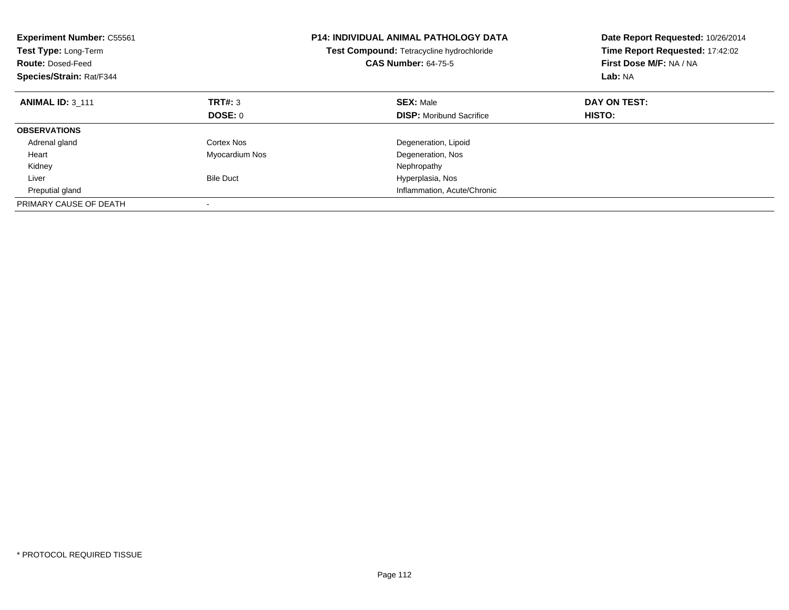| <b>Experiment Number: C55561</b><br>Test Type: Long-Term<br><b>Route: Dosed-Feed</b><br>Species/Strain: Rat/F344 |                  | P14: INDIVIDUAL ANIMAL PATHOLOGY DATA<br>Test Compound: Tetracycline hydrochloride<br><b>CAS Number: 64-75-5</b> | Date Report Requested: 10/26/2014<br>Time Report Requested: 17:42:02<br>First Dose M/F: NA / NA<br>Lab: NA |
|------------------------------------------------------------------------------------------------------------------|------------------|------------------------------------------------------------------------------------------------------------------|------------------------------------------------------------------------------------------------------------|
| <b>ANIMAL ID: 3 111</b>                                                                                          | TRT#: 3          | <b>SEX: Male</b>                                                                                                 | DAY ON TEST:                                                                                               |
|                                                                                                                  | DOSE: 0          | <b>DISP:</b> Moribund Sacrifice                                                                                  | HISTO:                                                                                                     |
| <b>OBSERVATIONS</b>                                                                                              |                  |                                                                                                                  |                                                                                                            |
| Adrenal gland                                                                                                    | Cortex Nos       | Degeneration, Lipoid                                                                                             |                                                                                                            |
| Heart                                                                                                            | Myocardium Nos   | Degeneration, Nos                                                                                                |                                                                                                            |
| Kidney                                                                                                           |                  | Nephropathy                                                                                                      |                                                                                                            |
| Liver                                                                                                            | <b>Bile Duct</b> | Hyperplasia, Nos                                                                                                 |                                                                                                            |
| Preputial gland                                                                                                  |                  | Inflammation, Acute/Chronic                                                                                      |                                                                                                            |
| PRIMARY CAUSE OF DEATH                                                                                           |                  |                                                                                                                  |                                                                                                            |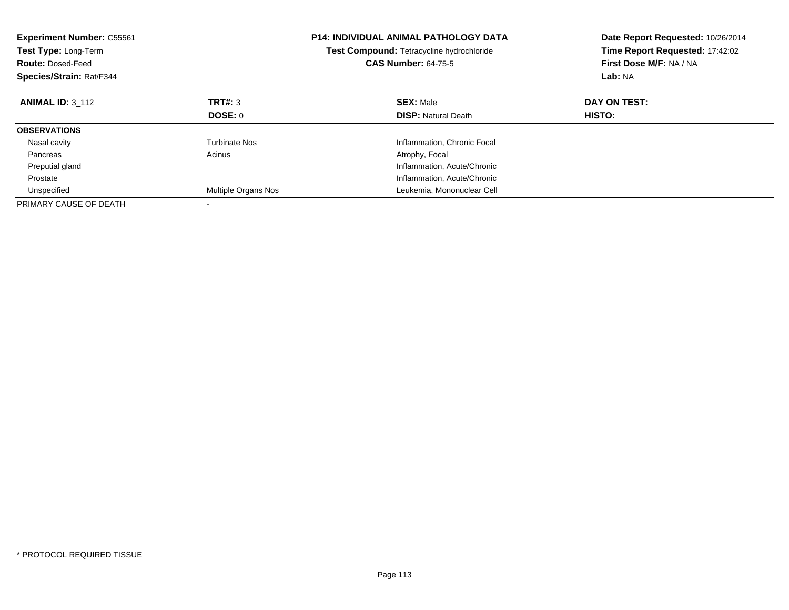| <b>Experiment Number: C55561</b><br><b>Test Type: Long-Term</b><br><b>Route: Dosed-Feed</b><br>Species/Strain: Rat/F344 |                      | <b>P14: INDIVIDUAL ANIMAL PATHOLOGY DATA</b><br><b>Test Compound: Tetracycline hydrochloride</b><br><b>CAS Number: 64-75-5</b> | Date Report Requested: 10/26/2014<br>Time Report Requested: 17:42:02<br>First Dose M/F: NA / NA<br>Lab: NA |
|-------------------------------------------------------------------------------------------------------------------------|----------------------|--------------------------------------------------------------------------------------------------------------------------------|------------------------------------------------------------------------------------------------------------|
| <b>ANIMAL ID: 3 112</b>                                                                                                 | TRT#: 3              | <b>SEX: Male</b>                                                                                                               | DAY ON TEST:                                                                                               |
|                                                                                                                         | DOSE: 0              | <b>DISP:</b> Natural Death                                                                                                     | HISTO:                                                                                                     |
| <b>OBSERVATIONS</b>                                                                                                     |                      |                                                                                                                                |                                                                                                            |
| Nasal cavity                                                                                                            | <b>Turbinate Nos</b> | Inflammation, Chronic Focal                                                                                                    |                                                                                                            |
| Pancreas                                                                                                                | Acinus               | Atrophy, Focal                                                                                                                 |                                                                                                            |
| Preputial gland                                                                                                         |                      | Inflammation, Acute/Chronic                                                                                                    |                                                                                                            |
| Prostate                                                                                                                |                      | Inflammation, Acute/Chronic                                                                                                    |                                                                                                            |
| Unspecified                                                                                                             | Multiple Organs Nos  | Leukemia, Mononuclear Cell                                                                                                     |                                                                                                            |
| PRIMARY CAUSE OF DEATH                                                                                                  |                      |                                                                                                                                |                                                                                                            |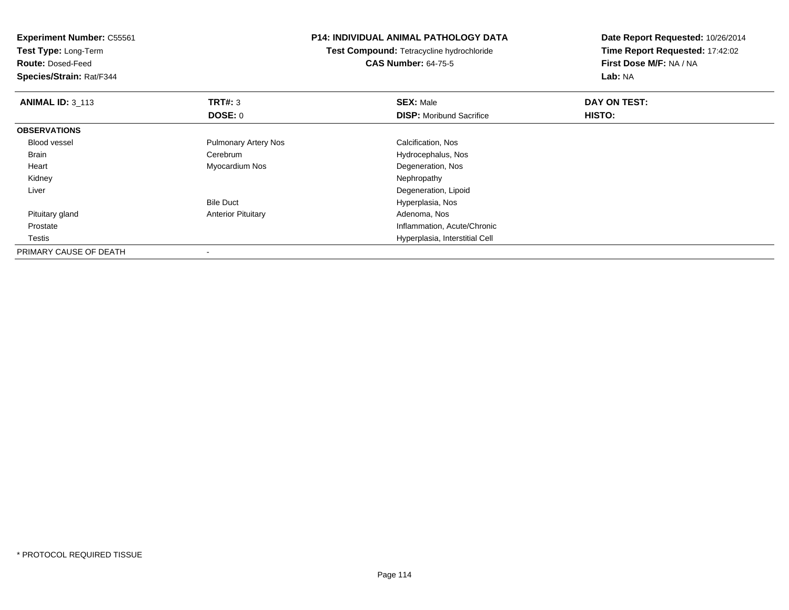**Experiment Number:** C55561**Test Type:** Long-Term**Route:** Dosed-Feed **Species/Strain:** Rat/F344**P14: INDIVIDUAL ANIMAL PATHOLOGY DATATest Compound:** Tetracycline hydrochloride**CAS Number:** 64-75-5**Date Report Requested:** 10/26/2014**Time Report Requested:** 17:42:02**First Dose M/F:** NA / NA**Lab:** NA**ANIMAL ID: 3 113 TRT#:** 3 **SEX:** Male **DAY ON TEST: DOSE:** 0**DISP:** Moribund Sacrifice **HISTO: OBSERVATIONS** Blood vessel Pulmonary Artery Nos Calcification, Nos Brain Cerebrum Hydrocephalus, Nos Heart Myocardium Nos Degeneration, Nos Kidneyy the control of the control of the control of the control of the control of the control of the control of the control of the control of the control of the control of the control of the control of the control of the contro Liver Degeneration, LipoidBile Duct Hyperplasia, Nos Pituitary glandAnterior Pituitary **Adenoma, Nos** Adenoma, Nos Prostate Inflammation, Acute/Chronic **Testis**  Hyperplasia, Interstitial Cell PRIMARY CAUSE OF DEATH-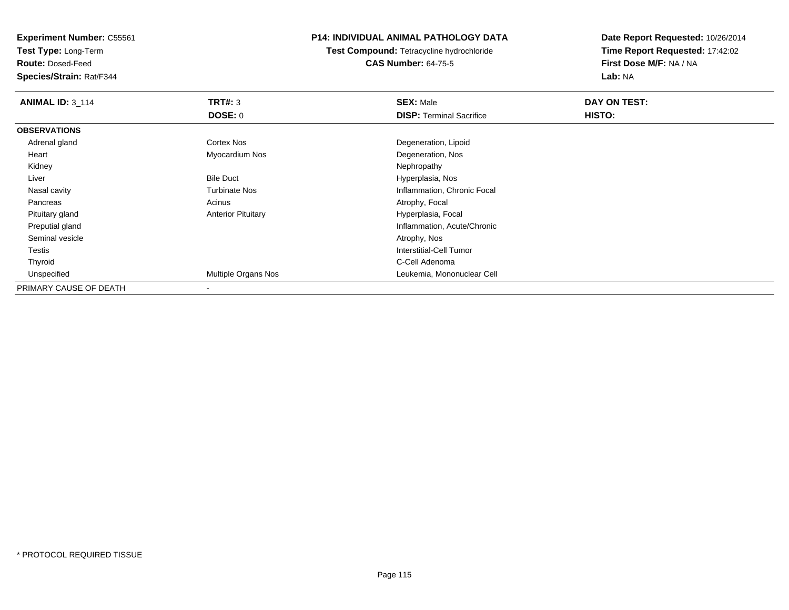**Test Type:** Long-Term

**Route:** Dosed-Feed

**Species/Strain:** Rat/F344

# **P14: INDIVIDUAL ANIMAL PATHOLOGY DATA**

**Test Compound:** Tetracycline hydrochloride**CAS Number:** 64-75-5

| <b>ANIMAL ID: 3 114</b> | TRT#: 3                   | <b>SEX: Male</b>                | DAY ON TEST: |  |
|-------------------------|---------------------------|---------------------------------|--------------|--|
|                         | <b>DOSE: 0</b>            | <b>DISP: Terminal Sacrifice</b> | HISTO:       |  |
| <b>OBSERVATIONS</b>     |                           |                                 |              |  |
| Adrenal gland           | Cortex Nos                | Degeneration, Lipoid            |              |  |
| Heart                   | Myocardium Nos            | Degeneration, Nos               |              |  |
| Kidney                  |                           | Nephropathy                     |              |  |
| Liver                   | <b>Bile Duct</b>          | Hyperplasia, Nos                |              |  |
| Nasal cavity            | <b>Turbinate Nos</b>      | Inflammation, Chronic Focal     |              |  |
| Pancreas                | Acinus                    | Atrophy, Focal                  |              |  |
| Pituitary gland         | <b>Anterior Pituitary</b> | Hyperplasia, Focal              |              |  |
| Preputial gland         |                           | Inflammation, Acute/Chronic     |              |  |
| Seminal vesicle         |                           | Atrophy, Nos                    |              |  |
| Testis                  |                           | Interstitial-Cell Tumor         |              |  |
| Thyroid                 |                           | C-Cell Adenoma                  |              |  |
| Unspecified             | Multiple Organs Nos       | Leukemia, Mononuclear Cell      |              |  |
| PRIMARY CAUSE OF DEATH  |                           |                                 |              |  |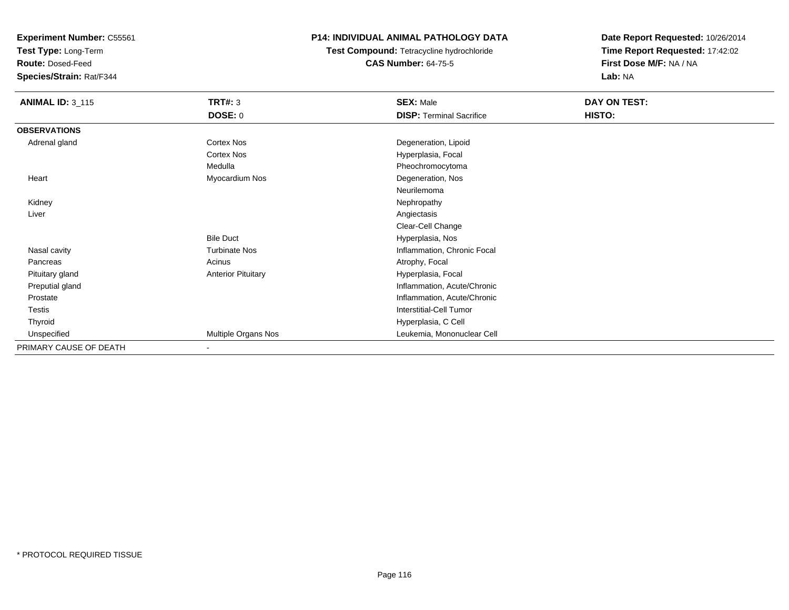**Test Type:** Long-Term

**Route:** Dosed-Feed

**Species/Strain:** Rat/F344

# **P14: INDIVIDUAL ANIMAL PATHOLOGY DATA**

**Test Compound:** Tetracycline hydrochloride**CAS Number:** 64-75-5

| <b>ANIMAL ID: 3_115</b> | TRT#: 3                   | <b>SEX: Male</b>                | DAY ON TEST: |
|-------------------------|---------------------------|---------------------------------|--------------|
|                         | <b>DOSE: 0</b>            | <b>DISP: Terminal Sacrifice</b> | HISTO:       |
| <b>OBSERVATIONS</b>     |                           |                                 |              |
| Adrenal gland           | Cortex Nos                | Degeneration, Lipoid            |              |
|                         | <b>Cortex Nos</b>         | Hyperplasia, Focal              |              |
|                         | Medulla                   | Pheochromocytoma                |              |
| Heart                   | Myocardium Nos            | Degeneration, Nos               |              |
|                         |                           | Neurilemoma                     |              |
| Kidney                  |                           | Nephropathy                     |              |
| Liver                   |                           | Angiectasis                     |              |
|                         |                           | Clear-Cell Change               |              |
|                         | <b>Bile Duct</b>          | Hyperplasia, Nos                |              |
| Nasal cavity            | <b>Turbinate Nos</b>      | Inflammation, Chronic Focal     |              |
| Pancreas                | Acinus                    | Atrophy, Focal                  |              |
| Pituitary gland         | <b>Anterior Pituitary</b> | Hyperplasia, Focal              |              |
| Preputial gland         |                           | Inflammation, Acute/Chronic     |              |
| Prostate                |                           | Inflammation, Acute/Chronic     |              |
| <b>Testis</b>           |                           | <b>Interstitial-Cell Tumor</b>  |              |
| Thyroid                 |                           | Hyperplasia, C Cell             |              |
| Unspecified             | Multiple Organs Nos       | Leukemia, Mononuclear Cell      |              |
| PRIMARY CAUSE OF DEATH  | $\blacksquare$            |                                 |              |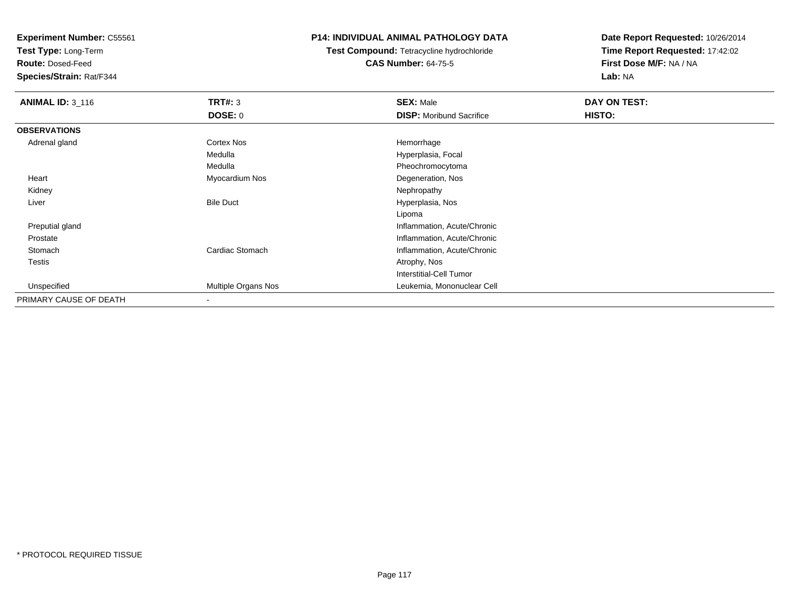**Test Type:** Long-Term

**Route:** Dosed-Feed

**Species/Strain:** Rat/F344

# **P14: INDIVIDUAL ANIMAL PATHOLOGY DATA**

**Test Compound:** Tetracycline hydrochloride**CAS Number:** 64-75-5

| <b>ANIMAL ID: 3_116</b> | TRT#: 3                  | <b>SEX: Male</b>                | DAY ON TEST: |  |
|-------------------------|--------------------------|---------------------------------|--------------|--|
|                         | <b>DOSE: 0</b>           | <b>DISP:</b> Moribund Sacrifice | HISTO:       |  |
| <b>OBSERVATIONS</b>     |                          |                                 |              |  |
| Adrenal gland           | <b>Cortex Nos</b>        | Hemorrhage                      |              |  |
|                         | Medulla                  | Hyperplasia, Focal              |              |  |
|                         | Medulla                  | Pheochromocytoma                |              |  |
| Heart                   | Myocardium Nos           | Degeneration, Nos               |              |  |
| Kidney                  |                          | Nephropathy                     |              |  |
| Liver                   | <b>Bile Duct</b>         | Hyperplasia, Nos                |              |  |
|                         |                          | Lipoma                          |              |  |
| Preputial gland         |                          | Inflammation, Acute/Chronic     |              |  |
| Prostate                |                          | Inflammation, Acute/Chronic     |              |  |
| Stomach                 | Cardiac Stomach          | Inflammation, Acute/Chronic     |              |  |
| Testis                  |                          | Atrophy, Nos                    |              |  |
|                         |                          | Interstitial-Cell Tumor         |              |  |
| Unspecified             | Multiple Organs Nos      | Leukemia, Mononuclear Cell      |              |  |
| PRIMARY CAUSE OF DEATH  | $\overline{\phantom{a}}$ |                                 |              |  |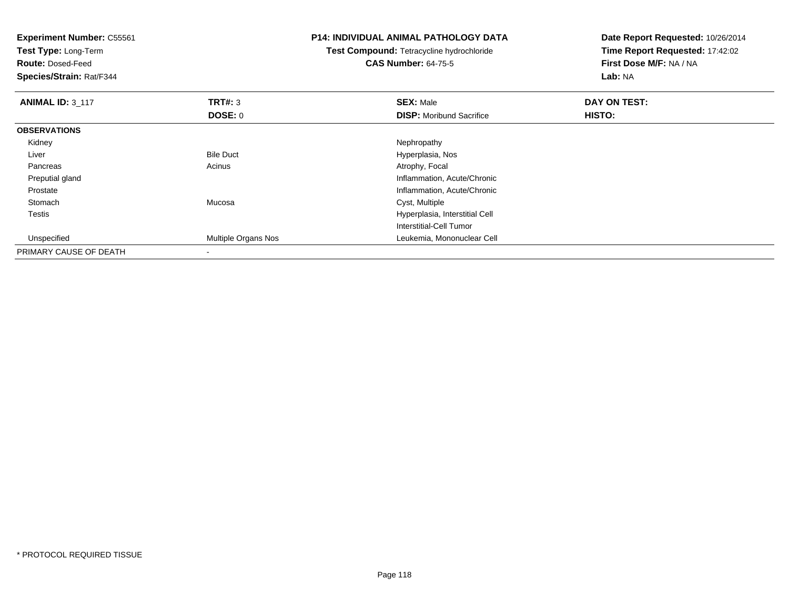**Experiment Number:** C55561**Test Type:** Long-Term**Route:** Dosed-Feed **Species/Strain:** Rat/F344**P14: INDIVIDUAL ANIMAL PATHOLOGY DATATest Compound:** Tetracycline hydrochloride**CAS Number:** 64-75-5**Date Report Requested:** 10/26/2014**Time Report Requested:** 17:42:02**First Dose M/F:** NA / NA**Lab:** NA**ANIMAL ID:** 3\_117 **TRT#:** <sup>3</sup> **SEX:** Male **DAY ON TEST: DOSE:** 0**DISP:** Moribund Sacrifice **HISTO: OBSERVATIONS** Kidneyy the control of the control of the control of the control of the control of the control of the control of the control of the control of the control of the control of the control of the control of the control of the contro LiverBile Duct **Hyperplasia**, Nos PancreasAcinus **Acinus** Atrophy, Focal Preputial gland Inflammation, Acute/Chronic ProstateInflammation, Acute/Chronic<br>
Cyst, Multiple<br>
Cyst, Multiple Stomach Mucosa Cyst, Multiple Testis Hyperplasia, Interstitial Cell Interstitial-Cell Tumor Unspecified Multiple Organs Nos Leukemia, Mononuclear Cell PRIMARY CAUSE OF DEATH-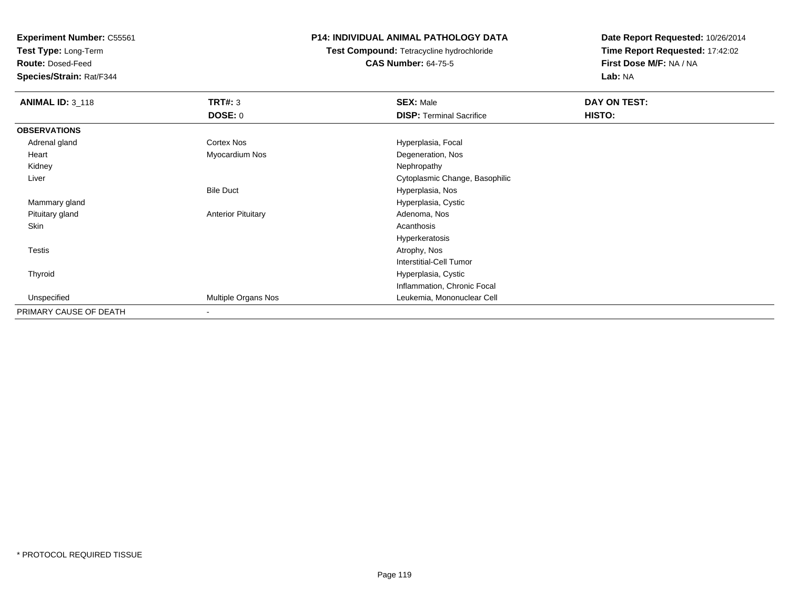**Test Type:** Long-Term

**Route:** Dosed-Feed

**Species/Strain:** Rat/F344

# **P14: INDIVIDUAL ANIMAL PATHOLOGY DATA**

**Test Compound:** Tetracycline hydrochloride**CAS Number:** 64-75-5

| <b>ANIMAL ID: 3_118</b> | <b>TRT#: 3</b>            | <b>SEX: Male</b>                | DAY ON TEST: |  |
|-------------------------|---------------------------|---------------------------------|--------------|--|
|                         | DOSE: 0                   | <b>DISP: Terminal Sacrifice</b> | HISTO:       |  |
| <b>OBSERVATIONS</b>     |                           |                                 |              |  |
| Adrenal gland           | Cortex Nos                | Hyperplasia, Focal              |              |  |
| Heart                   | Myocardium Nos            | Degeneration, Nos               |              |  |
| Kidney                  |                           | Nephropathy                     |              |  |
| Liver                   |                           | Cytoplasmic Change, Basophilic  |              |  |
|                         | <b>Bile Duct</b>          | Hyperplasia, Nos                |              |  |
| Mammary gland           |                           | Hyperplasia, Cystic             |              |  |
| Pituitary gland         | <b>Anterior Pituitary</b> | Adenoma, Nos                    |              |  |
| Skin                    |                           | Acanthosis                      |              |  |
|                         |                           | Hyperkeratosis                  |              |  |
| <b>Testis</b>           |                           | Atrophy, Nos                    |              |  |
|                         |                           | <b>Interstitial-Cell Tumor</b>  |              |  |
| Thyroid                 |                           | Hyperplasia, Cystic             |              |  |
|                         |                           | Inflammation, Chronic Focal     |              |  |
| Unspecified             | Multiple Organs Nos       | Leukemia, Mononuclear Cell      |              |  |
| PRIMARY CAUSE OF DEATH  | -                         |                                 |              |  |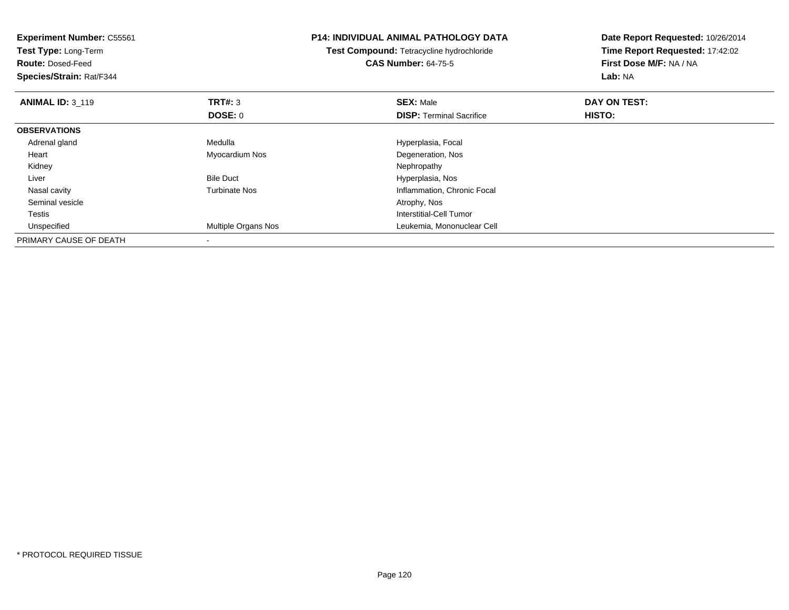| <b>Experiment Number: C55561</b><br>Test Type: Long-Term<br><b>Route: Dosed-Feed</b><br>Species/Strain: Rat/F344 |                      | P14: INDIVIDUAL ANIMAL PATHOLOGY DATA<br>Test Compound: Tetracycline hydrochloride<br><b>CAS Number: 64-75-5</b> | Date Report Requested: 10/26/2014<br>Time Report Requested: 17:42:02<br>First Dose M/F: NA / NA<br>Lab: NA |
|------------------------------------------------------------------------------------------------------------------|----------------------|------------------------------------------------------------------------------------------------------------------|------------------------------------------------------------------------------------------------------------|
| <b>ANIMAL ID: 3 119</b>                                                                                          | <b>TRT#: 3</b>       | <b>SEX: Male</b>                                                                                                 | <b>DAY ON TEST:</b>                                                                                        |
|                                                                                                                  | DOSE: 0              | <b>DISP:</b> Terminal Sacrifice                                                                                  | <b>HISTO:</b>                                                                                              |
| <b>OBSERVATIONS</b>                                                                                              |                      |                                                                                                                  |                                                                                                            |
| Adrenal gland                                                                                                    | Medulla              | Hyperplasia, Focal                                                                                               |                                                                                                            |
| Heart                                                                                                            | Myocardium Nos       | Degeneration, Nos                                                                                                |                                                                                                            |
| Kidney                                                                                                           |                      | Nephropathy                                                                                                      |                                                                                                            |
| Liver                                                                                                            | <b>Bile Duct</b>     | Hyperplasia, Nos                                                                                                 |                                                                                                            |
| Nasal cavity                                                                                                     | <b>Turbinate Nos</b> | Inflammation, Chronic Focal                                                                                      |                                                                                                            |
| Seminal vesicle                                                                                                  |                      | Atrophy, Nos                                                                                                     |                                                                                                            |
| Testis                                                                                                           |                      | Interstitial-Cell Tumor                                                                                          |                                                                                                            |
| Unspecified                                                                                                      | Multiple Organs Nos  | Leukemia, Mononuclear Cell                                                                                       |                                                                                                            |
| PRIMARY CAUSE OF DEATH                                                                                           |                      |                                                                                                                  |                                                                                                            |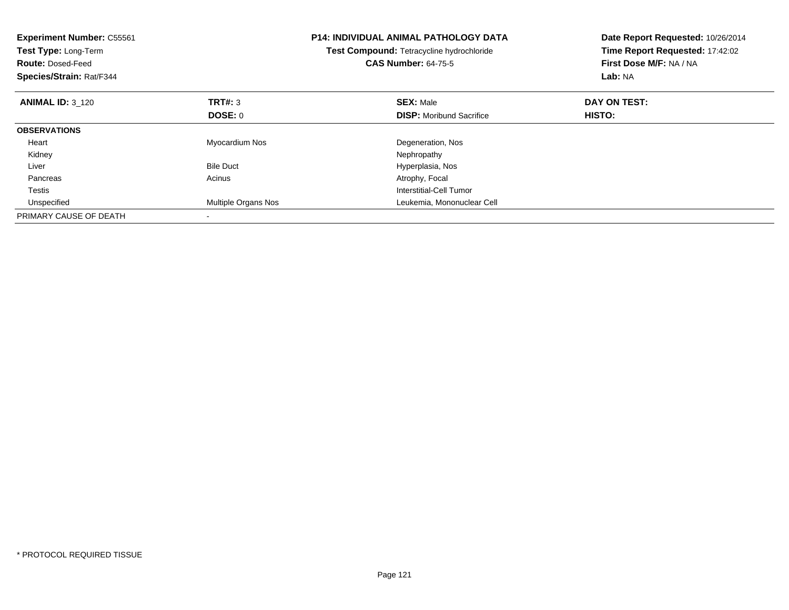| <b>Experiment Number: C55561</b><br>Test Type: Long-Term<br><b>Route: Dosed-Feed</b><br>Species/Strain: Rat/F344 |                     | <b>P14: INDIVIDUAL ANIMAL PATHOLOGY DATA</b><br>Test Compound: Tetracycline hydrochloride<br><b>CAS Number: 64-75-5</b> | Date Report Requested: 10/26/2014<br>Time Report Requested: 17:42:02<br>First Dose M/F: NA / NA<br>Lab: NA |
|------------------------------------------------------------------------------------------------------------------|---------------------|-------------------------------------------------------------------------------------------------------------------------|------------------------------------------------------------------------------------------------------------|
| <b>ANIMAL ID: 3 120</b>                                                                                          | <b>TRT#:</b> 3      | <b>SEX: Male</b>                                                                                                        | DAY ON TEST:                                                                                               |
|                                                                                                                  | DOSE: 0             | <b>DISP:</b> Moribund Sacrifice                                                                                         | <b>HISTO:</b>                                                                                              |
| <b>OBSERVATIONS</b>                                                                                              |                     |                                                                                                                         |                                                                                                            |
| Heart                                                                                                            | Myocardium Nos      | Degeneration, Nos                                                                                                       |                                                                                                            |
| Kidney                                                                                                           |                     | Nephropathy                                                                                                             |                                                                                                            |
| Liver                                                                                                            | <b>Bile Duct</b>    | Hyperplasia, Nos                                                                                                        |                                                                                                            |
| Pancreas                                                                                                         | Acinus              | Atrophy, Focal                                                                                                          |                                                                                                            |
| Testis                                                                                                           |                     | Interstitial-Cell Tumor                                                                                                 |                                                                                                            |
| Unspecified                                                                                                      | Multiple Organs Nos | Leukemia, Mononuclear Cell                                                                                              |                                                                                                            |
| PRIMARY CAUSE OF DEATH                                                                                           |                     |                                                                                                                         |                                                                                                            |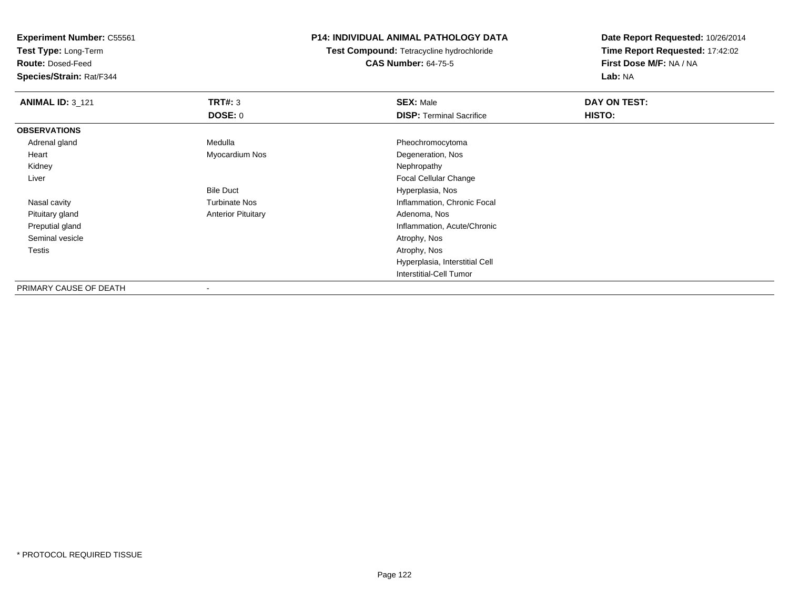**Test Type:** Long-Term

**Route:** Dosed-Feed

**Species/Strain:** Rat/F344

# **P14: INDIVIDUAL ANIMAL PATHOLOGY DATA**

**Test Compound:** Tetracycline hydrochloride**CAS Number:** 64-75-5

| <b>ANIMAL ID: 3_121</b> | TRT#: 3                   | <b>SEX: Male</b>                | DAY ON TEST: |  |
|-------------------------|---------------------------|---------------------------------|--------------|--|
|                         | <b>DOSE: 0</b>            | <b>DISP: Terminal Sacrifice</b> | HISTO:       |  |
| <b>OBSERVATIONS</b>     |                           |                                 |              |  |
| Adrenal gland           | Medulla                   | Pheochromocytoma                |              |  |
| Heart                   | Myocardium Nos            | Degeneration, Nos               |              |  |
| Kidney                  |                           | Nephropathy                     |              |  |
| Liver                   |                           | <b>Focal Cellular Change</b>    |              |  |
|                         | <b>Bile Duct</b>          | Hyperplasia, Nos                |              |  |
| Nasal cavity            | <b>Turbinate Nos</b>      | Inflammation, Chronic Focal     |              |  |
| Pituitary gland         | <b>Anterior Pituitary</b> | Adenoma, Nos                    |              |  |
| Preputial gland         |                           | Inflammation, Acute/Chronic     |              |  |
| Seminal vesicle         |                           | Atrophy, Nos                    |              |  |
| Testis                  |                           | Atrophy, Nos                    |              |  |
|                         |                           | Hyperplasia, Interstitial Cell  |              |  |
|                         |                           | Interstitial-Cell Tumor         |              |  |
| PRIMARY CAUSE OF DEATH  | $\overline{\phantom{a}}$  |                                 |              |  |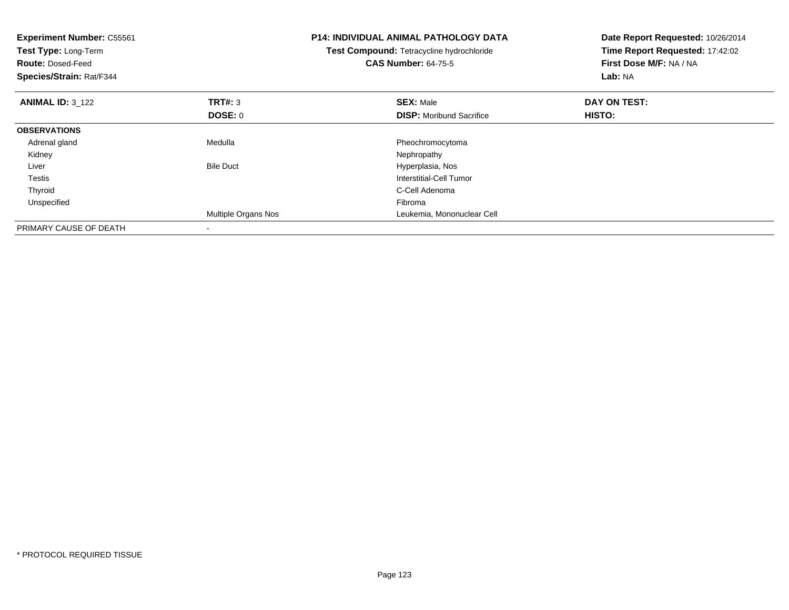| <b>Experiment Number: C55561</b><br>Test Type: Long-Term<br><b>Route: Dosed-Feed</b><br>Species/Strain: Rat/F344 |                     | <b>P14: INDIVIDUAL ANIMAL PATHOLOGY DATA</b><br>Test Compound: Tetracycline hydrochloride<br><b>CAS Number: 64-75-5</b> | Date Report Requested: 10/26/2014<br>Time Report Requested: 17:42:02<br>First Dose M/F: NA / NA<br>Lab: NA |
|------------------------------------------------------------------------------------------------------------------|---------------------|-------------------------------------------------------------------------------------------------------------------------|------------------------------------------------------------------------------------------------------------|
| <b>ANIMAL ID: 3 122</b>                                                                                          | TRT#: 3             | <b>SEX: Male</b>                                                                                                        | DAY ON TEST:                                                                                               |
|                                                                                                                  | DOSE: 0             | <b>DISP:</b> Moribund Sacrifice                                                                                         | <b>HISTO:</b>                                                                                              |
| <b>OBSERVATIONS</b>                                                                                              |                     |                                                                                                                         |                                                                                                            |
| Adrenal gland                                                                                                    | Medulla             | Pheochromocytoma                                                                                                        |                                                                                                            |
| Kidney                                                                                                           |                     | Nephropathy                                                                                                             |                                                                                                            |
| Liver                                                                                                            | <b>Bile Duct</b>    | Hyperplasia, Nos                                                                                                        |                                                                                                            |
| <b>Testis</b>                                                                                                    |                     | Interstitial-Cell Tumor                                                                                                 |                                                                                                            |
| Thyroid                                                                                                          |                     | C-Cell Adenoma                                                                                                          |                                                                                                            |
| Unspecified                                                                                                      |                     | Fibroma                                                                                                                 |                                                                                                            |
|                                                                                                                  | Multiple Organs Nos | Leukemia, Mononuclear Cell                                                                                              |                                                                                                            |
| PRIMARY CAUSE OF DEATH                                                                                           |                     |                                                                                                                         |                                                                                                            |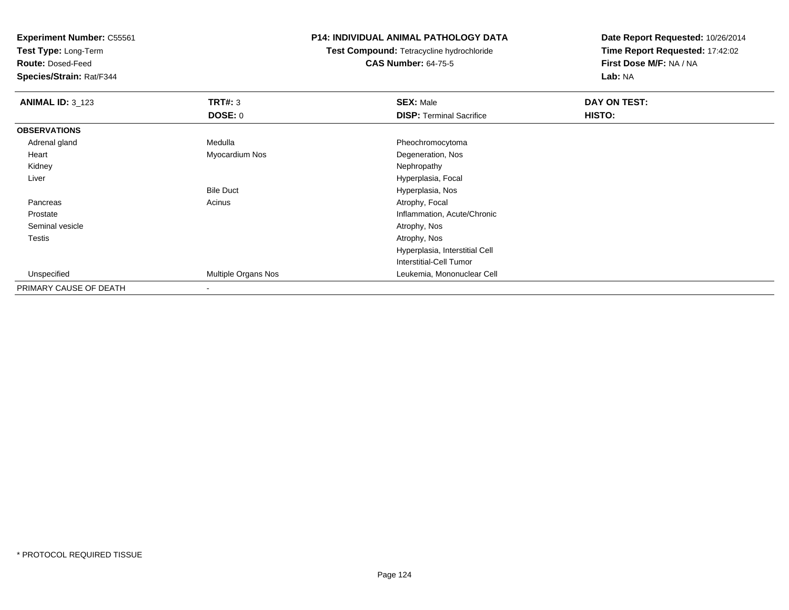**Test Type:** Long-Term

**Route:** Dosed-Feed

**Species/Strain:** Rat/F344

# **P14: INDIVIDUAL ANIMAL PATHOLOGY DATA**

**Test Compound:** Tetracycline hydrochloride**CAS Number:** 64-75-5

| <b>ANIMAL ID: 3_123</b> | TRT#: 3                  | <b>SEX: Male</b>                | DAY ON TEST: |  |
|-------------------------|--------------------------|---------------------------------|--------------|--|
|                         | <b>DOSE: 0</b>           | <b>DISP: Terminal Sacrifice</b> | HISTO:       |  |
| <b>OBSERVATIONS</b>     |                          |                                 |              |  |
| Adrenal gland           | Medulla                  | Pheochromocytoma                |              |  |
| Heart                   | Myocardium Nos           | Degeneration, Nos               |              |  |
| Kidney                  |                          | Nephropathy                     |              |  |
| Liver                   |                          | Hyperplasia, Focal              |              |  |
|                         | <b>Bile Duct</b>         | Hyperplasia, Nos                |              |  |
| Pancreas                | Acinus                   | Atrophy, Focal                  |              |  |
| Prostate                |                          | Inflammation, Acute/Chronic     |              |  |
| Seminal vesicle         |                          | Atrophy, Nos                    |              |  |
| Testis                  |                          | Atrophy, Nos                    |              |  |
|                         |                          | Hyperplasia, Interstitial Cell  |              |  |
|                         |                          | Interstitial-Cell Tumor         |              |  |
| Unspecified             | Multiple Organs Nos      | Leukemia, Mononuclear Cell      |              |  |
| PRIMARY CAUSE OF DEATH  | $\overline{\phantom{a}}$ |                                 |              |  |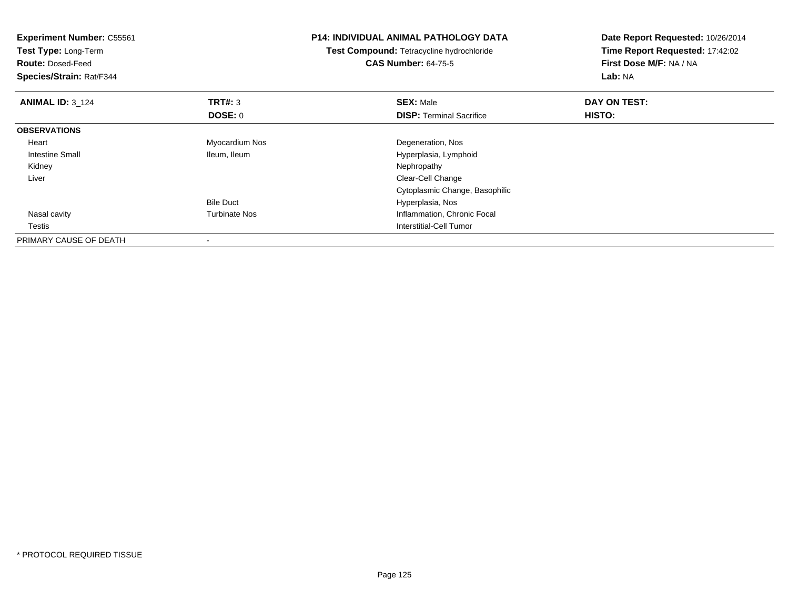| <b>Experiment Number: C55561</b><br>Test Type: Long-Term<br><b>Route: Dosed-Feed</b><br>Species/Strain: Rat/F344 | <b>P14: INDIVIDUAL ANIMAL PATHOLOGY DATA</b><br>Test Compound: Tetracycline hydrochloride<br><b>CAS Number: 64-75-5</b> |                                 | Date Report Requested: 10/26/2014<br>Time Report Requested: 17:42:02<br>First Dose M/F: NA / NA<br>Lab: NA |
|------------------------------------------------------------------------------------------------------------------|-------------------------------------------------------------------------------------------------------------------------|---------------------------------|------------------------------------------------------------------------------------------------------------|
| <b>ANIMAL ID: 3 124</b>                                                                                          | TRT#: 3                                                                                                                 | <b>SEX: Male</b>                | DAY ON TEST:                                                                                               |
|                                                                                                                  | <b>DOSE: 0</b>                                                                                                          | <b>DISP:</b> Terminal Sacrifice | <b>HISTO:</b>                                                                                              |
| <b>OBSERVATIONS</b>                                                                                              |                                                                                                                         |                                 |                                                                                                            |
| Heart                                                                                                            | Myocardium Nos                                                                                                          | Degeneration, Nos               |                                                                                                            |
| Intestine Small                                                                                                  | Ileum, Ileum                                                                                                            | Hyperplasia, Lymphoid           |                                                                                                            |
| Kidney                                                                                                           |                                                                                                                         | Nephropathy                     |                                                                                                            |
| Liver                                                                                                            |                                                                                                                         | Clear-Cell Change               |                                                                                                            |
|                                                                                                                  |                                                                                                                         | Cytoplasmic Change, Basophilic  |                                                                                                            |
|                                                                                                                  | <b>Bile Duct</b>                                                                                                        | Hyperplasia, Nos                |                                                                                                            |
| Nasal cavity                                                                                                     | <b>Turbinate Nos</b>                                                                                                    | Inflammation, Chronic Focal     |                                                                                                            |
| Testis                                                                                                           |                                                                                                                         | Interstitial-Cell Tumor         |                                                                                                            |
| PRIMARY CAUSE OF DEATH                                                                                           |                                                                                                                         |                                 |                                                                                                            |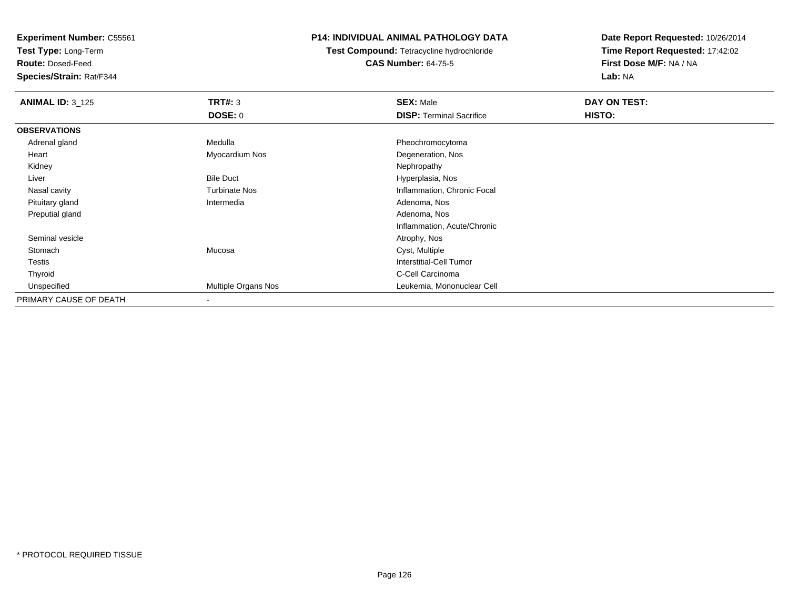**Test Type:** Long-Term

**Route:** Dosed-Feed

**Species/Strain:** Rat/F344

# **P14: INDIVIDUAL ANIMAL PATHOLOGY DATA**

**Test Compound:** Tetracycline hydrochloride**CAS Number:** 64-75-5

| <b>ANIMAL ID: 3_125</b> | <b>TRT#: 3</b>       | <b>SEX: Male</b>                | DAY ON TEST: |  |
|-------------------------|----------------------|---------------------------------|--------------|--|
|                         | <b>DOSE: 0</b>       | <b>DISP: Terminal Sacrifice</b> | HISTO:       |  |
| <b>OBSERVATIONS</b>     |                      |                                 |              |  |
| Adrenal gland           | Medulla              | Pheochromocytoma                |              |  |
| Heart                   | Myocardium Nos       | Degeneration, Nos               |              |  |
| Kidney                  |                      | Nephropathy                     |              |  |
| Liver                   | <b>Bile Duct</b>     | Hyperplasia, Nos                |              |  |
| Nasal cavity            | <b>Turbinate Nos</b> | Inflammation, Chronic Focal     |              |  |
| Pituitary gland         | Intermedia           | Adenoma, Nos                    |              |  |
| Preputial gland         |                      | Adenoma, Nos                    |              |  |
|                         |                      | Inflammation, Acute/Chronic     |              |  |
| Seminal vesicle         |                      | Atrophy, Nos                    |              |  |
| Stomach                 | Mucosa               | Cyst, Multiple                  |              |  |
| Testis                  |                      | Interstitial-Cell Tumor         |              |  |
| Thyroid                 |                      | C-Cell Carcinoma                |              |  |
| Unspecified             | Multiple Organs Nos  | Leukemia, Mononuclear Cell      |              |  |
| PRIMARY CAUSE OF DEATH  |                      |                                 |              |  |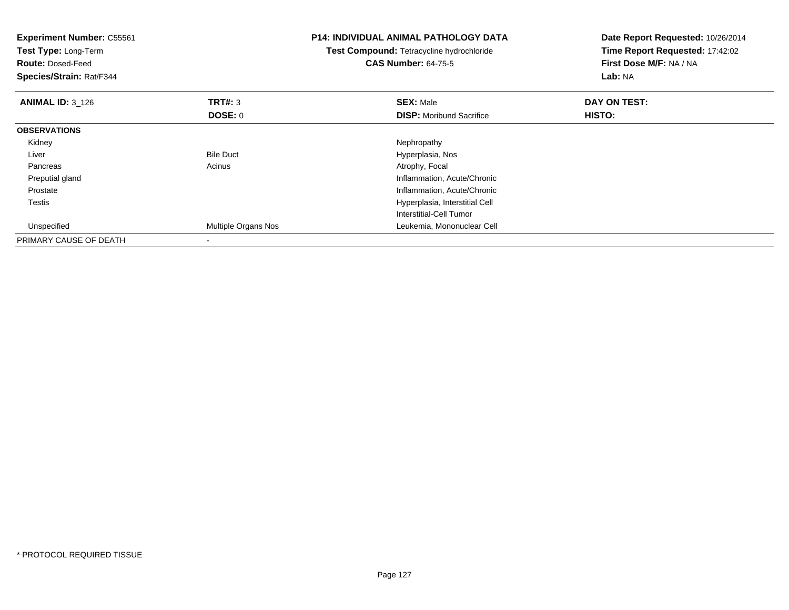| <b>Experiment Number: C55561</b><br>Test Type: Long-Term<br><b>Route: Dosed-Feed</b><br>Species/Strain: Rat/F344 |                     | <b>P14: INDIVIDUAL ANIMAL PATHOLOGY DATA</b><br><b>Test Compound: Tetracycline hydrochloride</b><br><b>CAS Number: 64-75-5</b> | Date Report Requested: 10/26/2014<br>Time Report Requested: 17:42:02<br>First Dose M/F: NA / NA<br>Lab: NA |  |
|------------------------------------------------------------------------------------------------------------------|---------------------|--------------------------------------------------------------------------------------------------------------------------------|------------------------------------------------------------------------------------------------------------|--|
| <b>ANIMAL ID: 3_126</b>                                                                                          | <b>TRT#: 3</b>      | <b>SEX: Male</b>                                                                                                               | DAY ON TEST:                                                                                               |  |
|                                                                                                                  | DOSE: 0             | <b>DISP:</b> Moribund Sacrifice                                                                                                | HISTO:                                                                                                     |  |
| <b>OBSERVATIONS</b>                                                                                              |                     |                                                                                                                                |                                                                                                            |  |
| Kidney                                                                                                           |                     | Nephropathy                                                                                                                    |                                                                                                            |  |
| Liver                                                                                                            | <b>Bile Duct</b>    | Hyperplasia, Nos                                                                                                               |                                                                                                            |  |
| Pancreas                                                                                                         | Acinus              | Atrophy, Focal                                                                                                                 |                                                                                                            |  |
| Preputial gland                                                                                                  |                     | Inflammation, Acute/Chronic                                                                                                    |                                                                                                            |  |
| Prostate                                                                                                         |                     | Inflammation, Acute/Chronic                                                                                                    |                                                                                                            |  |
| Testis                                                                                                           |                     | Hyperplasia, Interstitial Cell                                                                                                 |                                                                                                            |  |
|                                                                                                                  |                     | Interstitial-Cell Tumor                                                                                                        |                                                                                                            |  |
| Unspecified                                                                                                      | Multiple Organs Nos | Leukemia, Mononuclear Cell                                                                                                     |                                                                                                            |  |
| PRIMARY CAUSE OF DEATH                                                                                           |                     |                                                                                                                                |                                                                                                            |  |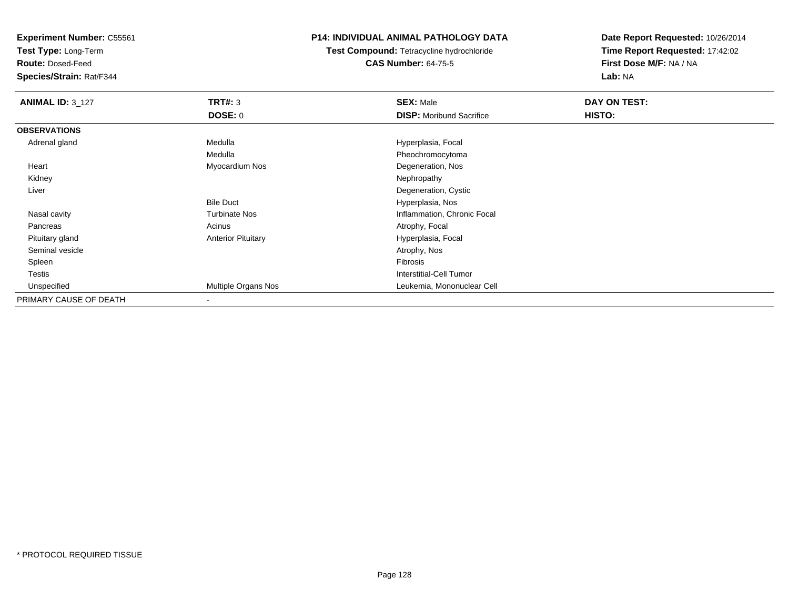**Test Type:** Long-Term

**Route:** Dosed-Feed

**Species/Strain:** Rat/F344

# **P14: INDIVIDUAL ANIMAL PATHOLOGY DATA**

**Test Compound:** Tetracycline hydrochloride**CAS Number:** 64-75-5

| <b>ANIMAL ID: 3_127</b> | TRT#: 3                   | <b>SEX: Male</b>                | DAY ON TEST: |  |
|-------------------------|---------------------------|---------------------------------|--------------|--|
|                         | <b>DOSE: 0</b>            | <b>DISP:</b> Moribund Sacrifice | HISTO:       |  |
| <b>OBSERVATIONS</b>     |                           |                                 |              |  |
| Adrenal gland           | Medulla                   | Hyperplasia, Focal              |              |  |
|                         | Medulla                   | Pheochromocytoma                |              |  |
| Heart                   | Myocardium Nos            | Degeneration, Nos               |              |  |
| Kidney                  |                           | Nephropathy                     |              |  |
| Liver                   |                           | Degeneration, Cystic            |              |  |
|                         | <b>Bile Duct</b>          | Hyperplasia, Nos                |              |  |
| Nasal cavity            | <b>Turbinate Nos</b>      | Inflammation, Chronic Focal     |              |  |
| Pancreas                | Acinus                    | Atrophy, Focal                  |              |  |
| Pituitary gland         | <b>Anterior Pituitary</b> | Hyperplasia, Focal              |              |  |
| Seminal vesicle         |                           | Atrophy, Nos                    |              |  |
| Spleen                  |                           | Fibrosis                        |              |  |
| <b>Testis</b>           |                           | Interstitial-Cell Tumor         |              |  |
| Unspecified             | Multiple Organs Nos       | Leukemia, Mononuclear Cell      |              |  |
| PRIMARY CAUSE OF DEATH  |                           |                                 |              |  |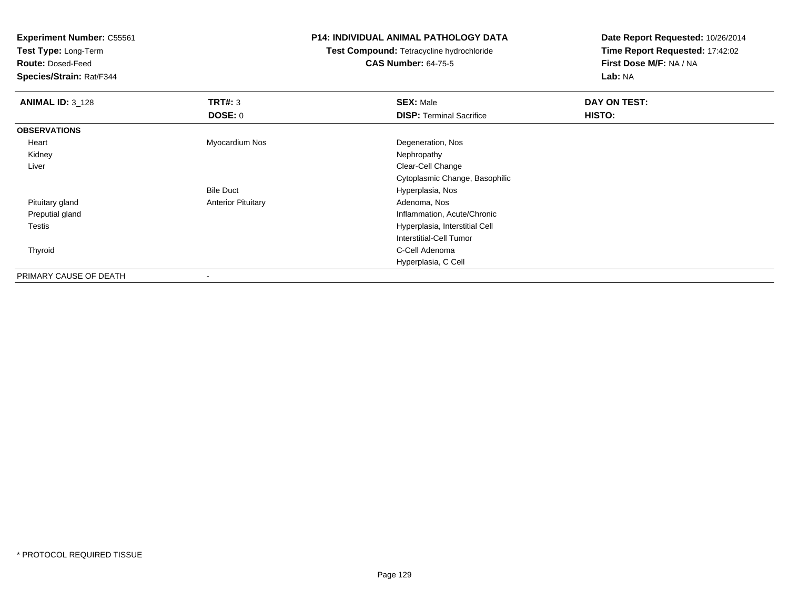**Test Type:** Long-Term

**Route:** Dosed-Feed

**Species/Strain:** Rat/F344

# **P14: INDIVIDUAL ANIMAL PATHOLOGY DATA**

**Test Compound:** Tetracycline hydrochloride**CAS Number:** 64-75-5

| <b>ANIMAL ID: 3_128</b> | <b>TRT#: 3</b>            | <b>SEX: Male</b>                | DAY ON TEST: |  |
|-------------------------|---------------------------|---------------------------------|--------------|--|
|                         | <b>DOSE: 0</b>            | <b>DISP: Terminal Sacrifice</b> | HISTO:       |  |
| <b>OBSERVATIONS</b>     |                           |                                 |              |  |
| Heart                   | Myocardium Nos            | Degeneration, Nos               |              |  |
| Kidney                  |                           | Nephropathy                     |              |  |
| Liver                   |                           | Clear-Cell Change               |              |  |
|                         |                           | Cytoplasmic Change, Basophilic  |              |  |
|                         | <b>Bile Duct</b>          | Hyperplasia, Nos                |              |  |
| Pituitary gland         | <b>Anterior Pituitary</b> | Adenoma, Nos                    |              |  |
| Preputial gland         |                           | Inflammation, Acute/Chronic     |              |  |
| Testis                  |                           | Hyperplasia, Interstitial Cell  |              |  |
|                         |                           | Interstitial-Cell Tumor         |              |  |
| Thyroid                 |                           | C-Cell Adenoma                  |              |  |
|                         |                           | Hyperplasia, C Cell             |              |  |
| PRIMARY CAUSE OF DEATH  | ۰                         |                                 |              |  |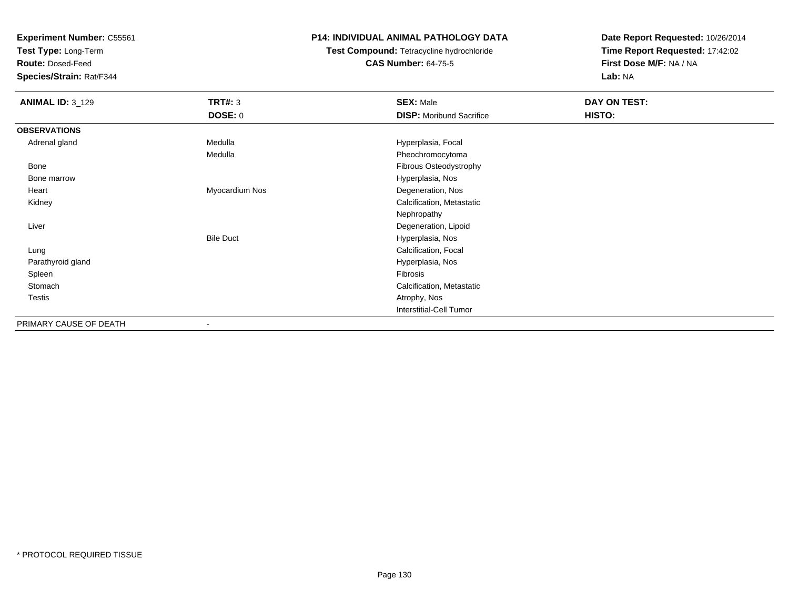**Test Type:** Long-Term

**Route:** Dosed-Feed

**Species/Strain:** Rat/F344

# **P14: INDIVIDUAL ANIMAL PATHOLOGY DATA**

# **Test Compound:** Tetracycline hydrochloride**CAS Number:** 64-75-5

| <b>ANIMAL ID: 3_129</b> | <b>TRT#: 3</b>           | <b>SEX: Male</b>                | DAY ON TEST: |  |
|-------------------------|--------------------------|---------------------------------|--------------|--|
|                         | DOSE: 0                  | <b>DISP:</b> Moribund Sacrifice | HISTO:       |  |
| <b>OBSERVATIONS</b>     |                          |                                 |              |  |
| Adrenal gland           | Medulla                  | Hyperplasia, Focal              |              |  |
|                         | Medulla                  | Pheochromocytoma                |              |  |
| Bone                    |                          | Fibrous Osteodystrophy          |              |  |
| Bone marrow             |                          | Hyperplasia, Nos                |              |  |
| Heart                   | Myocardium Nos           | Degeneration, Nos               |              |  |
| Kidney                  |                          | Calcification, Metastatic       |              |  |
|                         |                          | Nephropathy                     |              |  |
| Liver                   |                          | Degeneration, Lipoid            |              |  |
|                         | <b>Bile Duct</b>         | Hyperplasia, Nos                |              |  |
| Lung                    |                          | Calcification, Focal            |              |  |
| Parathyroid gland       |                          | Hyperplasia, Nos                |              |  |
| Spleen                  |                          | Fibrosis                        |              |  |
| Stomach                 |                          | Calcification, Metastatic       |              |  |
| Testis                  |                          | Atrophy, Nos                    |              |  |
|                         |                          | <b>Interstitial-Cell Tumor</b>  |              |  |
| PRIMARY CAUSE OF DEATH  | $\overline{\phantom{a}}$ |                                 |              |  |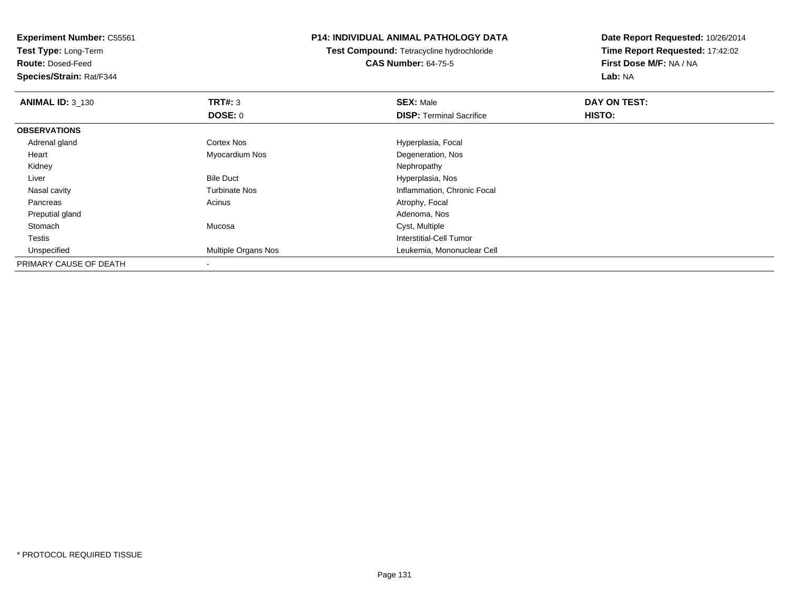**Test Type:** Long-Term

**Route:** Dosed-Feed

**Species/Strain:** Rat/F344

# **P14: INDIVIDUAL ANIMAL PATHOLOGY DATA**

**Test Compound:** Tetracycline hydrochloride**CAS Number:** 64-75-5

| <b>ANIMAL ID: 3_130</b> | TRT#: 3                    | <b>SEX: Male</b>                | DAY ON TEST: |  |
|-------------------------|----------------------------|---------------------------------|--------------|--|
|                         | <b>DOSE: 0</b>             | <b>DISP:</b> Terminal Sacrifice | HISTO:       |  |
| <b>OBSERVATIONS</b>     |                            |                                 |              |  |
| Adrenal gland           | <b>Cortex Nos</b>          | Hyperplasia, Focal              |              |  |
| Heart                   | Myocardium Nos             | Degeneration, Nos               |              |  |
| Kidney                  |                            | Nephropathy                     |              |  |
| Liver                   | <b>Bile Duct</b>           | Hyperplasia, Nos                |              |  |
| Nasal cavity            | <b>Turbinate Nos</b>       | Inflammation, Chronic Focal     |              |  |
| Pancreas                | Acinus                     | Atrophy, Focal                  |              |  |
| Preputial gland         |                            | Adenoma, Nos                    |              |  |
| Stomach                 | Mucosa                     | Cyst, Multiple                  |              |  |
| Testis                  |                            | Interstitial-Cell Tumor         |              |  |
| Unspecified             | <b>Multiple Organs Nos</b> | Leukemia, Mononuclear Cell      |              |  |
| PRIMARY CAUSE OF DEATH  |                            |                                 |              |  |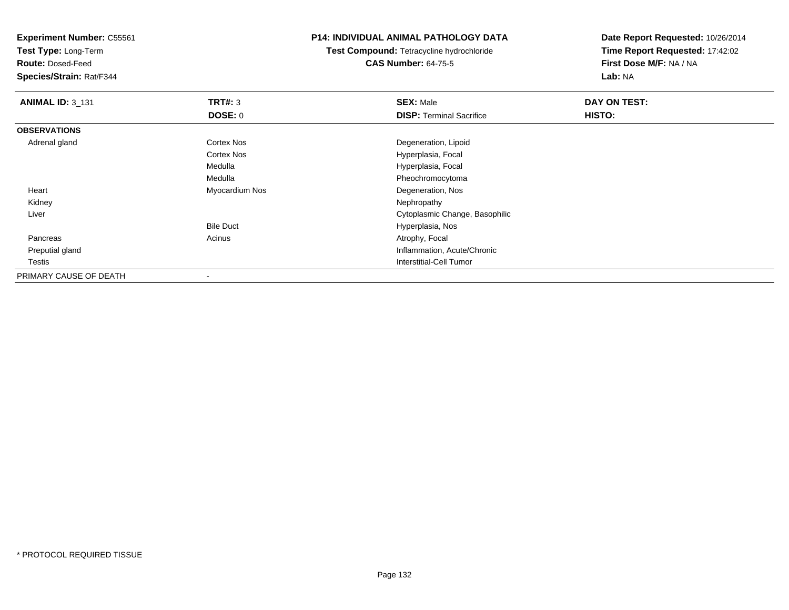**Test Type:** Long-Term

**Route:** Dosed-Feed

**Species/Strain:** Rat/F344

# **P14: INDIVIDUAL ANIMAL PATHOLOGY DATA**

**Test Compound:** Tetracycline hydrochloride**CAS Number:** 64-75-5

| <b>ANIMAL ID: 3_131</b> | TRT#: 3           | <b>SEX: Male</b>                | DAY ON TEST: |  |
|-------------------------|-------------------|---------------------------------|--------------|--|
|                         | <b>DOSE: 0</b>    | <b>DISP: Terminal Sacrifice</b> | HISTO:       |  |
| <b>OBSERVATIONS</b>     |                   |                                 |              |  |
| Adrenal gland           | Cortex Nos        | Degeneration, Lipoid            |              |  |
|                         | <b>Cortex Nos</b> | Hyperplasia, Focal              |              |  |
|                         | Medulla           | Hyperplasia, Focal              |              |  |
|                         | Medulla           | Pheochromocytoma                |              |  |
| Heart                   | Myocardium Nos    | Degeneration, Nos               |              |  |
| Kidney                  |                   | Nephropathy                     |              |  |
| Liver                   |                   | Cytoplasmic Change, Basophilic  |              |  |
|                         | <b>Bile Duct</b>  | Hyperplasia, Nos                |              |  |
| Pancreas                | Acinus            | Atrophy, Focal                  |              |  |
| Preputial gland         |                   | Inflammation, Acute/Chronic     |              |  |
| Testis                  |                   | <b>Interstitial-Cell Tumor</b>  |              |  |
| PRIMARY CAUSE OF DEATH  |                   |                                 |              |  |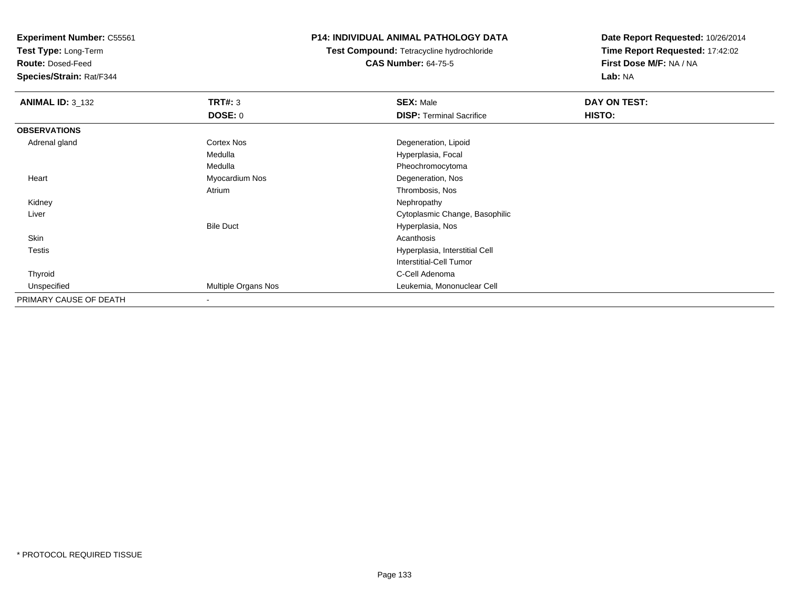**Test Type:** Long-Term

**Route:** Dosed-Feed

**Species/Strain:** Rat/F344

# **P14: INDIVIDUAL ANIMAL PATHOLOGY DATA**

**Test Compound:** Tetracycline hydrochloride**CAS Number:** 64-75-5

| <b>ANIMAL ID: 3_132</b> | <b>TRT#: 3</b>      | <b>SEX: Male</b>                | DAY ON TEST: |  |
|-------------------------|---------------------|---------------------------------|--------------|--|
|                         | <b>DOSE: 0</b>      | <b>DISP: Terminal Sacrifice</b> | HISTO:       |  |
| <b>OBSERVATIONS</b>     |                     |                                 |              |  |
| Adrenal gland           | <b>Cortex Nos</b>   | Degeneration, Lipoid            |              |  |
|                         | Medulla             | Hyperplasia, Focal              |              |  |
|                         | Medulla             | Pheochromocytoma                |              |  |
| Heart                   | Myocardium Nos      | Degeneration, Nos               |              |  |
|                         | Atrium              | Thrombosis, Nos                 |              |  |
| Kidney                  |                     | Nephropathy                     |              |  |
| Liver                   |                     | Cytoplasmic Change, Basophilic  |              |  |
|                         | <b>Bile Duct</b>    | Hyperplasia, Nos                |              |  |
| Skin                    |                     | Acanthosis                      |              |  |
| Testis                  |                     | Hyperplasia, Interstitial Cell  |              |  |
|                         |                     | Interstitial-Cell Tumor         |              |  |
| Thyroid                 |                     | C-Cell Adenoma                  |              |  |
| Unspecified             | Multiple Organs Nos | Leukemia, Mononuclear Cell      |              |  |
| PRIMARY CAUSE OF DEATH  |                     |                                 |              |  |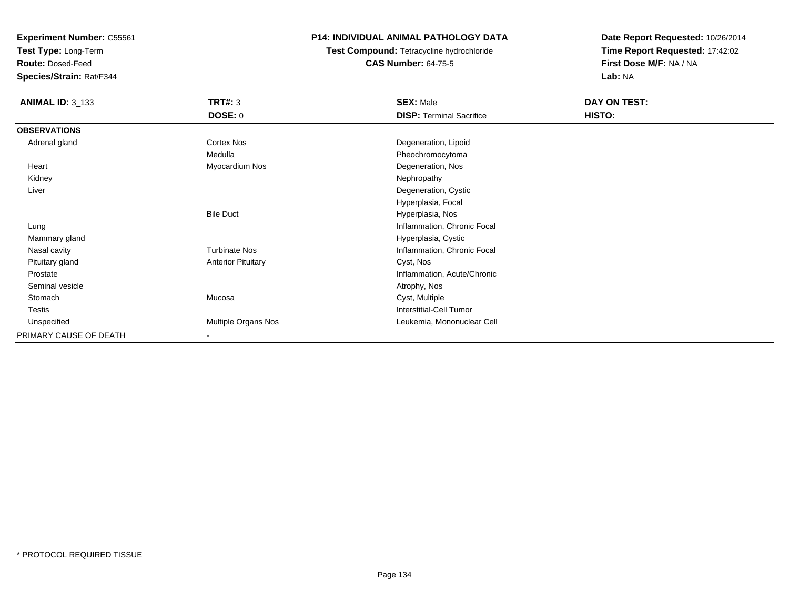**Test Type:** Long-Term

**Route:** Dosed-Feed

**Species/Strain:** Rat/F344

# **P14: INDIVIDUAL ANIMAL PATHOLOGY DATA**

**Test Compound:** Tetracycline hydrochloride**CAS Number:** 64-75-5

| <b>ANIMAL ID: 3_133</b> | <b>TRT#: 3</b>            | <b>SEX: Male</b>                | DAY ON TEST: |  |
|-------------------------|---------------------------|---------------------------------|--------------|--|
|                         | <b>DOSE: 0</b>            | <b>DISP: Terminal Sacrifice</b> | HISTO:       |  |
| <b>OBSERVATIONS</b>     |                           |                                 |              |  |
| Adrenal gland           | Cortex Nos                | Degeneration, Lipoid            |              |  |
|                         | Medulla                   | Pheochromocytoma                |              |  |
| Heart                   | Myocardium Nos            | Degeneration, Nos               |              |  |
| Kidney                  |                           | Nephropathy                     |              |  |
| Liver                   |                           | Degeneration, Cystic            |              |  |
|                         |                           | Hyperplasia, Focal              |              |  |
|                         | <b>Bile Duct</b>          | Hyperplasia, Nos                |              |  |
| Lung                    |                           | Inflammation, Chronic Focal     |              |  |
| Mammary gland           |                           | Hyperplasia, Cystic             |              |  |
| Nasal cavity            | <b>Turbinate Nos</b>      | Inflammation, Chronic Focal     |              |  |
| Pituitary gland         | <b>Anterior Pituitary</b> | Cyst, Nos                       |              |  |
| Prostate                |                           | Inflammation, Acute/Chronic     |              |  |
| Seminal vesicle         |                           | Atrophy, Nos                    |              |  |
| Stomach                 | Mucosa                    | Cyst, Multiple                  |              |  |
| Testis                  |                           | <b>Interstitial-Cell Tumor</b>  |              |  |
| Unspecified             | Multiple Organs Nos       | Leukemia, Mononuclear Cell      |              |  |
| PRIMARY CAUSE OF DEATH  | $\overline{\phantom{a}}$  |                                 |              |  |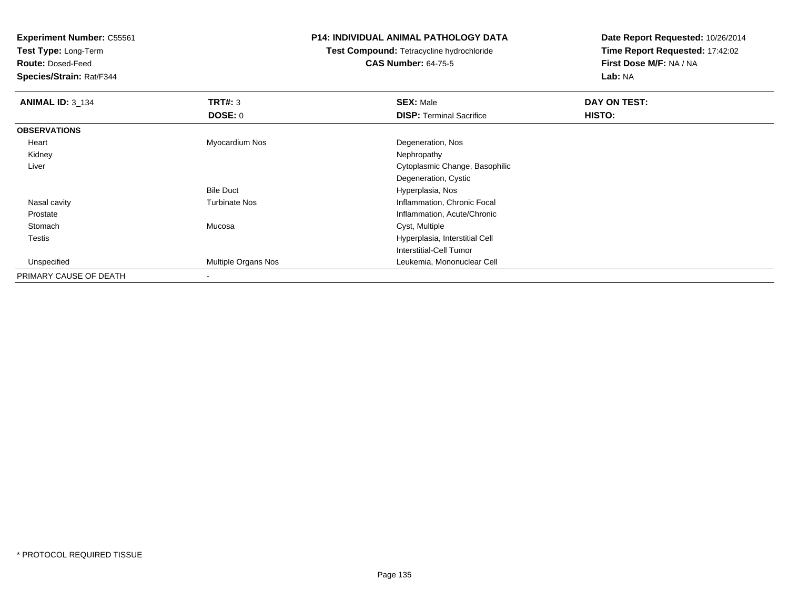**Test Type:** Long-Term

**Route:** Dosed-Feed

**Species/Strain:** Rat/F344

# **P14: INDIVIDUAL ANIMAL PATHOLOGY DATA**

**Test Compound:** Tetracycline hydrochloride**CAS Number:** 64-75-5

| <b>ANIMAL ID: 3_134</b> | TRT#: 3              | <b>SEX: Male</b>                | DAY ON TEST: |  |
|-------------------------|----------------------|---------------------------------|--------------|--|
|                         | DOSE: 0              | <b>DISP: Terminal Sacrifice</b> | HISTO:       |  |
| <b>OBSERVATIONS</b>     |                      |                                 |              |  |
| Heart                   | Myocardium Nos       | Degeneration, Nos               |              |  |
| Kidney                  |                      | Nephropathy                     |              |  |
| Liver                   |                      | Cytoplasmic Change, Basophilic  |              |  |
|                         |                      | Degeneration, Cystic            |              |  |
|                         | <b>Bile Duct</b>     | Hyperplasia, Nos                |              |  |
| Nasal cavity            | <b>Turbinate Nos</b> | Inflammation, Chronic Focal     |              |  |
| Prostate                |                      | Inflammation, Acute/Chronic     |              |  |
| Stomach                 | Mucosa               | Cyst, Multiple                  |              |  |
| Testis                  |                      | Hyperplasia, Interstitial Cell  |              |  |
|                         |                      | Interstitial-Cell Tumor         |              |  |
| Unspecified             | Multiple Organs Nos  | Leukemia, Mononuclear Cell      |              |  |
| PRIMARY CAUSE OF DEATH  |                      |                                 |              |  |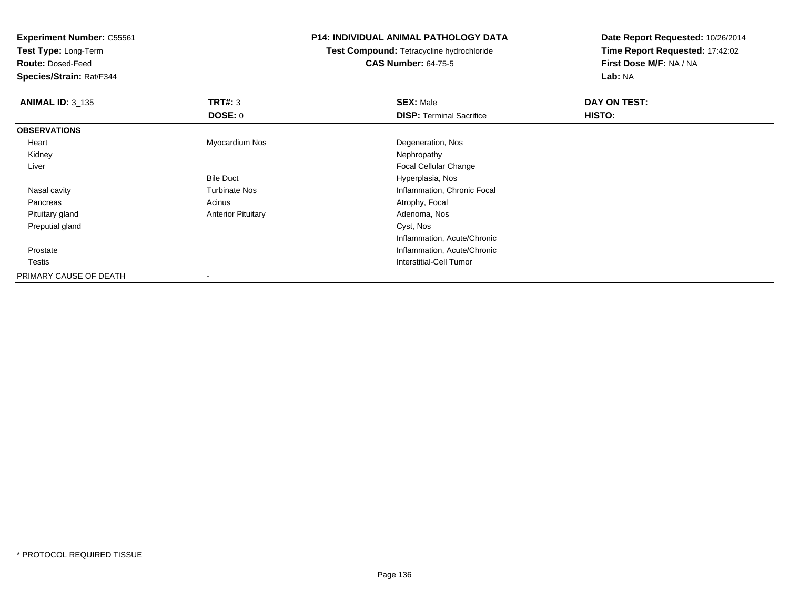**Test Type:** Long-Term

**Route:** Dosed-Feed

**Species/Strain:** Rat/F344

# **P14: INDIVIDUAL ANIMAL PATHOLOGY DATA**

**Test Compound:** Tetracycline hydrochloride**CAS Number:** 64-75-5

| <b>ANIMAL ID: 3_135</b> | TRT#: 3                   | <b>SEX: Male</b>                | DAY ON TEST: |  |
|-------------------------|---------------------------|---------------------------------|--------------|--|
|                         | <b>DOSE: 0</b>            | <b>DISP: Terminal Sacrifice</b> | HISTO:       |  |
| <b>OBSERVATIONS</b>     |                           |                                 |              |  |
| Heart                   | Myocardium Nos            | Degeneration, Nos               |              |  |
| Kidney                  |                           | Nephropathy                     |              |  |
| Liver                   |                           | <b>Focal Cellular Change</b>    |              |  |
|                         | <b>Bile Duct</b>          | Hyperplasia, Nos                |              |  |
| Nasal cavity            | <b>Turbinate Nos</b>      | Inflammation, Chronic Focal     |              |  |
| Pancreas                | Acinus                    | Atrophy, Focal                  |              |  |
| Pituitary gland         | <b>Anterior Pituitary</b> | Adenoma, Nos                    |              |  |
| Preputial gland         |                           | Cyst, Nos                       |              |  |
|                         |                           | Inflammation, Acute/Chronic     |              |  |
| Prostate                |                           | Inflammation, Acute/Chronic     |              |  |
| Testis                  |                           | Interstitial-Cell Tumor         |              |  |
| PRIMARY CAUSE OF DEATH  | $\,$                      |                                 |              |  |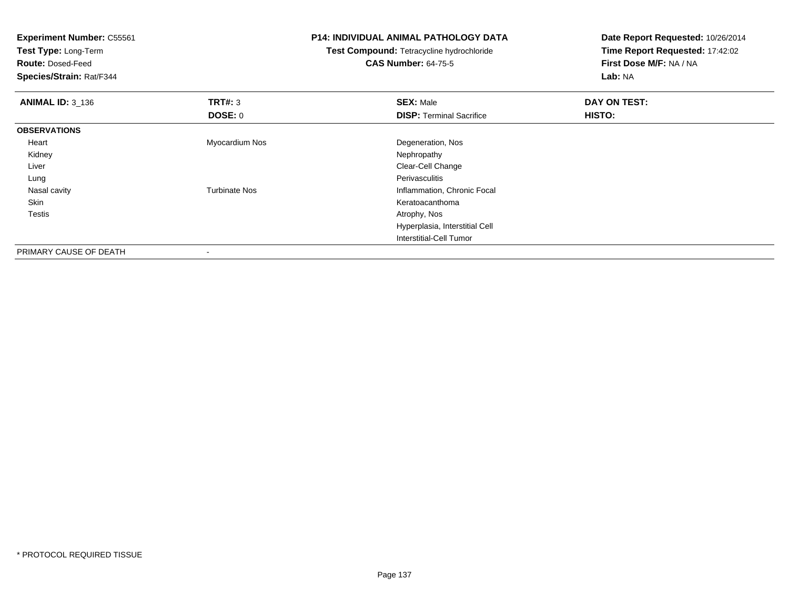**Experiment Number:** C55561**Test Type:** Long-Term**Route:** Dosed-Feed **Species/Strain:** Rat/F344**P14: INDIVIDUAL ANIMAL PATHOLOGY DATATest Compound:** Tetracycline hydrochloride**CAS Number:** 64-75-5**Date Report Requested:** 10/26/2014**Time Report Requested:** 17:42:02**First Dose M/F:** NA / NA**Lab:** NA**ANIMAL ID:** 3\_136 **TRT#:** <sup>3</sup> **SEX:** Male **DAY ON TEST: DOSE:** 0**DISP:** Terminal Sacrifice **HISTO: OBSERVATIONS** Heart Myocardium Nos Degeneration, Nos Kidneyy the control of the control of the control of the control of the control of the control of the control of the control of the control of the control of the control of the control of the control of the control of the contro Liver Clear-Cell Change Lungg in the extension of the extension of the extension of the extension of the extension of the extension of the extension of the extension of the extension of the extension of the extension of the extension of the extension Nasal cavityTurbinate Nos **Inflammation**, Chronic Focal Skin Keratoacanthoma Testis Atrophy, Nos Hyperplasia, Interstitial CellInterstitial-Cell TumorPRIMARY CAUSE OF DEATH

-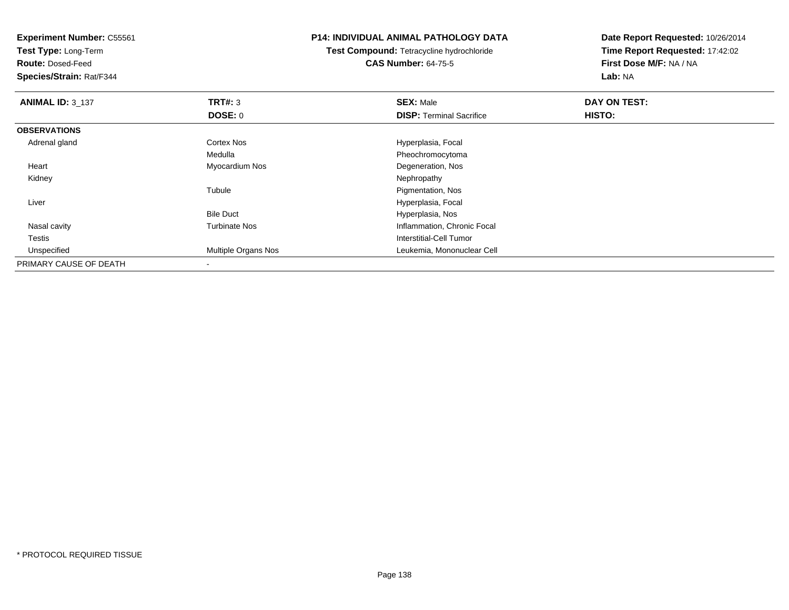**Test Type:** Long-Term

**Route:** Dosed-Feed

**Species/Strain:** Rat/F344

# **P14: INDIVIDUAL ANIMAL PATHOLOGY DATA**

**Test Compound:** Tetracycline hydrochloride**CAS Number:** 64-75-5

| <b>ANIMAL ID: 3_137</b> | TRT#: 3                    | <b>SEX: Male</b>                | DAY ON TEST: |  |
|-------------------------|----------------------------|---------------------------------|--------------|--|
|                         | <b>DOSE: 0</b>             | <b>DISP: Terminal Sacrifice</b> | HISTO:       |  |
| <b>OBSERVATIONS</b>     |                            |                                 |              |  |
| Adrenal gland           | <b>Cortex Nos</b>          | Hyperplasia, Focal              |              |  |
|                         | Medulla                    | Pheochromocytoma                |              |  |
| Heart                   | Myocardium Nos             | Degeneration, Nos               |              |  |
| Kidney                  |                            | Nephropathy                     |              |  |
|                         | Tubule                     | Pigmentation, Nos               |              |  |
| Liver                   |                            | Hyperplasia, Focal              |              |  |
|                         | <b>Bile Duct</b>           | Hyperplasia, Nos                |              |  |
| Nasal cavity            | <b>Turbinate Nos</b>       | Inflammation, Chronic Focal     |              |  |
| Testis                  |                            | Interstitial-Cell Tumor         |              |  |
| Unspecified             | <b>Multiple Organs Nos</b> | Leukemia, Mononuclear Cell      |              |  |
| PRIMARY CAUSE OF DEATH  |                            |                                 |              |  |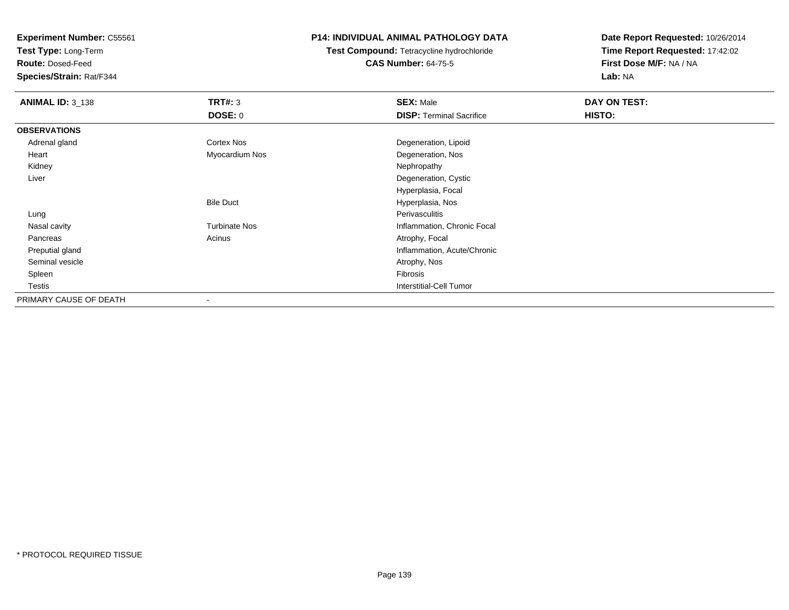**Test Type:** Long-Term

**Route:** Dosed-Feed

**Species/Strain:** Rat/F344

# **P14: INDIVIDUAL ANIMAL PATHOLOGY DATA**

**Test Compound:** Tetracycline hydrochloride**CAS Number:** 64-75-5

| <b>ANIMAL ID: 3_138</b> | <b>TRT#: 3</b>       | <b>SEX: Male</b>                | DAY ON TEST: |  |
|-------------------------|----------------------|---------------------------------|--------------|--|
|                         | <b>DOSE: 0</b>       | <b>DISP: Terminal Sacrifice</b> | HISTO:       |  |
| <b>OBSERVATIONS</b>     |                      |                                 |              |  |
| Adrenal gland           | Cortex Nos           | Degeneration, Lipoid            |              |  |
| Heart                   | Myocardium Nos       | Degeneration, Nos               |              |  |
| Kidney                  |                      | Nephropathy                     |              |  |
| Liver                   |                      | Degeneration, Cystic            |              |  |
|                         |                      | Hyperplasia, Focal              |              |  |
|                         | <b>Bile Duct</b>     | Hyperplasia, Nos                |              |  |
| Lung                    |                      | Perivasculitis                  |              |  |
| Nasal cavity            | <b>Turbinate Nos</b> | Inflammation, Chronic Focal     |              |  |
| Pancreas                | Acinus               | Atrophy, Focal                  |              |  |
| Preputial gland         |                      | Inflammation, Acute/Chronic     |              |  |
| Seminal vesicle         |                      | Atrophy, Nos                    |              |  |
| Spleen                  |                      | Fibrosis                        |              |  |
| Testis                  |                      | <b>Interstitial-Cell Tumor</b>  |              |  |
| PRIMARY CAUSE OF DEATH  |                      |                                 |              |  |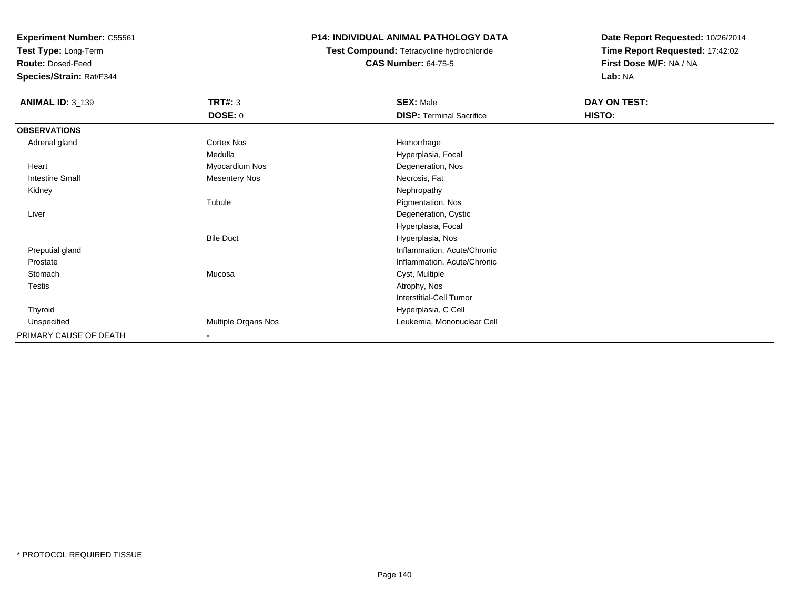**Test Type:** Long-Term

**Route:** Dosed-Feed

**Species/Strain:** Rat/F344

# **P14: INDIVIDUAL ANIMAL PATHOLOGY DATA**

**Test Compound:** Tetracycline hydrochloride**CAS Number:** 64-75-5

| <b>ANIMAL ID: 3_139</b> | <b>TRT#: 3</b>           | <b>SEX: Male</b>                | DAY ON TEST: |
|-------------------------|--------------------------|---------------------------------|--------------|
|                         | <b>DOSE: 0</b>           | <b>DISP: Terminal Sacrifice</b> | HISTO:       |
| <b>OBSERVATIONS</b>     |                          |                                 |              |
| Adrenal gland           | <b>Cortex Nos</b>        | Hemorrhage                      |              |
|                         | Medulla                  | Hyperplasia, Focal              |              |
| Heart                   | Myocardium Nos           | Degeneration, Nos               |              |
| Intestine Small         | <b>Mesentery Nos</b>     | Necrosis, Fat                   |              |
| Kidney                  |                          | Nephropathy                     |              |
|                         | Tubule                   | Pigmentation, Nos               |              |
| Liver                   |                          | Degeneration, Cystic            |              |
|                         |                          | Hyperplasia, Focal              |              |
|                         | <b>Bile Duct</b>         | Hyperplasia, Nos                |              |
| Preputial gland         |                          | Inflammation, Acute/Chronic     |              |
| Prostate                |                          | Inflammation, Acute/Chronic     |              |
| Stomach                 | Mucosa                   | Cyst, Multiple                  |              |
| Testis                  |                          | Atrophy, Nos                    |              |
|                         |                          | <b>Interstitial-Cell Tumor</b>  |              |
| Thyroid                 |                          | Hyperplasia, C Cell             |              |
| Unspecified             | Multiple Organs Nos      | Leukemia, Mononuclear Cell      |              |
| PRIMARY CAUSE OF DEATH  | $\overline{\phantom{a}}$ |                                 |              |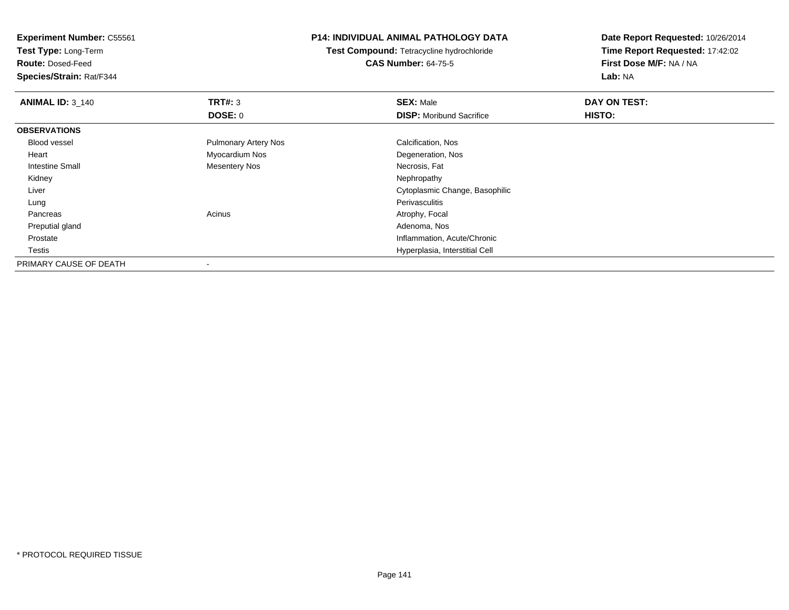**Test Type:** Long-Term

**Route:** Dosed-Feed

**Species/Strain:** Rat/F344

# **P14: INDIVIDUAL ANIMAL PATHOLOGY DATA**

**Test Compound:** Tetracycline hydrochloride**CAS Number:** 64-75-5

| <b>ANIMAL ID: 3_140</b> | TRT#: 3                     | <b>SEX: Male</b>                | DAY ON TEST: |  |
|-------------------------|-----------------------------|---------------------------------|--------------|--|
|                         | <b>DOSE: 0</b>              | <b>DISP:</b> Moribund Sacrifice | HISTO:       |  |
| <b>OBSERVATIONS</b>     |                             |                                 |              |  |
| Blood vessel            | <b>Pulmonary Artery Nos</b> | Calcification, Nos              |              |  |
| Heart                   | Myocardium Nos              | Degeneration, Nos               |              |  |
| <b>Intestine Small</b>  | Mesentery Nos               | Necrosis, Fat                   |              |  |
| Kidney                  |                             | Nephropathy                     |              |  |
| Liver                   |                             | Cytoplasmic Change, Basophilic  |              |  |
| Lung                    |                             | Perivasculitis                  |              |  |
| Pancreas                | Acinus                      | Atrophy, Focal                  |              |  |
| Preputial gland         |                             | Adenoma, Nos                    |              |  |
| Prostate                |                             | Inflammation, Acute/Chronic     |              |  |
| Testis                  |                             | Hyperplasia, Interstitial Cell  |              |  |
| PRIMARY CAUSE OF DEATH  |                             |                                 |              |  |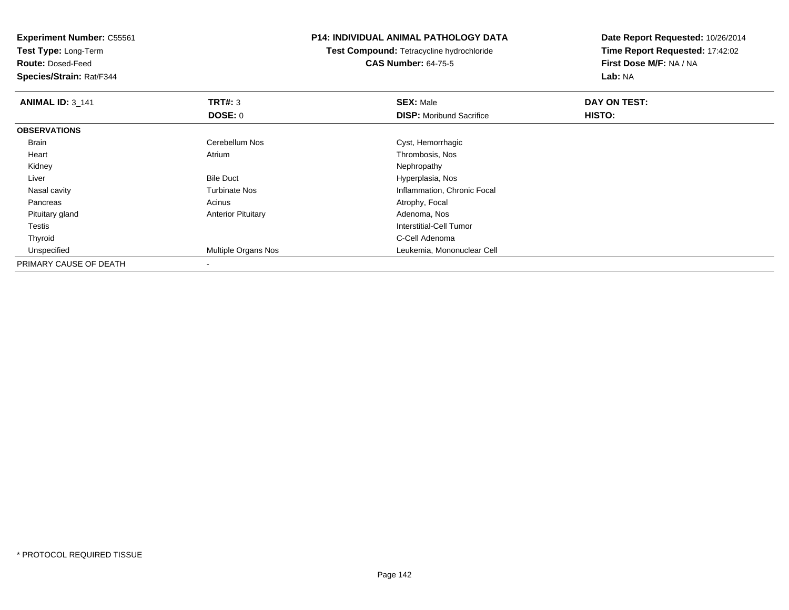**Test Type:** Long-Term

**Route:** Dosed-Feed

**Species/Strain:** Rat/F344

# **P14: INDIVIDUAL ANIMAL PATHOLOGY DATA**

**Test Compound:** Tetracycline hydrochloride**CAS Number:** 64-75-5

| <b>ANIMAL ID: 3 141</b> | TRT#: 3                   | <b>SEX: Male</b>                | DAY ON TEST: |  |
|-------------------------|---------------------------|---------------------------------|--------------|--|
|                         | <b>DOSE: 0</b>            | <b>DISP:</b> Moribund Sacrifice | HISTO:       |  |
| <b>OBSERVATIONS</b>     |                           |                                 |              |  |
| Brain                   | Cerebellum Nos            | Cyst, Hemorrhagic               |              |  |
| Heart                   | Atrium                    | Thrombosis, Nos                 |              |  |
| Kidney                  |                           | Nephropathy                     |              |  |
| Liver                   | <b>Bile Duct</b>          | Hyperplasia, Nos                |              |  |
| Nasal cavity            | <b>Turbinate Nos</b>      | Inflammation, Chronic Focal     |              |  |
| Pancreas                | Acinus                    | Atrophy, Focal                  |              |  |
| Pituitary gland         | <b>Anterior Pituitary</b> | Adenoma, Nos                    |              |  |
| Testis                  |                           | Interstitial-Cell Tumor         |              |  |
| Thyroid                 |                           | C-Cell Adenoma                  |              |  |
| Unspecified             | Multiple Organs Nos       | Leukemia, Mononuclear Cell      |              |  |
| PRIMARY CAUSE OF DEATH  |                           |                                 |              |  |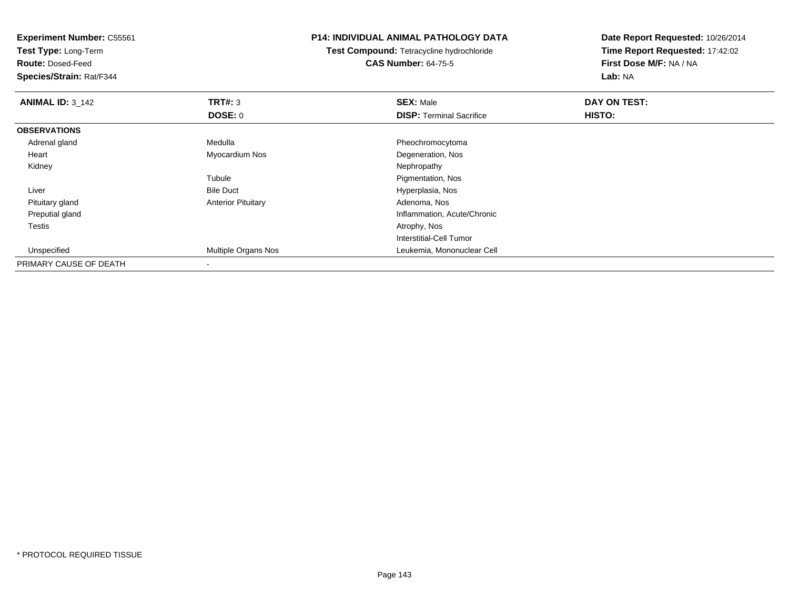**Experiment Number:** C55561**Test Type:** Long-Term**Route:** Dosed-Feed **Species/Strain:** Rat/F344**P14: INDIVIDUAL ANIMAL PATHOLOGY DATATest Compound:** Tetracycline hydrochloride**CAS Number:** 64-75-5**Date Report Requested:** 10/26/2014**Time Report Requested:** 17:42:02**First Dose M/F:** NA / NA**Lab:** NA**ANIMAL ID: 3 142 TRT#:** <sup>3</sup> **SEX:** Male **DAY ON TEST: DOSE:** 0**DISP:** Terminal Sacrifice **HISTO: OBSERVATIONS** Adrenal glandMedulla **Pheochromocytoma**  Heart Myocardium NosDegeneration, Nos<br>Nephropathy Kidneyy the control of the control of the control of the control of the control of the control of the control of the control of the control of the control of the control of the control of the control of the control of the contro TubuleTubule The Contract of the Pigmentation, Nos<br>
Bile Duct The Contract of the Pigmentation, Nos LiverHyperplasia, Nos Pituitary glandAnterior Pituitary **Adenoma, Nos** Adenoma, Nos Preputial glandInflammation, Acute/Chronic<br>Atrophy, Nos Testiss and the contract of the contract of the contract of the contract of the contract of the contract of the contract of the contract of the contract of the contract of the contract of the contract of the contract of the cont Interstitial-Cell Tumor Unspecified Multiple Organs Nos Leukemia, Mononuclear Cell PRIMARY CAUSE OF DEATH-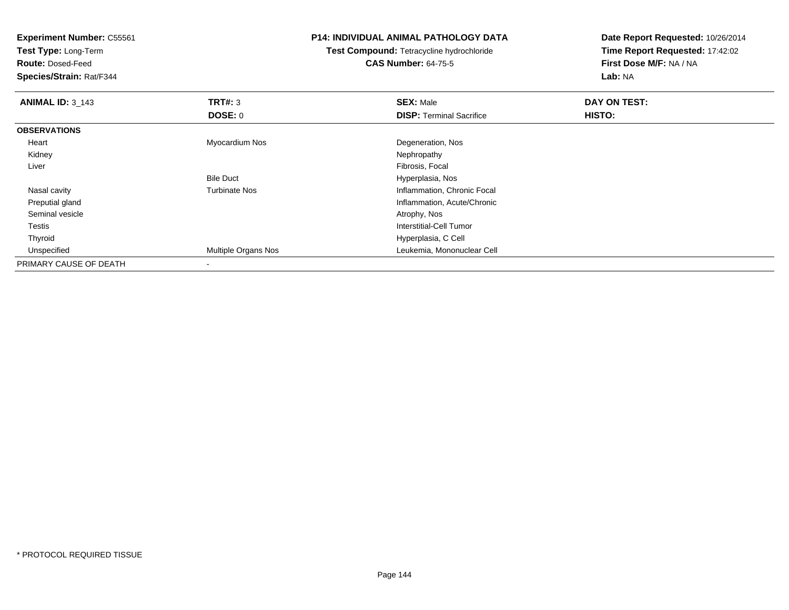**Test Type:** Long-Term

**Route:** Dosed-Feed

**Species/Strain:** Rat/F344

# **P14: INDIVIDUAL ANIMAL PATHOLOGY DATA**

**Test Compound:** Tetracycline hydrochloride**CAS Number:** 64-75-5

| <b>ANIMAL ID: 3_143</b> | TRT#: 3                    | <b>SEX: Male</b>                | DAY ON TEST: |  |
|-------------------------|----------------------------|---------------------------------|--------------|--|
|                         | DOSE: 0                    | <b>DISP: Terminal Sacrifice</b> | HISTO:       |  |
| <b>OBSERVATIONS</b>     |                            |                                 |              |  |
| Heart                   | Myocardium Nos             | Degeneration, Nos               |              |  |
| Kidney                  |                            | Nephropathy                     |              |  |
| Liver                   |                            | Fibrosis, Focal                 |              |  |
|                         | <b>Bile Duct</b>           | Hyperplasia, Nos                |              |  |
| Nasal cavity            | <b>Turbinate Nos</b>       | Inflammation, Chronic Focal     |              |  |
| Preputial gland         |                            | Inflammation, Acute/Chronic     |              |  |
| Seminal vesicle         |                            | Atrophy, Nos                    |              |  |
| Testis                  |                            | Interstitial-Cell Tumor         |              |  |
| Thyroid                 |                            | Hyperplasia, C Cell             |              |  |
| Unspecified             | <b>Multiple Organs Nos</b> | Leukemia, Mononuclear Cell      |              |  |
| PRIMARY CAUSE OF DEATH  |                            |                                 |              |  |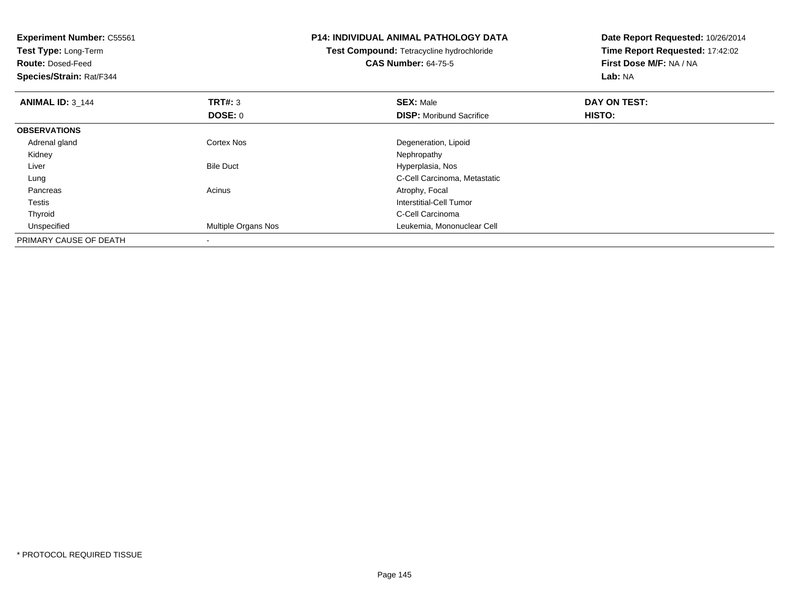**Experiment Number:** C55561**Test Type:** Long-Term**Route:** Dosed-Feed **Species/Strain:** Rat/F344**P14: INDIVIDUAL ANIMAL PATHOLOGY DATATest Compound:** Tetracycline hydrochloride**CAS Number:** 64-75-5**Date Report Requested:** 10/26/2014**Time Report Requested:** 17:42:02**First Dose M/F:** NA / NA**Lab:** NA**ANIMAL ID:** 3\_144 **TRT#:** <sup>3</sup> **SEX:** Male **DAY ON TEST: DOSE:** 0**DISP:** Moribund Sacrifice **HISTO: OBSERVATIONS** Adrenal glandCortex Nos Degeneration, Lipoid<br>
Nephropathy Kidneyy the control of the control of the control of the control of the control of the control of the control of the control of the control of the control of the control of the control of the control of the control of the contro LiverBile Duct **Hyperplasia**, Nos C-Cell Carcinoma, Metastatic Lung PancreasAcinus **Acinus** Atrophy, Focal Testis Interstitial-Cell Tumor ThyroidC-Cell Carcinoma<br>Multiple Organs Nos **Exercía e Server Carcinoma**<br>Leukemia, Mononi UnspecifiedLeukemia, Mononuclear Cell PRIMARY CAUSE OF DEATH-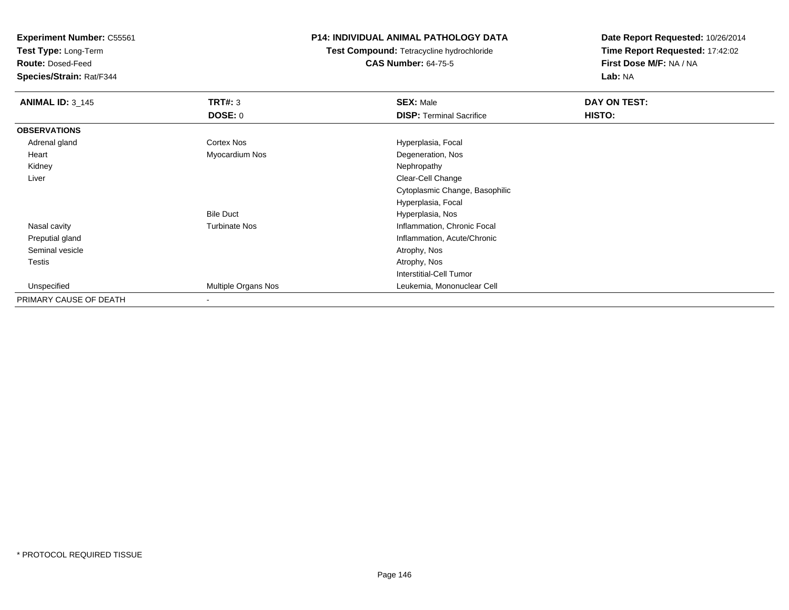**Test Type:** Long-Term

**Route:** Dosed-Feed

**Species/Strain:** Rat/F344

# **P14: INDIVIDUAL ANIMAL PATHOLOGY DATA**

**Test Compound:** Tetracycline hydrochloride**CAS Number:** 64-75-5

| <b>ANIMAL ID: 3_145</b> | <b>TRT#: 3</b>       | <b>SEX: Male</b>                | DAY ON TEST:  |  |
|-------------------------|----------------------|---------------------------------|---------------|--|
|                         | <b>DOSE: 0</b>       | <b>DISP: Terminal Sacrifice</b> | <b>HISTO:</b> |  |
| <b>OBSERVATIONS</b>     |                      |                                 |               |  |
| Adrenal gland           | <b>Cortex Nos</b>    | Hyperplasia, Focal              |               |  |
| Heart                   | Myocardium Nos       | Degeneration, Nos               |               |  |
| Kidney                  |                      | Nephropathy                     |               |  |
| Liver                   |                      | Clear-Cell Change               |               |  |
|                         |                      | Cytoplasmic Change, Basophilic  |               |  |
|                         |                      | Hyperplasia, Focal              |               |  |
|                         | <b>Bile Duct</b>     | Hyperplasia, Nos                |               |  |
| Nasal cavity            | <b>Turbinate Nos</b> | Inflammation, Chronic Focal     |               |  |
| Preputial gland         |                      | Inflammation, Acute/Chronic     |               |  |
| Seminal vesicle         |                      | Atrophy, Nos                    |               |  |
| <b>Testis</b>           |                      | Atrophy, Nos                    |               |  |
|                         |                      | Interstitial-Cell Tumor         |               |  |
| Unspecified             | Multiple Organs Nos  | Leukemia, Mononuclear Cell      |               |  |
| PRIMARY CAUSE OF DEATH  |                      |                                 |               |  |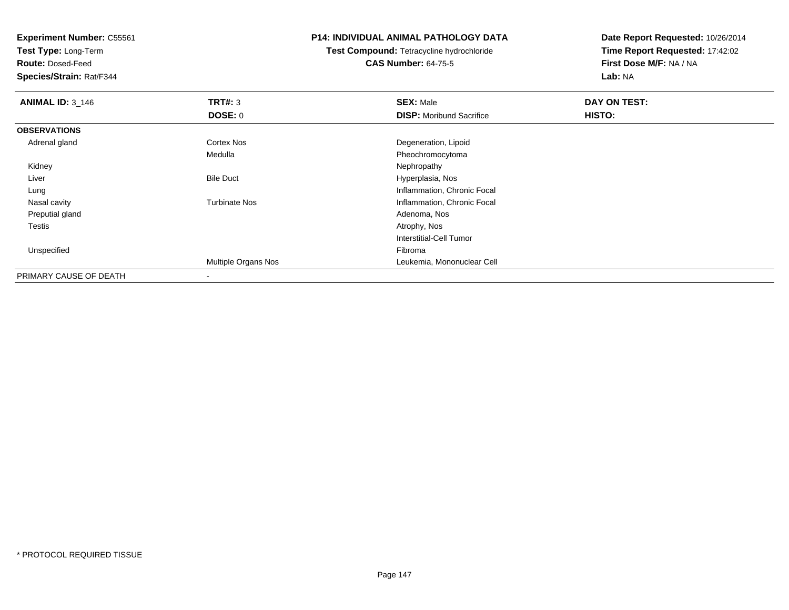**Test Type:** Long-Term

**Route:** Dosed-Feed

**Species/Strain:** Rat/F344

# **P14: INDIVIDUAL ANIMAL PATHOLOGY DATA**

**Test Compound:** Tetracycline hydrochloride**CAS Number:** 64-75-5

| <b>ANIMAL ID: 3_146</b> | TRT#: 3              | <b>SEX: Male</b>                | DAY ON TEST: |  |
|-------------------------|----------------------|---------------------------------|--------------|--|
|                         | DOSE: 0              | <b>DISP:</b> Moribund Sacrifice | HISTO:       |  |
| <b>OBSERVATIONS</b>     |                      |                                 |              |  |
| Adrenal gland           | Cortex Nos           | Degeneration, Lipoid            |              |  |
|                         | Medulla              | Pheochromocytoma                |              |  |
| Kidney                  |                      | Nephropathy                     |              |  |
| Liver                   | <b>Bile Duct</b>     | Hyperplasia, Nos                |              |  |
| Lung                    |                      | Inflammation, Chronic Focal     |              |  |
| Nasal cavity            | <b>Turbinate Nos</b> | Inflammation, Chronic Focal     |              |  |
| Preputial gland         |                      | Adenoma, Nos                    |              |  |
| Testis                  |                      | Atrophy, Nos                    |              |  |
|                         |                      | <b>Interstitial-Cell Tumor</b>  |              |  |
| Unspecified             |                      | Fibroma                         |              |  |
|                         | Multiple Organs Nos  | Leukemia, Mononuclear Cell      |              |  |
| PRIMARY CAUSE OF DEATH  |                      |                                 |              |  |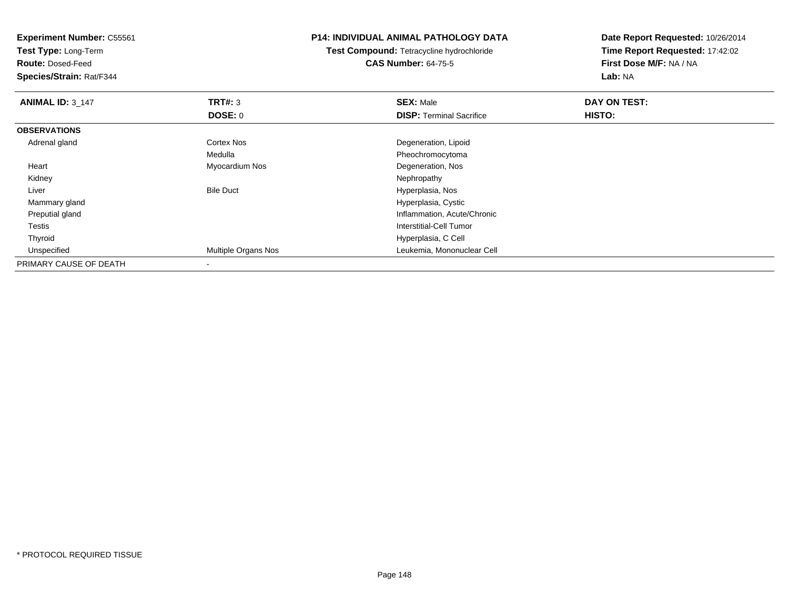**Experiment Number:** C55561**Test Type:** Long-Term**Route:** Dosed-Feed **Species/Strain:** Rat/F344**P14: INDIVIDUAL ANIMAL PATHOLOGY DATATest Compound:** Tetracycline hydrochloride**CAS Number:** 64-75-5**Date Report Requested:** 10/26/2014**Time Report Requested:** 17:42:02**First Dose M/F:** NA / NA**Lab:** NA**ANIMAL ID: 3 147 TRT#:** <sup>3</sup> **SEX:** Male **DAY ON TEST: DOSE:** 0**DISP:** Terminal Sacrifice **HISTO: OBSERVATIONS** Adrenal glandCortex Nos **Cortex Nos** Degeneration, Lipoid Medulla Pheochromocytoma Heart Myocardium Nos Degeneration, Nos Kidneyy the control of the control of the control of the control of the control of the control of the control of the control of the control of the control of the control of the control of the control of the control of the contro LiverBile Duct **Hyperplasia**, Nos d **Hyperplasia, Cystic**  Mammary gland Preputial gland Inflammation, Acute/Chronic Testis Interstitial-Cell Tumor Thyroid Hyperplasia, C Cell UnspecifiedLeukemia, Mononuclear Cell PRIMARY CAUSE OF DEATH

-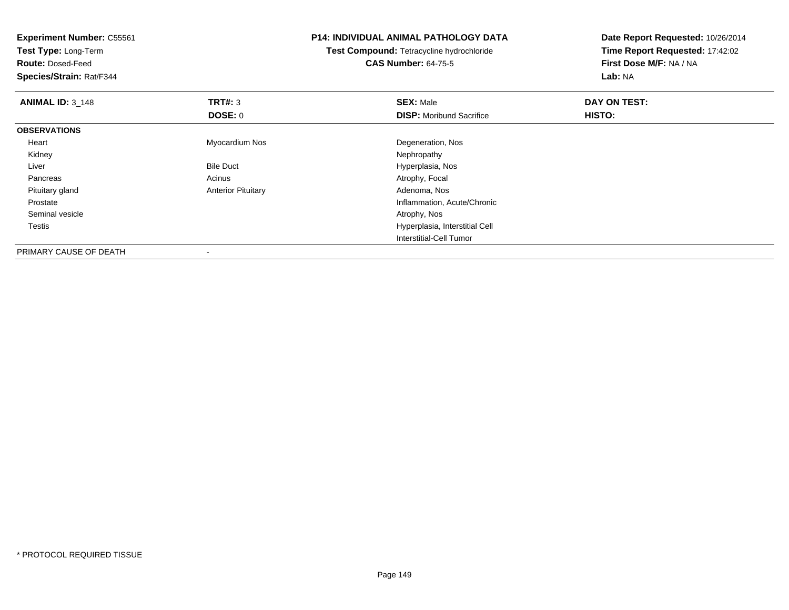**Test Type:** Long-Term

**Route:** Dosed-Feed

**Species/Strain:** Rat/F344

# **P14: INDIVIDUAL ANIMAL PATHOLOGY DATA**

**Test Compound:** Tetracycline hydrochloride**CAS Number:** 64-75-5

| <b>ANIMAL ID: 3 148</b> | TRT#: 3                   | <b>SEX: Male</b>                | DAY ON TEST: |  |
|-------------------------|---------------------------|---------------------------------|--------------|--|
|                         | <b>DOSE: 0</b>            | <b>DISP: Moribund Sacrifice</b> | HISTO:       |  |
| <b>OBSERVATIONS</b>     |                           |                                 |              |  |
| Heart                   | Myocardium Nos            | Degeneration, Nos               |              |  |
| Kidney                  |                           | Nephropathy                     |              |  |
| Liver                   | <b>Bile Duct</b>          | Hyperplasia, Nos                |              |  |
| Pancreas                | Acinus                    | Atrophy, Focal                  |              |  |
| Pituitary gland         | <b>Anterior Pituitary</b> | Adenoma, Nos                    |              |  |
| Prostate                |                           | Inflammation, Acute/Chronic     |              |  |
| Seminal vesicle         |                           | Atrophy, Nos                    |              |  |
| Testis                  |                           | Hyperplasia, Interstitial Cell  |              |  |
|                         |                           | Interstitial-Cell Tumor         |              |  |
| PRIMARY CAUSE OF DEATH  |                           |                                 |              |  |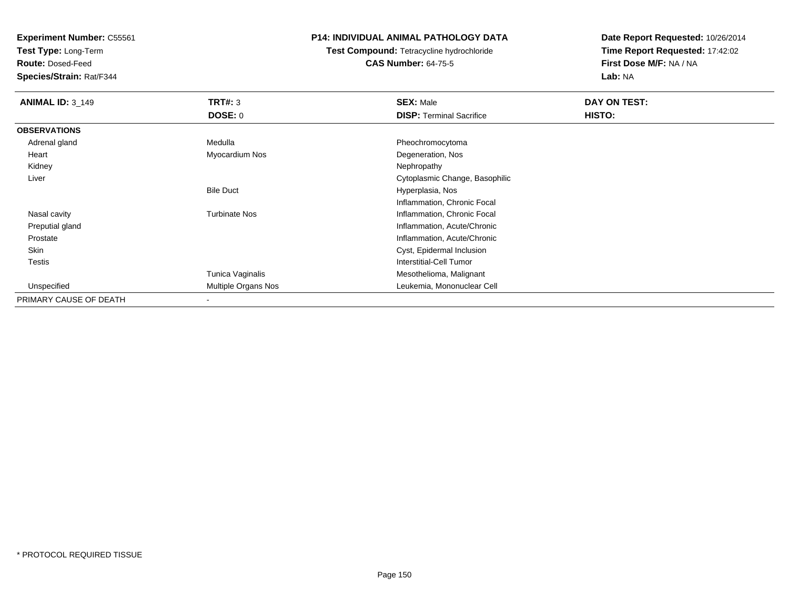**Test Type:** Long-Term

**Route:** Dosed-Feed

**Species/Strain:** Rat/F344

# **P14: INDIVIDUAL ANIMAL PATHOLOGY DATA**

**Test Compound:** Tetracycline hydrochloride**CAS Number:** 64-75-5

| <b>ANIMAL ID: 3_149</b> | TRT#: 3              | <b>SEX: Male</b>                | DAY ON TEST: |  |
|-------------------------|----------------------|---------------------------------|--------------|--|
|                         | <b>DOSE: 0</b>       | <b>DISP: Terminal Sacrifice</b> | HISTO:       |  |
| <b>OBSERVATIONS</b>     |                      |                                 |              |  |
| Adrenal gland           | Medulla              | Pheochromocytoma                |              |  |
| Heart                   | Myocardium Nos       | Degeneration, Nos               |              |  |
| Kidney                  |                      | Nephropathy                     |              |  |
| Liver                   |                      | Cytoplasmic Change, Basophilic  |              |  |
|                         | <b>Bile Duct</b>     | Hyperplasia, Nos                |              |  |
|                         |                      | Inflammation, Chronic Focal     |              |  |
| Nasal cavity            | <b>Turbinate Nos</b> | Inflammation, Chronic Focal     |              |  |
| Preputial gland         |                      | Inflammation, Acute/Chronic     |              |  |
| Prostate                |                      | Inflammation, Acute/Chronic     |              |  |
| Skin                    |                      | Cyst, Epidermal Inclusion       |              |  |
| Testis                  |                      | Interstitial-Cell Tumor         |              |  |
|                         | Tunica Vaginalis     | Mesothelioma, Malignant         |              |  |
| Unspecified             | Multiple Organs Nos  | Leukemia, Mononuclear Cell      |              |  |
| PRIMARY CAUSE OF DEATH  |                      |                                 |              |  |